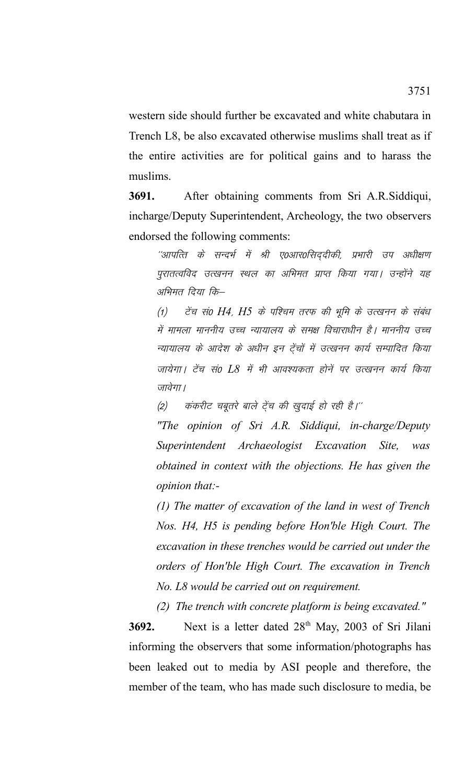western side should further be excavated and white chabutara in Trench L8, be also excavated otherwise muslims shall treat as if the entire activities are for political gains and to harass the muslims.

**3691.** After obtaining comments from Sri A.R.Siddiqui, incharge/Deputy Superintendent, Archeology, the two observers endorsed the following comments:

 $^\prime$ आपत्ति के सन्दर्भ में श्री ए०आर०सिद्दीकी, प्रभारी उप अधीक्षण पुरातत्वविद उत्खनन स्थल का अभिमत प्राप्त किया गया। उन्होंने यह अभिमत दिया कि–

(1) टेंच सं0 H4, H5 के पश्चिम तरफ की भूमि के उत्खनन के संबंध में मामला माननीय उच्च न्यायालय के समक्ष विचाराधीन है। माननीय उच्च न्यायालय के आदेश के अधीन इन टेंचों में उत्खनन कार्य सम्पादित किया जायेगा। टेंच सं0 L8 में भी आवश्यकता होनें पर उत्खनन कार्य किया जावेगा।

(2) कंकरीट चबूतरे बाले ट्रेंच की खुदाई हो रही है।''

*"The opinion of Sri A.R. Siddiqui, in-charge/Deputy Superintendent Archaeologist Excavation Site, was obtained in context with the objections. He has given the opinion that:-*

*(1) The matter of excavation of the land in west of Trench Nos. H4, H5 is pending before Hon'ble High Court. The excavation in these trenches would be carried out under the orders of Hon'ble High Court. The excavation in Trench No. L8 would be carried out on requirement.*

*(2) The trench with concrete platform is being excavated."*

3692. Next is a letter dated 28<sup>th</sup> May, 2003 of Sri Jilani informing the observers that some information/photographs has been leaked out to media by ASI people and therefore, the member of the team, who has made such disclosure to media, be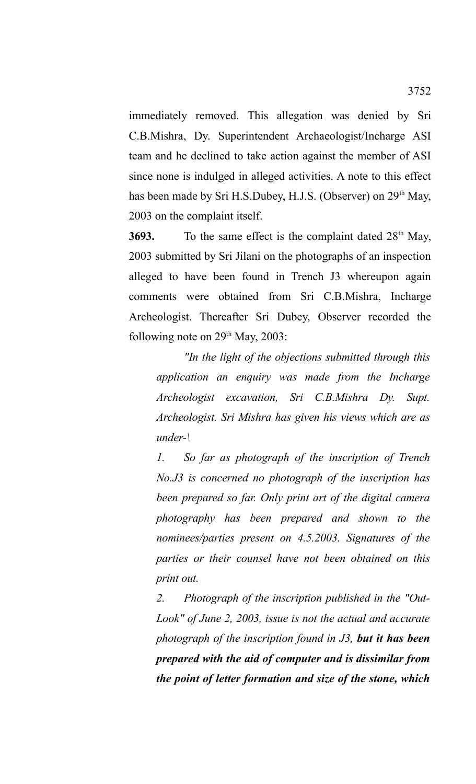immediately removed. This allegation was denied by Sri C.B.Mishra, Dy. Superintendent Archaeologist/Incharge ASI team and he declined to take action against the member of ASI since none is indulged in alleged activities. A note to this effect has been made by Sri H.S.Dubey, H.J.S. (Observer) on 29<sup>th</sup> May, 2003 on the complaint itself.

**3693.** To the same effect is the complaint dated 28<sup>th</sup> May, 2003 submitted by Sri Jilani on the photographs of an inspection alleged to have been found in Trench J3 whereupon again comments were obtained from Sri C.B.Mishra, Incharge Archeologist. Thereafter Sri Dubey, Observer recorded the following note on  $29<sup>th</sup>$  May, 2003:

*"In the light of the objections submitted through this application an enquiry was made from the Incharge Archeologist excavation, Sri C.B.Mishra Dy. Supt. Archeologist. Sri Mishra has given his views which are as under-\*

*1. So far as photograph of the inscription of Trench No.J3 is concerned no photograph of the inscription has been prepared so far. Only print art of the digital camera photography has been prepared and shown to the nominees/parties present on 4.5.2003. Signatures of the parties or their counsel have not been obtained on this print out.*

*2. Photograph of the inscription published in the "Out-Look" of June 2, 2003, issue is not the actual and accurate photograph of the inscription found in J3, but it has been prepared with the aid of computer and is dissimilar from the point of letter formation and size of the stone, which*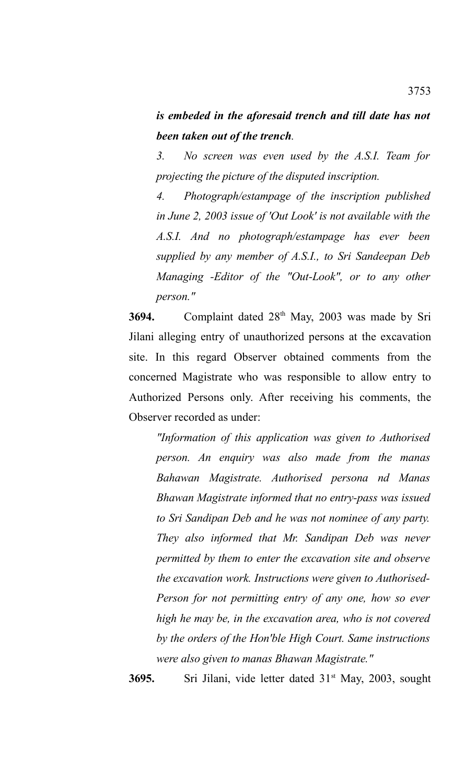## *is embeded in the aforesaid trench and till date has not been taken out of the trench.*

*3. No screen was even used by the A.S.I. Team for projecting the picture of the disputed inscription.*

*4. Photograph/estampage of the inscription published in June 2, 2003 issue of 'Out Look' is not available with the A.S.I. And no photograph/estampage has ever been supplied by any member of A.S.I., to Sri Sandeepan Deb Managing -Editor of the "Out-Look", or to any other person."*

**3694.** Complaint dated 28<sup>th</sup> May, 2003 was made by Sri Jilani alleging entry of unauthorized persons at the excavation site. In this regard Observer obtained comments from the concerned Magistrate who was responsible to allow entry to Authorized Persons only. After receiving his comments, the Observer recorded as under:

*"Information of this application was given to Authorised person. An enquiry was also made from the manas Bahawan Magistrate. Authorised persona nd Manas Bhawan Magistrate informed that no entry-pass was issued to Sri Sandipan Deb and he was not nominee of any party. They also informed that Mr. Sandipan Deb was never permitted by them to enter the excavation site and observe the excavation work. Instructions were given to Authorised-Person for not permitting entry of any one, how so ever high he may be, in the excavation area, who is not covered by the orders of the Hon'ble High Court. Same instructions were also given to manas Bhawan Magistrate."*

**3695.** Sri Jilani, vide letter dated 31<sup>st</sup> May, 2003, sought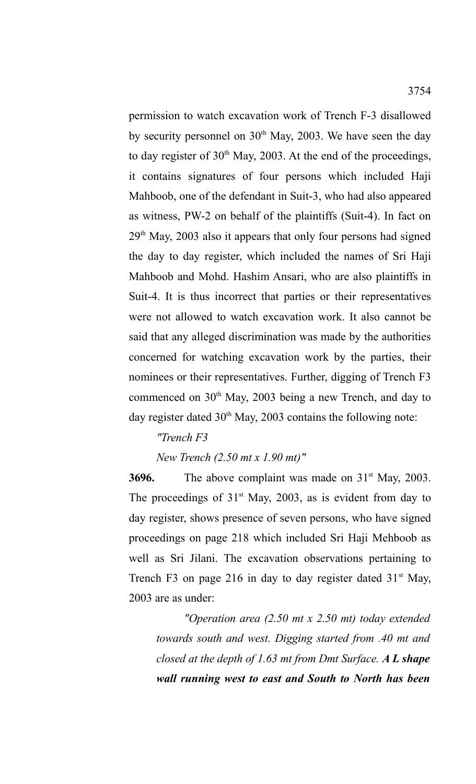permission to watch excavation work of Trench F-3 disallowed by security personnel on  $30<sup>th</sup>$  May, 2003. We have seen the day to day register of  $30<sup>th</sup>$  May, 2003. At the end of the proceedings, it contains signatures of four persons which included Haji Mahboob, one of the defendant in Suit-3, who had also appeared as witness, PW-2 on behalf of the plaintiffs (Suit-4). In fact on 29th May, 2003 also it appears that only four persons had signed the day to day register, which included the names of Sri Haji Mahboob and Mohd. Hashim Ansari, who are also plaintiffs in Suit-4. It is thus incorrect that parties or their representatives were not allowed to watch excavation work. It also cannot be said that any alleged discrimination was made by the authorities concerned for watching excavation work by the parties, their nominees or their representatives. Further, digging of Trench F3 commenced on  $30<sup>th</sup>$  May, 2003 being a new Trench, and day to day register dated  $30<sup>th</sup>$  May, 2003 contains the following note:

### *"Trench F3*

### *New Trench (2.50 mt x 1.90 mt)"*

**3696.** The above complaint was made on 31<sup>st</sup> May, 2003. The proceedings of  $31<sup>st</sup>$  May, 2003, as is evident from day to day register, shows presence of seven persons, who have signed proceedings on page 218 which included Sri Haji Mehboob as well as Sri Jilani. The excavation observations pertaining to Trench F3 on page 216 in day to day register dated  $31<sup>st</sup>$  May, 2003 are as under:

*"Operation area (2.50 mt x 2.50 mt) today extended towards south and west. Digging started from .40 mt and closed at the depth of 1.63 mt from Dmt Surface. A L shape wall running west to east and South to North has been*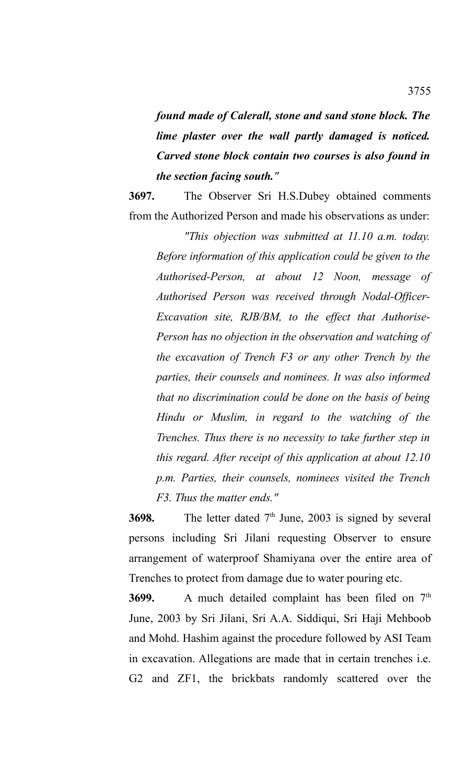*found made of Calerall, stone and sand stone block. The lime plaster over the wall partly damaged is noticed. Carved stone block contain two courses is also found in the section facing south."*

**3697.** The Observer Sri H.S.Dubey obtained comments from the Authorized Person and made his observations as under:

*"This objection was submitted at 11.10 a.m. today. Before information of this application could be given to the Authorised-Person, at about 12 Noon, message of Authorised Person was received through Nodal-Officer-Excavation site, RJB/BM, to the effect that Authorise-Person has no objection in the observation and watching of the excavation of Trench F3 or any other Trench by the parties, their counsels and nominees. It was also informed that no discrimination could be done on the basis of being Hindu or Muslim, in regard to the watching of the Trenches. Thus there is no necessity to take further step in this regard. After receipt of this application at about 12.10 p.m. Parties, their counsels, nominees visited the Trench F3. Thus the matter ends."*

**3698.** The letter dated 7<sup>th</sup> June, 2003 is signed by several persons including Sri Jilani requesting Observer to ensure arrangement of waterproof Shamiyana over the entire area of Trenches to protect from damage due to water pouring etc.

**3699.** A much detailed complaint has been filed on 7<sup>th</sup> June, 2003 by Sri Jilani, Sri A.A. Siddiqui, Sri Haji Mehboob and Mohd. Hashim against the procedure followed by ASI Team in excavation. Allegations are made that in certain trenches i.e. G2 and ZF1, the brickbats randomly scattered over the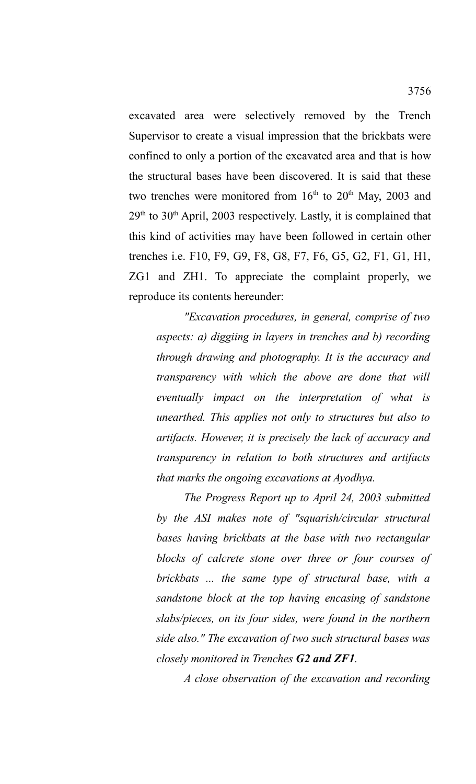excavated area were selectively removed by the Trench Supervisor to create a visual impression that the brickbats were confined to only a portion of the excavated area and that is how the structural bases have been discovered. It is said that these two trenches were monitored from  $16<sup>th</sup>$  to  $20<sup>th</sup>$  May, 2003 and  $29<sup>th</sup>$  to  $30<sup>th</sup>$  April, 2003 respectively. Lastly, it is complained that this kind of activities may have been followed in certain other trenches i.e. F10, F9, G9, F8, G8, F7, F6, G5, G2, F1, G1, H1, ZG1 and ZH1. To appreciate the complaint properly, we reproduce its contents hereunder:

*"Excavation procedures, in general, comprise of two aspects: a) diggiing in layers in trenches and b) recording through drawing and photography. It is the accuracy and transparency with which the above are done that will eventually impact on the interpretation of what is unearthed. This applies not only to structures but also to artifacts. However, it is precisely the lack of accuracy and transparency in relation to both structures and artifacts that marks the ongoing excavations at Ayodhya.*

*The Progress Report up to April 24, 2003 submitted by the ASI makes note of "squarish/circular structural bases having brickbats at the base with two rectangular blocks of calcrete stone over three or four courses of brickbats ... the same type of structural base, with a sandstone block at the top having encasing of sandstone slabs/pieces, on its four sides, were found in the northern side also." The excavation of two such structural bases was closely monitored in Trenches G2 and ZF1.*

*A close observation of the excavation and recording*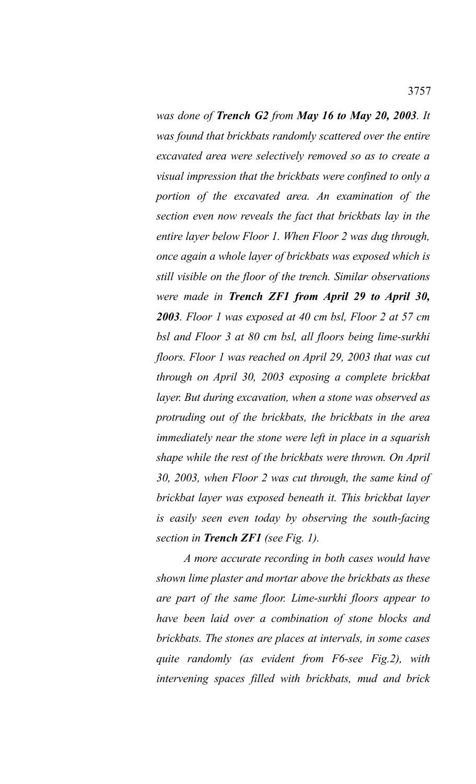*was done of Trench G2 from May 16 to May 20, 2003. It was found that brickbats randomly scattered over the entire excavated area were selectively removed so as to create a visual impression that the brickbats were confined to only a portion of the excavated area. An examination of the section even now reveals the fact that brickbats lay in the entire layer below Floor 1. When Floor 2 was dug through, once again a whole layer of brickbats was exposed which is still visible on the floor of the trench. Similar observations were made in Trench ZF1 from April 29 to April 30, 2003. Floor 1 was exposed at 40 cm bsl, Floor 2 at 57 cm bsl and Floor 3 at 80 cm bsl, all floors being lime-surkhi floors. Floor 1 was reached on April 29, 2003 that was cut through on April 30, 2003 exposing a complete brickbat layer. But during excavation, when a stone was observed as protruding out of the brickbats, the brickbats in the area immediately near the stone were left in place in a squarish shape while the rest of the brickbats were thrown. On April 30, 2003, when Floor 2 was cut through, the same kind of brickbat layer was exposed beneath it. This brickbat layer is easily seen even today by observing the south-facing section in Trench ZF1 (see Fig. 1).*

*A more accurate recording in both cases would have shown lime plaster and mortar above the brickbats as these are part of the same floor. Lime-surkhi floors appear to have been laid over a combination of stone blocks and brickbats. The stones are places at intervals, in some cases quite randomly (as evident from F6-see Fig.2), with intervening spaces filled with brickbats, mud and brick*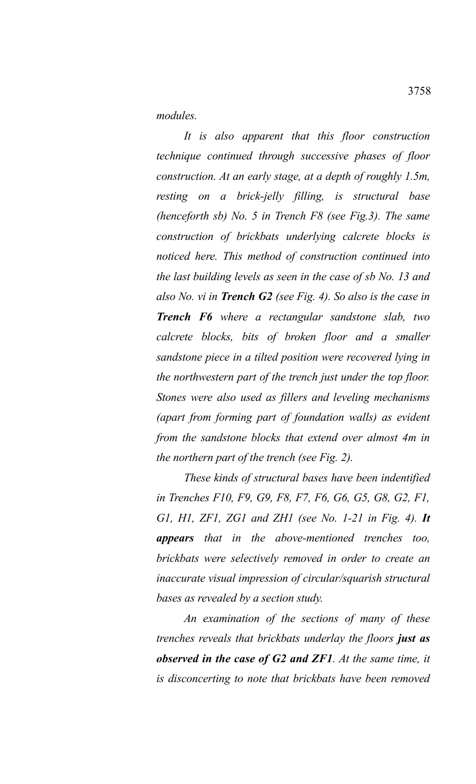*modules.*

*It is also apparent that this floor construction technique continued through successive phases of floor construction. At an early stage, at a depth of roughly 1.5m, resting on a brick-jelly filling, is structural base (henceforth sb) No. 5 in Trench F8 (see Fig.3). The same construction of brickbats underlying calcrete blocks is noticed here. This method of construction continued into the last building levels as seen in the case of sb No. 13 and also No. vi in Trench G2 (see Fig. 4). So also is the case in Trench F6 where a rectangular sandstone slab, two calcrete blocks, bits of broken floor and a smaller sandstone piece in a tilted position were recovered lying in the northwestern part of the trench just under the top floor. Stones were also used as fillers and leveling mechanisms (apart from forming part of foundation walls) as evident from the sandstone blocks that extend over almost 4m in the northern part of the trench (see Fig. 2).*

*These kinds of structural bases have been indentified in Trenches F10, F9, G9, F8, F7, F6, G6, G5, G8, G2, F1, G1, H1, ZF1, ZG1 and ZH1 (see No. 1-21 in Fig. 4). It appears that in the above-mentioned trenches too, brickbats were selectively removed in order to create an inaccurate visual impression of circular/squarish structural bases as revealed by a section study.*

*An examination of the sections of many of these trenches reveals that brickbats underlay the floors just as observed in the case of G2 and ZF1. At the same time, it is disconcerting to note that brickbats have been removed*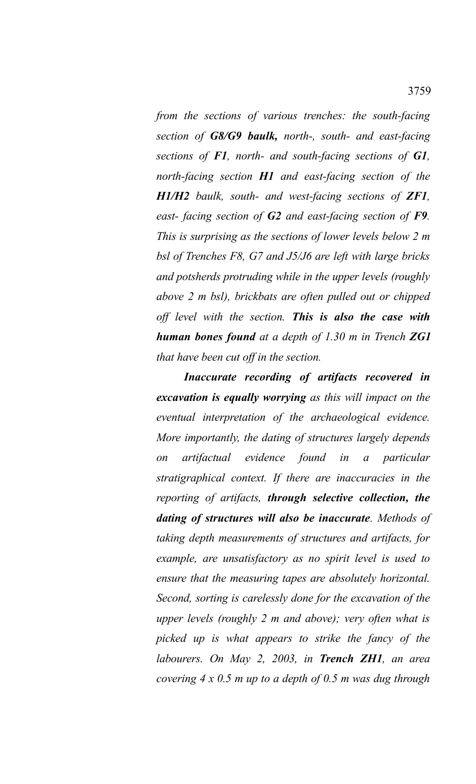*from the sections of various trenches: the south-facing section of G8/G9 baulk, north-, south- and east-facing sections of F1, north- and south-facing sections of G1, north-facing section H1 and east-facing section of the H1/H2 baulk, south- and west-facing sections of ZF1, east- facing section of G2 and east-facing section of F9. This is surprising as the sections of lower levels below 2 m bsl of Trenches F8, G7 and J5/J6 are left with large bricks and potsherds protruding while in the upper levels (roughly above 2 m bsl), brickbats are often pulled out or chipped off level with the section. This is also the case with human bones found at a depth of 1.30 m in Trench ZG1 that have been cut off in the section.* 

*Inaccurate recording of artifacts recovered in excavation is equally worrying as this will impact on the eventual interpretation of the archaeological evidence. More importantly, the dating of structures largely depends on artifactual evidence found in a particular stratigraphical context. If there are inaccuracies in the reporting of artifacts, through selective collection, the dating of structures will also be inaccurate. Methods of taking depth measurements of structures and artifacts, for example, are unsatisfactory as no spirit level is used to ensure that the measuring tapes are absolutely horizontal. Second, sorting is carelessly done for the excavation of the upper levels (roughly 2 m and above); very often what is picked up is what appears to strike the fancy of the labourers. On May 2, 2003, in Trench ZH1, an area covering 4 x 0.5 m up to a depth of 0.5 m was dug through*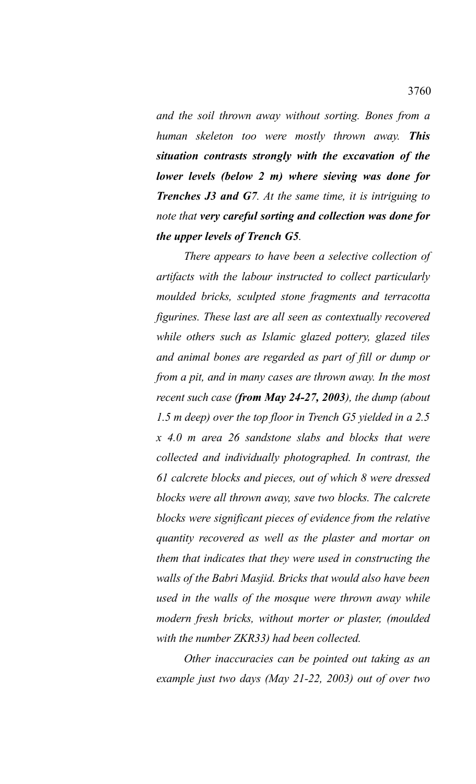*and the soil thrown away without sorting. Bones from a human skeleton too were mostly thrown away. This situation contrasts strongly with the excavation of the lower levels (below 2 m) where sieving was done for Trenches J3 and G7. At the same time, it is intriguing to note that very careful sorting and collection was done for the upper levels of Trench G5.*

*There appears to have been a selective collection of artifacts with the labour instructed to collect particularly moulded bricks, sculpted stone fragments and terracotta figurines. These last are all seen as contextually recovered while others such as Islamic glazed pottery, glazed tiles and animal bones are regarded as part of fill or dump or from a pit, and in many cases are thrown away. In the most recent such case (from May 24-27, 2003), the dump (about 1.5 m deep) over the top floor in Trench G5 yielded in a 2.5 x 4.0 m area 26 sandstone slabs and blocks that were collected and individually photographed. In contrast, the 61 calcrete blocks and pieces, out of which 8 were dressed blocks were all thrown away, save two blocks. The calcrete blocks were significant pieces of evidence from the relative quantity recovered as well as the plaster and mortar on them that indicates that they were used in constructing the walls of the Babri Masjid. Bricks that would also have been used in the walls of the mosque were thrown away while modern fresh bricks, without morter or plaster, (moulded with the number ZKR33) had been collected.*

*Other inaccuracies can be pointed out taking as an example just two days (May 21-22, 2003) out of over two*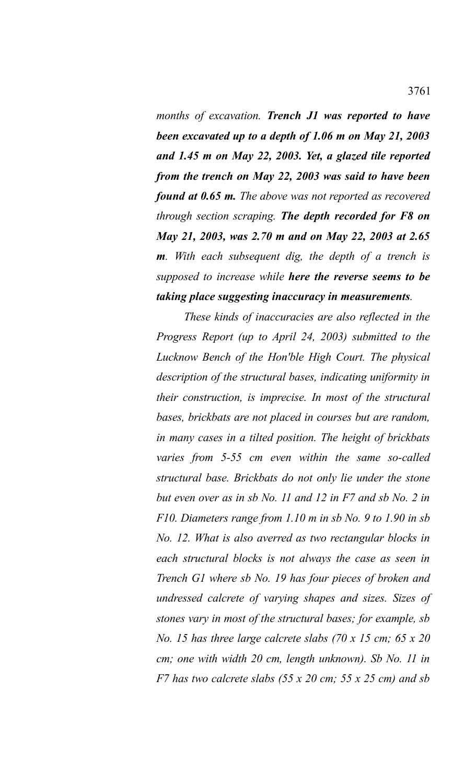*months of excavation. Trench J1 was reported to have been excavated up to a depth of 1.06 m on May 21, 2003 and 1.45 m on May 22, 2003. Yet, a glazed tile reported from the trench on May 22, 2003 was said to have been found at 0.65 m. The above was not reported as recovered through section scraping. The depth recorded for F8 on May 21, 2003, was 2.70 m and on May 22, 2003 at 2.65 m. With each subsequent dig, the depth of a trench is supposed to increase while here the reverse seems to be taking place suggesting inaccuracy in measurements.*

*These kinds of inaccuracies are also reflected in the Progress Report (up to April 24, 2003) submitted to the Lucknow Bench of the Hon'ble High Court. The physical description of the structural bases, indicating uniformity in their construction, is imprecise. In most of the structural bases, brickbats are not placed in courses but are random, in many cases in a tilted position. The height of brickbats varies from 5-55 cm even within the same so-called structural base. Brickbats do not only lie under the stone but even over as in sb No. 11 and 12 in F7 and sb No. 2 in F10. Diameters range from 1.10 m in sb No. 9 to 1.90 in sb No. 12. What is also averred as two rectangular blocks in each structural blocks is not always the case as seen in Trench G1 where sb No. 19 has four pieces of broken and undressed calcrete of varying shapes and sizes. Sizes of stones vary in most of the structural bases; for example, sb No. 15 has three large calcrete slabs (70 x 15 cm; 65 x 20 cm; one with width 20 cm, length unknown). Sb No. 11 in F7 has two calcrete slabs (55 x 20 cm; 55 x 25 cm) and sb*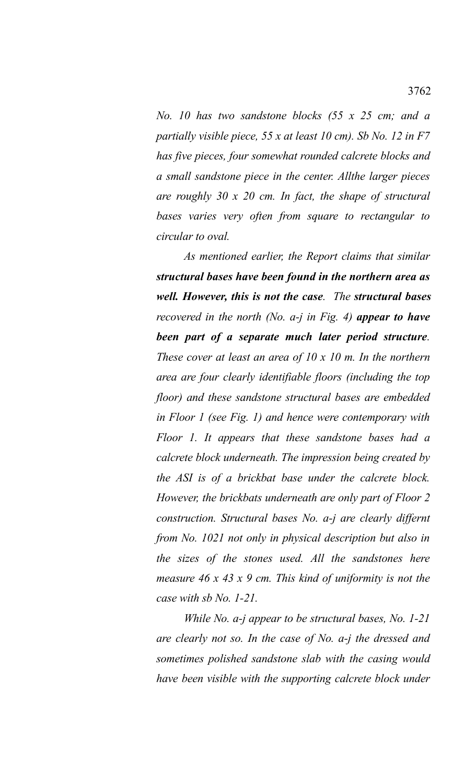*No. 10 has two sandstone blocks (55 x 25 cm; and a partially visible piece, 55 x at least 10 cm). Sb No. 12 in F7 has five pieces, four somewhat rounded calcrete blocks and a small sandstone piece in the center. Allthe larger pieces are roughly 30 x 20 cm. In fact, the shape of structural bases varies very often from square to rectangular to circular to oval.*

*As mentioned earlier, the Report claims that similar structural bases have been found in the northern area as well. However, this is not the case. The structural bases recovered in the north (No. a-j in Fig. 4) appear to have been part of a separate much later period structure. These cover at least an area of 10 x 10 m. In the northern area are four clearly identifiable floors (including the top floor) and these sandstone structural bases are embedded in Floor 1 (see Fig. 1) and hence were contemporary with Floor 1. It appears that these sandstone bases had a calcrete block underneath. The impression being created by the ASI is of a brickbat base under the calcrete block. However, the brickbats underneath are only part of Floor 2 construction. Structural bases No. a-j are clearly differnt from No. 1021 not only in physical description but also in the sizes of the stones used. All the sandstones here measure 46 x 43 x 9 cm. This kind of uniformity is not the case with sb No. 1-21.*

*While No. a-j appear to be structural bases, No. 1-21 are clearly not so. In the case of No. a-j the dressed and sometimes polished sandstone slab with the casing would have been visible with the supporting calcrete block under*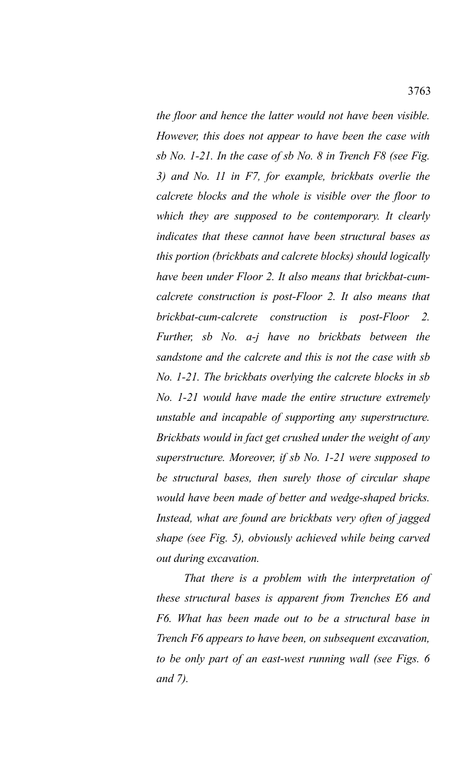*the floor and hence the latter would not have been visible. However, this does not appear to have been the case with sb No. 1-21. In the case of sb No. 8 in Trench F8 (see Fig. 3) and No. 11 in F7, for example, brickbats overlie the calcrete blocks and the whole is visible over the floor to which they are supposed to be contemporary. It clearly indicates that these cannot have been structural bases as this portion (brickbats and calcrete blocks) should logically have been under Floor 2. It also means that brickbat-cumcalcrete construction is post-Floor 2. It also means that brickbat-cum-calcrete construction is post-Floor 2. Further, sb No. a-j have no brickbats between the sandstone and the calcrete and this is not the case with sb No. 1-21. The brickbats overlying the calcrete blocks in sb No. 1-21 would have made the entire structure extremely unstable and incapable of supporting any superstructure. Brickbats would in fact get crushed under the weight of any superstructure. Moreover, if sb No. 1-21 were supposed to be structural bases, then surely those of circular shape would have been made of better and wedge-shaped bricks. Instead, what are found are brickbats very often of jagged shape (see Fig. 5), obviously achieved while being carved out during excavation.*

*That there is a problem with the interpretation of these structural bases is apparent from Trenches E6 and F6. What has been made out to be a structural base in Trench F6 appears to have been, on subsequent excavation, to be only part of an east-west running wall (see Figs. 6 and 7).*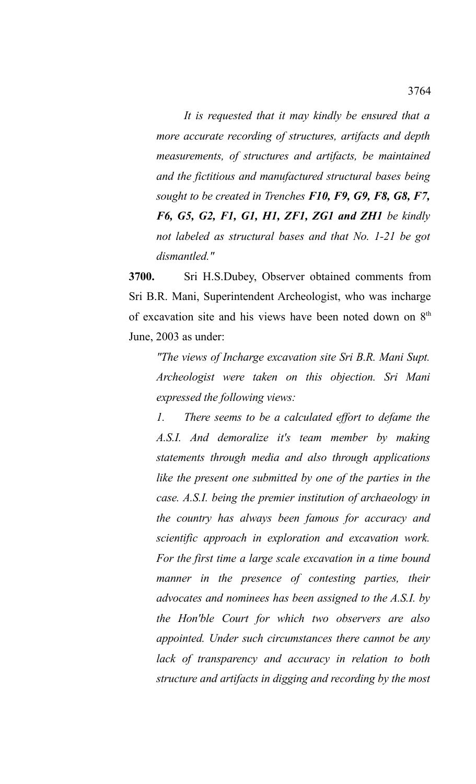*It is requested that it may kindly be ensured that a more accurate recording of structures, artifacts and depth measurements, of structures and artifacts, be maintained and the fictitious and manufactured structural bases being sought to be created in Trenches F10, F9, G9, F8, G8, F7, F6, G5, G2, F1, G1, H1, ZF1, ZG1 and ZH1 be kindly not labeled as structural bases and that No. 1-21 be got dismantled."* 

**3700.** Sri H.S.Dubey, Observer obtained comments from Sri B.R. Mani, Superintendent Archeologist, who was incharge of excavation site and his views have been noted down on  $8<sup>th</sup>$ June, 2003 as under:

*"The views of Incharge excavation site Sri B.R. Mani Supt. Archeologist were taken on this objection. Sri Mani expressed the following views:*

*1. There seems to be a calculated effort to defame the A.S.I. And demoralize it's team member by making statements through media and also through applications like the present one submitted by one of the parties in the case. A.S.I. being the premier institution of archaeology in the country has always been famous for accuracy and scientific approach in exploration and excavation work. For the first time a large scale excavation in a time bound manner in the presence of contesting parties, their advocates and nominees has been assigned to the A.S.I. by the Hon'ble Court for which two observers are also appointed. Under such circumstances there cannot be any lack of transparency and accuracy in relation to both structure and artifacts in digging and recording by the most*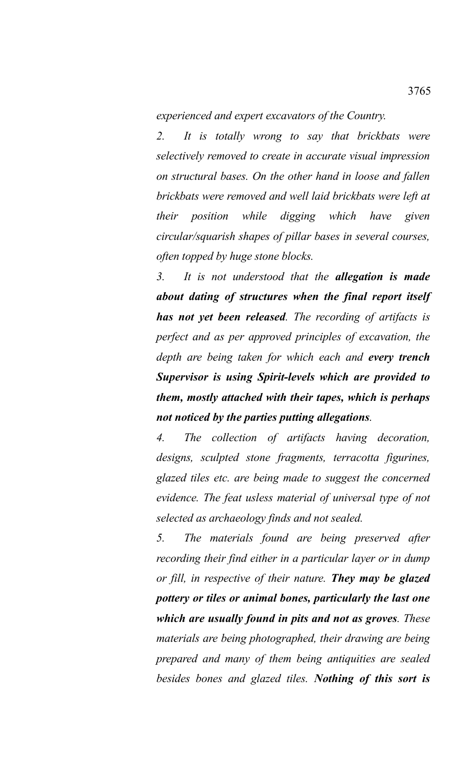*experienced and expert excavators of the Country.*

*2. It is totally wrong to say that brickbats were selectively removed to create in accurate visual impression on structural bases. On the other hand in loose and fallen brickbats were removed and well laid brickbats were left at their position while digging which have given circular/squarish shapes of pillar bases in several courses, often topped by huge stone blocks.*

*3. It is not understood that the allegation is made about dating of structures when the final report itself has not yet been released. The recording of artifacts is perfect and as per approved principles of excavation, the depth are being taken for which each and every trench Supervisor is using Spirit-levels which are provided to them, mostly attached with their tapes, which is perhaps not noticed by the parties putting allegations.*

*4. The collection of artifacts having decoration, designs, sculpted stone fragments, terracotta figurines, glazed tiles etc. are being made to suggest the concerned evidence. The feat usless material of universal type of not selected as archaeology finds and not sealed.*

*5. The materials found are being preserved after recording their find either in a particular layer or in dump or fill, in respective of their nature. They may be glazed pottery or tiles or animal bones, particularly the last one which are usually found in pits and not as groves. These materials are being photographed, their drawing are being prepared and many of them being antiquities are sealed besides bones and glazed tiles. Nothing of this sort is*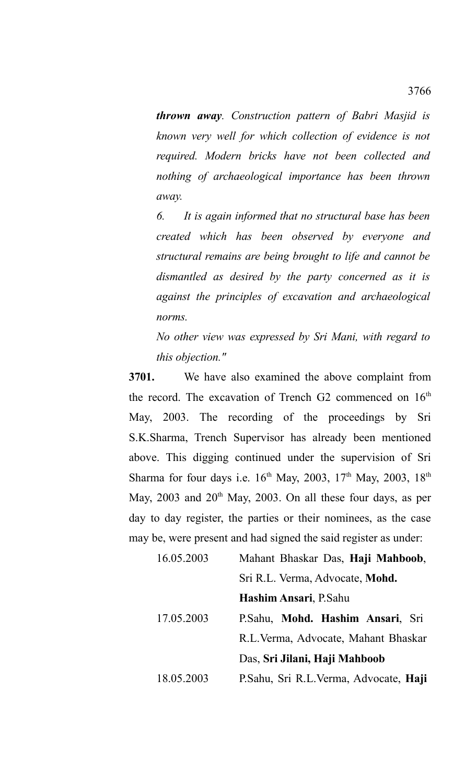*thrown away. Construction pattern of Babri Masjid is known very well for which collection of evidence is not required. Modern bricks have not been collected and nothing of archaeological importance has been thrown away.*

*6. It is again informed that no structural base has been created which has been observed by everyone and structural remains are being brought to life and cannot be dismantled as desired by the party concerned as it is against the principles of excavation and archaeological norms.*

*No other view was expressed by Sri Mani, with regard to this objection."*

**3701.** We have also examined the above complaint from the record. The excavation of Trench G2 commenced on  $16<sup>th</sup>$ May, 2003. The recording of the proceedings by Sri S.K.Sharma, Trench Supervisor has already been mentioned above. This digging continued under the supervision of Sri Sharma for four days i.e.  $16<sup>th</sup>$  May, 2003,  $17<sup>th</sup>$  May, 2003,  $18<sup>th</sup>$ May,  $2003$  and  $20<sup>th</sup>$  May,  $2003$ . On all these four days, as per day to day register, the parties or their nominees, as the case may be, were present and had signed the said register as under:

| 16.05.2003 | Mahant Bhaskar Das, Haji Mahboob,     |
|------------|---------------------------------------|
|            | Sri R.L. Verma, Advocate, Mohd.       |
|            | Hashim Ansari, P.Sahu                 |
| 17.05.2003 | P.Sahu, Mohd. Hashim Ansari, Sri      |
|            | R.L. Verma, Advocate, Mahant Bhaskar  |
|            | Das, Sri Jilani, Haji Mahboob         |
| 18.05.2003 | P.Sahu, Sri R.L.Verma, Advocate, Haji |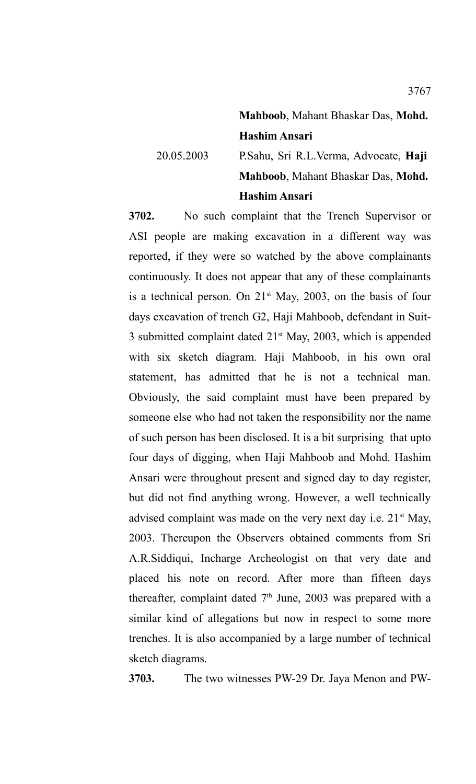# **Mahboob**, Mahant Bhaskar Das, **Mohd. Hashim Ansari** 20.05.2003 P.Sahu, Sri R.L.Verma, Advocate, **Haji Mahboob**, Mahant Bhaskar Das, **Mohd.**

**Hashim Ansari**

**3702.** No such complaint that the Trench Supervisor or ASI people are making excavation in a different way was reported, if they were so watched by the above complainants continuously. It does not appear that any of these complainants is a technical person. On  $21<sup>st</sup>$  May, 2003, on the basis of four days excavation of trench G2, Haji Mahboob, defendant in Suit-3 submitted complaint dated  $21<sup>st</sup>$  May, 2003, which is appended with six sketch diagram. Haji Mahboob, in his own oral statement, has admitted that he is not a technical man. Obviously, the said complaint must have been prepared by someone else who had not taken the responsibility nor the name of such person has been disclosed. It is a bit surprising that upto four days of digging, when Haji Mahboob and Mohd. Hashim Ansari were throughout present and signed day to day register, but did not find anything wrong. However, a well technically advised complaint was made on the very next day i.e.  $21<sup>st</sup>$  May, 2003. Thereupon the Observers obtained comments from Sri A.R.Siddiqui, Incharge Archeologist on that very date and placed his note on record. After more than fifteen days thereafter, complaint dated  $7<sup>th</sup>$  June, 2003 was prepared with a similar kind of allegations but now in respect to some more trenches. It is also accompanied by a large number of technical sketch diagrams.

**3703.** The two witnesses PW-29 Dr. Jaya Menon and PW-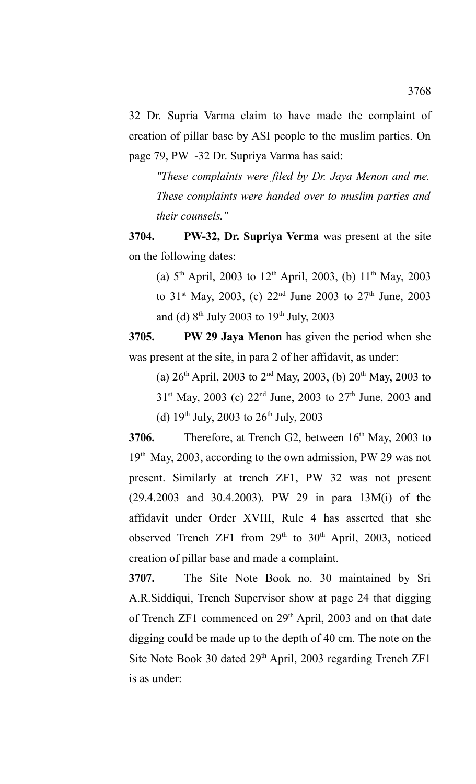32 Dr. Supria Varma claim to have made the complaint of creation of pillar base by ASI people to the muslim parties. On page 79, PW -32 Dr. Supriya Varma has said:

*"These complaints were filed by Dr. Jaya Menon and me. These complaints were handed over to muslim parties and their counsels."*

**3704. PW-32, Dr. Supriya Verma** was present at the site on the following dates:

(a)  $5<sup>th</sup>$  April, 2003 to  $12<sup>th</sup>$  April, 2003, (b)  $11<sup>th</sup>$  May, 2003 to  $31^{st}$  May, 2003, (c)  $22^{nd}$  June 2003 to  $27^{th}$  June, 2003 and (d)  $8^{th}$  July 2003 to 19<sup>th</sup> July, 2003

**3705. PW 29 Jaya Menon** has given the period when she was present at the site, in para 2 of her affidavit, as under:

(a)  $26^{th}$  April, 2003 to  $2^{nd}$  May, 2003, (b)  $20^{th}$  May, 2003 to  $31^{\text{st}}$  May, 2003 (c) 22<sup>nd</sup> June, 2003 to 27<sup>th</sup> June, 2003 and

(d)  $19^{th}$  July,  $2003$  to  $26^{th}$  July,  $2003$ 

**3706.** Therefore, at Trench G2, between 16<sup>th</sup> May, 2003 to  $19<sup>th</sup>$  May, 2003, according to the own admission, PW 29 was not present. Similarly at trench ZF1, PW 32 was not present (29.4.2003 and 30.4.2003). PW 29 in para 13M(i) of the affidavit under Order XVIII, Rule 4 has asserted that she observed Trench ZF1 from 29<sup>th</sup> to 30<sup>th</sup> April, 2003, noticed creation of pillar base and made a complaint.

**3707.** The Site Note Book no. 30 maintained by Sri A.R.Siddiqui, Trench Supervisor show at page 24 that digging of Trench ZF1 commenced on 29<sup>th</sup> April, 2003 and on that date digging could be made up to the depth of 40 cm. The note on the Site Note Book 30 dated 29<sup>th</sup> April, 2003 regarding Trench ZF1 is as under: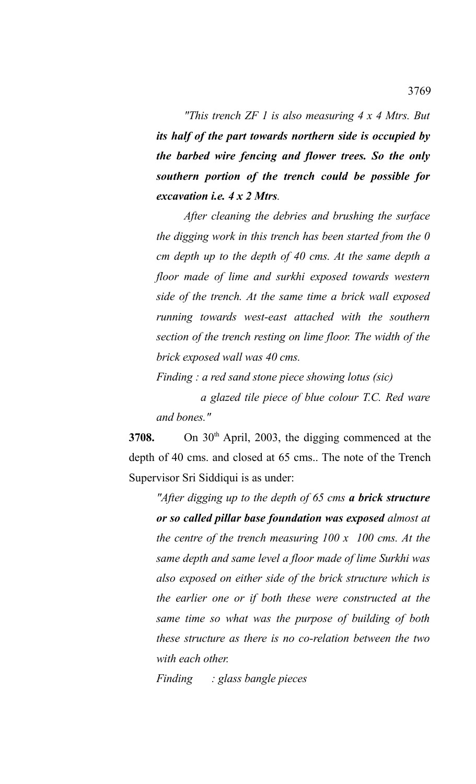*"This trench ZF 1 is also measuring 4 x 4 Mtrs. But its half of the part towards northern side is occupied by the barbed wire fencing and flower trees. So the only southern portion of the trench could be possible for excavation i.e. 4 x 2 Mtrs.*

*After cleaning the debries and brushing the surface the digging work in this trench has been started from the 0 cm depth up to the depth of 40 cms. At the same depth a floor made of lime and surkhi exposed towards western side of the trench. At the same time a brick wall exposed running towards west-east attached with the southern section of the trench resting on lime floor. The width of the brick exposed wall was 40 cms.* 

*Finding : a red sand stone piece showing lotus (sic)*

 *a glazed tile piece of blue colour T.C. Red ware and bones."*

**3708.** On 30<sup>th</sup> April, 2003, the digging commenced at the depth of 40 cms. and closed at 65 cms.. The note of the Trench Supervisor Sri Siddiqui is as under:

*"After digging up to the depth of 65 cms a brick structure or so called pillar base foundation was exposed almost at the centre of the trench measuring 100 x 100 cms. At the same depth and same level a floor made of lime Surkhi was also exposed on either side of the brick structure which is the earlier one or if both these were constructed at the same time so what was the purpose of building of both these structure as there is no co-relation between the two with each other.*

*Finding : glass bangle pieces*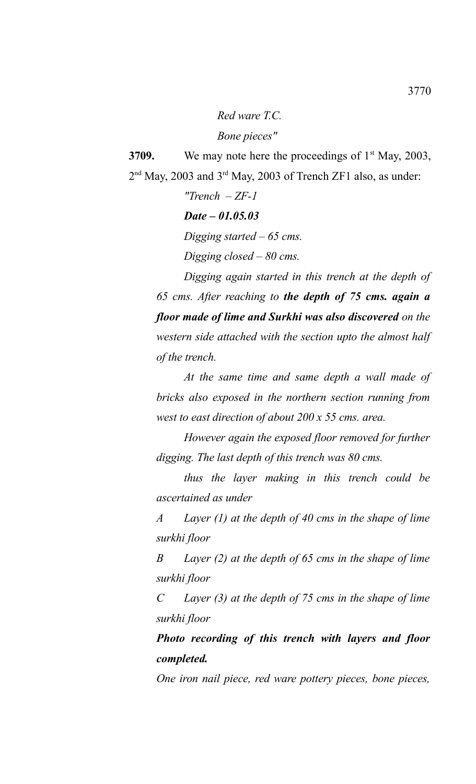*Red ware T.C. Bone pieces"*

**3709.** We may note here the proceedings of 1<sup>st</sup> May, 2003,  $2<sup>nd</sup>$  May, 2003 and 3<sup>rd</sup> May, 2003 of Trench ZF1 also, as under:

> *"Trench – ZF-1 Date – 01.05.03 Digging started – 65 cms. Digging closed – 80 cms.*

*Digging again started in this trench at the depth of 65 cms. After reaching to the depth of 75 cms. again a floor made of lime and Surkhi was also discovered on the western side attached with the section upto the almost half of the trench.*

*At the same time and same depth a wall made of bricks also exposed in the northern section running from west to east direction of about 200 x 55 cms. area.* 

*However again the exposed floor removed for further digging. The last depth of this trench was 80 cms.*

*thus the layer making in this trench could be ascertained as under*

*A Layer (1) at the depth of 40 cms in the shape of lime surkhi floor*

*B Layer (2) at the depth of 65 cms in the shape of lime surkhi floor*

*C Layer (3) at the depth of 75 cms in the shape of lime surkhi floor*

*Photo recording of this trench with layers and floor completed.*

*One iron nail piece, red ware pottery pieces, bone pieces,*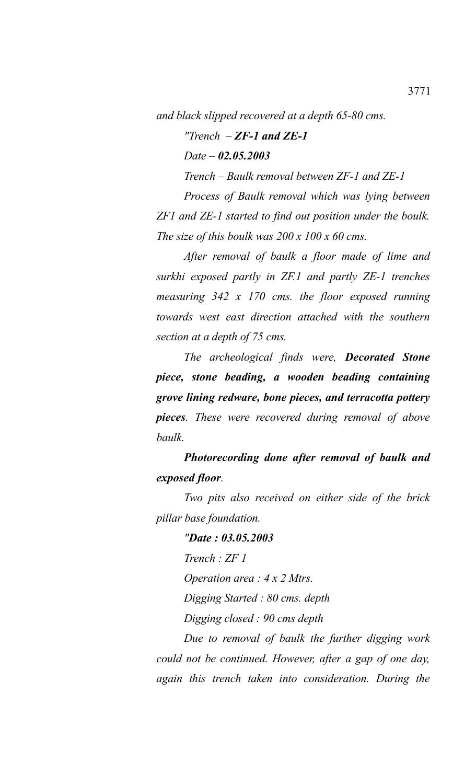*and black slipped recovered at a depth 65-80 cms.*

*"Trench*  $-ZF-1$  *and*  $ZE-1$ 

*Date – 02.05.2003*

*Trench – Baulk removal between ZF-1 and ZE-1*

*Process of Baulk removal which was lying between ZF1 and ZE-1 started to find out position under the boulk. The size of this boulk was 200 x 100 x 60 cms.*

*After removal of baulk a floor made of lime and surkhi exposed partly in ZF.1 and partly ZE-1 trenches measuring 342 x 170 cms. the floor exposed running towards west east direction attached with the southern section at a depth of 75 cms.*

*The archeological finds were, Decorated Stone piece, stone beading, a wooden beading containing grove lining redware, bone pieces, and terracotta pottery pieces. These were recovered during removal of above baulk.*

*Photorecording done after removal of baulk and exposed floor.*

*Two pits also received on either side of the brick pillar base foundation.*

*"Date : 03.05.2003 Trench : ZF 1 Operation area : 4 x 2 Mtrs. Digging Started : 80 cms. depth Digging closed : 90 cms depth Due to removal of baulk the further digging work could not be continued. However, after a gap of one day, again this trench taken into consideration. During the*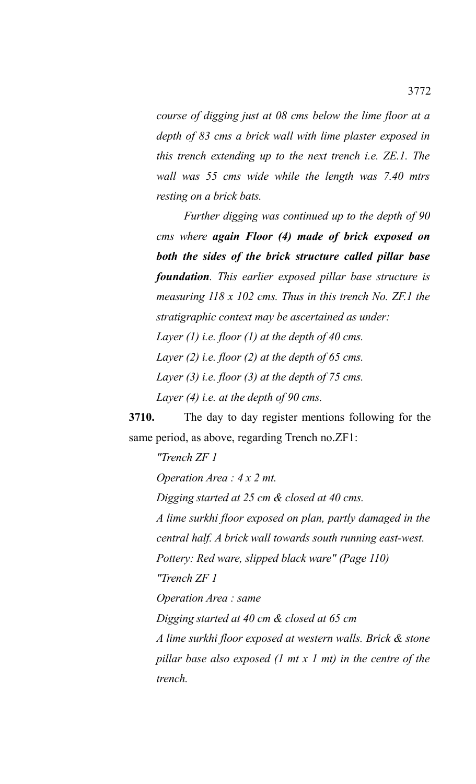*course of digging just at 08 cms below the lime floor at a depth of 83 cms a brick wall with lime plaster exposed in this trench extending up to the next trench i.e. ZE.1. The wall was 55 cms wide while the length was 7.40 mtrs resting on a brick bats.*

*Further digging was continued up to the depth of 90 cms where again Floor (4) made of brick exposed on both the sides of the brick structure called pillar base foundation. This earlier exposed pillar base structure is measuring 118 x 102 cms. Thus in this trench No. ZF.1 the stratigraphic context may be ascertained as under: Layer (1) i.e. floor (1) at the depth of 40 cms. Layer (2) i.e. floor (2) at the depth of 65 cms. Layer (3) i.e. floor (3) at the depth of 75 cms. Layer (4) i.e. at the depth of 90 cms.*

**3710.** The day to day register mentions following for the same period, as above, regarding Trench no.ZF1:

*"Trench ZF 1 Operation Area : 4 x 2 mt. Digging started at 25 cm & closed at 40 cms. A lime surkhi floor exposed on plan, partly damaged in the central half. A brick wall towards south running east-west. Pottery: Red ware, slipped black ware" (Page 110) "Trench ZF 1 Operation Area : same Digging started at 40 cm & closed at 65 cm A lime surkhi floor exposed at western walls. Brick & stone pillar base also exposed (1 mt x 1 mt) in the centre of the trench.*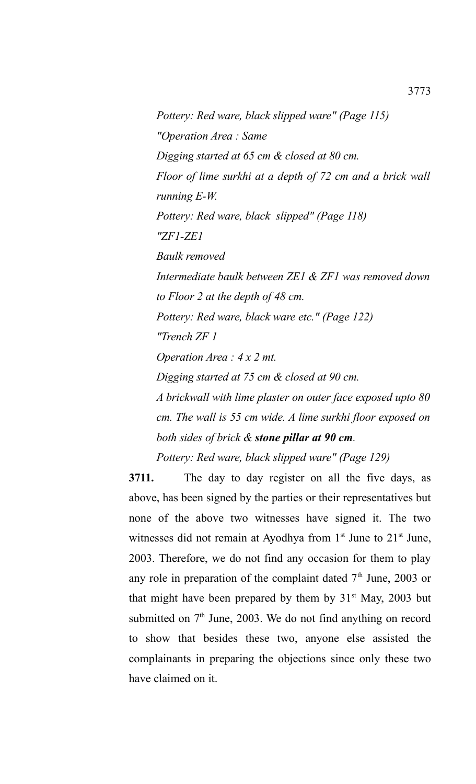*Pottery: Red ware, black slipped ware" (Page 115) "Operation Area : Same Digging started at 65 cm & closed at 80 cm. Floor of lime surkhi at a depth of 72 cm and a brick wall running E-W. Pottery: Red ware, black slipped" (Page 118) "ZF1-ZE1 Baulk removed Intermediate baulk between ZE1 & ZF1 was removed down to Floor 2 at the depth of 48 cm. Pottery: Red ware, black ware etc." (Page 122) "Trench ZF 1 Operation Area : 4 x 2 mt. Digging started at 75 cm & closed at 90 cm. A brickwall with lime plaster on outer face exposed upto 80 cm. The wall is 55 cm wide. A lime surkhi floor exposed on both sides of brick & stone pillar at 90 cm.*

*Pottery: Red ware, black slipped ware" (Page 129)*

**3711.** The day to day register on all the five days, as above, has been signed by the parties or their representatives but none of the above two witnesses have signed it. The two witnesses did not remain at Ayodhya from  $1<sup>st</sup>$  June to  $21<sup>st</sup>$  June, 2003. Therefore, we do not find any occasion for them to play any role in preparation of the complaint dated  $7<sup>th</sup>$  June, 2003 or that might have been prepared by them by  $31<sup>st</sup>$  May, 2003 but submitted on  $7<sup>th</sup>$  June, 2003. We do not find anything on record to show that besides these two, anyone else assisted the complainants in preparing the objections since only these two have claimed on it.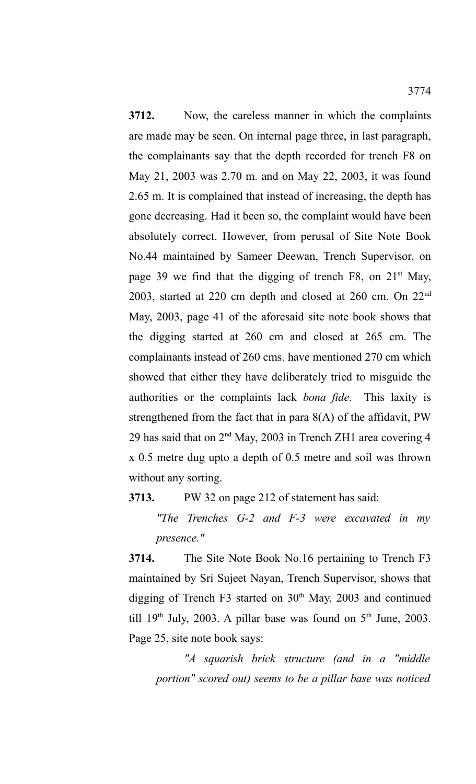**3712.** Now, the careless manner in which the complaints are made may be seen. On internal page three, in last paragraph, the complainants say that the depth recorded for trench F8 on May 21, 2003 was 2.70 m. and on May 22, 2003, it was found 2.65 m. It is complained that instead of increasing, the depth has gone decreasing. Had it been so, the complaint would have been absolutely correct. However, from perusal of Site Note Book No.44 maintained by Sameer Deewan, Trench Supervisor, on page 39 we find that the digging of trench F8, on  $21<sup>st</sup>$  May, 2003, started at 220 cm depth and closed at 260 cm. On 22nd May, 2003, page 41 of the aforesaid site note book shows that the digging started at 260 cm and closed at 265 cm. The complainants instead of 260 cms. have mentioned 270 cm which showed that either they have deliberately tried to misguide the authorities or the complaints lack *bona fide*. This laxity is strengthened from the fact that in para 8(A) of the affidavit, PW 29 has said that on  $2<sup>nd</sup>$  May, 2003 in Trench ZH1 area covering 4 x 0.5 metre dug upto a depth of 0.5 metre and soil was thrown without any sorting.

**3713.** PW 32 on page 212 of statement has said:

*"The Trenches G-2 and F-3 were excavated in my presence."*

**3714.** The Site Note Book No.16 pertaining to Trench F3 maintained by Sri Sujeet Nayan, Trench Supervisor, shows that digging of Trench F3 started on  $30<sup>th</sup>$  May, 2003 and continued till  $19<sup>th</sup>$  July, 2003. A pillar base was found on  $5<sup>th</sup>$  June, 2003. Page 25, site note book says:

*"A squarish brick structure (and in a "middle portion" scored out) seems to be a pillar base was noticed*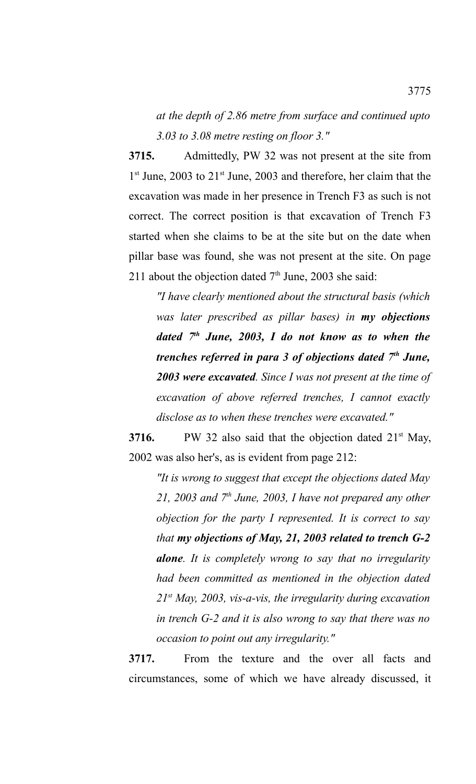*at the depth of 2.86 metre from surface and continued upto 3.03 to 3.08 metre resting on floor 3."*

**3715.** Admittedly, PW 32 was not present at the site from 1<sup>st</sup> June, 2003 to 21<sup>st</sup> June, 2003 and therefore, her claim that the excavation was made in her presence in Trench F3 as such is not correct. The correct position is that excavation of Trench F3 started when she claims to be at the site but on the date when pillar base was found, she was not present at the site. On page 211 about the objection dated  $7<sup>th</sup>$  June, 2003 she said:

*"I have clearly mentioned about the structural basis (which was later prescribed as pillar bases) in my objections dated 7th June, 2003, I do not know as to when the trenches referred in para 3 of objections dated 7th June, 2003 were excavated. Since I was not present at the time of excavation of above referred trenches, I cannot exactly disclose as to when these trenches were excavated."*

**3716.** PW 32 also said that the objection dated 21<sup>st</sup> May, 2002 was also her's, as is evident from page 212:

*"It is wrong to suggest that except the objections dated May 21, 2003 and 7th June, 2003, I have not prepared any other objection for the party I represented. It is correct to say that my objections of May, 21, 2003 related to trench G-2 alone. It is completely wrong to say that no irregularity had been committed as mentioned in the objection dated 21st May, 2003, vis-a-vis, the irregularity during excavation in trench G-2 and it is also wrong to say that there was no occasion to point out any irregularity."*

**3717.** From the texture and the over all facts and circumstances, some of which we have already discussed, it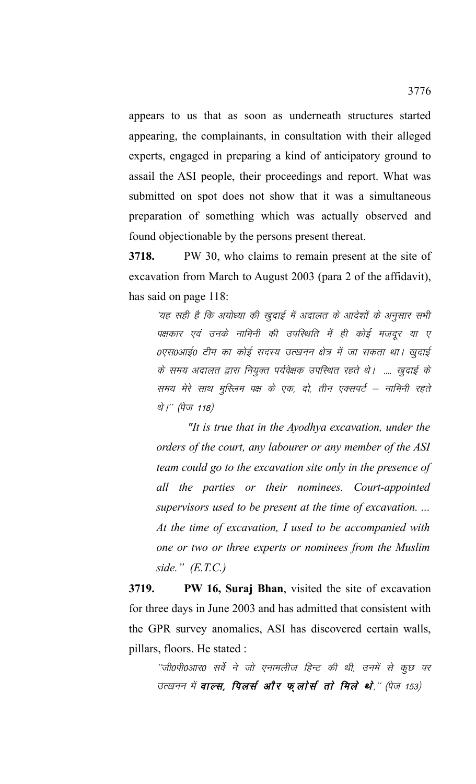appears to us that as soon as underneath structures started appearing, the complainants, in consultation with their alleged experts, engaged in preparing a kind of anticipatory ground to assail the ASI people, their proceedings and report. What was submitted on spot does not show that it was a simultaneous preparation of something which was actually observed and found objectionable by the persons present thereat.

**3718.** PW 30, who claims to remain present at the site of excavation from March to August 2003 (para 2 of the affidavit), has said on page 118:

'यह सही है कि अयोध्या की खुदाई में अदालत के आदेशों के अनुसार सभी पक्षकार एवं उनके नामिनी की उपस्थिति में ही कोई मजदूर या ए 0एस0आई0 टीम का कोई सदस्य उत्खनन क्षेत्र में जा सकता था। खुदाई के समय अदालत द्वारा नियुक्त पर्यवेक्षक उपस्थित रहते थे। .... खुदाई के समय मेरे साथ मुस्लिम पक्ष के एक, दो, तीन एक्सपर्ट – नामिनी रहते थे।'' (पेज 118)

 *"It is true that in the Ayodhya excavation, under the orders of the court, any labourer or any member of the ASI team could go to the excavation site only in the presence of all the parties or their nominees. Court-appointed supervisors used to be present at the time of excavation. ... At the time of excavation, I used to be accompanied with one or two or three experts or nominees from the Muslim side." (E.T.C.)*

**3719. PW 16, Suraj Bhan**, visited the site of excavation for three days in June 2003 and has admitted that consistent with the GPR survey anomalies, ASI has discovered certain walls, pillars, floors. He stated :

''जी0पी0आर0 सर्वे ने जो एनामलीज हिन्ट की थी, उनमें से कुछ पर उत्खनन में **वाल्स, पिलर्स और फ़लोर्स तो मिले थे**,'' (पेज 153)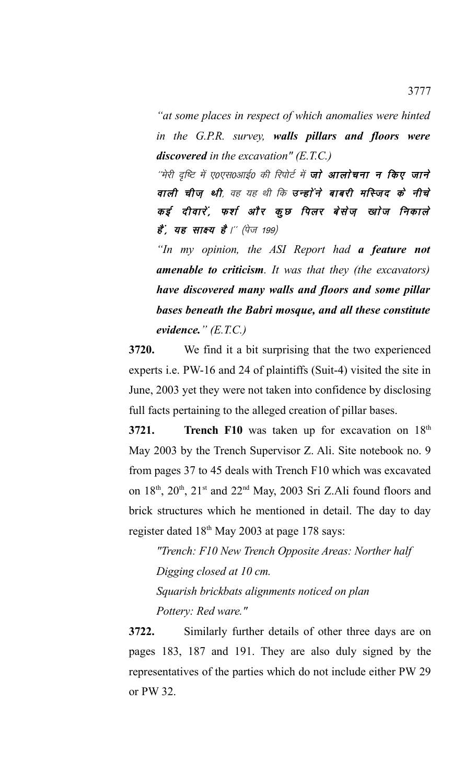*"at some places in respect of which anomalies were hinted in the G.P.R. survey, walls pillars and floors were discovered in the excavation" (E.T.C.)*

''मेरी दृष्टि में ए०एस०आई० की रिपोर्ट में **जो आलोचना न किए जाने** वाली चीज़ थी, वह यह थी कि उन्होंने बाबरी मस्जिद के नीचे कई दीवारें, फर्श और कुछ पिलर बेसेज़ खाेज निकाले हैं, यह साक्ष्य है।'' (पेज 199)

*"In my opinion, the ASI Report had a feature not amenable to criticism. It was that they (the excavators) have discovered many walls and floors and some pillar bases beneath the Babri mosque, and all these constitute evidence." (E.T.C.)*

**3720.** We find it a bit surprising that the two experienced experts i.e. PW-16 and 24 of plaintiffs (Suit-4) visited the site in June, 2003 yet they were not taken into confidence by disclosing full facts pertaining to the alleged creation of pillar bases.

**3721. Trench F10** was taken up for excavation on  $18<sup>th</sup>$ May 2003 by the Trench Supervisor Z. Ali. Site notebook no. 9 from pages 37 to 45 deals with Trench F10 which was excavated on  $18^{th}$ ,  $20^{th}$ ,  $21^{st}$  and  $22^{nd}$  May, 2003 Sri Z.Ali found floors and brick structures which he mentioned in detail. The day to day register dated 18<sup>th</sup> May 2003 at page 178 says:

*"Trench: F10 New Trench Opposite Areas: Norther half Digging closed at 10 cm. Squarish brickbats alignments noticed on plan Pottery: Red ware."*

**3722.** Similarly further details of other three days are on pages 183, 187 and 191. They are also duly signed by the representatives of the parties which do not include either PW 29 or PW 32.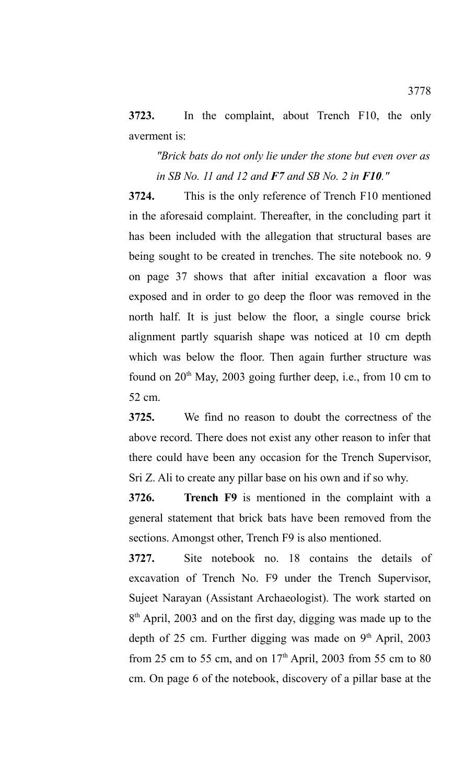**3723.** In the complaint, about Trench F10, the only averment is:

*"Brick bats do not only lie under the stone but even over as in SB No. 11 and 12 and F7 and SB No. 2 in F10."*

**3724.** This is the only reference of Trench F10 mentioned in the aforesaid complaint. Thereafter, in the concluding part it has been included with the allegation that structural bases are being sought to be created in trenches. The site notebook no. 9 on page 37 shows that after initial excavation a floor was exposed and in order to go deep the floor was removed in the north half. It is just below the floor, a single course brick alignment partly squarish shape was noticed at 10 cm depth which was below the floor. Then again further structure was found on  $20<sup>th</sup>$  May, 2003 going further deep, i.e., from 10 cm to 52 cm.

**3725.** We find no reason to doubt the correctness of the above record. There does not exist any other reason to infer that there could have been any occasion for the Trench Supervisor, Sri Z. Ali to create any pillar base on his own and if so why.

**3726. Trench F9** is mentioned in the complaint with a general statement that brick bats have been removed from the sections. Amongst other, Trench F9 is also mentioned.

**3727.** Site notebook no. 18 contains the details of excavation of Trench No. F9 under the Trench Supervisor, Sujeet Narayan (Assistant Archaeologist). The work started on 8<sup>th</sup> April, 2003 and on the first day, digging was made up to the depth of 25 cm. Further digging was made on 9<sup>th</sup> April, 2003 from 25 cm to 55 cm, and on  $17<sup>th</sup>$  April, 2003 from 55 cm to 80 cm. On page 6 of the notebook, discovery of a pillar base at the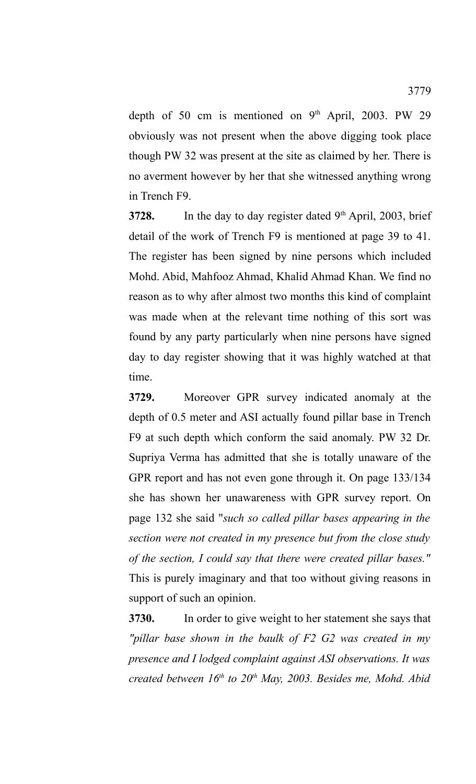depth of 50 cm is mentioned on  $9<sup>th</sup>$  April, 2003. PW 29 obviously was not present when the above digging took place though PW 32 was present at the site as claimed by her. There is no averment however by her that she witnessed anything wrong in Trench F9.

**3728.** In the day to day register dated 9<sup>th</sup> April, 2003, brief detail of the work of Trench F9 is mentioned at page 39 to 41. The register has been signed by nine persons which included Mohd. Abid, Mahfooz Ahmad, Khalid Ahmad Khan. We find no reason as to why after almost two months this kind of complaint was made when at the relevant time nothing of this sort was found by any party particularly when nine persons have signed day to day register showing that it was highly watched at that time.

**3729.** Moreover GPR survey indicated anomaly at the depth of 0.5 meter and ASI actually found pillar base in Trench F9 at such depth which conform the said anomaly. PW 32 Dr. Supriya Verma has admitted that she is totally unaware of the GPR report and has not even gone through it. On page 133/134 she has shown her unawareness with GPR survey report. On page 132 she said "*such so called pillar bases appearing in the section were not created in my presence but from the close study of the section, I could say that there were created pillar bases."* This is purely imaginary and that too without giving reasons in support of such an opinion.

**3730.** In order to give weight to her statement she says that *"pillar base shown in the baulk of F2 G2 was created in my presence and I lodged complaint against ASI observations. It was created between 16th to 20th May, 2003. Besides me, Mohd. Abid*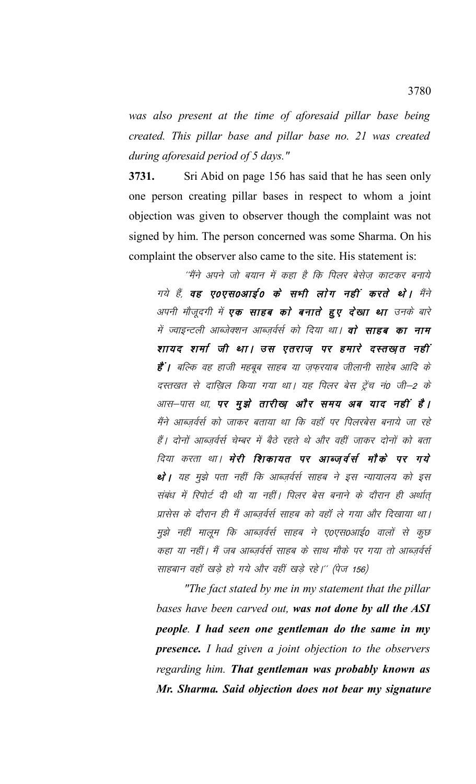*was also present at the time of aforesaid pillar base being created. This pillar base and pillar base no. 21 was created during aforesaid period of 5 days."*

**3731.** Sri Abid on page 156 has said that he has seen only one person creating pillar bases in respect to whom a joint objection was given to observer though the complaint was not signed by him. The person concerned was some Sharma. On his complaint the observer also came to the site. His statement is:

´´मैंने अपने जो बयान में कहा है कि पिलर बेसेज काटकर बनाये गये हैं, वह ए0एस0आई0 के सभी लोग नहीं करते थे। मैंने अपनी मौजूदगी में **एक साहब को बनाते हुए देखा था** उनके बारे में ज्वाइन्टली आब्जेक्शन आब्जर्वर्स को दिया था। **वो साहब का नाम** शायद शर्मा जी था। उस एतराज पर हमारे दस्तखत नहीं **हैं |** बल्कि वह हाजी महबूब साहब या ज़फ़रयाब जीलानी साहेब आदि के दस्तखत से दाख़िल किया गया था। यह पिलर बेस ट्रेंच नं0 जी–2 के आस—पास था, **पर मुझे तारीख़ और समय अब याद नहीं है।** मैंने आब्ज़र्वर्स को जाकर बताया था कि वहाँ पर पिलरबेस बनाये जा रहे हैं। दोनों आब्जर्वर्स चेम्बर में बैठे रहते थे और वहीं जाकर दोनों को बता दिया करता था। **मेरी शिकायत पर आब्ज़र्वर्स मौके पर गये** थे । यह मुझे पता नहीं कि आब्ज़र्वर्स साहब ने इस न्यायालय को इस संबंध में रिपोर्ट दी थी या नहीं। पिलर बेस बनाने के दौरान ही अर्थात् प्रासेस के दौरान ही मैं आब्ज़र्वर्स साहब को वहाँ ले गया और दिखाया था। मुझे नहीं मालूम कि आब्ज़र्वर्स साहब ने ए०एस०आई० वालों से कुछ कहा या नहीं। मैं जब आब्ज़र्वर्स साहब के साथ मौके पर गया तो आब्ज़र्वर्स साहबान वहाँ खड़े हो गये और वहीं खड़े रहे।" (पेज 156)

*"The fact stated by me in my statement that the pillar bases have been carved out, was not done by all the ASI people. I had seen one gentleman do the same in my presence. I had given a joint objection to the observers regarding him. That gentleman was probably known as Mr. Sharma. Said objection does not bear my signature*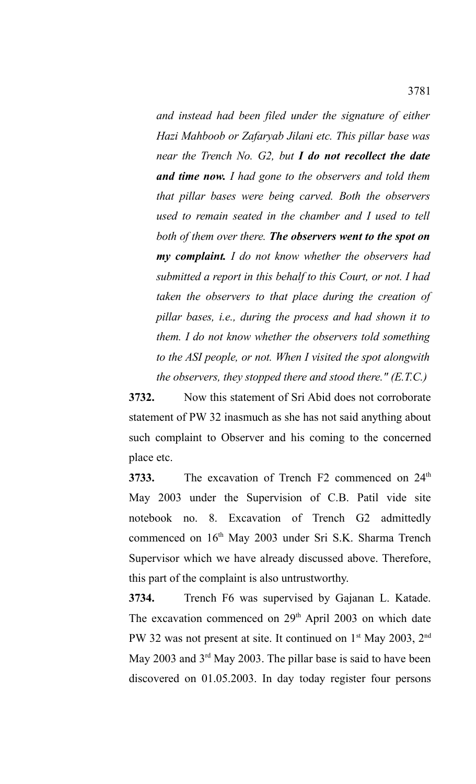*and instead had been filed under the signature of either Hazi Mahboob or Zafaryab Jilani etc. This pillar base was near the Trench No. G2, but I do not recollect the date and time now. I had gone to the observers and told them that pillar bases were being carved. Both the observers used to remain seated in the chamber and I used to tell both of them over there. The observers went to the spot on my complaint. I do not know whether the observers had submitted a report in this behalf to this Court, or not. I had taken the observers to that place during the creation of pillar bases, i.e., during the process and had shown it to them. I do not know whether the observers told something to the ASI people, or not. When I visited the spot alongwith the observers, they stopped there and stood there." (E.T.C.)*

**3732.** Now this statement of Sri Abid does not corroborate statement of PW 32 inasmuch as she has not said anything about such complaint to Observer and his coming to the concerned place etc.

**3733.** The excavation of Trench F2 commenced on  $24<sup>th</sup>$ May 2003 under the Supervision of C.B. Patil vide site notebook no. 8. Excavation of Trench G2 admittedly commenced on 16<sup>th</sup> May 2003 under Sri S.K. Sharma Trench Supervisor which we have already discussed above. Therefore, this part of the complaint is also untrustworthy.

**3734.** Trench F6 was supervised by Gajanan L. Katade. The excavation commenced on 29<sup>th</sup> April 2003 on which date PW 32 was not present at site. It continued on  $1<sup>st</sup>$  May 2003,  $2<sup>nd</sup>$ May 2003 and  $3<sup>rd</sup>$  May 2003. The pillar base is said to have been discovered on 01.05.2003. In day today register four persons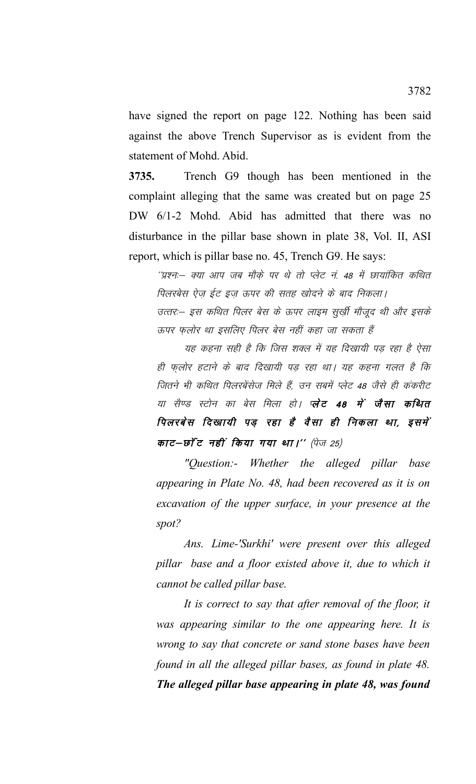have signed the report on page 122. Nothing has been said against the above Trench Supervisor as is evident from the statement of Mohd. Abid.

**3735.** Trench G9 though has been mentioned in the complaint alleging that the same was created but on page 25 DW 6/1-2 Mohd. Abid has admitted that there was no disturbance in the pillar base shown in plate 38, Vol. II, ASI report, which is pillar base no. 45, Trench G9. He says:

''प्रश्नः– क्या आप जब मौके पर थे तो प्लेट नं. 48 में छायांकित कथित पिलरबेस ऐज ईट इज ऊपर की सतह खोदने के बाद निकला।

उत्तर:-- इस कथित पिलर बेस के ऊपर लाइम सूख़ी मौजूद थी और इसके ऊपर फ़लोर था इसलिए पिलर बेस नहीं कहा जा सकता हैं

यह कहना सही है कि जिस शक्ल में यह दिखायी पड रहा है ऐसा ही फ़लोर हटाने के बाद दिखायी पड़ रहा था। यह कहना गलत है कि जितने भी कथित पिलरबेंसेज मिले हैं. उन सबमें प्लेट 48 जैसे ही कंकरीट या सैण्ड स्टोन का बेस मिला हो। **प्लेट 48 में जैसा कथित** पिलरबेस दिखायी पड़ रहा है वैसा ही निकला था, इसमें काट–छाँट नहीं किया गया था।'' (पेज 25)

*"Question:- Whether the alleged pillar base appearing in Plate No. 48, had been recovered as it is on excavation of the upper surface, in your presence at the spot?*

*Ans. Lime-'Surkhi' were present over this alleged pillar base and a floor existed above it, due to which it cannot be called pillar base.* 

*It is correct to say that after removal of the floor, it was appearing similar to the one appearing here. It is wrong to say that concrete or sand stone bases have been found in all the alleged pillar bases, as found in plate 48. The alleged pillar base appearing in plate 48, was found*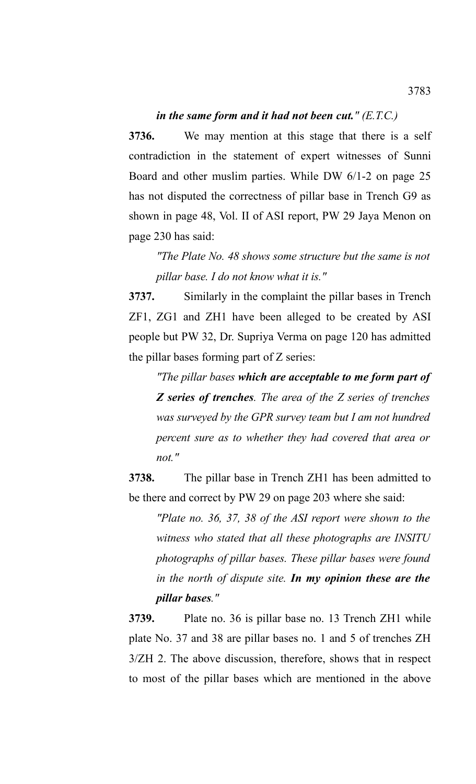#### *in the same form and it had not been cut." (E.T.C.)*

**3736.** We may mention at this stage that there is a self contradiction in the statement of expert witnesses of Sunni Board and other muslim parties. While DW 6/1-2 on page 25 has not disputed the correctness of pillar base in Trench G9 as shown in page 48, Vol. II of ASI report, PW 29 Jaya Menon on page 230 has said:

*"The Plate No. 48 shows some structure but the same is not pillar base. I do not know what it is."*

**3737.** Similarly in the complaint the pillar bases in Trench ZF1, ZG1 and ZH1 have been alleged to be created by ASI people but PW 32, Dr. Supriya Verma on page 120 has admitted the pillar bases forming part of Z series:

*"The pillar bases which are acceptable to me form part of Z series of trenches. The area of the Z series of trenches was surveyed by the GPR survey team but I am not hundred percent sure as to whether they had covered that area or not."*

**3738.** The pillar base in Trench ZH1 has been admitted to be there and correct by PW 29 on page 203 where she said:

*"Plate no. 36, 37, 38 of the ASI report were shown to the witness who stated that all these photographs are INSITU photographs of pillar bases. These pillar bases were found in the north of dispute site. In my opinion these are the pillar bases."*

**3739.** Plate no. 36 is pillar base no. 13 Trench ZH1 while plate No. 37 and 38 are pillar bases no. 1 and 5 of trenches ZH 3/ZH 2. The above discussion, therefore, shows that in respect to most of the pillar bases which are mentioned in the above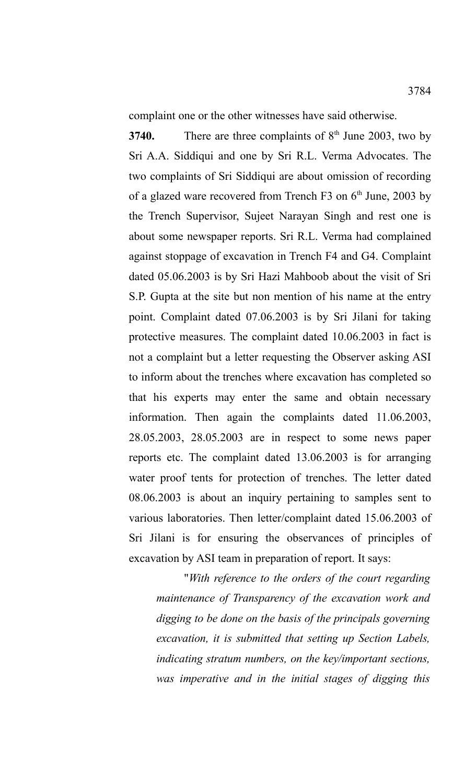complaint one or the other witnesses have said otherwise.

**3740.** There are three complaints of 8<sup>th</sup> June 2003, two by Sri A.A. Siddiqui and one by Sri R.L. Verma Advocates. The two complaints of Sri Siddiqui are about omission of recording of a glazed ware recovered from Trench F3 on  $6<sup>th</sup>$  June, 2003 by the Trench Supervisor, Sujeet Narayan Singh and rest one is about some newspaper reports. Sri R.L. Verma had complained against stoppage of excavation in Trench F4 and G4. Complaint dated 05.06.2003 is by Sri Hazi Mahboob about the visit of Sri S.P. Gupta at the site but non mention of his name at the entry point. Complaint dated 07.06.2003 is by Sri Jilani for taking protective measures. The complaint dated 10.06.2003 in fact is not a complaint but a letter requesting the Observer asking ASI to inform about the trenches where excavation has completed so that his experts may enter the same and obtain necessary information. Then again the complaints dated 11.06.2003, 28.05.2003, 28.05.2003 are in respect to some news paper reports etc. The complaint dated 13.06.2003 is for arranging water proof tents for protection of trenches. The letter dated 08.06.2003 is about an inquiry pertaining to samples sent to various laboratories. Then letter/complaint dated 15.06.2003 of Sri Jilani is for ensuring the observances of principles of excavation by ASI team in preparation of report. It says:

"*With reference to the orders of the court regarding maintenance of Transparency of the excavation work and digging to be done on the basis of the principals governing excavation, it is submitted that setting up Section Labels, indicating stratum numbers, on the key/important sections, was imperative and in the initial stages of digging this*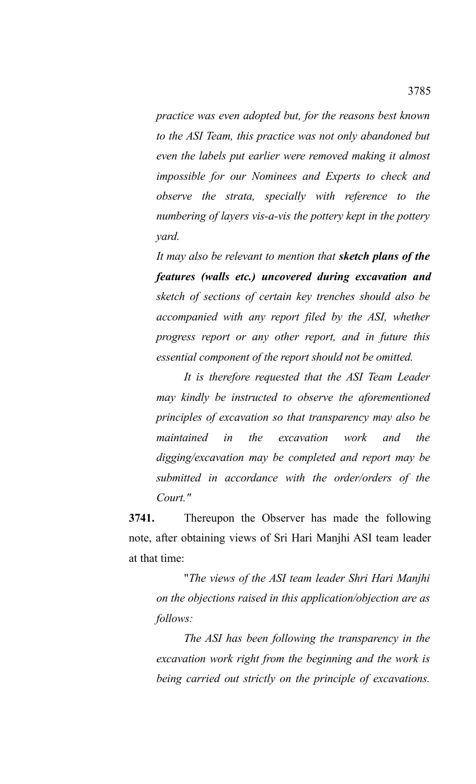*practice was even adopted but, for the reasons best known to the ASI Team, this practice was not only abandoned but even the labels put earlier were removed making it almost impossible for our Nominees and Experts to check and observe the strata, specially with reference to the numbering of layers vis-a-vis the pottery kept in the pottery yard.*

*It may also be relevant to mention that sketch plans of the features (walls etc.) uncovered during excavation and sketch of sections of certain key trenches should also be accompanied with any report filed by the ASI, whether progress report or any other report, and in future this essential component of the report should not be omitted.* 

*It is therefore requested that the ASI Team Leader may kindly be instructed to observe the aforementioned principles of excavation so that transparency may also be maintained in the excavation work and the digging/excavation may be completed and report may be submitted in accordance with the order/orders of the Court."*

**3741.** Thereupon the Observer has made the following note, after obtaining views of Sri Hari Manjhi ASI team leader at that time:

"*The views of the ASI team leader Shri Hari Manjhi on the objections raised in this application/objection are as follows:*

*The ASI has been following the transparency in the excavation work right from the beginning and the work is being carried out strictly on the principle of excavations.*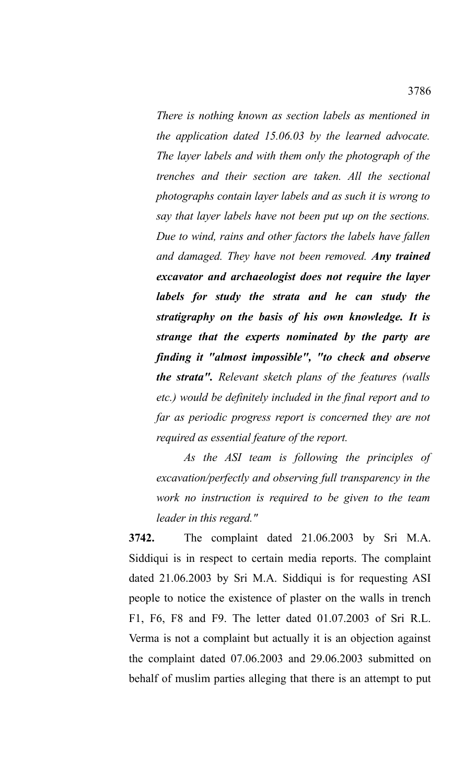*There is nothing known as section labels as mentioned in the application dated 15.06.03 by the learned advocate. The layer labels and with them only the photograph of the trenches and their section are taken. All the sectional photographs contain layer labels and as such it is wrong to say that layer labels have not been put up on the sections. Due to wind, rains and other factors the labels have fallen and damaged. They have not been removed. Any trained excavator and archaeologist does not require the layer labels for study the strata and he can study the stratigraphy on the basis of his own knowledge. It is strange that the experts nominated by the party are finding it "almost impossible", "to check and observe the strata". Relevant sketch plans of the features (walls etc.) would be definitely included in the final report and to far as periodic progress report is concerned they are not required as essential feature of the report.*

*As the ASI team is following the principles of excavation/perfectly and observing full transparency in the work no instruction is required to be given to the team leader in this regard."*

**3742.** The complaint dated 21.06.2003 by Sri M.A. Siddiqui is in respect to certain media reports. The complaint dated 21.06.2003 by Sri M.A. Siddiqui is for requesting ASI people to notice the existence of plaster on the walls in trench F1, F6, F8 and F9. The letter dated 01.07.2003 of Sri R.L. Verma is not a complaint but actually it is an objection against the complaint dated 07.06.2003 and 29.06.2003 submitted on behalf of muslim parties alleging that there is an attempt to put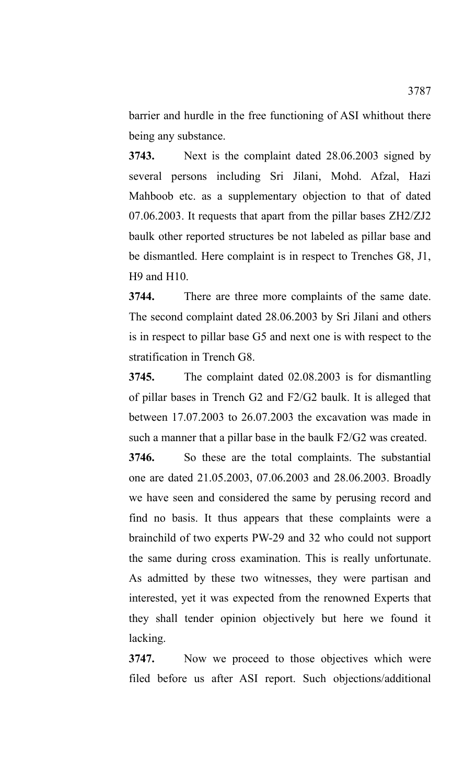barrier and hurdle in the free functioning of ASI whithout there being any substance.

**3743.** Next is the complaint dated 28.06.2003 signed by several persons including Sri Jilani, Mohd. Afzal, Hazi Mahboob etc. as a supplementary objection to that of dated 07.06.2003. It requests that apart from the pillar bases ZH2/ZJ2 baulk other reported structures be not labeled as pillar base and be dismantled. Here complaint is in respect to Trenches G8, J1, H9 and H10.

**3744.** There are three more complaints of the same date. The second complaint dated 28.06.2003 by Sri Jilani and others is in respect to pillar base G5 and next one is with respect to the stratification in Trench G8.

**3745.** The complaint dated 02.08.2003 is for dismantling of pillar bases in Trench G2 and F2/G2 baulk. It is alleged that between 17.07.2003 to 26.07.2003 the excavation was made in such a manner that a pillar base in the baulk F2/G2 was created.

**3746.** So these are the total complaints. The substantial one are dated 21.05.2003, 07.06.2003 and 28.06.2003. Broadly we have seen and considered the same by perusing record and find no basis. It thus appears that these complaints were a brainchild of two experts PW-29 and 32 who could not support the same during cross examination. This is really unfortunate. As admitted by these two witnesses, they were partisan and interested, yet it was expected from the renowned Experts that they shall tender opinion objectively but here we found it lacking.

**3747.** Now we proceed to those objectives which were filed before us after ASI report. Such objections/additional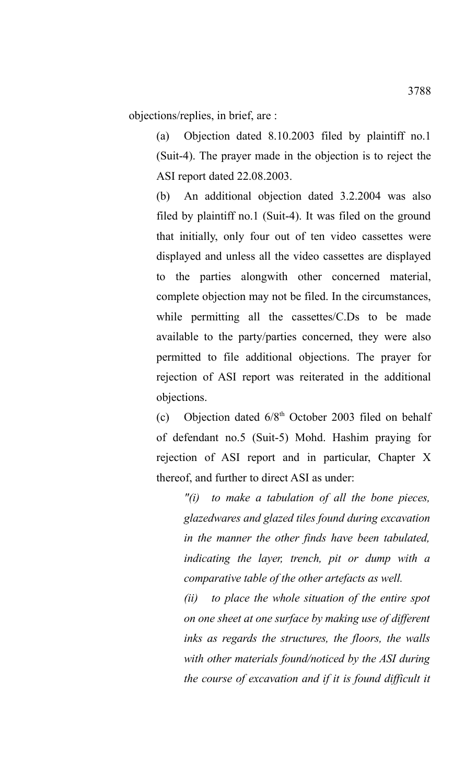objections/replies, in brief, are :

(a) Objection dated 8.10.2003 filed by plaintiff no.1 (Suit-4). The prayer made in the objection is to reject the ASI report dated 22.08.2003.

(b) An additional objection dated 3.2.2004 was also filed by plaintiff no.1 (Suit-4). It was filed on the ground that initially, only four out of ten video cassettes were displayed and unless all the video cassettes are displayed to the parties alongwith other concerned material, complete objection may not be filed. In the circumstances, while permitting all the cassettes/C.Ds to be made available to the party/parties concerned, they were also permitted to file additional objections. The prayer for rejection of ASI report was reiterated in the additional objections.

(c) Objection dated  $6/8<sup>th</sup>$  October 2003 filed on behalf of defendant no.5 (Suit-5) Mohd. Hashim praying for rejection of ASI report and in particular, Chapter X thereof, and further to direct ASI as under:

*"(i) to make a tabulation of all the bone pieces, glazedwares and glazed tiles found during excavation in the manner the other finds have been tabulated, indicating the layer, trench, pit or dump with a comparative table of the other artefacts as well.*

*(ii) to place the whole situation of the entire spot on one sheet at one surface by making use of different inks as regards the structures, the floors, the walls with other materials found/noticed by the ASI during the course of excavation and if it is found difficult it*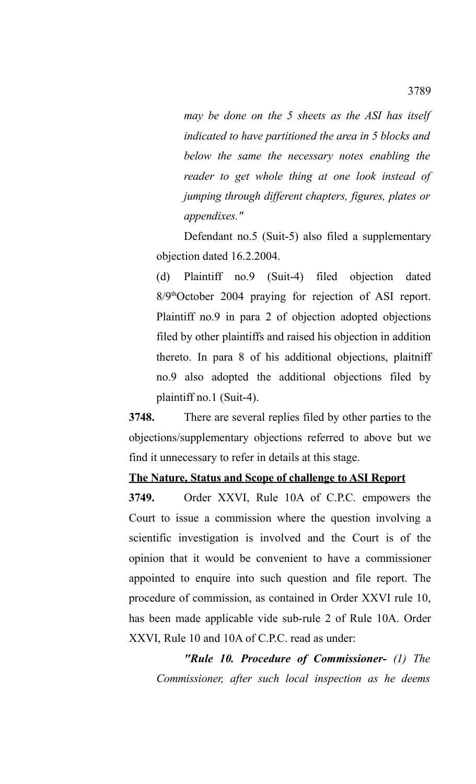*may be done on the 5 sheets as the ASI has itself indicated to have partitioned the area in 5 blocks and below the same the necessary notes enabling the reader to get whole thing at one look instead of jumping through different chapters, figures, plates or appendixes."*

Defendant no.5 (Suit-5) also filed a supplementary objection dated 16.2.2004.

(d) Plaintiff no.9 (Suit-4) filed objection dated 8/9thOctober 2004 praying for rejection of ASI report. Plaintiff no.9 in para 2 of objection adopted objections filed by other plaintiffs and raised his objection in addition thereto. In para 8 of his additional objections, plaitniff no.9 also adopted the additional objections filed by plaintiff no.1 (Suit-4).

**3748.** There are several replies filed by other parties to the objections/supplementary objections referred to above but we find it unnecessary to refer in details at this stage.

## **The Nature, Status and Scope of challenge to ASI Report**

**3749.** Order XXVI, Rule 10A of C.P.C. empowers the Court to issue a commission where the question involving a scientific investigation is involved and the Court is of the opinion that it would be convenient to have a commissioner appointed to enquire into such question and file report. The procedure of commission, as contained in Order XXVI rule 10, has been made applicable vide sub-rule 2 of Rule 10A. Order XXVI, Rule 10 and 10A of C.P.C. read as under:

*"Rule 10. Procedure of Commissioner- (1) The Commissioner, after such local inspection as he deems*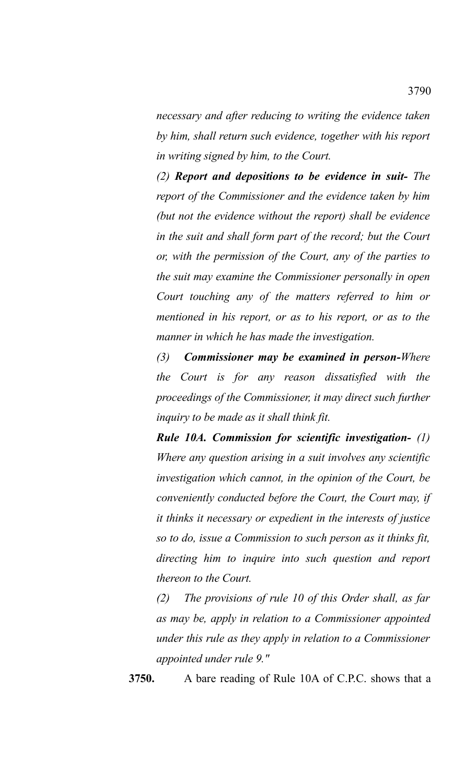*necessary and after reducing to writing the evidence taken by him, shall return such evidence, together with his report in writing signed by him, to the Court.*

*(2) Report and depositions to be evidence in suit- The report of the Commissioner and the evidence taken by him (but not the evidence without the report) shall be evidence in the suit and shall form part of the record; but the Court or, with the permission of the Court, any of the parties to the suit may examine the Commissioner personally in open Court touching any of the matters referred to him or mentioned in his report, or as to his report, or as to the manner in which he has made the investigation.*

*(3) Commissioner may be examined in person-Where the Court is for any reason dissatisfied with the proceedings of the Commissioner, it may direct such further inquiry to be made as it shall think fit.*

*Rule 10A. Commission for scientific investigation- (1) Where any question arising in a suit involves any scientific investigation which cannot, in the opinion of the Court, be conveniently conducted before the Court, the Court may, if it thinks it necessary or expedient in the interests of justice so to do, issue a Commission to such person as it thinks fit, directing him to inquire into such question and report thereon to the Court.*

*(2) The provisions of rule 10 of this Order shall, as far as may be, apply in relation to a Commissioner appointed under this rule as they apply in relation to a Commissioner appointed under rule 9."*

**3750.** A bare reading of Rule 10A of C.P.C. shows that a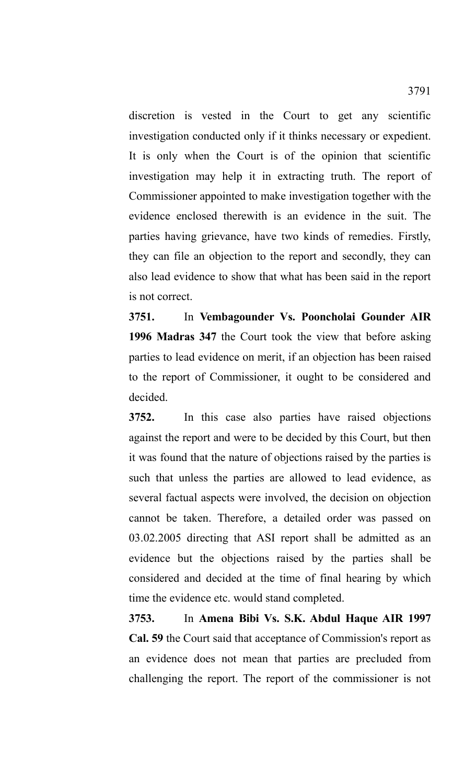discretion is vested in the Court to get any scientific investigation conducted only if it thinks necessary or expedient. It is only when the Court is of the opinion that scientific investigation may help it in extracting truth. The report of Commissioner appointed to make investigation together with the evidence enclosed therewith is an evidence in the suit. The parties having grievance, have two kinds of remedies. Firstly, they can file an objection to the report and secondly, they can also lead evidence to show that what has been said in the report is not correct.

**3751.** In **Vembagounder Vs. Pooncholai Gounder AIR 1996 Madras 347** the Court took the view that before asking parties to lead evidence on merit, if an objection has been raised to the report of Commissioner, it ought to be considered and decided.

**3752.** In this case also parties have raised objections against the report and were to be decided by this Court, but then it was found that the nature of objections raised by the parties is such that unless the parties are allowed to lead evidence, as several factual aspects were involved, the decision on objection cannot be taken. Therefore, a detailed order was passed on 03.02.2005 directing that ASI report shall be admitted as an evidence but the objections raised by the parties shall be considered and decided at the time of final hearing by which time the evidence etc. would stand completed.

**3753.** In **Amena Bibi Vs. S.K. Abdul Haque AIR 1997 Cal. 59** the Court said that acceptance of Commission's report as an evidence does not mean that parties are precluded from challenging the report. The report of the commissioner is not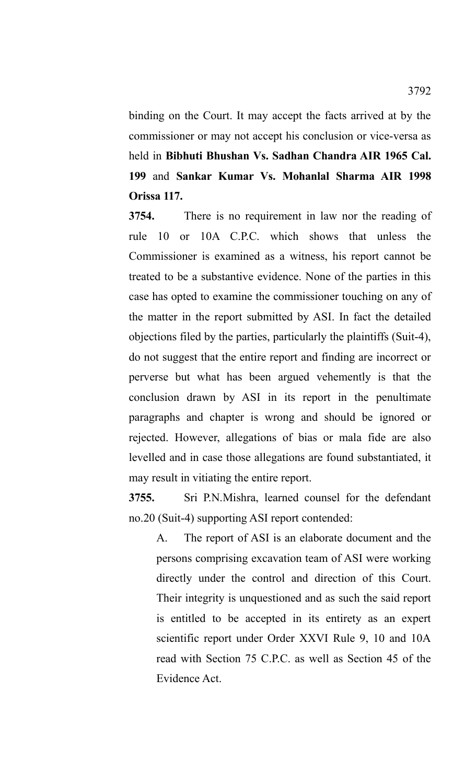binding on the Court. It may accept the facts arrived at by the commissioner or may not accept his conclusion or vice-versa as held in **Bibhuti Bhushan Vs. Sadhan Chandra AIR 1965 Cal. 199** and **Sankar Kumar Vs. Mohanlal Sharma AIR 1998 Orissa 117.** 

**3754.** There is no requirement in law nor the reading of rule 10 or 10A C.P.C. which shows that unless the Commissioner is examined as a witness, his report cannot be treated to be a substantive evidence. None of the parties in this case has opted to examine the commissioner touching on any of the matter in the report submitted by ASI. In fact the detailed objections filed by the parties, particularly the plaintiffs (Suit-4), do not suggest that the entire report and finding are incorrect or perverse but what has been argued vehemently is that the conclusion drawn by ASI in its report in the penultimate paragraphs and chapter is wrong and should be ignored or rejected. However, allegations of bias or mala fide are also levelled and in case those allegations are found substantiated, it may result in vitiating the entire report.

**3755.** Sri P.N.Mishra, learned counsel for the defendant no.20 (Suit-4) supporting ASI report contended:

A. The report of ASI is an elaborate document and the persons comprising excavation team of ASI were working directly under the control and direction of this Court. Their integrity is unquestioned and as such the said report is entitled to be accepted in its entirety as an expert scientific report under Order XXVI Rule 9, 10 and 10A read with Section 75 C.P.C. as well as Section 45 of the Evidence Act.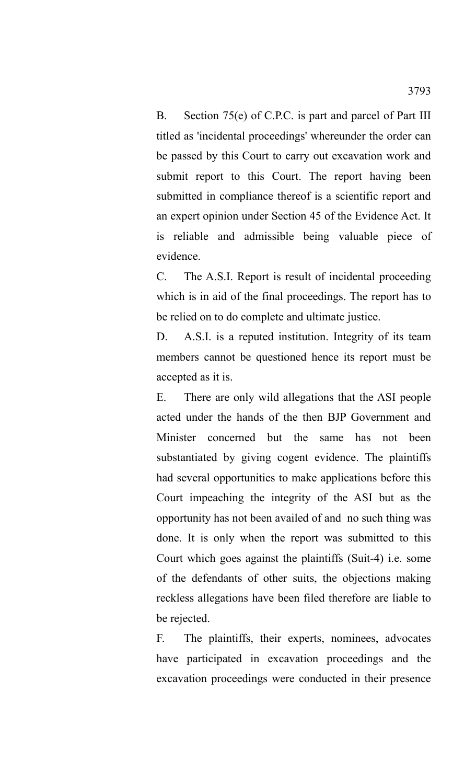B. Section 75(e) of C.P.C. is part and parcel of Part III titled as 'incidental proceedings' whereunder the order can be passed by this Court to carry out excavation work and submit report to this Court. The report having been submitted in compliance thereof is a scientific report and an expert opinion under Section 45 of the Evidence Act. It is reliable and admissible being valuable piece of evidence.

C. The A.S.I. Report is result of incidental proceeding which is in aid of the final proceedings. The report has to be relied on to do complete and ultimate justice.

D. A.S.I. is a reputed institution. Integrity of its team members cannot be questioned hence its report must be accepted as it is.

E. There are only wild allegations that the ASI people acted under the hands of the then BJP Government and Minister concerned but the same has not been substantiated by giving cogent evidence. The plaintiffs had several opportunities to make applications before this Court impeaching the integrity of the ASI but as the opportunity has not been availed of and no such thing was done. It is only when the report was submitted to this Court which goes against the plaintiffs (Suit-4) i.e. some of the defendants of other suits, the objections making reckless allegations have been filed therefore are liable to be rejected.

F. The plaintiffs, their experts, nominees, advocates have participated in excavation proceedings and the excavation proceedings were conducted in their presence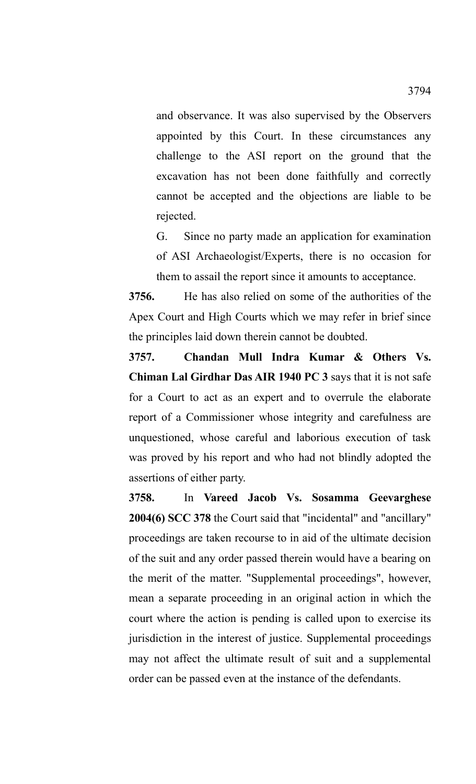and observance. It was also supervised by the Observers appointed by this Court. In these circumstances any challenge to the ASI report on the ground that the excavation has not been done faithfully and correctly cannot be accepted and the objections are liable to be rejected.

G. Since no party made an application for examination of ASI Archaeologist/Experts, there is no occasion for them to assail the report since it amounts to acceptance.

**3756.** He has also relied on some of the authorities of the Apex Court and High Courts which we may refer in brief since the principles laid down therein cannot be doubted.

**3757. Chandan Mull Indra Kumar & Others Vs. Chiman Lal Girdhar Das AIR 1940 PC 3** says that it is not safe for a Court to act as an expert and to overrule the elaborate report of a Commissioner whose integrity and carefulness are unquestioned, whose careful and laborious execution of task was proved by his report and who had not blindly adopted the assertions of either party.

**3758.** In **Vareed Jacob Vs. Sosamma Geevarghese 2004(6) SCC 378** the Court said that "incidental" and "ancillary" proceedings are taken recourse to in aid of the ultimate decision of the suit and any order passed therein would have a bearing on the merit of the matter. "Supplemental proceedings", however, mean a separate proceeding in an original action in which the court where the action is pending is called upon to exercise its jurisdiction in the interest of justice. Supplemental proceedings may not affect the ultimate result of suit and a supplemental order can be passed even at the instance of the defendants.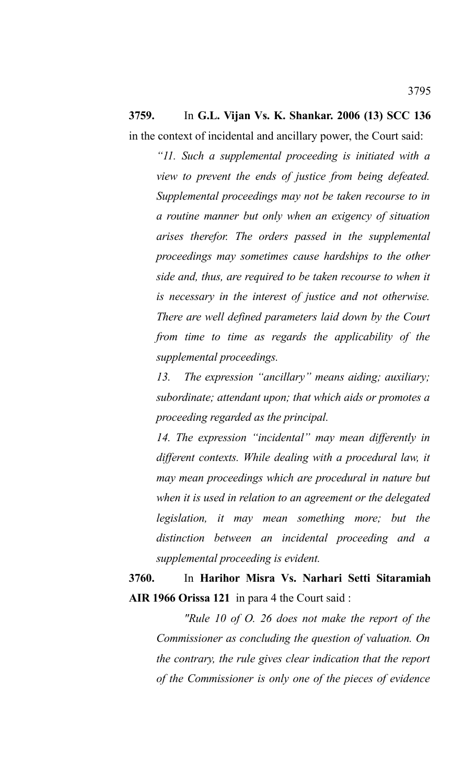# **3759.** In **G.L. Vijan Vs. K. Shankar. 2006 (13) SCC 136** in the context of incidental and ancillary power, the Court said:

*"11. Such a supplemental proceeding is initiated with a view to prevent the ends of justice from being defeated. Supplemental proceedings may not be taken recourse to in a routine manner but only when an exigency of situation arises therefor. The orders passed in the supplemental proceedings may sometimes cause hardships to the other side and, thus, are required to be taken recourse to when it is necessary in the interest of justice and not otherwise. There are well defined parameters laid down by the Court from time to time as regards the applicability of the supplemental proceedings.*

*13. The expression "ancillary" means aiding; auxiliary; subordinate; attendant upon; that which aids or promotes a proceeding regarded as the principal.*

*14. The expression "incidental" may mean differently in different contexts. While dealing with a procedural law, it may mean proceedings which are procedural in nature but when it is used in relation to an agreement or the delegated legislation, it may mean something more; but the distinction between an incidental proceeding and a supplemental proceeding is evident.*

# **3760.** In **Harihor Misra Vs. Narhari Setti Sitaramiah AIR 1966 Orissa 121** in para 4 the Court said :

*"Rule 10 of O. 26 does not make the report of the Commissioner as concluding the question of valuation. On the contrary, the rule gives clear indication that the report of the Commissioner is only one of the pieces of evidence*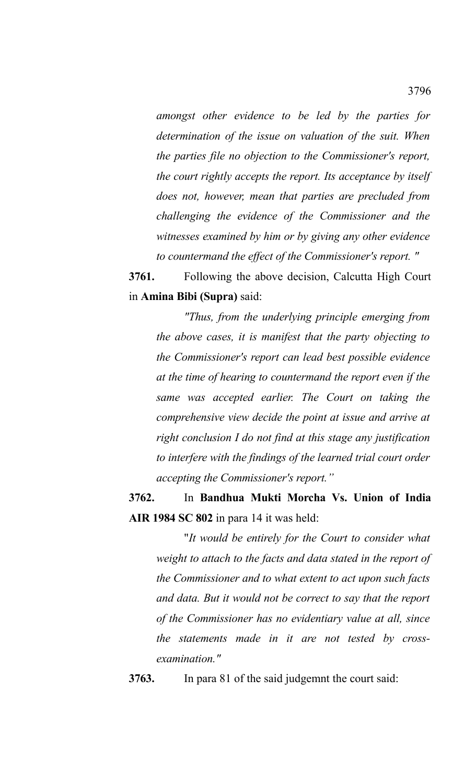*amongst other evidence to be led by the parties for determination of the issue on valuation of the suit. When the parties file no objection to the Commissioner's report, the court rightly accepts the report. Its acceptance by itself does not, however, mean that parties are precluded from challenging the evidence of the Commissioner and the witnesses examined by him or by giving any other evidence to countermand the effect of the Commissioner's report. "*

**3761.** Following the above decision, Calcutta High Court in **Amina Bibi (Supra)** said:

*"Thus, from the underlying principle emerging from the above cases, it is manifest that the party objecting to the Commissioner's report can lead best possible evidence at the time of hearing to countermand the report even if the same was accepted earlier. The Court on taking the comprehensive view decide the point at issue and arrive at right conclusion I do not find at this stage any justification to interfere with the findings of the learned trial court order accepting the Commissioner's report."*

**3762.** In **Bandhua Mukti Morcha Vs. Union of India AIR 1984 SC 802** in para 14 it was held:

"*It would be entirely for the Court to consider what weight to attach to the facts and data stated in the report of the Commissioner and to what extent to act upon such facts and data. But it would not be correct to say that the report of the Commissioner has no evidentiary value at all, since the statements made in it are not tested by crossexamination."*

**3763.** In para 81 of the said judgemnt the court said: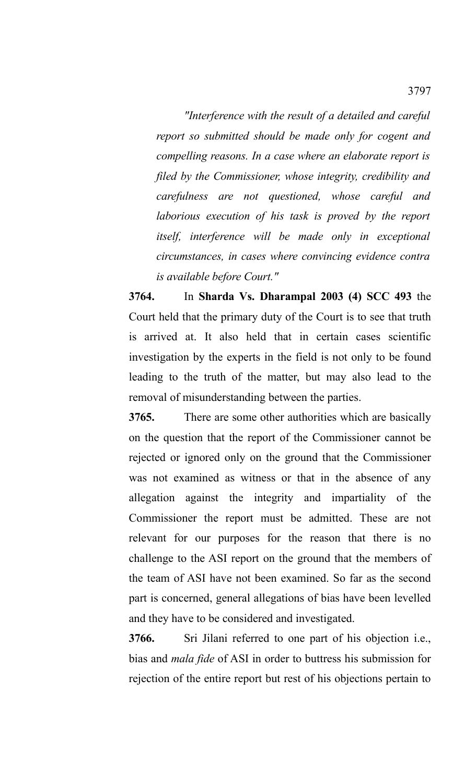*"Interference with the result of a detailed and careful report so submitted should be made only for cogent and compelling reasons. In a case where an elaborate report is filed by the Commissioner, whose integrity, credibility and carefulness are not questioned, whose careful and laborious execution of his task is proved by the report itself, interference will be made only in exceptional circumstances, in cases where convincing evidence contra is available before Court."*

**3764.** In **Sharda Vs. Dharampal 2003 (4) SCC 493** the Court held that the primary duty of the Court is to see that truth is arrived at. It also held that in certain cases scientific investigation by the experts in the field is not only to be found leading to the truth of the matter, but may also lead to the removal of misunderstanding between the parties.

**3765.** There are some other authorities which are basically on the question that the report of the Commissioner cannot be rejected or ignored only on the ground that the Commissioner was not examined as witness or that in the absence of any allegation against the integrity and impartiality of the Commissioner the report must be admitted. These are not relevant for our purposes for the reason that there is no challenge to the ASI report on the ground that the members of the team of ASI have not been examined. So far as the second part is concerned, general allegations of bias have been levelled and they have to be considered and investigated.

**3766.** Sri Jilani referred to one part of his objection i.e., bias and *mala fide* of ASI in order to buttress his submission for rejection of the entire report but rest of his objections pertain to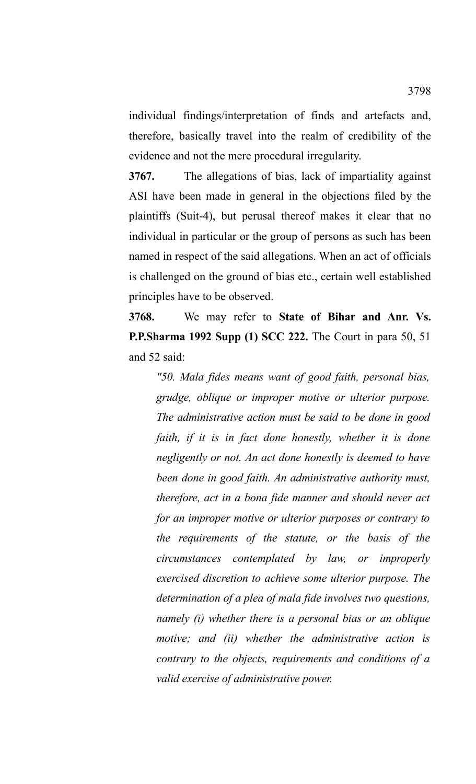individual findings/interpretation of finds and artefacts and, therefore, basically travel into the realm of credibility of the evidence and not the mere procedural irregularity.

**3767.** The allegations of bias, lack of impartiality against ASI have been made in general in the objections filed by the plaintiffs (Suit-4), but perusal thereof makes it clear that no individual in particular or the group of persons as such has been named in respect of the said allegations. When an act of officials is challenged on the ground of bias etc., certain well established principles have to be observed.

**3768.** We may refer to **State of Bihar and Anr. Vs. P.P.Sharma 1992 Supp (1) SCC 222.** The Court in para 50, 51 and 52 said:

*"50. Mala fides means want of good faith, personal bias, grudge, oblique or improper motive or ulterior purpose. The administrative action must be said to be done in good faith, if it is in fact done honestly, whether it is done negligently or not. An act done honestly is deemed to have been done in good faith. An administrative authority must, therefore, act in a bona fide manner and should never act for an improper motive or ulterior purposes or contrary to the requirements of the statute, or the basis of the circumstances contemplated by law, or improperly exercised discretion to achieve some ulterior purpose. The determination of a plea of mala fide involves two questions, namely (i) whether there is a personal bias or an oblique motive; and (ii) whether the administrative action is contrary to the objects, requirements and conditions of a valid exercise of administrative power.*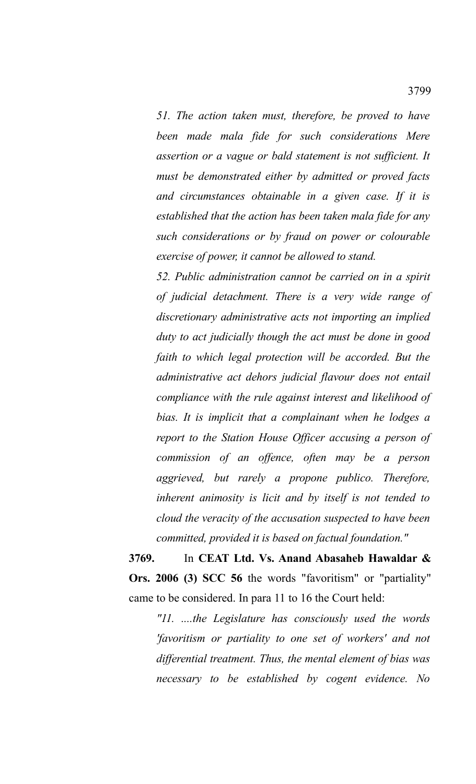*51. The action taken must, therefore, be proved to have been made mala fide for such considerations Mere assertion or a vague or bald statement is not sufficient. It must be demonstrated either by admitted or proved facts and circumstances obtainable in a given case. If it is established that the action has been taken mala fide for any such considerations or by fraud on power or colourable exercise of power, it cannot be allowed to stand.*

*52. Public administration cannot be carried on in a spirit of judicial detachment. There is a very wide range of discretionary administrative acts not importing an implied duty to act judicially though the act must be done in good faith to which legal protection will be accorded. But the administrative act dehors judicial flavour does not entail compliance with the rule against interest and likelihood of bias. It is implicit that a complainant when he lodges a report to the Station House Officer accusing a person of commission of an offence, often may be a person aggrieved, but rarely a propone publico. Therefore, inherent animosity is licit and by itself is not tended to cloud the veracity of the accusation suspected to have been committed, provided it is based on factual foundation."*

**3769.** In **CEAT Ltd. Vs. Anand Abasaheb Hawaldar & Ors. 2006 (3) SCC 56** the words "favoritism" or "partiality" came to be considered. In para 11 to 16 the Court held:

*"11. ....the Legislature has consciously used the words 'favoritism or partiality to one set of workers' and not differential treatment. Thus, the mental element of bias was necessary to be established by cogent evidence. No*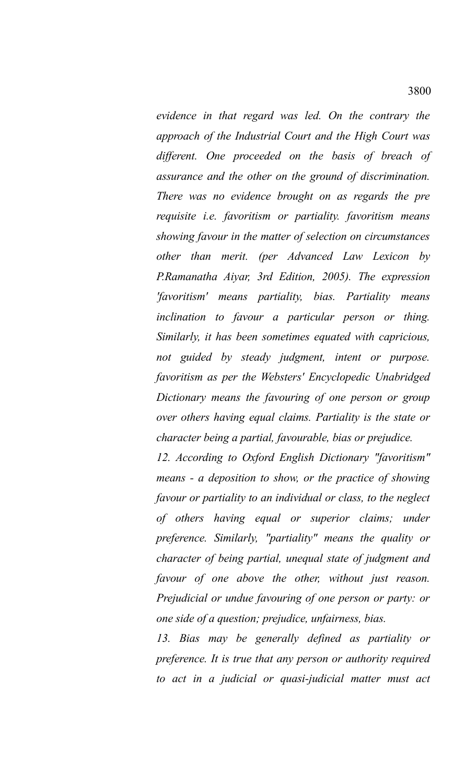*evidence in that regard was led. On the contrary the approach of the Industrial Court and the High Court was different. One proceeded on the basis of breach of assurance and the other on the ground of discrimination. There was no evidence brought on as regards the pre requisite i.e. favoritism or partiality. favoritism means showing favour in the matter of selection on circumstances other than merit. (per Advanced Law Lexicon by P.Ramanatha Aiyar, 3rd Edition, 2005). The expression 'favoritism' means partiality, bias. Partiality means inclination to favour a particular person or thing. Similarly, it has been sometimes equated with capricious, not guided by steady judgment, intent or purpose. favoritism as per the Websters' Encyclopedic Unabridged Dictionary means the favouring of one person or group over others having equal claims. Partiality is the state or character being a partial, favourable, bias or prejudice.*

*12. According to Oxford English Dictionary "favoritism" means - a deposition to show, or the practice of showing favour or partiality to an individual or class, to the neglect of others having equal or superior claims; under preference. Similarly, "partiality" means the quality or character of being partial, unequal state of judgment and favour of one above the other, without just reason. Prejudicial or undue favouring of one person or party: or one side of a question; prejudice, unfairness, bias.*

*13. Bias may be generally defined as partiality or preference. It is true that any person or authority required to act in a judicial or quasi-judicial matter must act*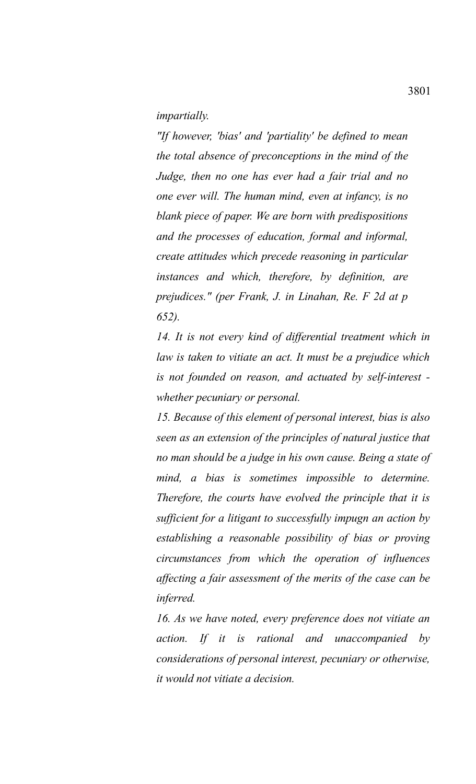### *impartially.*

*"If however, 'bias' and 'partiality' be defined to mean the total absence of preconceptions in the mind of the Judge, then no one has ever had a fair trial and no one ever will. The human mind, even at infancy, is no blank piece of paper. We are born with predispositions and the processes of education, formal and informal, create attitudes which precede reasoning in particular instances and which, therefore, by definition, are prejudices." (per Frank, J. in Linahan, Re. F 2d at p 652).*

*14. It is not every kind of differential treatment which in law is taken to vitiate an act. It must be a prejudice which is not founded on reason, and actuated by self-interest whether pecuniary or personal.*

*15. Because of this element of personal interest, bias is also seen as an extension of the principles of natural justice that no man should be a judge in his own cause. Being a state of mind, a bias is sometimes impossible to determine. Therefore, the courts have evolved the principle that it is sufficient for a litigant to successfully impugn an action by establishing a reasonable possibility of bias or proving circumstances from which the operation of influences affecting a fair assessment of the merits of the case can be inferred.*

*16. As we have noted, every preference does not vitiate an action. If it is rational and unaccompanied by considerations of personal interest, pecuniary or otherwise, it would not vitiate a decision.*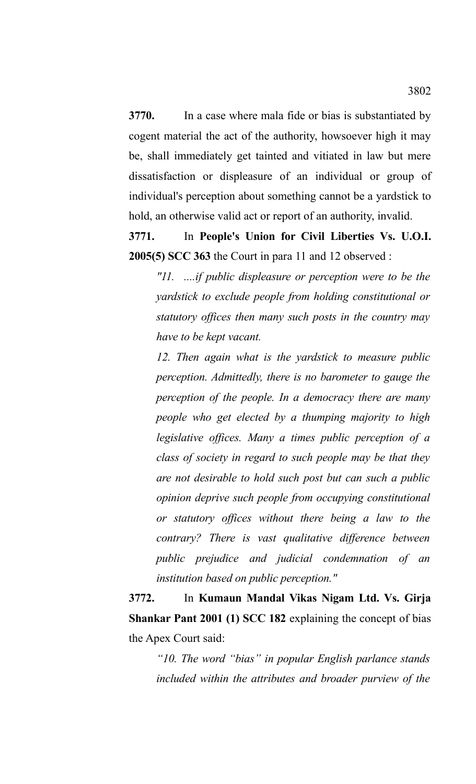**3770.** In a case where mala fide or bias is substantiated by cogent material the act of the authority, howsoever high it may be, shall immediately get tainted and vitiated in law but mere dissatisfaction or displeasure of an individual or group of individual's perception about something cannot be a yardstick to hold, an otherwise valid act or report of an authority, invalid.

**3771.** In **People's Union for Civil Liberties Vs. U.O.I. 2005(5) SCC 363** the Court in para 11 and 12 observed :

*"11. ....if public displeasure or perception were to be the yardstick to exclude people from holding constitutional or statutory offices then many such posts in the country may have to be kept vacant.*

*12. Then again what is the yardstick to measure public perception. Admittedly, there is no barometer to gauge the perception of the people. In a democracy there are many people who get elected by a thumping majority to high legislative offices. Many a times public perception of a class of society in regard to such people may be that they are not desirable to hold such post but can such a public opinion deprive such people from occupying constitutional or statutory offices without there being a law to the contrary? There is vast qualitative difference between public prejudice and judicial condemnation of an institution based on public perception."*

**3772.** In **Kumaun Mandal Vikas Nigam Ltd. Vs. Girja Shankar Pant 2001 (1) SCC 182** explaining the concept of bias the Apex Court said:

*"10. The word "bias" in popular English parlance stands included within the attributes and broader purview of the*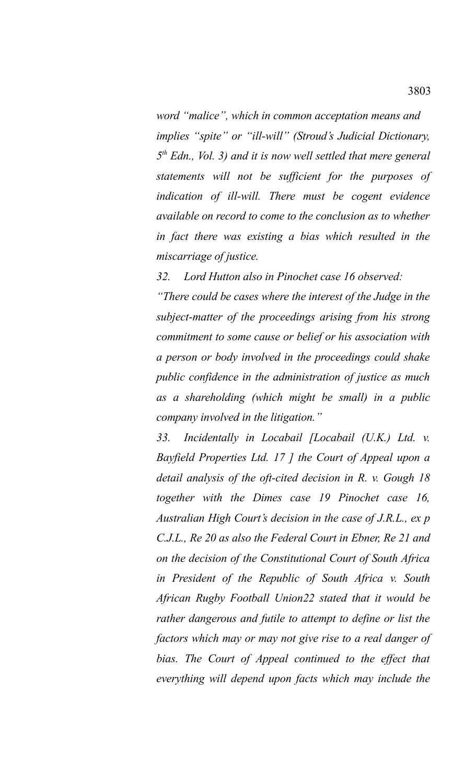*word "malice", which in common acceptation means and implies "spite" or "ill-will" (Stroud's Judicial Dictionary, 5 th Edn., Vol. 3) and it is now well settled that mere general statements will not be sufficient for the purposes of indication of ill-will. There must be cogent evidence available on record to come to the conclusion as to whether in fact there was existing a bias which resulted in the miscarriage of justice.*

*32. Lord Hutton also in Pinochet case 16 observed:*

*"There could be cases where the interest of the Judge in the subject-matter of the proceedings arising from his strong commitment to some cause or belief or his association with a person or body involved in the proceedings could shake public confidence in the administration of justice as much as a shareholding (which might be small) in a public company involved in the litigation."*

*33. Incidentally in Locabail [Locabail (U.K.) Ltd. v. Bayfield Properties Ltd. 17 ] the Court of Appeal upon a detail analysis of the oft-cited decision in R. v. Gough 18 together with the Dimes case 19 Pinochet case 16, Australian High Court's decision in the case of J.R.L., ex p C.J.L., Re 20 as also the Federal Court in Ebner, Re 21 and on the decision of the Constitutional Court of South Africa in President of the Republic of South Africa v. South African Rugby Football Union22 stated that it would be rather dangerous and futile to attempt to define or list the factors which may or may not give rise to a real danger of bias. The Court of Appeal continued to the effect that everything will depend upon facts which may include the*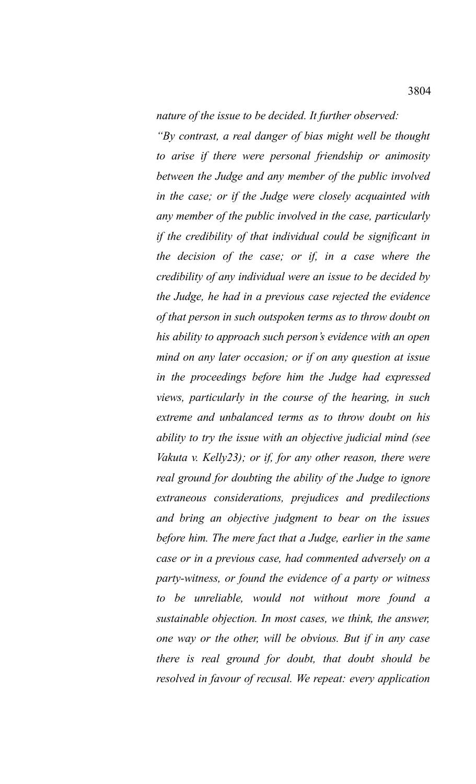*"By contrast, a real danger of bias might well be thought to arise if there were personal friendship or animosity between the Judge and any member of the public involved in the case; or if the Judge were closely acquainted with any member of the public involved in the case, particularly if the credibility of that individual could be significant in the decision of the case; or if, in a case where the credibility of any individual were an issue to be decided by the Judge, he had in a previous case rejected the evidence of that person in such outspoken terms as to throw doubt on his ability to approach such person's evidence with an open mind on any later occasion; or if on any question at issue in the proceedings before him the Judge had expressed views, particularly in the course of the hearing, in such extreme and unbalanced terms as to throw doubt on his ability to try the issue with an objective judicial mind (see Vakuta v. Kelly23); or if, for any other reason, there were real ground for doubting the ability of the Judge to ignore extraneous considerations, prejudices and predilections and bring an objective judgment to bear on the issues before him. The mere fact that a Judge, earlier in the same case or in a previous case, had commented adversely on a party-witness, or found the evidence of a party or witness to be unreliable, would not without more found a sustainable objection. In most cases, we think, the answer, one way or the other, will be obvious. But if in any case there is real ground for doubt, that doubt should be resolved in favour of recusal. We repeat: every application*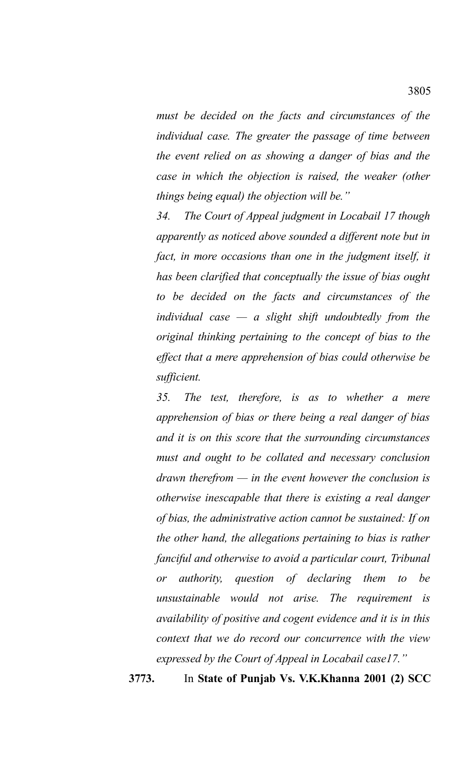*must be decided on the facts and circumstances of the individual case. The greater the passage of time between the event relied on as showing a danger of bias and the case in which the objection is raised, the weaker (other things being equal) the objection will be."*

*34. The Court of Appeal judgment in Locabail 17 though apparently as noticed above sounded a different note but in fact, in more occasions than one in the judgment itself, it has been clarified that conceptually the issue of bias ought to be decided on the facts and circumstances of the individual case — a slight shift undoubtedly from the original thinking pertaining to the concept of bias to the effect that a mere apprehension of bias could otherwise be sufficient.*

*35. The test, therefore, is as to whether a mere apprehension of bias or there being a real danger of bias and it is on this score that the surrounding circumstances must and ought to be collated and necessary conclusion drawn therefrom — in the event however the conclusion is otherwise inescapable that there is existing a real danger of bias, the administrative action cannot be sustained: If on the other hand, the allegations pertaining to bias is rather fanciful and otherwise to avoid a particular court, Tribunal or authority, question of declaring them to be unsustainable would not arise. The requirement is availability of positive and cogent evidence and it is in this context that we do record our concurrence with the view expressed by the Court of Appeal in Locabail case17."*

**3773.** In **State of Punjab Vs. V.K.Khanna 2001 (2) SCC**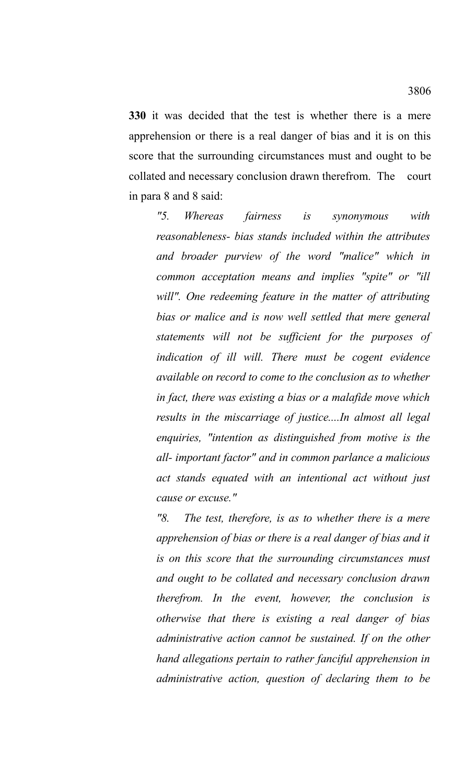**330** it was decided that the test is whether there is a mere apprehension or there is a real danger of bias and it is on this score that the surrounding circumstances must and ought to be collated and necessary conclusion drawn therefrom. The court in para 8 and 8 said:

*"5. Whereas fairness is synonymous with reasonableness- bias stands included within the attributes and broader purview of the word "malice" which in common acceptation means and implies "spite" or "ill will". One redeeming feature in the matter of attributing bias or malice and is now well settled that mere general statements will not be sufficient for the purposes of indication of ill will. There must be cogent evidence available on record to come to the conclusion as to whether in fact, there was existing a bias or a malafide move which results in the miscarriage of justice....In almost all legal enquiries, "intention as distinguished from motive is the all- important factor" and in common parlance a malicious act stands equated with an intentional act without just cause or excuse."*

*"8. The test, therefore, is as to whether there is a mere apprehension of bias or there is a real danger of bias and it is on this score that the surrounding circumstances must and ought to be collated and necessary conclusion drawn therefrom. In the event, however, the conclusion is otherwise that there is existing a real danger of bias administrative action cannot be sustained. If on the other hand allegations pertain to rather fanciful apprehension in administrative action, question of declaring them to be*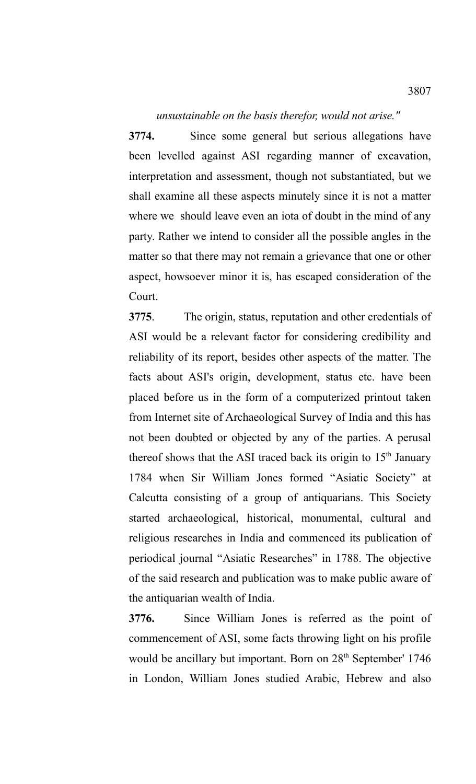*unsustainable on the basis therefor, would not arise."*

**3774.** Since some general but serious allegations have been levelled against ASI regarding manner of excavation, interpretation and assessment, though not substantiated, but we shall examine all these aspects minutely since it is not a matter where we should leave even an iota of doubt in the mind of any party. Rather we intend to consider all the possible angles in the matter so that there may not remain a grievance that one or other aspect, howsoever minor it is, has escaped consideration of the Court.

**3775**. The origin, status, reputation and other credentials of ASI would be a relevant factor for considering credibility and reliability of its report, besides other aspects of the matter. The facts about ASI's origin, development, status etc. have been placed before us in the form of a computerized printout taken from Internet site of Archaeological Survey of India and this has not been doubted or objected by any of the parties. A perusal thereof shows that the ASI traced back its origin to  $15<sup>th</sup>$  January 1784 when Sir William Jones formed "Asiatic Society" at Calcutta consisting of a group of antiquarians. This Society started archaeological, historical, monumental, cultural and religious researches in India and commenced its publication of periodical journal "Asiatic Researches" in 1788. The objective of the said research and publication was to make public aware of the antiquarian wealth of India.

**3776.** Since William Jones is referred as the point of commencement of ASI, some facts throwing light on his profile would be ancillary but important. Born on 28<sup>th</sup> September' 1746 in London, William Jones studied Arabic, Hebrew and also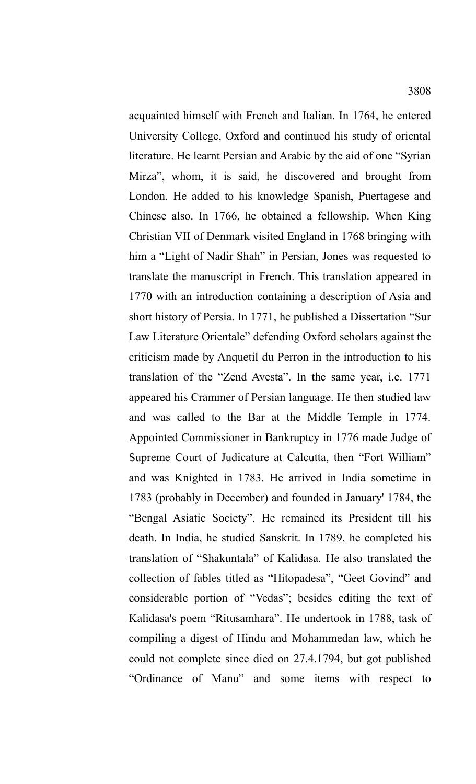acquainted himself with French and Italian. In 1764, he entered University College, Oxford and continued his study of oriental literature. He learnt Persian and Arabic by the aid of one "Syrian Mirza", whom, it is said, he discovered and brought from London. He added to his knowledge Spanish, Puertagese and Chinese also. In 1766, he obtained a fellowship. When King Christian VII of Denmark visited England in 1768 bringing with him a "Light of Nadir Shah" in Persian, Jones was requested to translate the manuscript in French. This translation appeared in 1770 with an introduction containing a description of Asia and short history of Persia. In 1771, he published a Dissertation "Sur Law Literature Orientale" defending Oxford scholars against the criticism made by Anquetil du Perron in the introduction to his translation of the "Zend Avesta". In the same year, i.e. 1771 appeared his Crammer of Persian language. He then studied law and was called to the Bar at the Middle Temple in 1774. Appointed Commissioner in Bankruptcy in 1776 made Judge of Supreme Court of Judicature at Calcutta, then "Fort William" and was Knighted in 1783. He arrived in India sometime in 1783 (probably in December) and founded in January' 1784, the "Bengal Asiatic Society". He remained its President till his death. In India, he studied Sanskrit. In 1789, he completed his translation of "Shakuntala" of Kalidasa. He also translated the collection of fables titled as "Hitopadesa", "Geet Govind" and considerable portion of "Vedas"; besides editing the text of Kalidasa's poem "Ritusamhara". He undertook in 1788, task of compiling a digest of Hindu and Mohammedan law, which he could not complete since died on 27.4.1794, but got published "Ordinance of Manu" and some items with respect to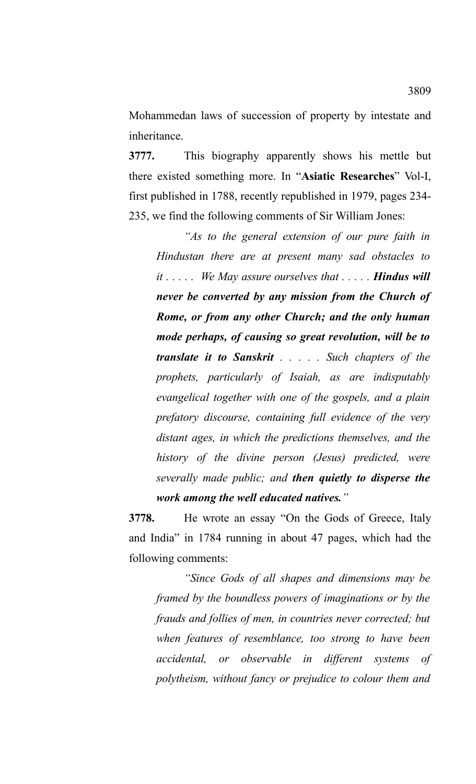Mohammedan laws of succession of property by intestate and inheritance.

**3777.** This biography apparently shows his mettle but there existed something more. In "**Asiatic Researches**" Vol-I, first published in 1788, recently republished in 1979, pages 234- 235, we find the following comments of Sir William Jones:

*"As to the general extension of our pure faith in Hindustan there are at present many sad obstacles to it . . . . . We May assure ourselves that . . . . . Hindus will never be converted by any mission from the Church of Rome, or from any other Church; and the only human mode perhaps, of causing so great revolution, will be to translate it to Sanskrit . . . . . Such chapters of the prophets, particularly of Isaiah, as are indisputably evangelical together with one of the gospels, and a plain prefatory discourse, containing full evidence of the very distant ages, in which the predictions themselves, and the history of the divine person (Jesus) predicted, were severally made public; and then quietly to disperse the work among the well educated natives."*

**3778.** He wrote an essay "On the Gods of Greece, Italy and India" in 1784 running in about 47 pages, which had the following comments:

*"Since Gods of all shapes and dimensions may be framed by the boundless powers of imaginations or by the frauds and follies of men, in countries never corrected; but when features of resemblance, too strong to have been accidental, or observable in different systems of polytheism, without fancy or prejudice to colour them and*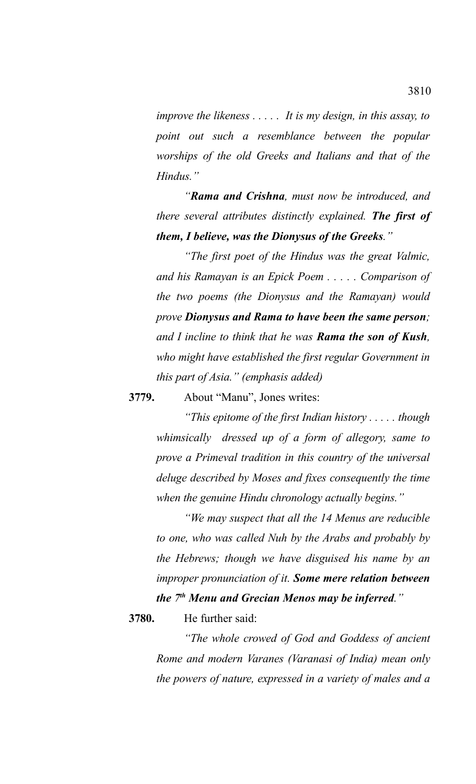*improve the likeness . . . . . It is my design, in this assay, to point out such a resemblance between the popular worships of the old Greeks and Italians and that of the Hindus."*

*"Rama and Crishna, must now be introduced, and there several attributes distinctly explained. The first of them, I believe, was the Dionysus of the Greeks."*

*"The first poet of the Hindus was the great Valmic, and his Ramayan is an Epick Poem . . . . . Comparison of the two poems (the Dionysus and the Ramayan) would prove Dionysus and Rama to have been the same person; and I incline to think that he was Rama the son of Kush, who might have established the first regular Government in this part of Asia." (emphasis added)*

**3779.** About "Manu", Jones writes:

*"This epitome of the first Indian history . . . . . though whimsically dressed up of a form of allegory, same to prove a Primeval tradition in this country of the universal deluge described by Moses and fixes consequently the time when the genuine Hindu chronology actually begins."*

*"We may suspect that all the 14 Menus are reducible to one, who was called Nuh by the Arabs and probably by the Hebrews; though we have disguised his name by an improper pronunciation of it. Some mere relation between the 7th Menu and Grecian Menos may be inferred."* 

**3780.** He further said:

*"The whole crowed of God and Goddess of ancient Rome and modern Varanes (Varanasi of India) mean only the powers of nature, expressed in a variety of males and a*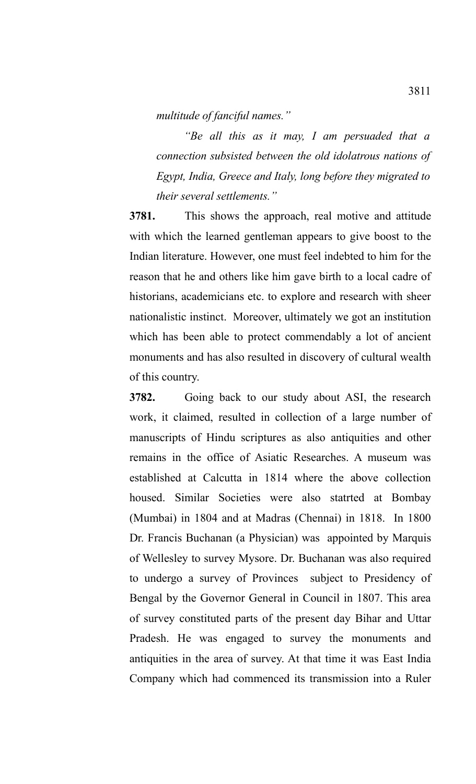*multitude of fanciful names."*

*"Be all this as it may, I am persuaded that a connection subsisted between the old idolatrous nations of Egypt, India, Greece and Italy, long before they migrated to their several settlements."*

**3781.** This shows the approach, real motive and attitude with which the learned gentleman appears to give boost to the Indian literature. However, one must feel indebted to him for the reason that he and others like him gave birth to a local cadre of historians, academicians etc. to explore and research with sheer nationalistic instinct. Moreover, ultimately we got an institution which has been able to protect commendably a lot of ancient monuments and has also resulted in discovery of cultural wealth of this country.

**3782.** Going back to our study about ASI, the research work, it claimed, resulted in collection of a large number of manuscripts of Hindu scriptures as also antiquities and other remains in the office of Asiatic Researches. A museum was established at Calcutta in 1814 where the above collection housed. Similar Societies were also statrted at Bombay (Mumbai) in 1804 and at Madras (Chennai) in 1818. In 1800 Dr. Francis Buchanan (a Physician) was appointed by Marquis of Wellesley to survey Mysore. Dr. Buchanan was also required to undergo a survey of Provinces subject to Presidency of Bengal by the Governor General in Council in 1807. This area of survey constituted parts of the present day Bihar and Uttar Pradesh. He was engaged to survey the monuments and antiquities in the area of survey. At that time it was East India Company which had commenced its transmission into a Ruler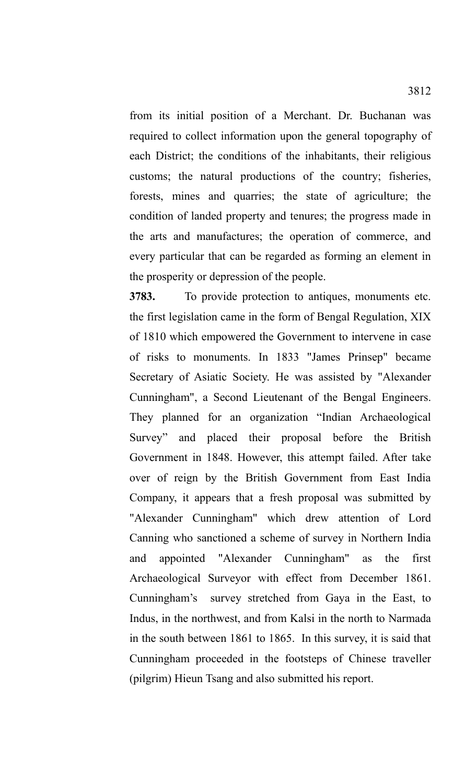from its initial position of a Merchant. Dr. Buchanan was required to collect information upon the general topography of each District; the conditions of the inhabitants, their religious customs; the natural productions of the country; fisheries, forests, mines and quarries; the state of agriculture; the condition of landed property and tenures; the progress made in the arts and manufactures; the operation of commerce, and every particular that can be regarded as forming an element in the prosperity or depression of the people.

**3783.** To provide protection to antiques, monuments etc. the first legislation came in the form of Bengal Regulation, XIX of 1810 which empowered the Government to intervene in case of risks to monuments. In 1833 "James Prinsep" became Secretary of Asiatic Society. He was assisted by "Alexander Cunningham", a Second Lieutenant of the Bengal Engineers. They planned for an organization "Indian Archaeological Survey" and placed their proposal before the British Government in 1848. However, this attempt failed. After take over of reign by the British Government from East India Company, it appears that a fresh proposal was submitted by "Alexander Cunningham" which drew attention of Lord Canning who sanctioned a scheme of survey in Northern India and appointed "Alexander Cunningham" as the first Archaeological Surveyor with effect from December 1861. Cunningham's survey stretched from Gaya in the East, to Indus, in the northwest, and from Kalsi in the north to Narmada in the south between 1861 to 1865. In this survey, it is said that Cunningham proceeded in the footsteps of Chinese traveller (pilgrim) Hieun Tsang and also submitted his report.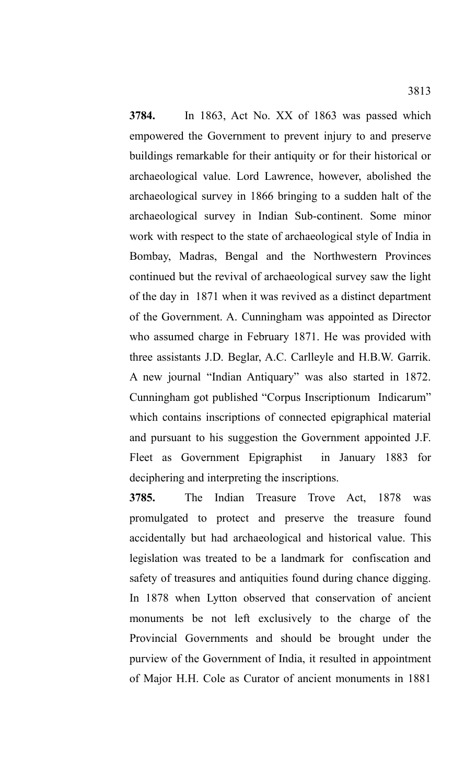**3784.** In 1863, Act No. XX of 1863 was passed which empowered the Government to prevent injury to and preserve buildings remarkable for their antiquity or for their historical or archaeological value. Lord Lawrence, however, abolished the archaeological survey in 1866 bringing to a sudden halt of the archaeological survey in Indian Sub-continent. Some minor work with respect to the state of archaeological style of India in Bombay, Madras, Bengal and the Northwestern Provinces continued but the revival of archaeological survey saw the light of the day in 1871 when it was revived as a distinct department of the Government. A. Cunningham was appointed as Director who assumed charge in February 1871. He was provided with three assistants J.D. Beglar, A.C. Carlleyle and H.B.W. Garrik. A new journal "Indian Antiquary" was also started in 1872. Cunningham got published "Corpus Inscriptionum Indicarum" which contains inscriptions of connected epigraphical material and pursuant to his suggestion the Government appointed J.F. Fleet as Government Epigraphist in January 1883 for deciphering and interpreting the inscriptions.

**3785.** The Indian Treasure Trove Act, 1878 was promulgated to protect and preserve the treasure found accidentally but had archaeological and historical value. This legislation was treated to be a landmark for confiscation and safety of treasures and antiquities found during chance digging. In 1878 when Lytton observed that conservation of ancient monuments be not left exclusively to the charge of the Provincial Governments and should be brought under the purview of the Government of India, it resulted in appointment of Major H.H. Cole as Curator of ancient monuments in 1881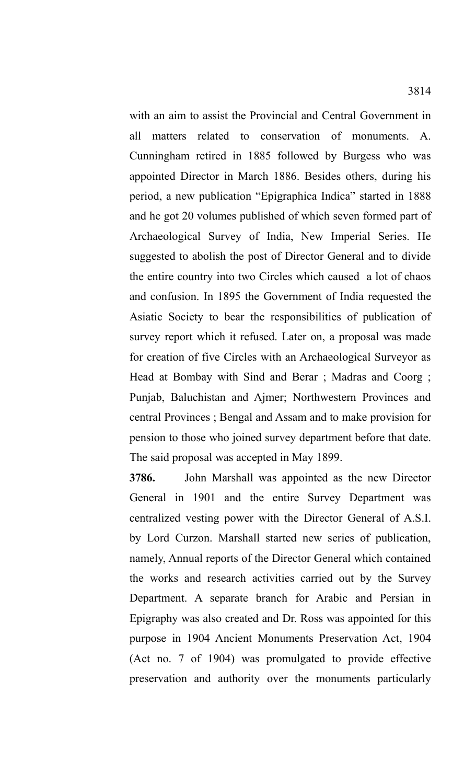with an aim to assist the Provincial and Central Government in all matters related to conservation of monuments. A. Cunningham retired in 1885 followed by Burgess who was appointed Director in March 1886. Besides others, during his period, a new publication "Epigraphica Indica" started in 1888 and he got 20 volumes published of which seven formed part of Archaeological Survey of India, New Imperial Series. He suggested to abolish the post of Director General and to divide the entire country into two Circles which caused a lot of chaos and confusion. In 1895 the Government of India requested the Asiatic Society to bear the responsibilities of publication of survey report which it refused. Later on, a proposal was made for creation of five Circles with an Archaeological Surveyor as Head at Bombay with Sind and Berar ; Madras and Coorg ; Punjab, Baluchistan and Ajmer; Northwestern Provinces and central Provinces ; Bengal and Assam and to make provision for pension to those who joined survey department before that date. The said proposal was accepted in May 1899.

**3786.** John Marshall was appointed as the new Director General in 1901 and the entire Survey Department was centralized vesting power with the Director General of A.S.I. by Lord Curzon. Marshall started new series of publication, namely, Annual reports of the Director General which contained the works and research activities carried out by the Survey Department. A separate branch for Arabic and Persian in Epigraphy was also created and Dr. Ross was appointed for this purpose in 1904 Ancient Monuments Preservation Act, 1904 (Act no. 7 of 1904) was promulgated to provide effective preservation and authority over the monuments particularly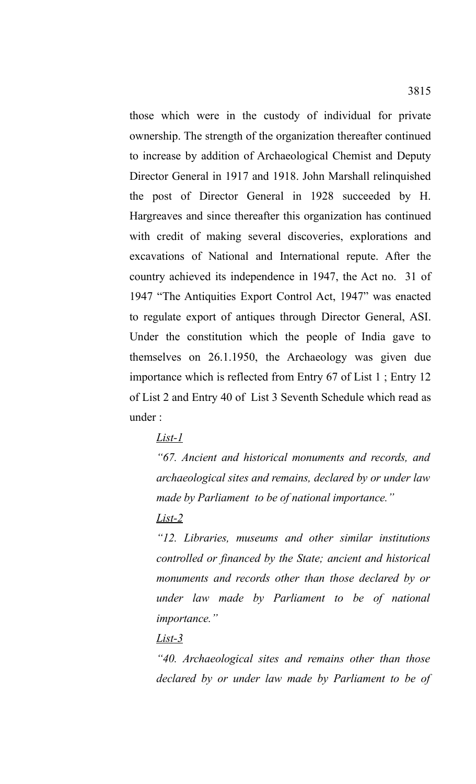those which were in the custody of individual for private ownership. The strength of the organization thereafter continued to increase by addition of Archaeological Chemist and Deputy Director General in 1917 and 1918. John Marshall relinquished the post of Director General in 1928 succeeded by H. Hargreaves and since thereafter this organization has continued with credit of making several discoveries, explorations and excavations of National and International repute. After the country achieved its independence in 1947, the Act no. 31 of 1947 "The Antiquities Export Control Act, 1947" was enacted to regulate export of antiques through Director General, ASI. Under the constitution which the people of India gave to themselves on 26.1.1950, the Archaeology was given due importance which is reflected from Entry 67 of List 1 ; Entry 12 of List 2 and Entry 40 of List 3 Seventh Schedule which read as under :

# *List-1*

*"67. Ancient and historical monuments and records, and archaeological sites and remains, declared by or under law made by Parliament to be of national importance."* 

## *List-2*

*"12. Libraries, museums and other similar institutions controlled or financed by the State; ancient and historical monuments and records other than those declared by or under law made by Parliament to be of national importance."*

## *List-3*

*"40. Archaeological sites and remains other than those declared by or under law made by Parliament to be of*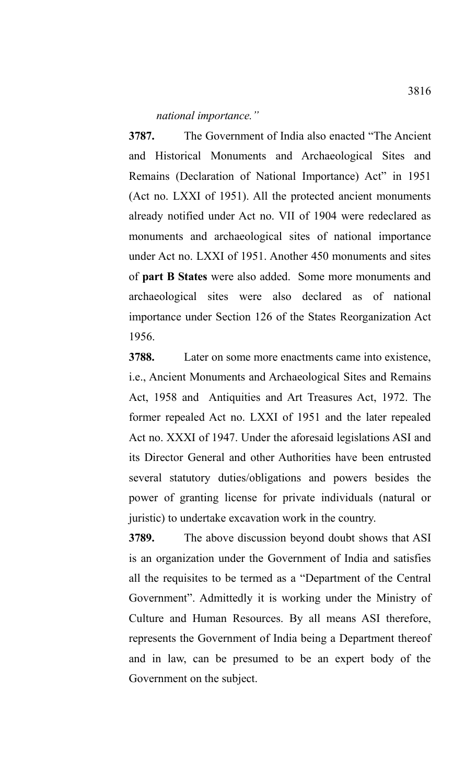### *national importance."*

**3787.** The Government of India also enacted "The Ancient and Historical Monuments and Archaeological Sites and Remains (Declaration of National Importance) Act" in 1951 (Act no. LXXI of 1951). All the protected ancient monuments already notified under Act no. VII of 1904 were redeclared as monuments and archaeological sites of national importance under Act no. LXXI of 1951. Another 450 monuments and sites of **part B States** were also added. Some more monuments and archaeological sites were also declared as of national importance under Section 126 of the States Reorganization Act 1956.

**3788.** Later on some more enactments came into existence, i.e., Ancient Monuments and Archaeological Sites and Remains Act, 1958 and Antiquities and Art Treasures Act, 1972. The former repealed Act no. LXXI of 1951 and the later repealed Act no. XXXI of 1947. Under the aforesaid legislations ASI and its Director General and other Authorities have been entrusted several statutory duties/obligations and powers besides the power of granting license for private individuals (natural or juristic) to undertake excavation work in the country.

**3789.** The above discussion beyond doubt shows that ASI is an organization under the Government of India and satisfies all the requisites to be termed as a "Department of the Central Government". Admittedly it is working under the Ministry of Culture and Human Resources. By all means ASI therefore, represents the Government of India being a Department thereof and in law, can be presumed to be an expert body of the Government on the subject.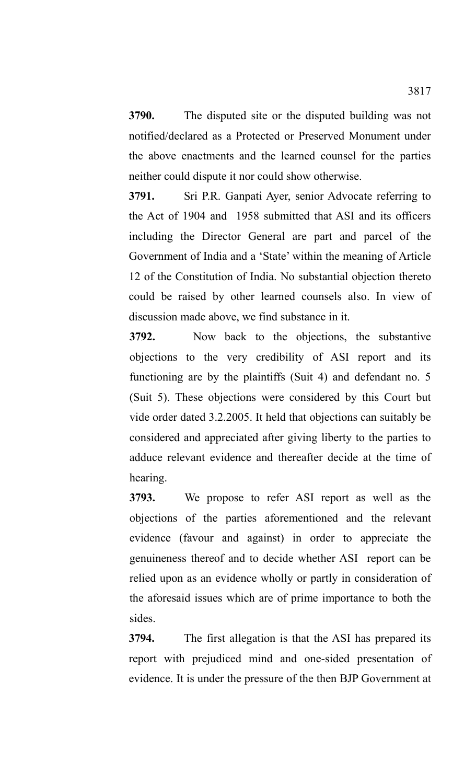**3790.** The disputed site or the disputed building was not notified/declared as a Protected or Preserved Monument under the above enactments and the learned counsel for the parties neither could dispute it nor could show otherwise.

**3791.** Sri P.R. Ganpati Ayer, senior Advocate referring to the Act of 1904 and 1958 submitted that ASI and its officers including the Director General are part and parcel of the Government of India and a 'State' within the meaning of Article 12 of the Constitution of India. No substantial objection thereto could be raised by other learned counsels also. In view of discussion made above, we find substance in it.

**3792.** Now back to the objections, the substantive objections to the very credibility of ASI report and its functioning are by the plaintiffs (Suit 4) and defendant no. 5 (Suit 5). These objections were considered by this Court but vide order dated 3.2.2005. It held that objections can suitably be considered and appreciated after giving liberty to the parties to adduce relevant evidence and thereafter decide at the time of hearing.

**3793.** We propose to refer ASI report as well as the objections of the parties aforementioned and the relevant evidence (favour and against) in order to appreciate the genuineness thereof and to decide whether ASI report can be relied upon as an evidence wholly or partly in consideration of the aforesaid issues which are of prime importance to both the sides.

**3794.** The first allegation is that the ASI has prepared its report with prejudiced mind and one-sided presentation of evidence. It is under the pressure of the then BJP Government at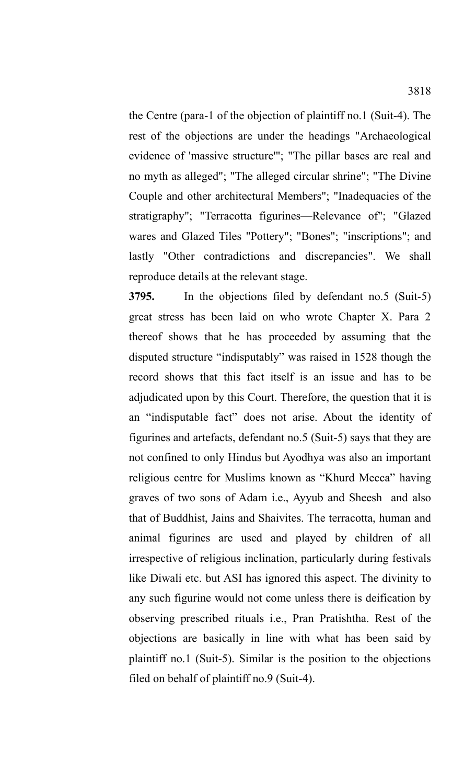the Centre (para-1 of the objection of plaintiff no.1 (Suit-4). The rest of the objections are under the headings "Archaeological evidence of 'massive structure'"; "The pillar bases are real and no myth as alleged"; "The alleged circular shrine"; "The Divine Couple and other architectural Members"; "Inadequacies of the stratigraphy"; "Terracotta figurines—Relevance of"; "Glazed wares and Glazed Tiles "Pottery"; "Bones"; "inscriptions"; and lastly "Other contradictions and discrepancies". We shall reproduce details at the relevant stage.

**3795.** In the objections filed by defendant no.5 (Suit-5) great stress has been laid on who wrote Chapter X. Para 2 thereof shows that he has proceeded by assuming that the disputed structure "indisputably" was raised in 1528 though the record shows that this fact itself is an issue and has to be adjudicated upon by this Court. Therefore, the question that it is an "indisputable fact" does not arise. About the identity of figurines and artefacts, defendant no.5 (Suit-5) says that they are not confined to only Hindus but Ayodhya was also an important religious centre for Muslims known as "Khurd Mecca" having graves of two sons of Adam i.e., Ayyub and Sheesh and also that of Buddhist, Jains and Shaivites. The terracotta, human and animal figurines are used and played by children of all irrespective of religious inclination, particularly during festivals like Diwali etc. but ASI has ignored this aspect. The divinity to any such figurine would not come unless there is deification by observing prescribed rituals i.e., Pran Pratishtha. Rest of the objections are basically in line with what has been said by plaintiff no.1 (Suit-5). Similar is the position to the objections filed on behalf of plaintiff no.9 (Suit-4).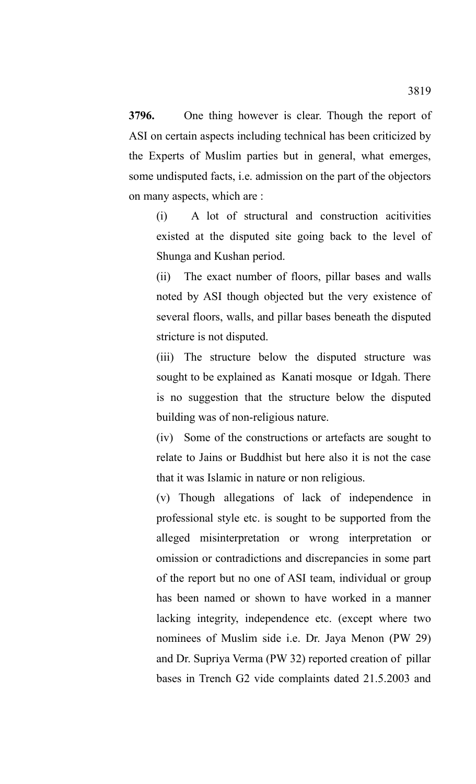**3796.** One thing however is clear. Though the report of ASI on certain aspects including technical has been criticized by the Experts of Muslim parties but in general, what emerges, some undisputed facts, i.e. admission on the part of the objectors on many aspects, which are :

(i) A lot of structural and construction acitivities existed at the disputed site going back to the level of Shunga and Kushan period.

(ii) The exact number of floors, pillar bases and walls noted by ASI though objected but the very existence of several floors, walls, and pillar bases beneath the disputed stricture is not disputed.

(iii) The structure below the disputed structure was sought to be explained as Kanati mosque or Idgah. There is no suggestion that the structure below the disputed building was of non-religious nature.

(iv) Some of the constructions or artefacts are sought to relate to Jains or Buddhist but here also it is not the case that it was Islamic in nature or non religious.

(v) Though allegations of lack of independence in professional style etc. is sought to be supported from the alleged misinterpretation or wrong interpretation or omission or contradictions and discrepancies in some part of the report but no one of ASI team, individual or group has been named or shown to have worked in a manner lacking integrity, independence etc. (except where two nominees of Muslim side i.e. Dr. Jaya Menon (PW 29) and Dr. Supriya Verma (PW 32) reported creation of pillar bases in Trench G2 vide complaints dated 21.5.2003 and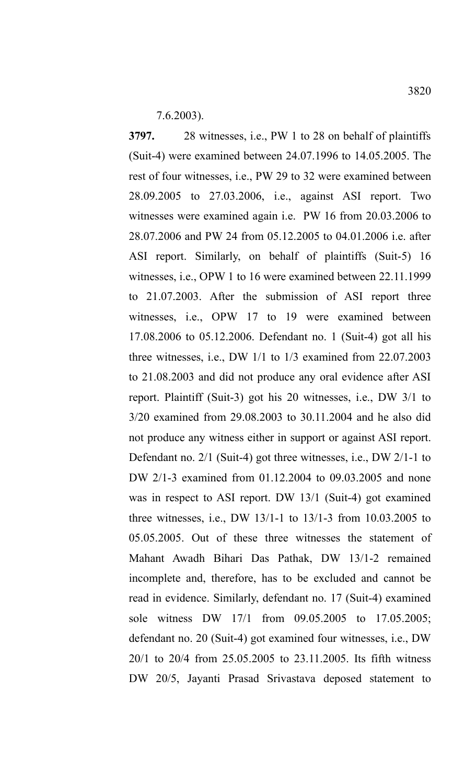7.6.2003).

**3797.** 28 witnesses, i.e., PW 1 to 28 on behalf of plaintiffs (Suit-4) were examined between 24.07.1996 to 14.05.2005. The rest of four witnesses, i.e., PW 29 to 32 were examined between 28.09.2005 to 27.03.2006, i.e., against ASI report. Two witnesses were examined again i.e. PW 16 from 20.03.2006 to 28.07.2006 and PW 24 from 05.12.2005 to 04.01.2006 i.e. after ASI report. Similarly, on behalf of plaintiffs (Suit-5) 16 witnesses, i.e., OPW 1 to 16 were examined between 22.11.1999 to 21.07.2003. After the submission of ASI report three witnesses, i.e., OPW 17 to 19 were examined between 17.08.2006 to 05.12.2006. Defendant no. 1 (Suit-4) got all his three witnesses, i.e., DW 1/1 to 1/3 examined from 22.07.2003 to 21.08.2003 and did not produce any oral evidence after ASI report. Plaintiff (Suit-3) got his 20 witnesses, i.e., DW 3/1 to 3/20 examined from 29.08.2003 to 30.11.2004 and he also did not produce any witness either in support or against ASI report. Defendant no. 2/1 (Suit-4) got three witnesses, i.e., DW 2/1-1 to DW 2/1-3 examined from 01.12.2004 to 09.03.2005 and none was in respect to ASI report. DW 13/1 (Suit-4) got examined three witnesses, i.e., DW 13/1-1 to 13/1-3 from 10.03.2005 to 05.05.2005. Out of these three witnesses the statement of Mahant Awadh Bihari Das Pathak, DW 13/1-2 remained incomplete and, therefore, has to be excluded and cannot be read in evidence. Similarly, defendant no. 17 (Suit-4) examined sole witness DW 17/1 from 09.05.2005 to 17.05.2005; defendant no. 20 (Suit-4) got examined four witnesses, i.e., DW 20/1 to 20/4 from 25.05.2005 to 23.11.2005. Its fifth witness DW 20/5, Jayanti Prasad Srivastava deposed statement to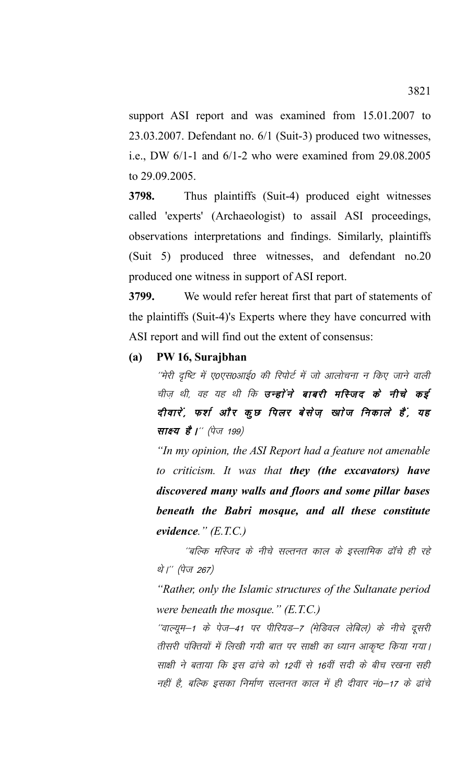support ASI report and was examined from 15.01.2007 to 23.03.2007. Defendant no. 6/1 (Suit-3) produced two witnesses, i.e., DW 6/1-1 and 6/1-2 who were examined from 29.08.2005 to 29.09.2005.

**3798.** Thus plaintiffs (Suit-4) produced eight witnesses called 'experts' (Archaeologist) to assail ASI proceedings, observations interpretations and findings. Similarly, plaintiffs (Suit 5) produced three witnesses, and defendant no.20 produced one witness in support of ASI report.

**3799.** We would refer hereat first that part of statements of the plaintiffs (Suit-4)'s Experts where they have concurred with ASI report and will find out the extent of consensus:

### **(a) PW 16, Surajbhan**

''मेरी दृष्टि में ए०एस०आई० की रिपोर्ट में जो आलोचना न किए जाने वाली चीज़ थी, वह यह थी कि **उन्होंने बाबरी मस्जिद के नीचे कई** दीवारें, फर्श और कूछ पिलर बेसेज़ खाेज निकाले हैं, यह **साक्ष्य है।**'' (पेज 199)

*"In my opinion, the ASI Report had a feature not amenable to criticism. It was that they (the excavators) have discovered many walls and floors and some pillar bases beneath the Babri mosque, and all these constitute evidence." (E.T.C.)*

''बल्कि मस्जिद के नीचे सल्तनत काल के इस्लामिक ढॉचे ही रहे थे।'' (पेज 267)

*"Rather, only the Islamic structures of the Sultanate period were beneath the mosque." (E.T.C.)*

''वाल्यूम–1 के पेज–41 पर पीरियड–7 (मेडिवल लेबिल) के नीचे दूसरी तीसरी पंक्तियों में लिखी गयी बात पर साक्षी का ध्यान आकृष्ट किया गया। साक्षी ने बताया कि इस ढांचे को 12वीं से 16वीं सदी के बीच रखना सही नहीं है, बल्कि इसका निर्माण सल्तनत काल में ही दीवार नं0–17 के ढांचे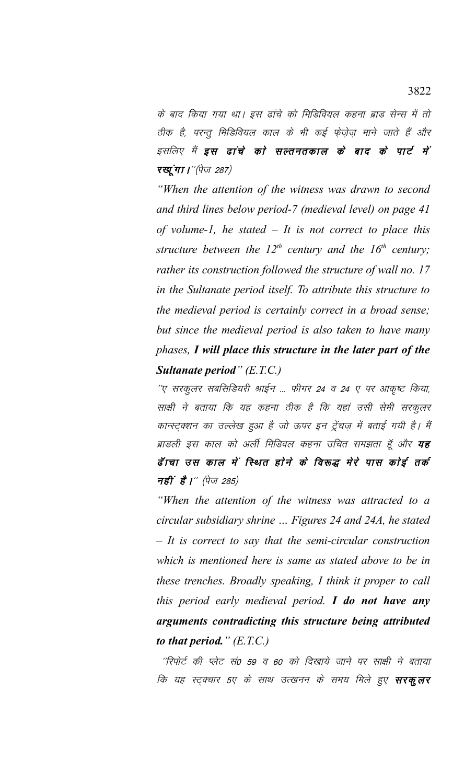के बाद किया गया था। इस ढांचे को मिडिवियल कहना ब्राड सेन्स में तो ठीक है, परन्तु मिडिवियल काल के भी कई फ़ेज़ेज़ माने जाते हैं और इसलिए मैं **इस ढांचे को सल्तनतकाल के बाद के पार्ट में रखूंगा।**''(पेज 287)

*"When the attention of the witness was drawn to second and third lines below period-7 (medieval level) on page 41 of volume-1, he stated – It is not correct to place this structure between the 12th century and the 16th century; rather its construction followed the structure of wall no. 17 in the Sultanate period itself. To attribute this structure to the medieval period is certainly correct in a broad sense; but since the medieval period is also taken to have many phases, I will place this structure in the later part of the Sultanate period" (E.T.C.)*

"ए सरकुलर सबसिडियरी श्राईन ... फीगर 24 व 24 ए पर आकृष्ट किया, साक्षी ने बताया कि यह कहना ठीक है कि यहां उसी सेमी सरकुलर कान्स्ट्क्शन का उल्लेख हुआ है जो ऊपर इन ट्रेंचज़ में बताई गयी है। मैं ब्राडली इस काल को अर्ली मिडिवल कहना उचित समझता हूँ और **यह** ढँ।चा उस काल में स्थित होने के विरूद्ध मेरे पास कोई तर्क **नहीं है।**'' (पेज 285)

*"When the attention of the witness was attracted to a circular subsidiary shrine … Figures 24 and 24A, he stated – It is correct to say that the semi-circular construction which is mentioned here is same as stated above to be in these trenches. Broadly speaking, I think it proper to call this period early medieval period. I do not have any arguments contradicting this structure being attributed to that period." (E.T.C.)*

''रिपोर्ट की प्लेट सं0 59 व 60 को दिखाये जाने पर साक्षी ने बताया कि यह स्ट्क्वार 5ए के साथ उत्खनन के समय मिले हुए **सरकूलर**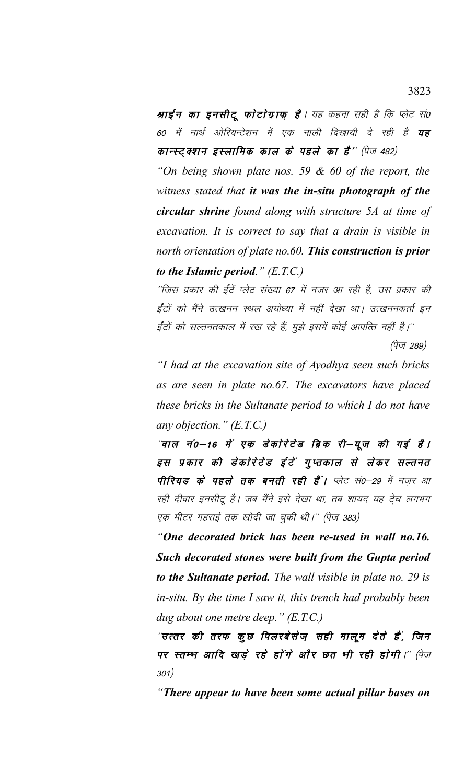श्राईन का इनसीटू फोटोग्राफ है। यह कहना सही है कि प्लेट सं0 60 में नार्थ ओरियन्टेशन में एक नाली दिखायी दे रही है **यह** कान्स्ट् क्शन इस्लामिक काल के पहले का है'' (पेज 482)

"On being shown plate nos. 59  $&$  60 of the report, the witness stated that it was the in-situ photograph of the circular shrine found along with structure 5A at time of excavation. It is correct to say that a drain is visible in north orientation of plate no.60. This construction is prior to the Islamic period."  $(E.T.C.)$ 

''जिस प्रकार की ईंटें प्लेट संख्या 67 में नजर आ रही है, उस प्रकार की ईंटों को मैंने उत्खनन स्थल अयोध्या में नहीं देखा था। उत्खननकर्ता इन ईंटों को सल्तनतकाल में रख रहे हैं, मुझे इसमें कोई आपत्ति नहीं है।''

(पेज 289)

"I had at the excavation site of Ayodhya seen such bricks as are seen in plate no.67. The excavators have placed these bricks in the Sultanate period to which I do not have any objection."  $(E.T.C.)$ 

"वाल नं0−16 में एक डेकोरेटेड ब्रिक री−यूज की गई है। इस प्रकार की डेकोरेटेड ईटें गुप्तकाल से लेकर सल्तनत पीरियड के पहले तक बनती रही हैं। प्लेट सं0-29 में नजर आ रही दीवार इनसीटू है। जब मैंने इसे देखा था, तब शायद यह ट्रेच लगभग एक मीटर गहराई तक खोदी जा चुकी थी।'' (पेज 383)

"One decorated brick has been re-used in wall no.16. Such decorated stones were built from the Gupta period **to the Sultanate period.** The wall visible in plate no. 29 is  $in$ -situ. By the time I saw it, this trench had probably been dug about one metre deep."  $(E.T.C.)$ 

'उत्तर की तरफ कुछ पिलरबेसेज़ सही मालूम देते हैं, जिन पर स्तम्भ आदि खड़े रहे होंगे और छत भी रही होगी।" (पेज  $301)$ 

"There appear to have been some actual pillar bases on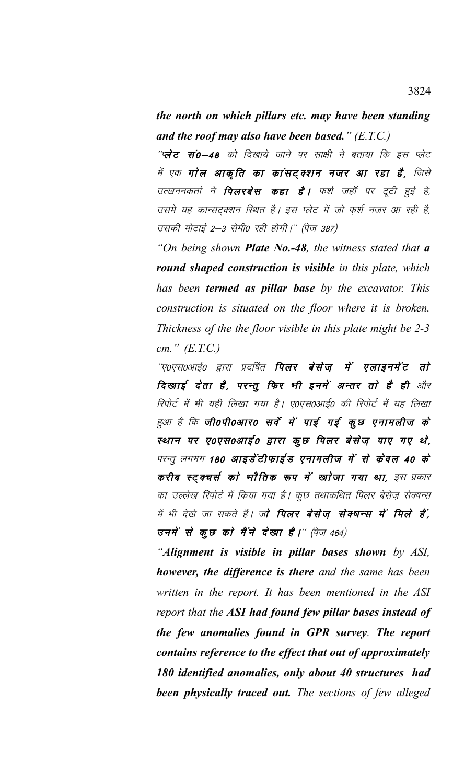the north on which pillars etc. may have been standing and the roof may also have been based."  $(E.T.C.)$ 

''प्लेट सं0–48 को दिखाये जाने पर साक्षी ने बताया कि इस प्लेट में एक **गोल आकृति का कांसट्***व***शन नजर आ रहा है**, जिसे उत्खननकर्ता ने **पिलरबेस कहा है।** फर्श जहाँ पर टूटी हुई हे, उसमे यह कान्सट्क्शन स्थित है। इस प्लेट में जो फ़र्श नजर आ रही है, उसकी मोटाई 2–3 सेमी0 रही होगी।" (पेज 387)

"On being shown **Plate No.-48**, the witness stated that **a** round shaped construction is visible in this plate, which has been **termed as pillar base** by the excavator. This construction is situated on the floor where it is broken. Thickness of the the floor visible in this plate might be 2-3 cm."  $(E.T.C.)$ 

"ए०एस०आई० द्वारा प्रदर्षित **पिलर बेसेज़ में एलाइनमेंट तो** दिखाई देता है, परन्तु फिर भी इनमें अन्तर तो है ही और रिपोर्ट में भी यही लिखा गया है। ए०एस०आई० की रिपोर्ट में यह लिखा हुआ है कि जी0पी0आर0 सर्वे में पाई गई कुछ एनामलीज के स्थान पर ए०एस०आई० द्वारा कूछ पिलर बेसेज़ पाए गए थे, परन्तु लगभग 180 आइडेंटीफाईड एनामलीज में से केवल 40 के करीब स्ट्*क्चर्स को भौतिक रूप में खोजा गया था, इस प्रकार* का उल्लेख रिपोर्ट में किया गया है। कुछ तथाकथित पिलर बेसेज़ सेक्षन्स में भी देखे जा सकते हैं। जो पिलर बेसेज़ सेक्षन्स में मिले हैं, उनमें से कुछ को मैंने देखा है।" (पेज 464)

"Alignment is visible in pillar bases shown by ASI, **however, the difference is there** and the same has been written in the report. It has been mentioned in the ASI report that the ASI had found few pillar bases instead of the few anomalies found in GPR survey. The report contains reference to the effect that out of approximately 180 identified anomalies, only about 40 structures had **been physically traced out.** The sections of few alleged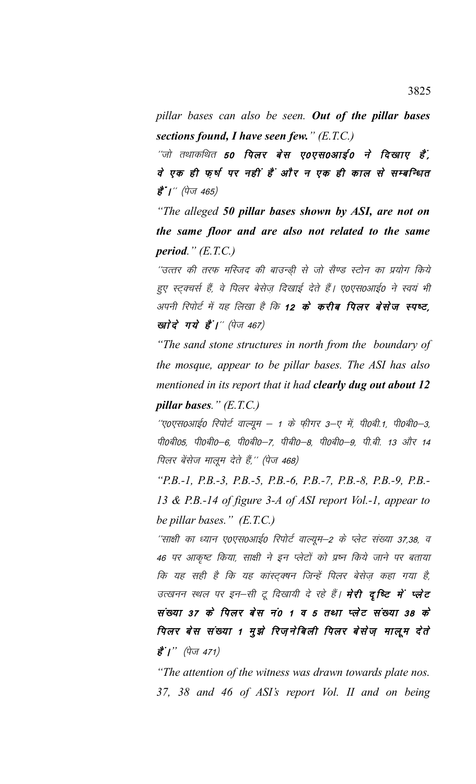pillar bases can also be seen. Out of the pillar bases sections found, I have seen few."  $(E.T.C.)$ 

"जो तथाकथित 50 पिलर बेस ए0एस0आई0 ने दिखाए हैं, वे एक ही फूर्ष पर नहीं हैं और न एक ही काल से सम्बन्धित **हैं** |'' (पेज 465)

"The alleged 50 pillar bases shown by ASI, are not on the same floor and are also not related to the same period."  $(E.T.C.)$ 

''उत्तर की तरफ मस्जिद की बाउन्डी से जो सैण्ड स्टोन का प्रयोग किये हुए स्टुक्चर्स हैं, वे पिलर बेसेज़ दिखाई देते हैं। ए०एस०आई० ने स्वयं भी अपनी रिपोर्ट में यह लिखा है कि 12 के करीब पिलर बेसेज स्पष्ट, खादे गये हैं।" (पेज 467)

"The sand stone structures in north from the boundary of the mosque, appear to be pillar bases. The ASI has also mentioned in its report that it had clearly dug out about 12 pillar bases."  $(E.T.C.)$ 

''ए०एस०आई० रिपोर्ट वाल्यूम – 1 के फ़ीगर 3–ए में, पी०बी.1, पी०बी०–3, पी0बी05, पी0बी0–6, पी0बी0–7, पीबी0–8, पी0बी0–9, पी.बी. 13 और 14 पिलर बेंसेज मालूम देते हैं,'' (पेज 468)

"P.B.-1, P.B.-3, P.B.-5, P.B.-6, P.B.-7, P.B.-8, P.B.-9, P.B.-13 & P.B.-14 of figure 3-A of ASI report Vol.-1, appear to be pillar bases."  $(E.T.C.)$ 

''साक्षी का ध्यान ए०एस०आई० रिपोर्ट वाल्यूम–2 के प्लेट संख्या 37,38, व 46 पर आकृष्ट किया, साक्षी ने इन प्लेटों को प्रष्न किये जाने पर बताया कि यह सही है कि यह कांस्ट्क्षन जिन्हें पिलर बेसेज़ कहा गया है, उत्खनन स्थल पर इन-सी टू दिखायी दे रहे हैं। **मेरी दृष्टि में प्लेट** संख्या 37 के पिलर बेस नं0 1 व 5 तथा प्लेट संख्या 38 के पिलर बेस संख्या 1 मुझे रिज़नेबिली पिलर बेसेज़ मालूम देते **हैं** | " (पेज 471)

"The attention of the witness was drawn towards plate nos. 37, 38 and 46 of ASI's report Vol. II and on being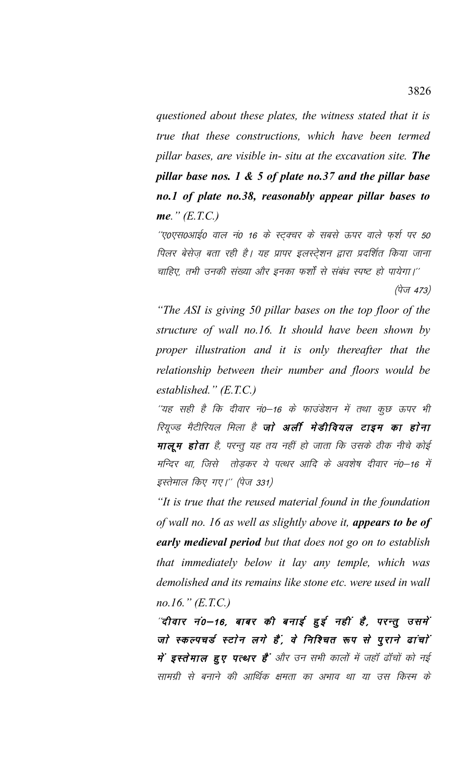*questioned about these plates, the witness stated that it is true that these constructions, which have been termed pillar bases, are visible in- situ at the excavation site. The pillar base nos. 1 & 5 of plate no.37 and the pillar base no.1 of plate no.38, reasonably appear pillar bases to me." (E.T.C.)*

 $^\prime$ ए0एस0आई0 वाल नं0 16 के स्ट्क्चर के सबसे ऊपर वाले फ़र्श पर 50 पिलर बेसेज बता रही है। यह प्रापर इलस्ट्रेशन द्वारा प्रदर्शित किया जाना चाहिए, तभी उनकी संख्या और इनका फर्शों से संबंध स्पष्ट हो पायेगा।''

 $(\dot{q}_{\nabla}$  473)

*"The ASI is giving 50 pillar bases on the top floor of the structure of wall no.16. It should have been shown by proper illustration and it is only thereafter that the relationship between their number and floors would be established." (E.T.C.)*

 $^{\prime\prime}$ यह सही है कि दीवार नं0–16 के फाउंडेशन में तथा कूछ ऊपर भी रियूज्ड मैटीरियल मिला है **जो अर्ली मेडीवियल टाइम का होना मालूम होता** है, परन्तु यह तय नहीं हो जाता कि उसके ठीक नीचे कोई मन्दिर था, जिसे तोड़कर ये पत्थर आदि के अवशेष दीवार नं0–16 में इस्तेमाल किए गए।'' (पेज 331)

*"It is true that the reused material found in the foundation of wall no. 16 as well as slightly above it, appears to be of early medieval period but that does not go on to establish that immediately below it lay any temple, which was demolished and its remains like stone etc. were used in wall no.16." (E.T.C.)*

 $\widetilde{\phantom{a}}$ दीवार न $\widetilde{\phantom{a}}$ 0—16, बाबर की बनाई हुई नहीं है, परन्तु उसमें जो स्कल्पचर्ड स्टोन लगे हैं, वे निश्चित रूप से पुराने ढांचों में इस्तेमाल हुए पत्थर हैं और उन सभी कालों में जहाँ ढाँचों को नई सामग्री से बनाने की आर्थिक क्षमता का अभाव था या उस किस्म के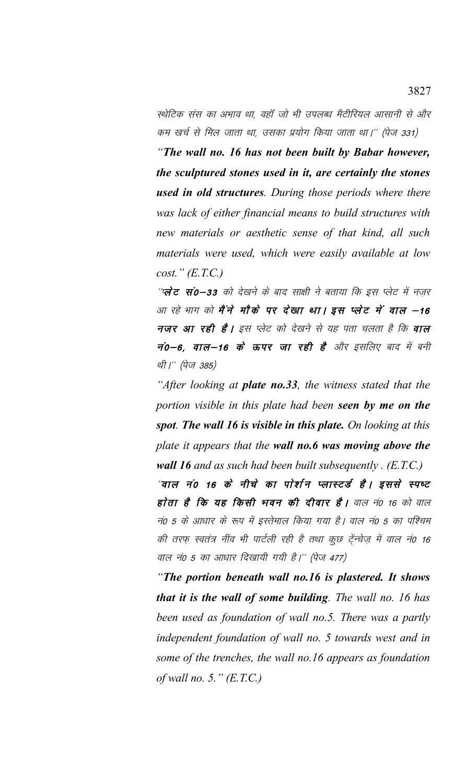स्थेटिक संस का अभाव था. वहाँ जो भी उपलब्ध मैटीरियल आसानी से और कम खर्च से मिल जाता था, उसका प्रयोग किया जाता था।'' (पेज 331)

"The wall no. 16 has not been built by Babar however, the sculptured stones used in it, are certainly the stones **used in old structures**. During those periods where there was lack of either financial means to build structures with new materials or aesthetic sense of that kind, all such materials were used, which were easily available at low  $cost.'$   $(E.T.C.)$ 

''प्लेट सं0—33 को देखने के बाद साक्षी ने बताया कि इस प्लेट में नजर आ रहे भाग को **मैं ने मौके पर देखा था। इस प्लेट में वाल -16** नजर आ रही है। इस प्लेट को देखने से यह पता चलता है कि वाल नं0-6, वाल-16 के ऊपर जा रही है और इसलिए बाद में बनी थी।'' (पेज 385)

"After looking at **plate no.33**, the witness stated that the portion visible in this plate had been seen by me on the spot. The wall 16 is visible in this plate. On looking at this plate it appears that the wall no.6 was moving above the **wall 16** and as such had been built subsequently  $(E.T.C.)$ 

'वाल नं0 16 के नीचे का पोर्शन प्लास्टर्ड है। इससे स्पष्ट होता है कि यह किसी भवन की दीवार है। वाल नं0 16 को वाल नं0 5 के आधार के रूप में इस्तेमाल किया गया है। वाल नं0 5 का पश्चिम की तरफ स्वतंत्र नींव भी पार्टली रही है तथा कुछ टेंन्चेज़ में वाल नं0 16 वाल नं0 5 का आधार दिखायी गयी है।'' (पेज 477)

"The portion beneath wall no.16 is plastered. It shows that it is the wall of some building. The wall no. 16 has been used as foundation of wall no.5. There was a partly independent foundation of wall no. 5 towards west and in some of the trenches, the wall no.16 appears as foundation of wall no. 5."  $(E.T.C.)$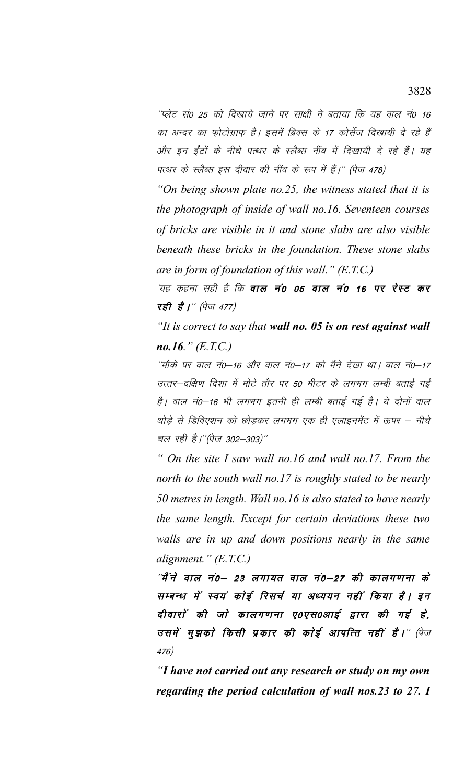$^{\prime\prime}$ प्लेट सं0 25 को दिखाये जाने पर साक्षी ने बताया कि यह वाल नं0 16 का अन्दर का फोटोग्राफ़ है। इसमें ब्रिक्स के 17 कोर्सेज दिखायी दे रहे हैं ओर इन ईंटों के नीचे पत्थर के स्लैब्स नींव में दिखायी दे रहे हैं। यह पत्थर के स्लैब्स इस दीवार की नींव के रूप में हैं।'' (पेज 478)

*"On being shown plate no.25, the witness stated that it is the photograph of inside of wall no.16. Seventeen courses of bricks are visible in it and stone slabs are also visible beneath these bricks in the foundation. These stone slabs are in form of foundation of this wall." (E.T.C.)*

'यह कहना सही है कि **वाल नं0 05 वाल नं0 16 पर रेस्ट कर रही है।**" (पेज 477)

*"It is correct to say that wall no. 05 is on rest against wall no.16." (E.T.C.)*

 $^{\prime\prime}$ मौके पर वाल नं0—16 और वाल नं0—17 को मैंने देखा था। वाल नं0—17 उत्तर-दक्षिण दिशा में मोटे तौर पर 50 मीटर के लगभग लम्बी बताई गई है। वाल नं0—16 भी लगभग इतनी ही लम्बी बताई गई है। ये दोनों वाल थोड़े से डिविएशन को छोड़कर लगभग एक ही एलाइनमेंट में ऊपर – नीचे चल रही है।"(पेज 302-303)"

*" On the site I saw wall no.16 and wall no.17. From the north to the south wall no.17 is roughly stated to be nearly 50 metres in length. Wall no.16 is also stated to have nearly the same length. Except for certain deviations these two walls are in up and down positions nearly in the same alignment." (E.T.C.)*

 $\hat{a}^{\mu}$ ने वाल नं0— 23 लगायत वाल नं0—27 की कालगणना के सम्बन्ध में स्वयं कोई रिसर्च या अध्ययन नहीं किया है। इन दीवारों की जो कालगणना ए0एस0आई द्वारा की गई हे, उसमें मुझको किसी प्रकार की कोई आपत्ति नहीं है।" (पेज 476½

*"I have not carried out any research or study on my own regarding the period calculation of wall nos.23 to 27. I*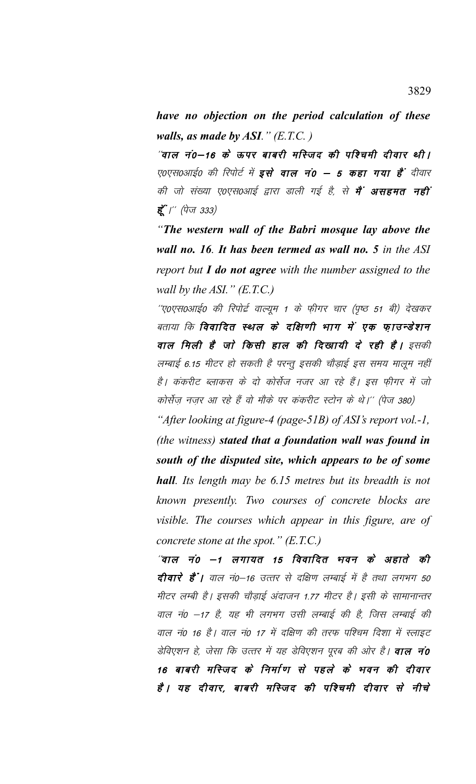have no objection on the period calculation of these walls, as made by ASI."  $(E.T.C.)$ 

''वाल नं0—16 के ऊपर बाबरी मस्जिद की पश्चिमी दीवार थी। ए0एस0आई0 की रिपोर्ट में इसे वाल नं0 – 5 कहा गया हैं दीवार की जो संख्या ए0एस0आई द्वारा डाली गई है, से **मैं असहमत नहीं** हूँ |" (पेज 333)

"The western wall of the Babri mosque lay above the wall no. 16. It has been termed as wall no. 5 in the  $ASI$ report but  $I$  do not agree with the number assigned to the wall by the ASI."  $(E.T.C.)$ 

''ए०एस०आई० की रिपोर्ट्ट वाल्यूम 1 के फ़ीगर चार (पृष्ठ 51 बी) देखकर बताया कि **विवादित स्थल के दक्षिणी भाग में एक फाउन्डेशन** वाल मिली है जो किसी हाल की दिखायी दे रही है। इसकी लम्बाई 6.15 मीटर हो सकती है परन्तू इसकी चौड़ाई इस समय मालूम नहीं है। कंकरीट ब्लाकस के दो कोर्सेज नजर आ रहे हैं। इस फीगर में जो कोर्सेज नजर आ रहे हैं वो मौके पर कंकरीट स्टोन के थे।'' (पेज 380)

"After looking at figure-4 (page-51B) of ASI's report vol.-1, (the witness) stated that a foundation wall was found in south of the disputed site, which appears to be of some hall. Its length may be 6.15 metres but its breadth is not known presently. Two courses of concrete blocks are visible. The courses which appear in this figure, are of concrete stone at the spot."  $(E.T.C.)$ 

"वाल नं0 –1 लगायत 15 विवादित भवन के अहाते की दीवारे हैं । वाल नं0-16 उत्तर से दक्षिण लम्बाई में है तथा लगभग 50 मीटर लम्बी है। इसकी चौडाई अंदाजन 1.77 मीटर है। इसी के सामानान्तर वाल नं0 –17 है, यह भी लगभग उसी लम्बाई की है, जिस लम्बाई की वाल नं0 16 है। वाल नं0 17 में दक्षिण की तरफ पश्चिम दिशा में स्लाइट डेविएशन हे, जेसा कि उत्तर में यह डेविएशन पुरब की ओर है। **वाल नं0** 16 बाबरी मस्जिद के निर्माण से पहले के भवन की दीवार हैं। यह दीवार, बाबरी मस्जिद की पश्चिमी दीवार से नीचे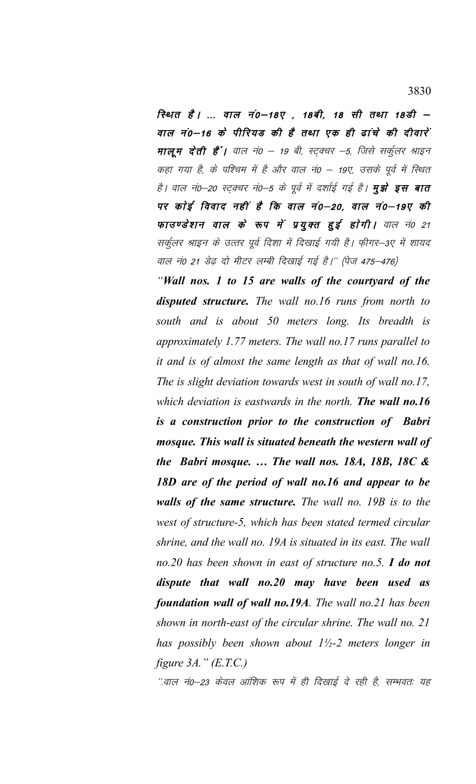रिशत है। ... वाल नं0–18ए , 18बी, 18 सी तथा 18डी – वाल नं0–16 के पीरियड की है तथा एक ही ढांचे की दीवारें मालूम देती है<sup>-</sup>। वाल नं0 – 19 बी, स्ट्क्चर –5, जिसे सर्कुलर श्राइन कहा गया है, के पश्चिम में है और वाल नं0 – 19ए, उसके पूर्व में स्थित है। वाल नं0—20 स्ट्क्चर नं0—5 के पूर्व में दर्शाई गई है। **मुझे इस बात** पर कोई विवाद नहीं है कि वाल नं0–20, वाल नं0–19ए की फाउण्डेशन वाल के रूप में प्रयुक्त हुई होगी। वाल नं0 21 सर्कुलर श्राइन के उत्तर पूर्व दिशा में दिखाई गयी है। फ़ीगर-3ए में शायद वाल नं0 21 डेढ दो मीटर लम्बी दिखाई गई है।'' (पेज 475–476)

*"Wall nos. 1 to 15 are walls of the courtyard of the disputed structure. The wall no.16 runs from north to south and is about 50 meters long. Its breadth is approximately 1.77 meters. The wall no.17 runs parallel to it and is of almost the same length as that of wall no.16. The is slight deviation towards west in south of wall no.17, which deviation is eastwards in the north. The wall no.16 is a construction prior to the construction of Babri mosque. This wall is situated beneath the western wall of the Babri mosque. … The wall nos. 18A, 18B, 18C & 18D are of the period of wall no.16 and appear to be walls of the same structure. The wall no. 19B is to the west of structure-5, which has been stated termed circular shrine, and the wall no. 19A is situated in its east. The wall no.20 has been shown in east of structure no.5. I do not dispute that wall no.20 may have been used as foundation wall of wall no.19A. The wall no.21 has been shown in north-east of the circular shrine. The wall no. 21 has possibly been shown about 1½-2 meters longer in figure 3A." (E.T.C.)*

^^.वाल नं0-23 केवल आंशिक रूप में ही दिखाई दे रही है, सम्भवतः यह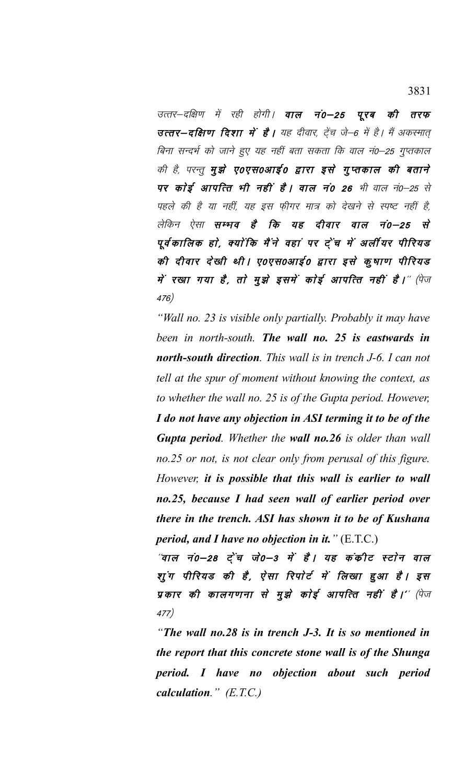उत्तर–दक्षिण में रही होगी। **वाल नं0–25 पूरब की तरफ** उत्तर-दक्षिण दिशा में है। यह दीवार, ट्रेंच जे–6 में है। मैं अकस्मात् बिना सन्दर्भ को जाने हुए यह नहीं बता सकता कि वाल नं0–25 गुप्तकाल की है, परन्तु **मुझे ए०एस०आई० द्वारा इसे गुप्तकाल की बताने** पर कोई आपत्ति भी नहीं है। वाल नं0 26 भी वाल नं0–25 से पहले की है या नहीं, यह इस फ़ीगर मात्र को देखने से स्पष्ट नहीं है, लेकिन ऐसा **सम्भव है कि यह दीवार वाल नं0—25 से** पूर्वकालिक हो, क्योंकि मैंने वहां पर ट्रेंच में अर्लीयर पीरियड की दीवार देखी थी। ए०एस०आई० द्वारा इसे कूषाण पीरियड में रखा गया है, तो मुझे इसमें कोई आपत्ति नहीं है।" (पेज 476½

*"Wall no. 23 is visible only partially. Probably it may have been in north-south. The wall no. 25 is eastwards in north-south direction. This wall is in trench J-6. I can not tell at the spur of moment without knowing the context, as to whether the wall no. 25 is of the Gupta period. However, I do not have any objection in ASI terming it to be of the Gupta period. Whether the wall no.26 is older than wall no.25 or not, is not clear only from perusal of this figure. However, it is possible that this wall is earlier to wall no.25, because I had seen wall of earlier period over there in the trench. ASI has shown it to be of Kushana period, and I have no objection in it."* (E.T.C.)

 $\widetilde{\phantom{a}}$ वाल नं0—28 ट्रेंच जे0—3 में है। यह कंकीट स्टोन वाल शूंग पीरियड की है, ऐसा रिपोर्ट में लिखा हुआ है। इस प्रकार की कालगणना से मुझे कोई आपत्ति नहीं है।'' (पेज 477½

*"The wall no.28 is in trench J-3. It is so mentioned in the report that this concrete stone wall is of the Shunga period. I have no objection about such period calculation." (E.T.C.)*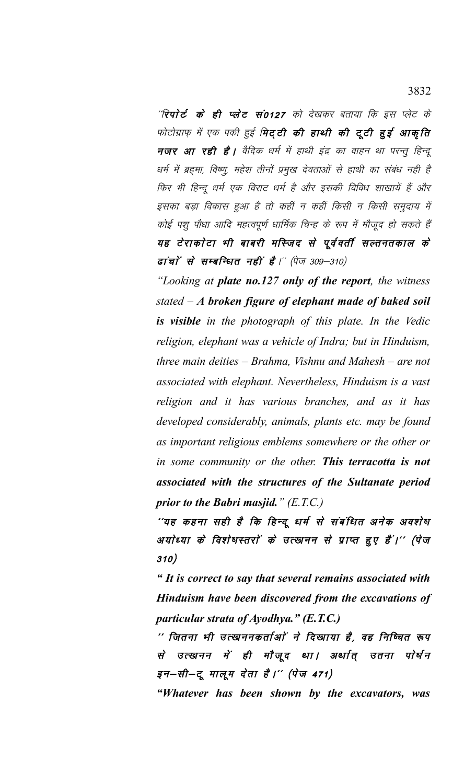''रिपोर्ट के ही प्लेट सं0127 को देखकर बताया कि इस प्लेट के फोटोग्राफ़ में एक पकी हुई मिट्टी की हाथी की टूटी हुई आकृति नजर आ रही है। वैदिक धर्म में हाथी इंद्र का वाहन था परन्तु हिन्दू धर्म में ब्रह्मा, विष्णू, महेश तीनों प्रमुख देवताओं से हाथी का संबंध नही है फिर भी हिन्दू धर्म एक विराट धर्म है और इसकी विविध शाखायें हैं और इसका बड़ा विकास हुआ है तो कहीं न कहीं किसी न किसी समुदाय में कोई पशु पौधा आदि महत्वपूर्ण धार्मिक चिन्ह के रूप में मौजूद हो सकते हैं यह टेराकोटा भी बाबरी मस्जिद से पूर्ववर्ती सल्तनतकाल के ढांचों से सम्बन्धित नहीं है।" (पेज 309–310)

"Looking at **plate no.127 only of the report**, the witness stated  $-A$  broken figure of elephant made of baked soil is visible in the photograph of this plate. In the Vedic religion, elephant was a vehicle of Indra; but in Hinduism, three main deities  $-$  Brahma, Vishnu and Mahesh  $-$  are not associated with elephant. Nevertheless, Hinduism is a vast religion and it has various branches, and as it has developed considerably, animals, plants etc. may be found as important religious emblems somewhere or the other or in some community or the other. This terracotta is not associated with the structures of the Sultanate period prior to the Babri masjid."  $(E.T.C.)$ 

''यह कहना सही है कि हिन्दू धर्म से संबंधित अनेक अवशेष अयोध्या के विशेषस्तरों के उत्खनन से प्राप्त हुए हैं।'' (पेज  $310)$ 

" It is correct to say that several remains associated with Hinduism have been discovered from the excavations of particular strata of Ayodhya."  $(E.T.C.)$ 

'' जितना भी उत्खननकर्ताओं ने दिखाया है, वह निष्चित रूप से उत्खनन में ही मौजूद था। अर्थात् उतना पोर्षन इन-सी-टू मालूम देता है।'' (पेज 471)

"Whatever has been shown by the excavators, was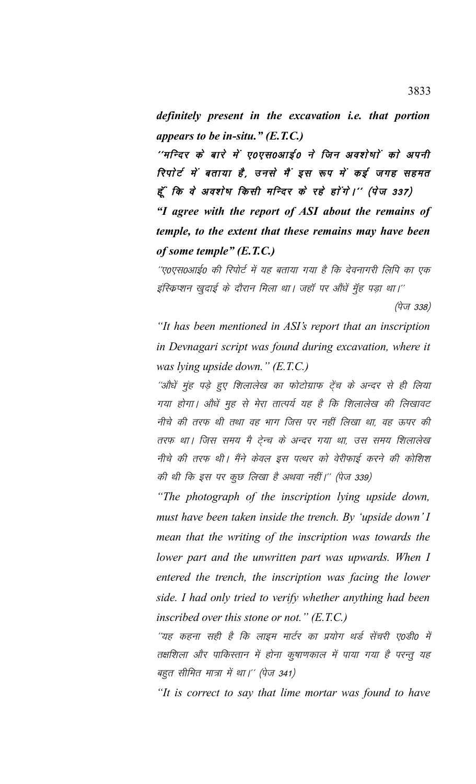*definitely present in the excavation i.e. that portion appears to be in-situ." (E.T.C.)*

 $^{\prime\prime}$ मन्दिर के बारे में ए०एस०आई० ने जिन अवशेषाें काे अपनी रिपोर्ट में बताया है, उनसे मैं इस रूप में कई जगह सहमत हूँ कि वे अवशेष किसी मन्दिर के रहे होंगे।'' (पेज 337) *"I agree with the report of ASI about the remains of temple, to the extent that these remains may have been of some temple" (E.T.C.)*

''ए०एस०आई० की रिपोर्ट में यह बताया गया है कि देवनागरी लिपि का एक इंस्क्रिप्शन खुदाई के दौरान मिला था। जहाँ पर औंधें मुँह पड़ा था।''

(पेज  $338)$ 

*"It has been mentioned in ASI's report that an inscription in Devnagari script was found during excavation, where it was lying upside down." (E.T.C.)*

^'औधें मुंह पड़े हुए शिलालेख का फोटोग्राफ ट्रेंच के अन्दर से ही लिया गया होगा। औधें मुह से मेरा तात्पर्य यह है कि शिलालेख की लिखावट नीचे की तरफ थी तथा वह भाग जिस पर नहीं लिखा था, वह ऊपर की तरफ था। जिस समय मै टेन्च के अन्दर गया था, उस समय शिलालेख नीचे की तरफ थी। मैंने केवल इस पत्थर को वेरीफाई करने की कोशिश की थी कि इस पर कुछ लिखा है अथवा नहीं।'' (पेज 339)

*"The photograph of the inscription lying upside down, must have been taken inside the trench. By 'upside down' I mean that the writing of the inscription was towards the lower part and the unwritten part was upwards. When I entered the trench, the inscription was facing the lower side. I had only tried to verify whether anything had been inscribed over this stone or not." (E.T.C.)*

´´यह कहना सही है कि लाइम मार्टर का प्रयोग थर्ड सेंचरी एoडीo में तक्षशिला और पाकिस्तान में होना कुषाणकाल में पाया गया है परन्तु यह बहुत सीमित मात्रा में था।'' (पेज 341)

*"It is correct to say that lime mortar was found to have*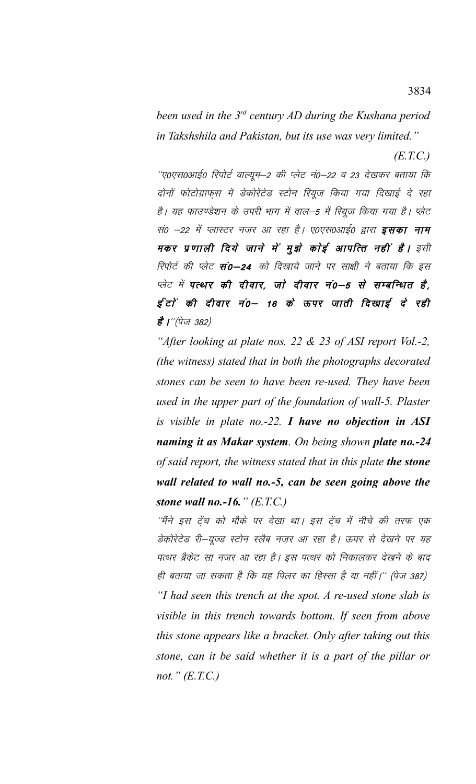*been used in the 3rd century AD during the Kushana period in Takshshila and Pakistan, but its use was very limited."* 

*(E.T.C.)*

''ए०एस०आई० रिपोर्ट वाल्यूम–2 की प्लेट नं०–22 व 23 देखकर बताया कि दोनों फोटोग्राफुस में डेकोरेटेड स्टोन रियूज किया गया दिखाई दे रहा है। यह फाउण्डेशन के उपरी भाग में वाल—5 में रियूज किया गया है। प्लेट सं0 –22 में प्लास्टर नजर आ रहा है। ए०एस०आई० द्वारा **इसका नाम** मकर प्रणाली दिये जाने में मूझे कोई आपत्ति नहीं है। इसी रिपोर्ट की प्लेट **सं0–24** को दिखाये जाने पर साक्षी ने बताया कि इस प्लेट में पत्थर की दीवार, जो दीवार नं0–5 से सम्बन्धित है, ईंटों की दीवार नं0– 16 के ऊपर जाती दिखाई दे रही **है ।**''(पेज 382)

*"After looking at plate nos. 22 & 23 of ASI report Vol.-2, (the witness) stated that in both the photographs decorated stones can be seen to have been re-used. They have been used in the upper part of the foundation of wall-5. Plaster is visible in plate no.-22. I have no objection in ASI naming it as Makar system. On being shown plate no.-24 of said report, the witness stated that in this plate the stone wall related to wall no.-5, can be seen going above the stone wall no.-16." (E.T.C.)*

´'मैंने इस ट्रेंच को मौके पर देखा था। इस ट्रेंच में नीचे की तरफ एक डेकोरेटेड री–यूज्ड स्टोन स्लैब नज़र आ रहा है। ऊपर से देखने पर यह पत्थर ब्रैकेट सा नजर आ रहा है। इस पत्थर को निकालकर देखने के बाद ही बताया जा सकता है कि यह पिलर का हिस्सा है या नहीं।'' (पेज 387) *"I had seen this trench at the spot. A re-used stone slab is visible in this trench towards bottom. If seen from above this stone appears like a bracket. Only after taking out this stone, can it be said whether it is a part of the pillar or not." (E.T.C.)*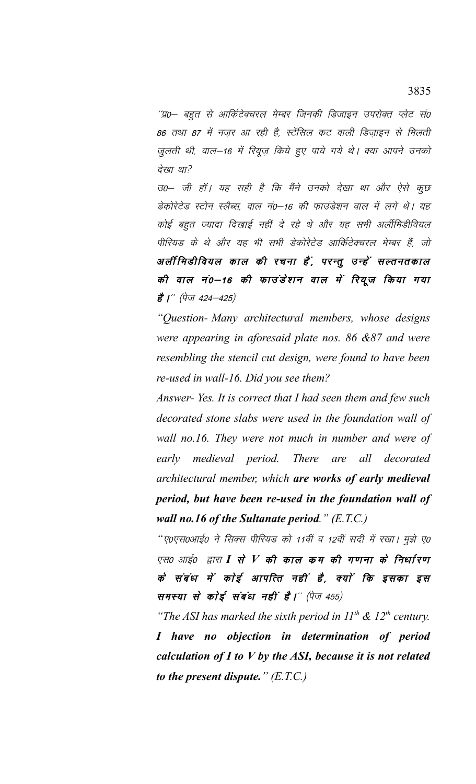''प्र0— बहुत से आर्किटेक्चरल मेम्बर जिनकी डिजाइन उपरोक्त प्लेट सं0 86 तथा 87 में नज़र आ रही है, स्टेंसिल कट वाली डिज़ाइन से मिलती जुलती थी, वाल–16 में रियूज़ किये हुए पाये गये थे। क्या आपने उनको देखा था?

उ0– जी हॉ। यह सही है कि मैंने उनको देखा था और ऐसे कुछ डेकोरेटेड स्टोन स्लैब्स, वाल नं0-16 की फाउंडेशन वाल में लगे थे। यह कोई बहुत ज्यादा दिखाई नहीं दे रहे थे और यह सभी अर्लीमिडीवियल पीरियड के थे और यह भी सभी डेकोरेटेड आर्किटेक्चरल मेम्बर हैं, जो अर्लीमिडीवियल काल की रचना हैं, परन्तू उन्हें सल्तनतकाल की वाल नं0–16 की फाउंडेशन वाल में रियूज किया गया है |'' (पेज 424–425)

"Question- Many architectural members, whose designs were appearing in aforesaid plate nos. 86  $&87$  and were resembling the stencil cut design, were found to have been re-used in wall-16. Did you see them?

Answer-Yes. It is correct that I had seen them and few such decorated stone slabs were used in the foundation wall of wall no.16. They were not much in number and were of early medieval period. There are all decorated architectural member, which are works of early medieval period, but have been re-used in the foundation wall of wall no.16 of the Sultanate period."  $(E.T.C.)$ 

''ए०एस०आई० ने सिक्स पीरियड को 11वीं व 12वीं सदी में रखा। मुझे ए० एस0 आई0 द्वारा I से V की काल कम की गणना के निर्धारण के संबंध में कोई आपत्ति नहीं है, क्यों कि इसका इस समस्या से कोई संबंध नहीं है।" (पेज 455)

"The ASI has marked the sixth period in  $11^{th}$  &  $12^{th}$  century. I have no objection in determination of period calculation of  $I$  to  $V$  by the ASI, because it is not related to the present dispute."  $(E.T.C.)$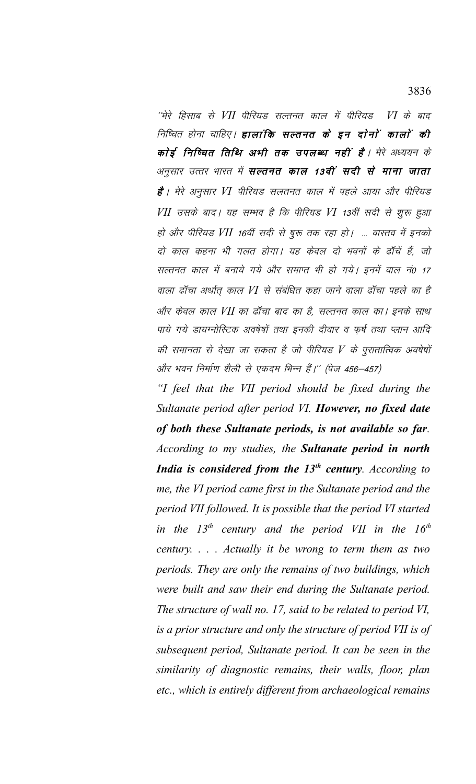''मेरे हिसाब से VII पीरियड सल्तनत काल में पीरियड  $VI$  के बाद निष्चित होना चाहिए। **हालांकि सल्तनत के इन दोनों कालों की** कोई निष्चित तिथि अभी तक उपलब्ध नहीं हैं। मेरे अध्ययन के अनुसार उत्तर भारत में **सल्तनत काल 13वीं सदी से माना जाता है** । मेरे अनुसार VI पीरियड सलतनत काल में पहले आया और पीरियड VII उसके बाद। यह सम्भव है कि पीरियड VI 13वीं सदी से शुरू हुआ हो और पीरियड VII 16वीं सदी से षुरू तक रहा हो। ... वास्तव में इनको दो काल कहना भी गलत होगा। यह केवल दो भवनों के ढाँचें हैं, जो सल्तनत काल में बनाये गये और समाप्त भी हो गये। इनमें वाल नं0 17 वाला ढॉचा अर्थात् काल VI से संबंधित कहा जाने वाला ढॉचा पहले का है और केवल काल VII का ढाँचा बाद का है, सल्तनत काल का। इनके साथ पाये गये डायग्नोस्टिक अवषेषों तथा इनकी दीवार व फर्ष तथा प्लान आदि की समानता से देखा जा सकता है जो पीरियड V के पुरातात्विक अवषेषों और भवन निर्माण शैली से एकदम भिन्न हैं।'' (पेज 456–457)

"I feel that the VII period should be fixed during the Sultanate period after period VI. However, no fixed date of both these Sultanate periods, is not available so far. According to my studies, the **Sultanate period in north** India is considered from the 13<sup>th</sup> century. According to me, the VI period came first in the Sultanate period and the period VII followed. It is possible that the period VI started in the  $13^{th}$  century and the period VII in the  $16^{th}$ century. . . . Actually it be wrong to term them as two periods. They are only the remains of two buildings, which were built and saw their end during the Sultanate period. The structure of wall no. 17, said to be related to period VI, is a prior structure and only the structure of period VII is of subsequent period, Sultanate period. It can be seen in the similarity of diagnostic remains, their walls, floor, plan etc., which is entirely different from archaeological remains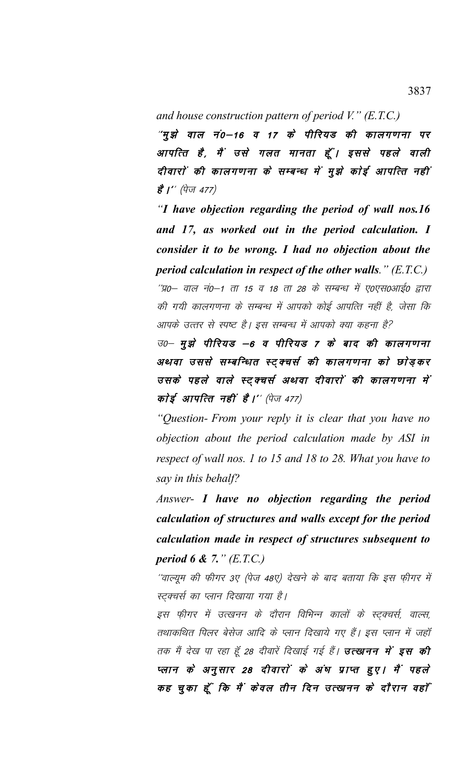*and house construction pattern of period V." (E.T.C.)*

"मुझे वाल नं0—16 व 17 के पीरियड की कालगणना पर आपत्ति है, मैं उसे गलत मानता हूँ। इससे पहले वाली दीवारों की कालगणना के सम्बन्ध में मुझे कोई आपत्ति नहीं  $\overrightarrow{g}$  /'' (पेज 477)

*"I have objection regarding the period of wall nos.16 and 17, as worked out in the period calculation. I consider it to be wrong. I had no objection about the period calculation in respect of the other walls." (E.T.C.)*  $\H$ 'प्र0— वाल नं0—1 ता 15 व 18 ता 28 के सम्बन्ध में ए०एस०आई० द्वारा की गयी कालगणना के सम्बन्ध में आपको कोई आपत्ति नहीं है, जेसा कि आपके उत्तर से स्पष्ट है। इस सम्बन्ध में आपको क्या कहना है?

 $\vec{\sigma}$ o मुझे पीरियड –6 व पीरियड 7 के बाद की कालगणना अथवा उससे सम्बन्धित स्ट्क्चर्स की कालगणना को छोड़कर उसके पहले वाले स्ट्क्चर्स अथवा दीवारों की कालगणना में कोई आपत्ति नहीं है।'' (पेज 477)

*"Question- From your reply it is clear that you have no objection about the period calculation made by ASI in respect of wall nos. 1 to 15 and 18 to 28. What you have to say in this behalf?*

*Answer- I have no objection regarding the period calculation of structures and walls except for the period calculation made in respect of structures subsequent to period 6 & 7." (E.T.C.)*

''वाल्यूम की फीगर 3ए (पेज 48ए) देखने के बाद बताया कि इस फ़ीगर में स्ट्क्चर्स का प्लान दिखाया गया है।

इस फ़ीगर में उत्खनन के दौरान विभिन्न कालों के स्टक्चर्स, वाल्स, तथाकथित पिलर बेसेज आदि के प्लान दिखाये गए हैं। इस प्लान में जहाँ तक मैं देख पा रहा हूँ 28 दीवारें दिखाई गई हैं। **उत्खनन में इस की** प्लान के अनुसार 28 दीवारों के अंष प्राप्त हुए। मैं पहले कह चुका हूँ कि मैं केवल तीन दिन उत्खनन के दौरान वहाँ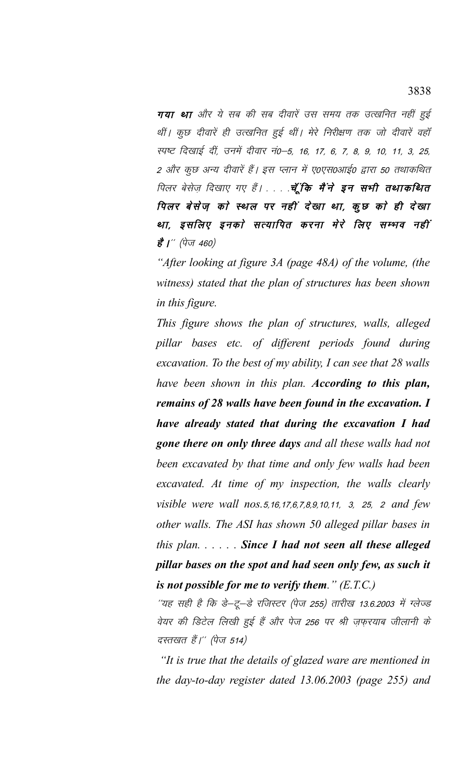**गया था** और ये सब की सब दीवारें उस समय तक उत्खनित नहीं हुई र्थी। कुछ दीवारें ही उत्खनित हुई थीं। मेरे निरीक्षण तक जो दीवारें वहाँ स्पष्ट दिखाई दीं, उनमें दीवार नं0-5, 16, 17, 6, 7, 8, 9, 10, 11, 3, 25, 2 और कुछ अन्य दीवारें हैं। इस प्लान में ए0एस0आई0 द्वारा 50 तथाकथित पिलर बेसेज़ दिखाए गए हैं। . . . **चूँकि मैंने इन सभी तथाकथित** पिलर बेसेज़ को स्थल पर नहीं देखा था, कुछ को ही देखा था, इसलिए इनको सत्यापित करना मेरे लिए सम्भव नहीं **है |**'' (पेज 460)

*"After looking at figure 3A (page 48A) of the volume, (the witness) stated that the plan of structures has been shown in this figure.*

*This figure shows the plan of structures, walls, alleged pillar bases etc. of different periods found during excavation. To the best of my ability, I can see that 28 walls have been shown in this plan. According to this plan, remains of 28 walls have been found in the excavation. I have already stated that during the excavation I had gone there on only three days and all these walls had not been excavated by that time and only few walls had been excavated. At time of my inspection, the walls clearly visible were wall nos. 5, 16, 17, 6, 7, 8, 9, 10, 11, 3, 25, 2 and few other walls. The ASI has shown 50 alleged pillar bases in this plan. . . . . . Since I had not seen all these alleged pillar bases on the spot and had seen only few, as such it is not possible for me to verify them." (E.T.C.)*

''यह सही है कि डे–टू–डे रजिस्टर (पेज 255) तारीख 13.6.2003 में ग्लेज्ड वेयर की डिटेल लिखी हुई हैं और पेज 256 पर श्री ज़फ़रयाब जीलानी के दस्तखत हैं।'' (पेज 514)

 *"It is true that the details of glazed ware are mentioned in the day-to-day register dated 13.06.2003 (page 255) and*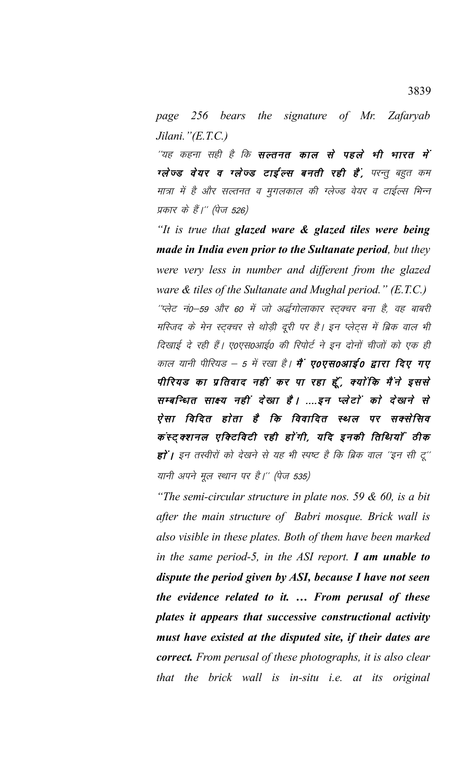page 256 bears the signature of Mr. Zafaryab Jilani. " $(E.T.C.)$ 

"यह कहना सही है कि **सल्तनत काल से पहले भी भारत में** ग्लेज्ड वेयर व ग्लेज्ड टाईल्स बनती रही हैं, परन्तु बहुत कम मात्रा में है और सल्तनत व मुगलकाल की ग्लेज्ड वेयर व टाईल्स भिन्न प्रकार के हैं।'' (पेज 526)

"It is true that glazed ware & glazed tiles were being **made in India even prior to the Sultanate period, but they** were very less in number and different from the glazed ware  $\&$  tiles of the Sultanate and Mughal period." (E.T.C.) "प्लेट नं0–59 और 60 में जो अर्द्धगोलाकार स्ट्क्चर बना है, वह बाबरी मस्जिद के मेन स्टुक्चर से थोड़ी दूरी पर है। इन प्लेट्स में ब्रिक वाल भी दिखाई दे रही हैं। ए०एस०आई० की रिपोर्ट ने इन दोनों चीजों को एक ही काल यानी पीरियड — 5 में रखा है। **मैं ए०एस०आई० द्वारा दिए गए** पीरियड का प्रतिवाद नहीं कर पा रहा हूँ, क्योंकि मैंने इससे सम्बन्धित साक्ष्य नहीं देखा है। ....इन प्लेटों को देखाने से ऐसा विदित होता है कि विवादित स्थल पर सक्सेसिव कंस्ट् क्शनल एक्टिविटी रही होंगी, यदि इनकी तिथियाँ ठीक हों | इन तस्वीरों को देखने से यह भी स्पष्ट है कि ब्रिक वाल ''इन सी टू'' यानी अपने मूल स्थान पर है।'' (पेज 535)

"The semi-circular structure in plate nos. 59  $\&$  60, is a bit after the main structure of Babri mosque. Brick wall is also visible in these plates. Both of them have been marked in the same period-5, in the ASI report. I am unable to dispute the period given by ASI, because I have not seen the evidence related to it. ... From perusal of these plates it appears that successive constructional activity must have existed at the disputed site, if their dates are correct. From perusal of these photographs, it is also clear that the brick wall is in-situ i.e. at its original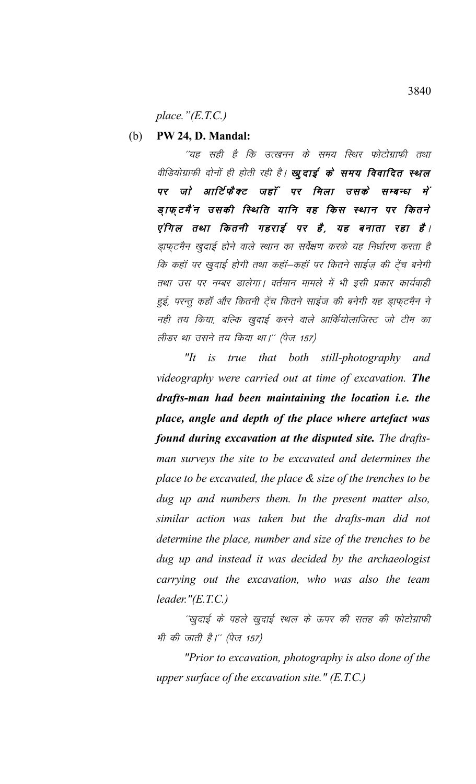place." $(E.T.C.)$ 

PW 24, D. Mandal: (b)

> ''यह सही है कि उत्खनन के समय स्थिर फोटोग्राफी तथा वीडियोग्राफी दोनों ही होती रही है। खूदाई के समय विवादित स्थल जो आर्टिफैक्ट जहाँ पर मिला उसके सम्बन्ध पर  $\vec{H}$ ड्।फ्टमैंन उसकी स्थिति यानि वह किस स्थान पर कितने एंगिल तथा कितनी गहराई पर है, यह बनाता रहा है। ड़ाफ़्टमैन खुदाई होने वाले स्थान का सर्वेक्षण करके यह निर्धारण करता है कि कहाँ पर खुदाई होगी तथा कहाँ–कहाँ पर कितने साईज़ की ट्रेंच बनेगी तथा उस पर नम्बर डालेगा। वर्तमान मामले में भी इसी प्रकार कार्यवाही हुई, परन्तु कहाँ और कितनी ट्रेंच कितने साईज की बनेगी यह ड़ाफुटमैन ने नही तय किया, बल्कि खुदाई करने वाले आर्कियोलाजिस्ट जो टीम का लीडर था उसने तय किया था।'' (पेज 157)

> $"It$ true that both still-photography  $is$ and videography were carried out at time of excavation. The drafts-man had been maintaining the location i.e. the place, angle and depth of the place where artefact was found during excavation at the disputed site. The draftsman surveys the site to be excavated and determines the place to be excavated, the place & size of the trenches to be dug up and numbers them. In the present matter also, similar action was taken but the drafts-man did not determine the place, number and size of the trenches to be dug up and instead it was decided by the archaeologist carrying out the excavation, who was also the team leader." $(E.T.C.)$

''खुदाई के पहले खुदाई स्थल के ऊपर की सतह की फोटोग्राफी भी की जाती है।'' (पेज 157)

"Prior to excavation, photography is also done of the upper surface of the excavation site."  $(E.T.C.)$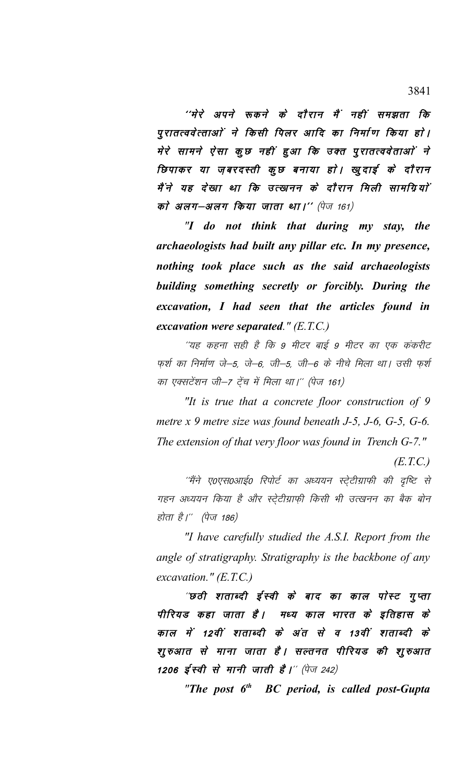<sup>''मेरे</sup> अपने रूकने के दौरान मैं नहीं समझता कि पुरातत्ववेत्ताओं ने किसी पिलर आदि का निर्माण किया हो। मेरे सामने ऐसा कूछ नहीं हुआ कि उक्त पुरातत्ववेताओं ने छिपाकर या ज़बरदस्ती कुछ बनाया हो। खुदाई के दौरान मैं ने यह देखा था कि उत्खनन के दौरान मिली सामग्रियों को अलग $-$ अलग किया जाता था।'' (पेज 161)

*"I do not think that during my stay, the archaeologists had built any pillar etc. In my presence, nothing took place such as the said archaeologists building something secretly or forcibly. During the excavation, I had seen that the articles found in excavation were separated." (E.T.C.)*

''यह कहना सही है कि 9 मीटर बाई 9 मीटर का एक कंकरीट फर्श का निर्माण जे–5, जे–6, जी–5, जी–6 के नीचे मिला था। उसी फर्श का एक्सटेंशन जी–7 ट्रेंच में मिला था।'' (पेज 161)

*"It is true that a concrete floor construction of 9 metre x 9 metre size was found beneath J-5, J-6, G-5, G-6. The extension of that very floor was found in Trench G-7."* 

*(E.T.C.)*

''मैंने ए०एस०आई० रिपोर्ट का अध्ययन स्टे्टीग्राफी की दृष्टि से गहन अध्ययन किया है और स्ट्रेटीग्राफ़ी किसी भी उत्खनन का बैक बोन होता है।'' (पेज 186)

*"I have carefully studied the A.S.I. Report from the angle of stratigraphy. Stratigraphy is the backbone of any excavation." (E.T.C.)*

"छठी शताब्दी ईस्वी के बाद का काल पोस्ट गुप्ता पीरियड कहा जाता है। मध्य काल भारत के इतिहास के काल में 12वीं शताब्दी के अंत से व 13वीं शताब्दी के शुरुआत से माना जाता है। सल्तनत पीरियड की शुरुआत 1206 ईस्वी से मानी जाती है।" (पेज 242)

*"The post 6th BC period, is called post-Gupta*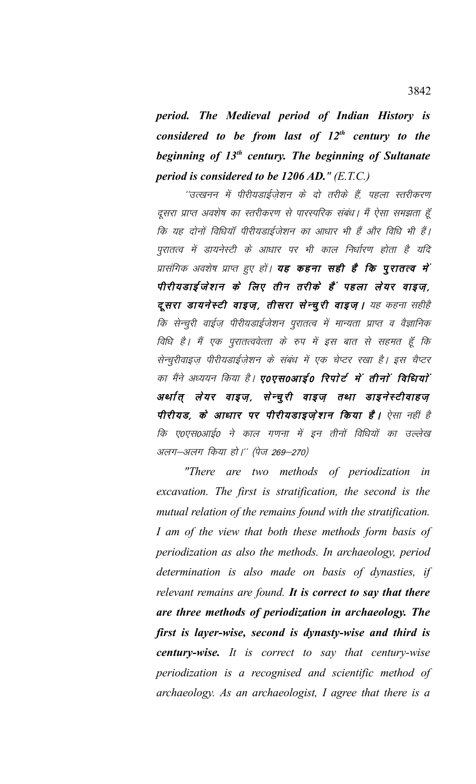period. The Medieval period of Indian History is considered to be from last of  $12<sup>th</sup>$  century to the beginning of  $13<sup>th</sup>$  century. The beginning of Sultanate period is considered to be  $1206$  AD." (E.T.C.)

''उत्खनन में पीरीयडाईजेशन के दो तरीके हैं, पहला स्तरीकरण दूसरा प्राप्त अवशेष का स्तरीकरण से पारस्परिक संबंध। मैं ऐसा समझता हूँ कि यह दोनों विधियाँ पीरीयडाईजेशन का आधार भी हैं और विधि भी हैं। पुरातत्व में डायनेस्टी के आधार पर भी काल निर्धारण होता है यदि प्रासंगिक अवशेष प्राप्त हुए हों । यह कहना सही है कि पुरातत्व में पीरीयडाई जेशन के लिए तीन तरीके हैं पहला लेयर वाइज्, दूसरा डायनेस्टी वाइज्, तीसरा सेन्चुरी वाइज् । यह कहना सहीहै कि सेन्चुरी वाईजु पीरीयडाईजेशन पुरातत्व में मान्यता प्राप्त व वैज्ञानिक विधि है। मैं एक पुरातत्ववेत्ता के रुप में इस बात से सहमत हूँ कि सेन्चुरीवाइज पीरीयडाईजेशन के संबंध में एक चेप्टर रखा है। इस चैप्टर का मैंने अध्ययन किया है। ए0एस0आई0 रिपोर्ट में तीनों विधियों अर्थात् लेयर वाइज्, सेन्चूरी वाइज् तथा डाइनेस्टीवाहज् पीरीयड, के आधार पर पीरीयडाइज़ेशन किया है। ऐसा नहीं है कि ए०एस०आई० ने काल गणना में इन तीनों विधियों का उल्लेख अलग-अलग किया हो।'' (पेज 269–270)

"There are two methods of periodization  $in$ excavation. The first is stratification, the second is the mutual relation of the remains found with the stratification. I am of the view that both these methods form basis of periodization as also the methods. In archaeology, period determination is also made on basis of dynasties, if relevant remains are found. It is correct to say that there are three methods of periodization in archaeology. The first is layer-wise, second is dynasty-wise and third is century-wise. It is correct to say that century-wise periodization is a recognised and scientific method of archaeology. As an archaeologist, I agree that there is a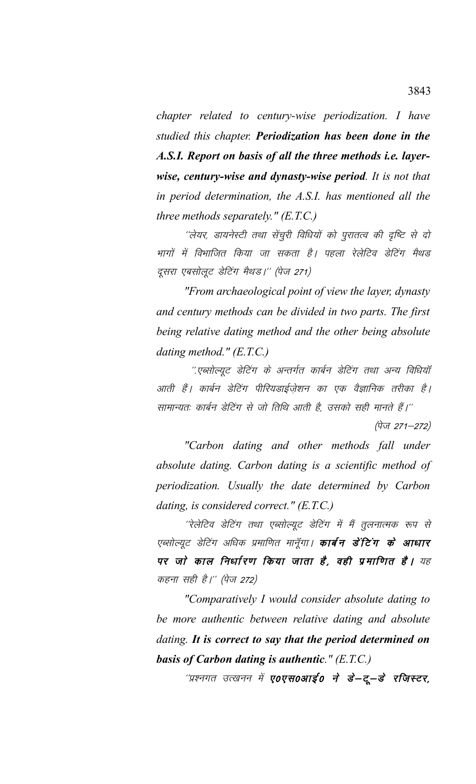chapter related to century-wise periodization. I have studied this chapter. Periodization has been done in the A.S.I. Report on basis of all the three methods i.e. layerwise, century-wise and dynasty-wise period. It is not that in period determination, the A.S.I. has mentioned all the three methods separately."  $(E.T.C.)$ 

''लेयर, डायनेस्टी तथा सेंचुरी विधियों को पुरातत्व की दृष्टि से दो भागों में विभाजित किया जा सकता है। पहला रेलेटिव डेटिंग मैथड दूसरा एबसोलूट डेटिंग मैथड।" (पेज 271)

"From archaeological point of view the layer, dynasty and century methods can be divided in two parts. The first being relative dating method and the other being absolute dating method."  $(E.T.C.)$ 

''.एब्सोल्युट डेटिंग के अन्तर्गत कार्बन डेटिंग तथा अन्य विधियाँ आती हैं। कार्बन डेटिंग पीरियडाईज़ेशन का एक वैज्ञानिक तरीका है। सामान्यतः कार्बन डेटिंग से जो तिथि आती है, उसको सही मानते हैं।''

*(पेज 271–272)* 

"Carbon dating and other methods fall under absolute dating. Carbon dating is a scientific method of periodization. Usually the date determined by Carbon dating, is considered correct."  $(E.T.C.)$ 

''रेलेटिव डेटिंग तथा एब्सोल्यूट डेटिंग में मैं तूलनात्मक रूप से एब्सोल्यूट डेटिंग अधिक प्रमाणित मानूॅगा। **कार्बन डेंटिंग के आधार** पर जो काल निर्धारण किया जाता है, वही प्रमाणित है। यह कहना सही है।'' (पेज 272)

"Comparatively I would consider absolute dating to be more authentic between relative dating and absolute dating. It is correct to say that the period determined on basis of Carbon dating is authentic."  $(E.T.C.)$ 

"प्रश्नगत उत्खनन में ए0एस0आई0 ने डे–टू–डे रजिस्टर,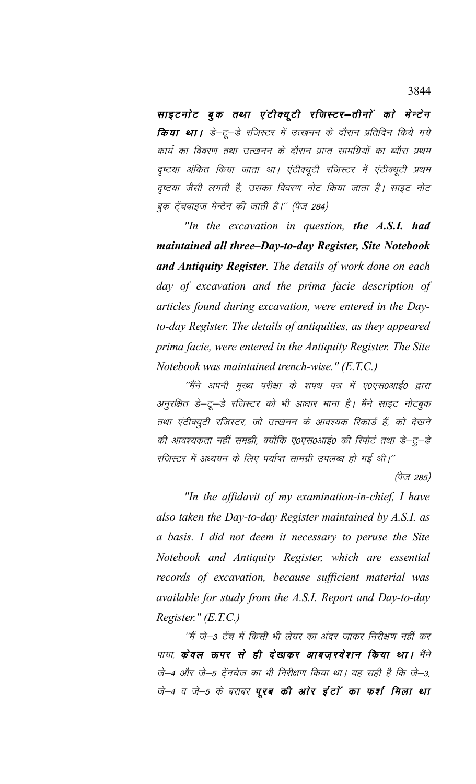साइटनोट बुक तथा एंटीक्यूटी रजिस्टर–तीनों को मेन्टेन किया था। डे–टू–डे रजिस्टर में उत्खनन के दौरान प्रतिदिन किये गये कार्य का विवरण तथा उत्खनन के दौरान प्राप्त सामग्रियों का ब्यौरा प्रथम दृष्टया अंकित किया जाता था। एंटीक्यूटी रजिस्टर में एंटीक्यूटी प्रथम दृष्टया जैसी लगती है, उसका विवरण नोट किया जाता है। साइट नोट बुक टेंचवाइज मेन्टेन की जाती है।'' (पेज 284)

"In the excavation in question, the  $A.S.I.$  had maintained all three-Day-to-day Register, Site Notebook **and Antiquity Register**. The details of work done on each day of excavation and the prima facie description of articles found during excavation, were entered in the Dayto-day Register. The details of antiquities, as they appeared prima facie, were entered in the Antiquity Register. The Site Notebook was maintained trench-wise." (E.T.C.)

''मैंने अपनी मुख्य परीक्षा के शपथ पत्र में ए०एस०आई० द्वारा अनुरक्षित डे–टू–डे रजिस्टर को भी आधार माना है। मैंने साइट नोटबुक तथा एंटीक्युटी रजिस्टर, जो उत्खनन के आवश्यक रिकार्ड हैं, को देखने की आवश्यकता नहीं समझी, क्योंकि ए०एस०आई० की रिपोर्ट तथा डे–टू–डे रजिस्टर में अध्ययन के लिए पर्याप्त सामग्री उपलब्ध हो गई थी।''

(पेज 285)

"In the affidavit of my examination-in-chief, I have also taken the Day-to-day Register maintained by A.S.I. as a basis. I did not deem it necessary to peruse the Site Notebook and Antiquity Register, which are essential records of excavation, because sufficient material was available for study from the A.S.I. Report and Day-to-day Register."  $(E.T.C.)$ 

''मैं जे—3 टेंच में किसी भी लेयर का अंदर जाकर निरीक्षण नहीं कर पाया, केवल ऊपर से ही देखाकर आबज़रवेशन किया था। मैंने जे-4 और जे-5 टे़नचेज का भी निरीक्षण किया था। यह सही है कि जे-3, जे–4 व जे–5 के बराबर **पूरब की ओर ईटों का फर्श मिला था**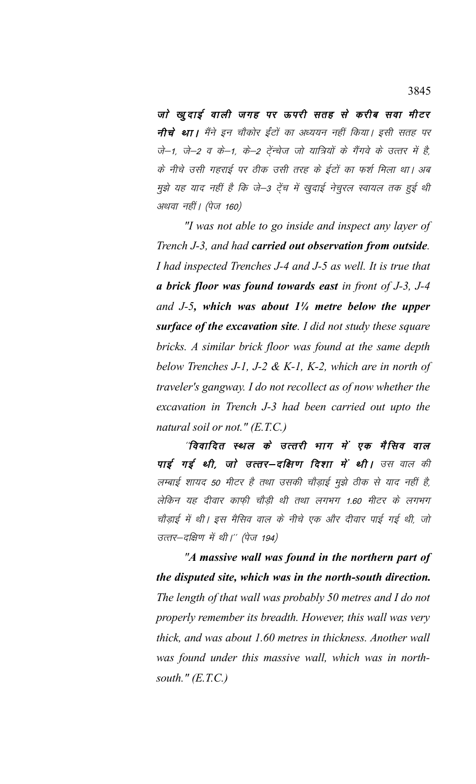जो खूदाई वाली जगह पर ऊपरी सतह से करीब सवा मीटर **नीचे था।** मैंने इन चौकोर ईंटों का अध्ययन नहीं किया। इसी सतह पर  $\vec{a}-1$ , जे–2 व के–1, के–2 टे़न्चेज जो यात्रियों के गैंगवे के उत्तर में है, के नीचे उसी गहराई पर ठीक उसी तरह के ईटों का फर्श मिला था। अब मुझे यह याद नहीं है कि जे–3 ट्रेंच में खुदाई नेचुरल स्वायल तक हुई थी अथवा नहीं। (पेज 160)

*"I was not able to go inside and inspect any layer of Trench J-3, and had carried out observation from outside. I had inspected Trenches J-4 and J-5 as well. It is true that a brick floor was found towards east in front of J-3, J-4 and J-5, which was about 1¼ metre below the upper surface of the excavation site. I did not study these square bricks. A similar brick floor was found at the same depth below Trenches J-1, J-2 & K-1, K-2, which are in north of traveler's gangway. I do not recollect as of now whether the excavation in Trench J-3 had been carried out upto the natural soil or not." (E.T.C.)*

"विवादित स्थल के उत्तरी भाग में एक मैसिव वाल पाई गई थी, जो उत्तर-दक्षिण दिशा में थी। उस वाल की लम्बाई शायद 50 मीटर है तथा उसकी चौड़ाई मुझे ठीक से याद नहीं है, लेकिन यह दीवार काफी चौड़ी थी तथा लगभग 1.60 मीटर के लगभग चौड़ाई में थी। इस मैसिव वाल के नीचे एक और दीवार पाई गई थी, जो उत्तर-दक्षिण में थी।" (पेज 194)

*"A massive wall was found in the northern part of the disputed site, which was in the north-south direction. The length of that wall was probably 50 metres and I do not properly remember its breadth. However, this wall was very thick, and was about 1.60 metres in thickness. Another wall was found under this massive wall, which was in northsouth." (E.T.C.)*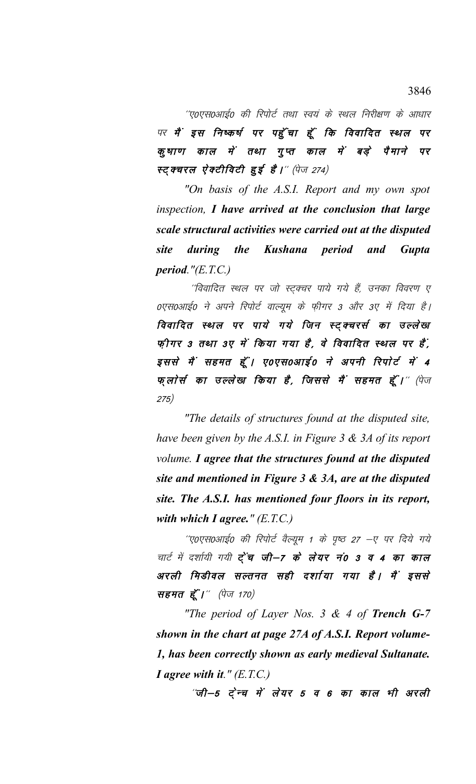''ए0एस0आई0 की रिपोर्ट तथा स्वयं के स्थल निरीक्षण के आधार पर मैं इस निष्कर्ष पर पहुँचा हूँ कि विवादित स्थल पर कुषाण काल में तथा गुप्त काल में बड़े पैमाने पर स्ट् क्चरल ऐक्टीविटी हुई है।" (पेज 274)

*"On basis of the A.S.I. Report and my own spot inspection, I have arrived at the conclusion that large scale structural activities were carried out at the disputed site during the Kushana period and Gupta period."(E.T.C.)*

''विवादित स्थल पर जो स्ट्*क्चर पाये गये हैं, उनका विवरण ए* 0एस0आई0 ने अपने रिपोर्ट वाल्यूम के फ़ीगर 3 और 3ए में दिया है। विवादित स्थल पर पाये गये जिन स्ट्क्चरर्स का उल्लेख फ़ीगर 3 तथा 3ए में किया गया है, वे विवादित स्थल पर हैं, इससे मैं सहमत हूँ। ए०एस०आई० ने अपनी रिपोर्ट में 4 फ् लोर्स का उल्लेख किया है, जिससे मैं सहमत हूँ।" (पेज 275½

*"The details of structures found at the disputed site, have been given by the A.S.I. in Figure 3 & 3A of its report volume. I agree that the structures found at the disputed site and mentioned in Figure 3 & 3A, are at the disputed site. The A.S.I. has mentioned four floors in its report, with which I agree." (E.T.C.)*

''ए0एस0आई0 की रिपोर्ट वैल्यूम 1 के पृष्ठ 27 –ए पर दिये गये चार्ट में दर्शायी गयी **ट्रेंच जी–7 के लेयर नं0 3 व 4 का काल** अरली मिडीवल सल्तनत सही दर्शाया गया है। मैं इससे सहमत हूँ।"  $(\dot{q}\sigma$  170)

*"The period of Layer Nos. 3 & 4 of Trench G-7 shown in the chart at page 27A of A.S.I. Report volume-1, has been correctly shown as early medieval Sultanate. I agree with it." (E.T.C.)*

 $\hat{a}$ जी—5 ट्रेन्च में लेयर 5 व 6 का काल भी अरली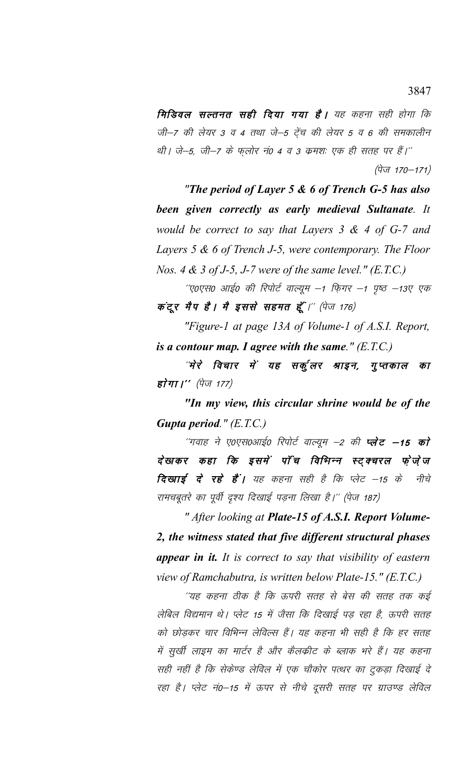मिडिवल सल्तनत सही दिया गया है। यह कहना सही होगा कि जी–7 की लेयर 3 व 4 तथा जे–5 ट्रेंच की लेयर 5 व 6 की समकालीन थी। जे-5, जी-7 के फ़लोर नं0 4 व 3 कमशः एक ही सतह पर हैं।'' (पेज 170–171)

*"The period of Layer 5 & 6 of Trench G-5 has also been given correctly as early medieval Sultanate. It would be correct to say that Layers 3 & 4 of G-7 and Layers 5 & 6 of Trench J-5, were contemporary. The Floor Nos. 4 & 3 of J-5, J-7 were of the same level." (E.T.C.)*

''ए०एस० आई० की रिपोर्ट वाल्यूम –1 फ़िगर –1 पुष्ठ –13ए एक  $\vec{\sigma}$ दूर मैप है। मै इससे सहमत हूँ।" (पेज 176)

*"Figure-1 at page 13A of Volume-1 of A.S.I. Report, is a contour map. I agree with the same." (E.T.C.)*

"मेरे विचार में यह सर्कुलर श्राइन, गुप्तकाल का होगा।"  $(\vec{q} \sigma 177)$ 

*"In my view, this circular shrine would be of the Gupta period." (E.T.C.)*

''गवाह ने ए०एस०आई० रिपोर्ट वाल्यूम –2 की **प्लेट –15 को** देखकर कहा कि इसमें पॉंच विभिन्न स्ट्*क्चरल फ्*ेज़ेज दिखाई दे रहे हैं। यह कहना सही है कि प्लेट -15 के नीचे रामचबूतरे का पूर्वी दृश्य दिखाई पड़ना लिखा है।'' (पेज 187)

*" After looking at Plate-15 of A.S.I. Report Volume-2, the witness stated that five different structural phases appear in it. It is correct to say that visibility of eastern view of Ramchabutra, is written below Plate-15." (E.T.C.)*

''यह कहना ठीक है कि ऊपरी सतह से बेस की सतह तक कई लेबिल विद्यमान थे। प्लेट 15 में जैसा कि दिखाई पड रहा है, ऊपरी सतह को छोडकर चार विभिन्न लेविल्स हैं। यह कहना भी सही है कि हर सतह में सूर्खी लाइम का मार्टर है और कैलकीट के ब्लाक भरे हैं। यह कहना सही नहीं है कि सेकेण्ड लेविल में एक चौकोर पत्थर का टुकड़ा दिखाई दे रहा है। प्लेट नं0-15 में ऊपर से नीचे दूसरी सतह पर ग्राउण्ड लेविल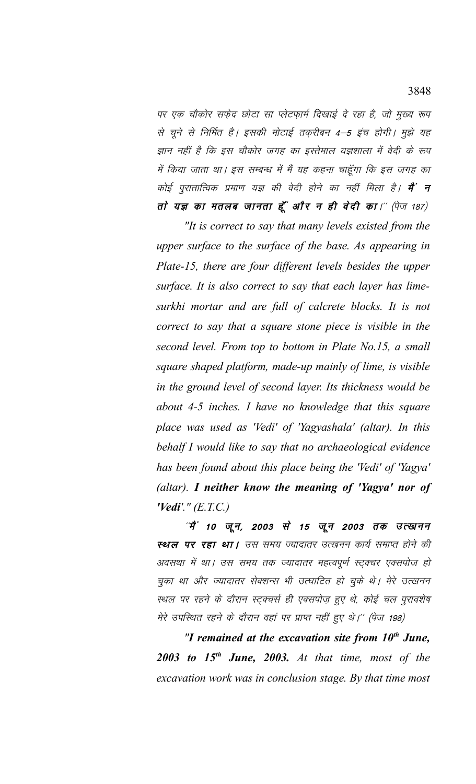पर एक चौकोर सफेद छोटा सा प्लेटफार्म दिखाई दे रहा है, जो मुख्य रूप से चूने से निर्मित है। इसकी मोटाई तक़रीबन 4–5 इंच होगी। मुझे यह ज्ञान नहीं है कि इस चौकोर जगह का इस्तेमाल यज्ञशाला में वेदी के रूप में किया जाता था। इस सम्बन्ध में मैं यह कहना चाहूँगा कि इस जगह का कोई पुरातात्विक प्रमाण यज्ञ की वेदी होने का नहीं मिला है। **मैं न** तो यज्ञ का मतलब जानता हूँ और न ही वेदी का।" (पेज 187)

"It is correct to say that many levels existed from the upper surface to the surface of the base. As appearing in Plate-15, there are four different levels besides the upper surface. It is also correct to say that each layer has limesurkhi mortar and are full of calcrete blocks. It is not correct to say that a square stone piece is visible in the second level. From top to bottom in Plate No.15, a small square shaped platform, made-up mainly of lime, is visible in the ground level of second layer. Its thickness would be about 4-5 inches. I have no knowledge that this square place was used as 'Vedi' of 'Yagyashala' (altar). In this behalf I would like to say that no archaeological evidence has been found about this place being the 'Vedi' of 'Yagya' (altar). I neither know the meaning of 'Yagya' nor of  $'Vedi'.''(E.T.C.)$ 

"मैं 10 जून, 2003 से 15 जून 2003 तक उत्खनन स्थल पर रहा था। उस समय ज्यादातर उत्खनन कार्य समाप्त होने की अवसथा में था। उस समय तक ज्यादातर महत्वपूर्ण स्ट्क्चर एक्सपोज हो चुका था और ज्यादातर सेक्शन्स भी उत्घाटित हो चुके थे। मेरे उत्खनन स्थल पर रहने के दौरान स्ट्क्चर्स ही एक्सपोज़ हुए थे, कोई चल पुरावशेष मेरे उपस्थित रहने के दौरान वहां पर प्राप्त नहीं हुए थे।'' (पेज 198)

"I remained at the excavation site from  $10^{th}$  June, 2003 to 15<sup>th</sup> June, 2003. At that time, most of the excavation work was in conclusion stage. By that time most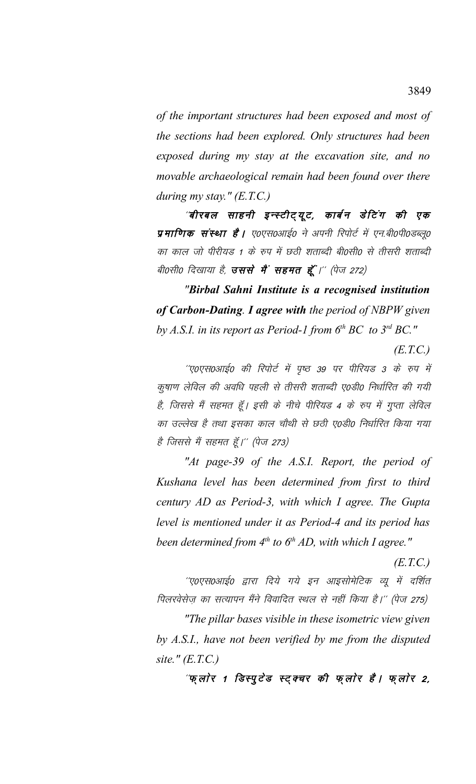of the important structures had been exposed and most of the sections had been explored. Only structures had been exposed during my stay at the excavation site, and no movable archaeological remain had been found over there during my stay."  $(E.T.C.)$ 

''बीरबल साहनी इन्स्टीट्यूट, कार्बन डेटिंग की एक प्रमाणिक संस्था है। ए०एस०आई० ने अपनी रिपोर्ट में एन.बी०पी०डब्लू० का काल जो पीरीयड़ 1 के रुप में छठी शताब्दी बी0सी0 से तीसरी शताब्दी बी0सी0 दिखाया है, **उससे मैं सहमत हूँ** |'' (पेज 272)

"Birbal Sahni Institute is a recognised institution of Carbon-Dating. I agree with the period of NBPW given by A.S.I. in its report as Period-1 from  $6<sup>th</sup> BC$  to  $3<sup>rd</sup> BC$ ."

 $(E.T.C.)$ 

''ए0एस0आई0 की रिपोर्ट में पृष्ठ 39 पर पीरियड 3 के रुप में कुषाण लेविल की अवधि पहली से तीसरी शताब्दी ए0डी0 निर्धारित की गयी है, जिससे मैं सहमत हूँ। इसी के नीचे पीरियड 4 के रुप में गुप्ता लेविल का उल्लेख है तथा इसका काल चौथी से छठी ए0डी0 निर्धारित किया गया है जिससे मैं सहमत हूँ।'' (पेज 273)

"At page-39 of the A.S.I. Report, the period of Kushana level has been determined from first to third century AD as Period-3, with which I agree. The Gupta level is mentioned under it as Period-4 and its period has been determined from  $4<sup>th</sup>$  to  $6<sup>th</sup>$  AD, with which I agree."

 $(E.T.C.)$ 

''ए०एस०आई० द्वारा दिये गये इन आइसोमेटिक व्यू में दर्शित पिलरवेसेज़ का सत्यापन मैंने विवादित स्थल से नहीं किया है।'' (पेज 275)

"The pillar bases visible in these isometric view given by A.S.I., have not been verified by me from the disputed site."  $(E.T.C.)$ 

"फ़लोर 1 डिस्पुटेड स्ट्क्चर की फ़लोर है। फ़लोर 2,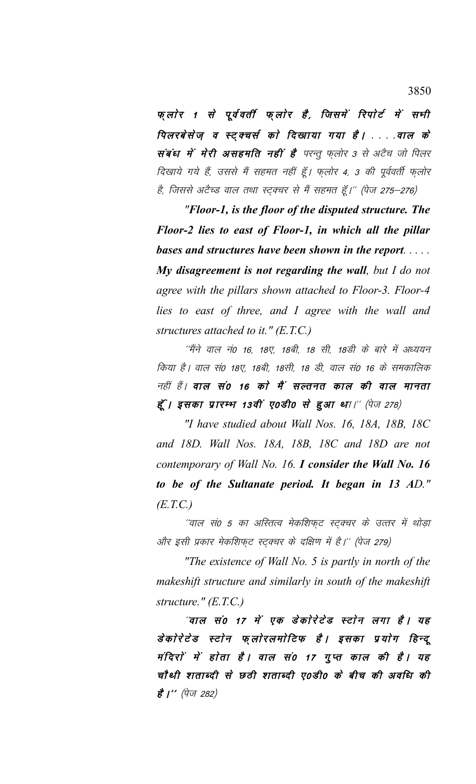फ्लोर 1 से पूर्ववर्ती फ्लोर है, जिसमें रिपोर्ट में सभी *पिलरबेसेज व स्टुक्चर्स को दिखाया गया है*।....वाल के संबंध में मेरी असहमति नहीं है<sup>,</sup> परन्तु फ़्लोर 3 से अटैच जो पिलर दिखाये गये हैं, उससे मैं सहमत नहीं हूँ। फ़लोर 4, 3 की पूर्ववर्ती फ़्लोर है, जिससे अटैच्ड वाल तथा स्ट्क्वर से मैं सहमत हूँ।'' (पेज 275–276)

*"Floor-1, is the floor of the disputed structure. The Floor-2 lies to east of Floor-1, in which all the pillar bases and structures have been shown in the report. . . . . My disagreement is not regarding the wall, but I do not agree with the pillars shown attached to Floor-3. Floor-4 lies to east of three, and I agree with the wall and structures attached to it." (E.T.C.)*

''मैंने वाल नं0 16, 18ए, 18बी, 18 सी, 18डी के बारे में अध्ययन किया है। वाल सं0 18ए, 18बी, 18सी, 18 डी, वाल सं0 16 के समकालिक नहीं हैं। वाल सं0 16 को मैं सल्तनत काल की वाल मानता हूँ। इसका प्रारम्भ 13वीं ए0डी0 से हुआ था।'' (पेज 278)

*"I have studied about Wall Nos. 16, 18A, 18B, 18C and 18D. Wall Nos. 18A, 18B, 18C and 18D are not contemporary of Wall No. 16. I consider the Wall No. 16 to be of the Sultanate period. It began in 13 AD." (E.T.C.)*

 $^\prime$ वाल सं0 5 का अस्तित्व मेकशिफट स्टक्चर के उत्तर में थोडा ओर इसी प्रकार मेकशिफ्ट स्ट्क्चर के दक्षिण में है।'' (पेज 279)

*"The existence of Wall No. 5 is partly in north of the makeshift structure and similarly in south of the makeshift structure." (E.T.C.)*

"वाल सं0 17 में एक डेकोरेटेड स्टोन लगा है। यह डेकोरेटेड स्टोन फ्लोरलमोटिफ है। इसका प्रयोग हिन्दू मंदिरों में होता है। वाल सं0 17 गुप्त काल की है। यह चौथी शताब्दी से छठी शताब्दी ए0डी0 के बीच की अवधि की  $\vec{g}$  |" (पेज 282)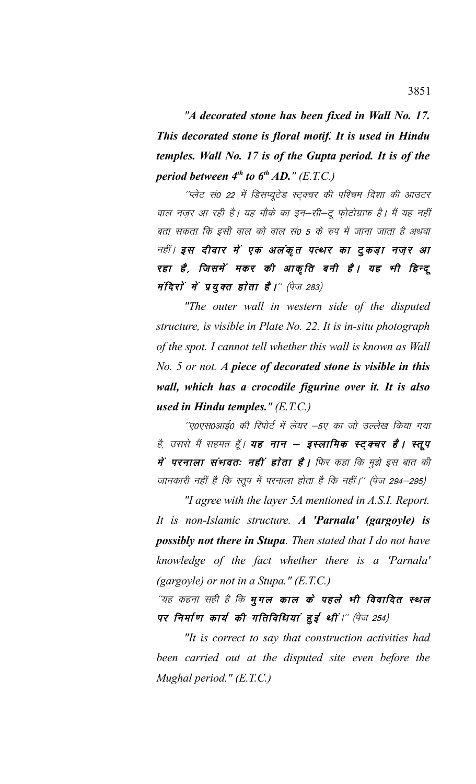*"A decorated stone has been fixed in Wall No. 17. This decorated stone is floral motif. It is used in Hindu temples. Wall No. 17 is of the Gupta period. It is of the period between 4th to 6th AD." (E.T.C.)*

''प्लेट सं0 22 में डिसप्यूटेड स्ट्*क्चर की पश्चिम दिशा की आउटर* वाल नज़र आ रही है। यह मौके का इन—सी—टू फ़ोटोग्राफ है। मैं यह नहीं बता सकता कि इसी वाल को वाल सं0 5 के रुप में जाना जाता है अथवा नहीं। इस दीवार में एक अलंकृत पत्थर का टूकड़ा नज़र आ रहा है, जिसमें मकर की आकृति बनी है। यह भी हिन्दू मंदिरों में प्रयुक्त होता है।" (पेज 283)

*"The outer wall in western side of the disputed structure, is visible in Plate No. 22. It is in-situ photograph of the spot. I cannot tell whether this wall is known as Wall No. 5 or not. A piece of decorated stone is visible in this wall, which has a crocodile figurine over it. It is also used in Hindu temples." (E.T.C.)*

''ए0एस0आई0 की रिपोर्ट में लेयर –5ए का जो उल्लेख किया गया है, उससे मैं सहमत हूँ। **यह नान – इस्लामिक स्ट्***क्चर है***। स्तूप** में परनाला संभवतः नहीं होता है। फिर कहा कि मुझे इस बात की जानकारी नहीं है कि स्तूप में परनाला होता है कि नहीं।'' (पेज 294–295)

*"I agree with the layer 5A mentioned in A.S.I. Report. It is non-Islamic structure. A 'Parnala' (gargoyle) is possibly not there in Stupa. Then stated that I do not have knowledge of the fact whether there is a 'Parnala' (gargoyle) or not in a Stupa." (E.T.C.)*

''यह कहना सही है कि **मुगल काल के पहले भी विवादित स्थल** पर निर्माण कार्य की गतिविधियां हुई थीं।" (पेज 254)

*"It is correct to say that construction activities had been carried out at the disputed site even before the Mughal period." (E.T.C.)*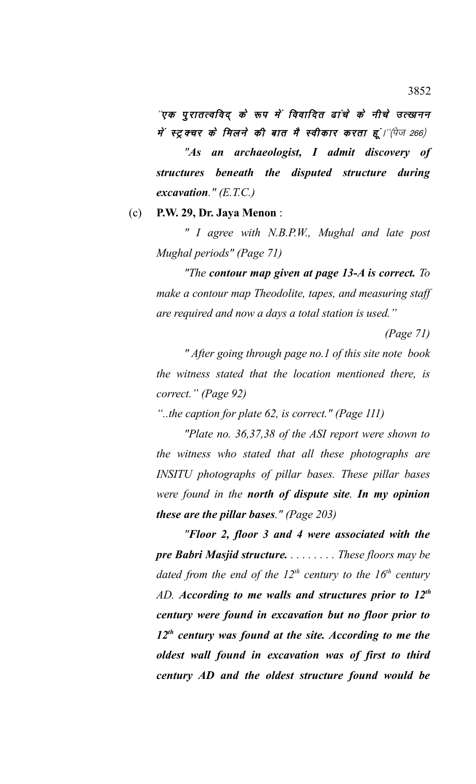*'एक पुरातत्वविद के रूप में विवादित ढांचे के नीचे उत्खनन* में स्ट्रक्चर के मिलने की बात मै स्वीकार करता हूं।"(पेज 266)

*"As an archaeologist, I admit discovery of structures beneath the disputed structure during excavation." (E.T.C.)*

(c) **P.W. 29, Dr. Jaya Menon** :

*" I agree with N.B.P.W., Mughal and late post Mughal periods" (Page 71)*

*"The contour map given at page 13-A is correct. To make a contour map Theodolite, tapes, and measuring staff are required and now a days a total station is used."* 

*(Page 71)*

*" After going through page no.1 of this site note book the witness stated that the location mentioned there, is correct." (Page 92)*

*"..the caption for plate 62, is correct." (Page 111)*

*"Plate no. 36,37,38 of the ASI report were shown to the witness who stated that all these photographs are INSITU photographs of pillar bases. These pillar bases were found in the north of dispute site. In my opinion these are the pillar bases." (Page 203)*

*"Floor 2, floor 3 and 4 were associated with the pre Babri Masjid structure. . . . . . . . . These floors may be dated from the end of the 12th century to the 16th century AD. According to me walls and structures prior to 12th century were found in excavation but no floor prior to 12th century was found at the site. According to me the oldest wall found in excavation was of first to third century AD and the oldest structure found would be*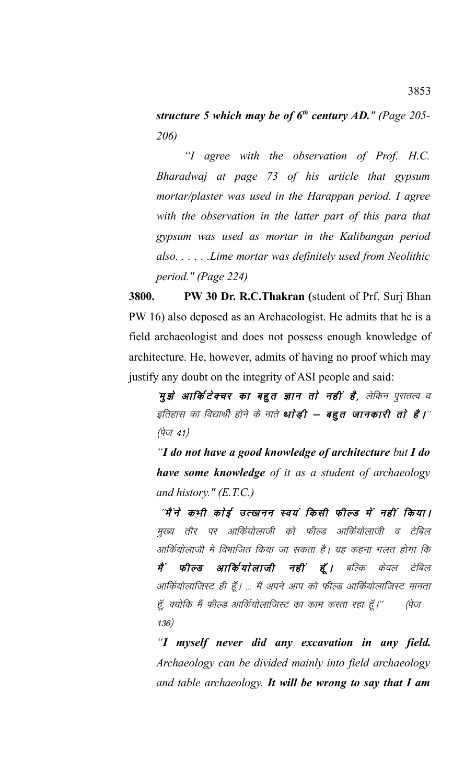*structure 5 which may be of 6th century AD." (Page 205- 206)*

*"I agree with the observation of Prof. H.C. Bharadwaj at page 73 of his article that gypsum mortar/plaster was used in the Harappan period. I agree with the observation in the latter part of this para that gypsum was used as mortar in the Kalibangan period also. . . . . .Lime mortar was definitely used from Neolithic period." (Page 224)*

**3800. PW 30 Dr. R.C.Thakran (**student of Prf. Surj Bhan PW 16) also deposed as an Archaeologist. He admits that he is a field archaeologist and does not possess enough knowledge of architecture. He, however, admits of having no proof which may justify any doubt on the integrity of ASI people and said:

**मुझे आर्किटेक्चर का बहुत ज्ञान तो नहीं है,** लेकिन पुरातत्व व इतिहास का विद्यार्थी होने के नाते **था`ड़ी – बहुत जानकारी ताे है।**'' (पेज 41)

*"I do not have a good knowledge of architecture but I do have some knowledge of it as a student of archaeology and history." (E.T.C.)*

"मैं ने कभी कोई उत्खनन स्वयं किसी फील्ड में नहीं किया। मुख्य तौर पर आर्कियोलाजी को फील्ड आर्कियोलाजी व टेबिल आर्कियोलाजी मे विभाजित किया जा सकता है। यह कहना गलत होगा कि मैं फील्ड आर्कियोलाजी नहीं हूँ। बल्कि केवल टेबिल आर्कियोलाजिस्ट ही हूँ। ... मैं अपने आप को फील्ड आर्कियोलाजिस्ट मानता हूँ, क्योकि मैं फील्ड आर्कियोलाजिस्ट का काम करता रहा हूँ।'' (पेज 136)

*"I myself never did any excavation in any field. Archaeology can be divided mainly into field archaeology and table archaeology. It will be wrong to say that I am*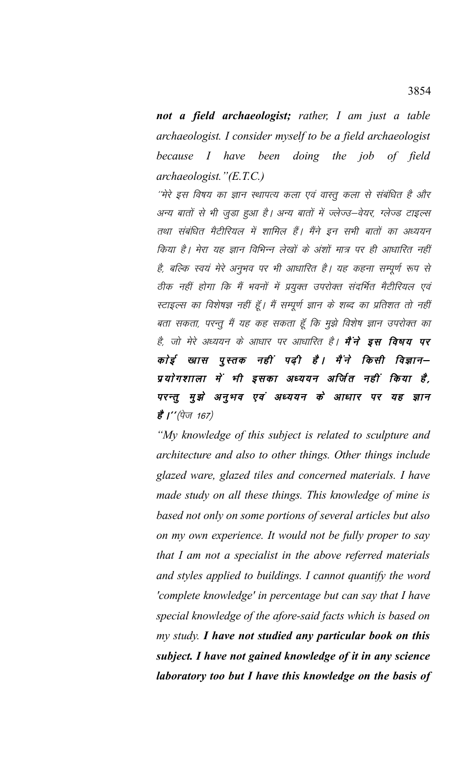not a field archaeologist; rather, I am just a table archaeologist. I consider myself to be a field archaeologist because I have been doing the job of field  $archaeologist.$ " $(E.T.C.)$ 

''मेरे इस विषय का ज्ञान स्थापत्य कला एवं वास्तू कला से संबंधित है और अन्य बातों से भी जुड़ा हुआ है। अन्य बातों में ज्लेज्उ-वेयर, ग्लेज्ड टाइल्स तथा संबंधित मैटीरियल में शामिल हैं। मैंने इन सभी बातों का अध्ययन किया है। मेरा यह ज्ञान विभिन्न लेखों के अंशों मात्र पर ही आधारित नहीं है, बल्कि स्वयं मेरे अनुभव पर भी आधारित है। यह कहना सम्पूर्ण रूप से ठीक नहीं होगा कि मैं भवनों में प्रयुक्त उपरोक्त संदर्भित मैटीरियल एवं स्टाइल्स का विशेषज्ञ नहीं हूँ। मैं सम्पूर्ण ज्ञान के शब्द का प्रतिशत तो नहीं बता सकता, परन्तु मैं यह कह सकता हूँ कि मुझे विशेष ज्ञान उपरोक्त का है, जो मेरे अध्ययन के आधार पर आधारित है। **मैंने इस विषय पर** कोई खास पुस्तक नहीं पढ़ी है। मैंने किसी विज्ञान– प्रयोगशाला में भी इसका अध्ययन अर्जित नहीं किया है, परन्तु मुझे अनुभव एवं अध्ययन के आधार पर यह ज्ञान **है |''**(पेज 167)

"My knowledge of this subject is related to sculpture and architecture and also to other things. Other things include glazed ware, glazed tiles and concerned materials. I have made study on all these things. This knowledge of mine is based not only on some portions of several articles but also on my own experience. It would not be fully proper to say that I am not a specialist in the above referred materials and styles applied to buildings. I cannot quantify the word 'complete knowledge' in percentage but can say that I have special knowledge of the afore-said facts which is based on my study. I have not studied any particular book on this subject. I have not gained knowledge of it in any science laboratory too but I have this knowledge on the basis of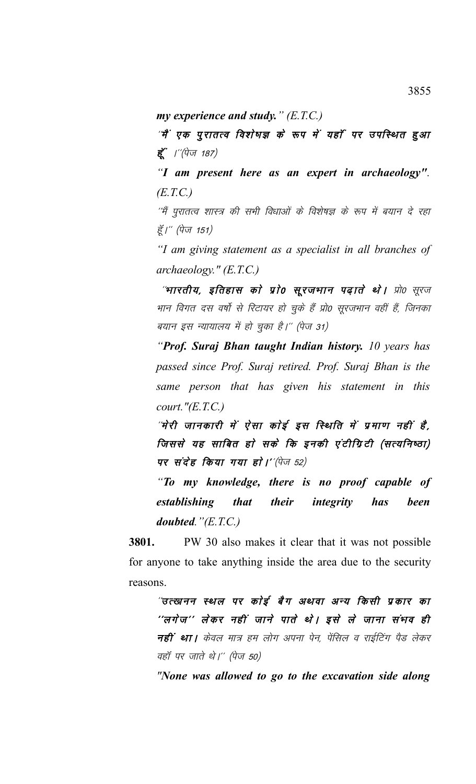*my experience and study." (E.T.C.)*

*''*मैं एक पुरातत्व विशेषज्ञ के रूप में यहाँ पर उपस्थित हुआ  $\vec{\xi}$  /"(पेज 187)

*"I am present here as an expert in archaeology". (E.T.C.)*

''मैं पुरातत्व शास्त्र की सभी विधाओं के विशेषज्ञ के रूप में बयान दे रहा हूँ।" (पेज 151)

*"I am giving statement as a specialist in all branches of archaeology." (E.T.C.)*

"**भारतीय, इतिहास को प्रो0 सूरजभान पढ़ाते थो।** प्रो0 सूरज भान विगत दस वर्षो से रिटायर हो चुके हैं प्रो0 सूरजभान वहीं हैं, जिनका बयान इस न्यायालय में हो चुका है।'' (पेज 31)

*"Prof. Suraj Bhan taught Indian history. 10 years has passed since Prof. Suraj retired. Prof. Suraj Bhan is the same person that has given his statement in this court."(E.T.C.)*

"मेरी जानकारी में ऐसा कोई इस स्थिति में प्रमाण नहीं है, जिससे यह साबित हो सके कि इनकी एंटीग्रिटी (सत्यनिष्ठा) पर संदेह किया गया हो।''(पेज 52)

*"To my knowledge, there is no proof capable of establishing that their integrity has been doubted."(E.T.C.)*

**3801.** PW 30 also makes it clear that it was not possible for anyone to take anything inside the area due to the security reasons.

"उत्खनन स्थल पर कोई बैग अथवा अन्य किसी प्रकार का ''लगेज'' लेकर नहीं जाने पाते थे। इसे ले जाना संभव ही नहीं था। केवल मात्र हम लोग अपना पेन, पेंसिल व राईटिंग पैड लेकर वहॉ पर जाते थे।'' (पेज 50)

*"None was allowed to go to the excavation side along*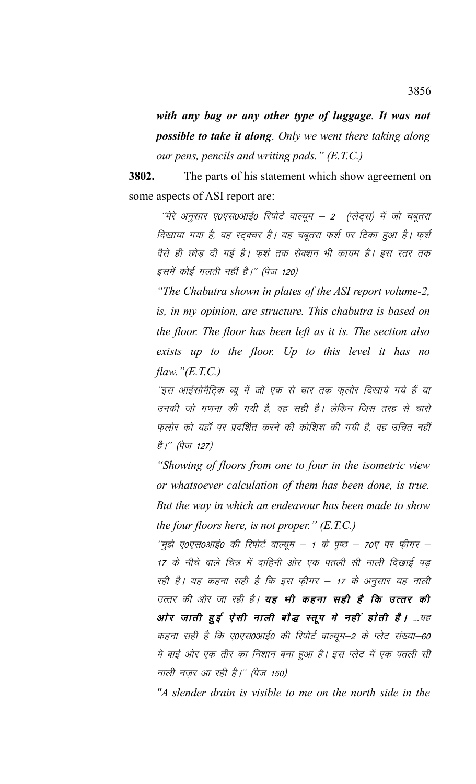*with any bag or any other type of luggage. It was not possible to take it along. Only we went there taking along our pens, pencils and writing pads." (E.T.C.)*

**3802.** The parts of his statement which show agreement on some aspects of ASI report are:

 $\hat{z}$ थेरे अनुसार ए०एस०आई० रिपोर्ट वाल्यूम – 2 (प्लेट्स) में जो चबूतरा दिखाया गया है, वह स्ट्क्चर है। यह चबूतरा फर्श पर टिका हुआ है। फ़र्श वैसे ही छोड़ दी गई है। फुर्श तक सेक्शन भी कायम है। इस स्तर तक इसमें कोई गलती नहीं है।" (पेज 120)

*"The Chabutra shown in plates of the ASI report volume-2, is, in my opinion, are structure. This chabutra is based on the floor. The floor has been left as it is. The section also exists up to the floor. Up to this level it has no flaw."(E.T.C.)*

'इस आईसोमैटिक व्यू में जो एक से चार तक फ़लोर दिखाये गये हैं या उनकी जो गणना की गयी है, वह सही है। लेकिन जिस तरह से चारो फलोर को यहाँ पर प्रदर्शित करने की कोशिश की गयी है, वह उचित नहीं है।'' (पेज 127)

*"Showing of floors from one to four in the isometric view or whatsoever calculation of them has been done, is true. But the way in which an endeavour has been made to show the four floors here, is not proper." (E.T.C.)*

 $^{\prime\prime}$ मुझे ए०एस०आई० की रिपोर्ट वाल्यूम – 1 के पृष्ठ – 70ए पर फ़ीगर – 17 के नीचे वाले चित्र में दाहिनी ओर एक पतली सी नाली दिखाई पड़ रही है। यह कहना सही है कि इस फ़ीगर – 17 के अनुसार यह नाली उत्तर की ओर जा रही है। **यह भी कहना सही है कि उत्तर की** आरे जाती हुई ऐसी नाली बौद्ध स्तूप में नहीं होती हैं। …यह कहना सही है कि ए०एस०आई० की रिपोर्ट वाल्यूम–2 के प्लेट संख्या–60 मे बाई ओर एक तीर का निशान बना हुआ है। इस प्लेट में एक पतली सी नाली नज़र आ रही है।'' (पेज 150)

*"A slender drain is visible to me on the north side in the*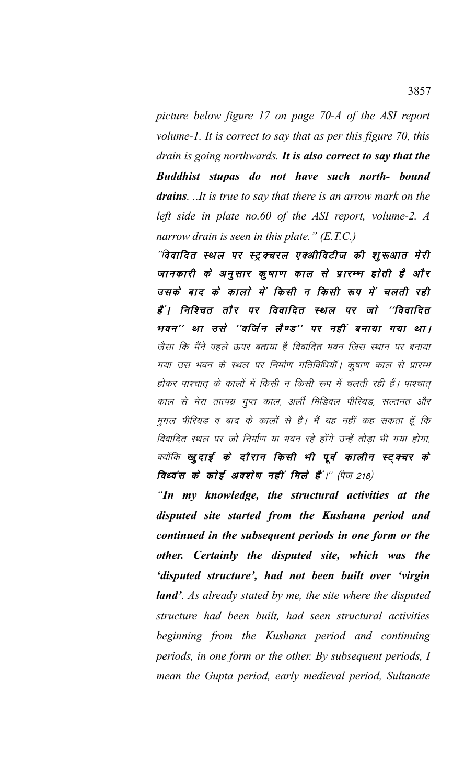picture below figure 17 on page 70-A of the ASI report volume-1. It is correct to say that as per this figure 70, this drain is going northwards. It is also correct to say that the Buddhist stupas do not have such north- bound **drains.** ..It is true to say that there is an arrow mark on the left side in plate no.60 of the ASI report, volume-2.  $A$ narrow drain is seen in this plate."  $(E.T.C.)$ 

''विवादित स्थल पर स्ट्रक्चरल एक्ओविटीज की शुरूआत मेरी जानकारी के अनुसार कुषाण काल से प्रारम्भ होती है और उसके बाद के कालो में किसी न किसी रूप में चलती रही हैं | निश्चित तौर पर विवादित स्थल पर जो ''विवादित भवन'' था उसे ''वर्जिन लैण्ड'' पर नहीं बनाया गया था। जैसा कि मैंने पहले ऊपर बताया है विवादित भवन जिस स्थान पर बनाया गया उस भवन के स्थल पर निर्माण गतिविधियाँ। कृषाण काल से प्रारम्भ होकर पाश्चात् के कालों में किसी न किसी रूप में चलती रही हैं। पाश्चात् काल से मेरा तात्पग्न गुप्त काल, अर्ली मिडिवल पीरियड, सल्तनत और मुगल पीरियड व बाद के कालों से है। मैं यह नहीं कह सकता हूँ कि विवादित स्थल पर जो निर्माण या भवन रहे होंगे उन्हें तोड़ा भी गया होगा, क्योंकि खूदाई के दौरान किसी भी पूर्व कालीन स्टुक्चर के विध्वंस के कोई अवशेष नहीं मिले हैं ।'' (पेज 218)

"In my knowledge, the structural activities at the disputed site started from the Kushana period and continued in the subsequent periods in one form or the other. Certainly the disputed site, which was the 'disputed structure', had not been built over 'virgin **land'**. As already stated by me, the site where the disputed structure had been built, had seen structural activities beginning from the Kushana period and continuing periods, in one form or the other. By subsequent periods, I mean the Gupta period, early medieval period, Sultanate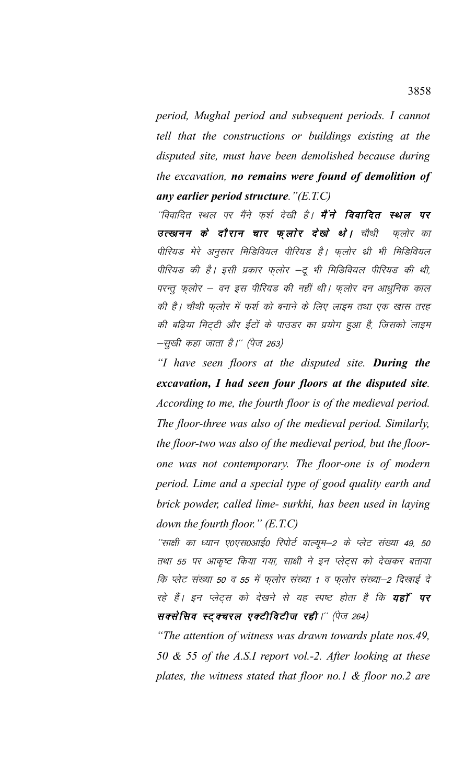*period, Mughal period and subsequent periods. I cannot tell that the constructions or buildings existing at the disputed site, must have been demolished because during the excavation, no remains were found of demolition of any earlier period structure."(E.T.C)*

''विवादित स्थल पर मैंने फर्श देखी है। **मैंने विवादित स्थल पर** उत्खनन के दौरान चार फ़लोर देखो थे। चौथी फ़लोर का पीरियड मेरे अनुसार मिडिवियल पीरियड है। फ़्लोर थ्री भी मिडिवियल पीरियड की है। इसी प्रकार फ़लोर –टू भी मिडिवियल पीरियड की थी, परन्तू फूलोर – वन इस पीरियड की नहीं थी। फूलोर वन आधुनिक काल की है। चौथी फ़लोर में फर्श को बनाने के लिए लाइम तथा एक खास तरह की बढ़िया मिट्टी और ईंटों के पाउडर का प्रयोग हुआ है, जिसको लाइम —सुखी कहा जाता है।'' (पेज 263)

*"I have seen floors at the disputed site. During the excavation, I had seen four floors at the disputed site. According to me, the fourth floor is of the medieval period. The floor-three was also of the medieval period. Similarly, the floor-two was also of the medieval period, but the floorone was not contemporary. The floor-one is of modern period. Lime and a special type of good quality earth and brick powder, called lime- surkhi, has been used in laying down the fourth floor." (E.T.C)*

''साक्षी का ध्यान ए०एस०आई० रिपोर्ट वाल्यूम–2 के प्लेट संख्या 49, 50 तथा 55 पर आकृष्ट किया गया, साक्षी ने इन प्लेट्स को देखकर बताया कि प्लेट संख्या 50 व 55 में फ़लोर संख्या 1 व फ़्लोर संख्या–2 दिखाई दे रहे हैं। इन प्लेट्स को देखने से यह स्पष्ट होता है कि **यहाँ पर** सक्सेसिव स्ट्क्चरल एक्टीविटीज रही।" (पेज 264)

*"The attention of witness was drawn towards plate nos.49, 50 & 55 of the A.S.I report vol.-2. After looking at these plates, the witness stated that floor no.1 & floor no.2 are*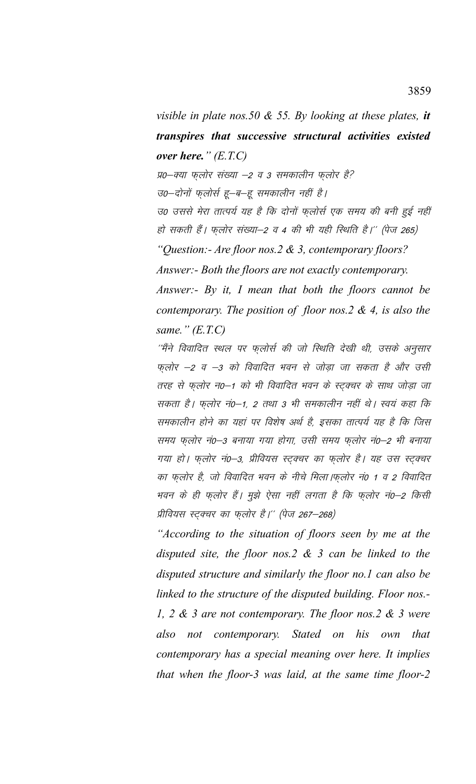*visible in plate nos.50 & 55. By looking at these plates, it transpires that successive structural activities existed over here." (E.T.C)*

प्र0-क्या फुलोर संख्या -2 व 3 समकालीन फुलोर है?

उ0-दोनों फुलोर्स हू-ब-हू समकालीन नहीं है।

उ0 उससे मेरा तात्पर्य यह है कि दोनों फ़लोर्स एक समय की बनी हुई नहीं हो सकती हैं। फ़लोर संख्या–2 व 4 की भी यही रिथति है।'' (पेज 265)

*"Question:- Are floor nos.2 & 3, contemporary floors?*

*Answer:- Both the floors are not exactly contemporary.*

*Answer:- By it, I mean that both the floors cannot be contemporary. The position of floor nos.2 & 4, is also the same." (E.T.C)*

''मैंने विवादित स्थल पर फ्**लोर्स की जो स्थिति देखी थी, उसके अनु**सार फ़लोर –2 व –3 को विवादित भवन से जोड़ा जा सकता है और उसी तरह से फलोर न0–1 को भी विवादित भवन के स्टक्चर के साथ जोड़ा जा सकता है। फ़लोर नं0-1, 2 तथा 3 भी समकालीन नहीं थे। स्वयं कहा कि समकालीन होने का यहां पर विशेष अर्थ है, इसका तात्पर्य यह है कि जिस समय फ़लोर नं0-3 बनाया गया होगा, उसी समय फ़लोर नं0-2 भी बनाया गया हो। फ़लोर नं0–3, प्रीवियस स्ट्क्चर का फ़्लोर है। यह उस स्ट्क्चर का फ़लोर है, जो विवादित भवन के नीचे मिला (फ़लोर नं0 1 व 2 विवादित भवन के ही फ़लोर हैं। मुझे ऐसा नहीं लगता है कि फ़लोर नं0–2 किसी प्रीवियस स्टुक्चर का फुलोर है।'' (पेज 267–268)

*"According to the situation of floors seen by me at the disputed site, the floor nos.2 & 3 can be linked to the disputed structure and similarly the floor no.1 can also be linked to the structure of the disputed building. Floor nos.- 1, 2 & 3 are not contemporary. The floor nos.2 & 3 were also not contemporary. Stated on his own that contemporary has a special meaning over here. It implies that when the floor-3 was laid, at the same time floor-2*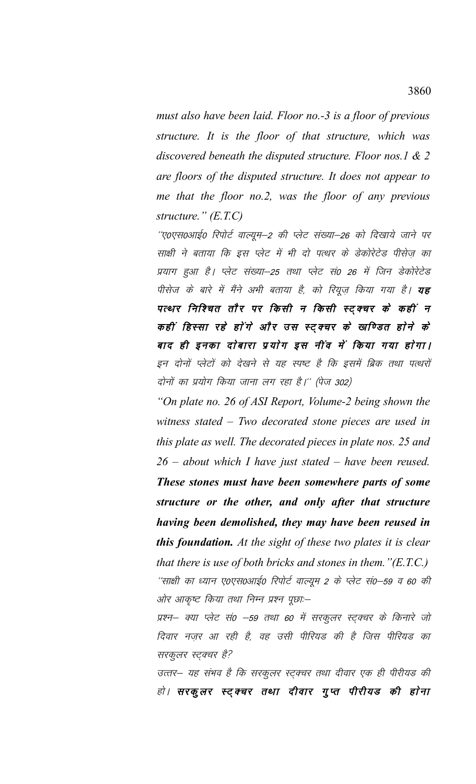*must also have been laid. Floor no.-3 is a floor of previous structure. It is the floor of that structure, which was discovered beneath the disputed structure. Floor nos.1 & 2 are floors of the disputed structure. It does not appear to me that the floor no.2, was the floor of any previous structure." (E.T.C)*

''ए०एस०आई० रिपोर्ट वाल्यूम–2 की प्लेट संख्या–26 को दिखाये जाने पर साक्षी ने बताया कि इस प्लेट में भी दो पत्थर के डेकोरेटेड पीसेज़ का प्रयाग हुआ है। प्लेट संख्या–25 तथा प्लेट सं0 26 में जिन डेकोरेटेड पीसेज के बारे में मैंने अभी बताया है, को रियूज़ किया गया है। **यह** पत्थर निश्चित तौर पर किसी न किसी स्ट्*क्चर के कहीं न* कहीं हिस्सा रहे होंगे और उस स्टुक्चर के खण्डित होने के बाद ही इनका दोबारा प्रयोग इस नींव में किया गया होगा। इन दोनों प्लेटों को देखने से यह स्पष्ट है कि इसमें ब्रिक तथा पत्थरों दोनों का प्रयोग किया जाना लग रहा है।'' (पेज 302)

*"On plate no. 26 of ASI Report, Volume-2 being shown the witness stated – Two decorated stone pieces are used in this plate as well. The decorated pieces in plate nos. 25 and 26 – about which I have just stated – have been reused. These stones must have been somewhere parts of some structure or the other, and only after that structure having been demolished, they may have been reused in this foundation. At the sight of these two plates it is clear that there is use of both bricks and stones in them."(E.T.C.)* ''साक्षी का ध्यान ए०एस०आई० रिपोर्ट वाल्यूम 2 के प्लेट सं०–59 व 60 की ओर आकृष्ट किया तथा निम्न प्रश्न पूछा:-

प्रश्न– क्या प्लेट सं0 –59 तथा 60 में सरकुलर स्टुक्चर के किनारे जो दिवार नजर आ रही है, वह उसी पीरियड की है जिस पीरियड का सरकुलर स्ट्क्चर है?

उत्तर– यह संभव है कि सरकुलर स्ट्क्वर तथा दीवार एक ही पीरीयड की हो। सरकुलर स्टुक्चर तथा दीवार गुप्त पीरीयड की होना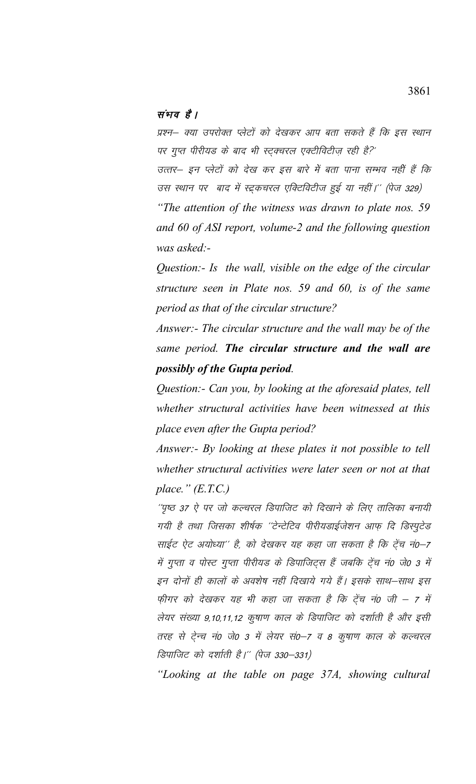#### समय है।

प्रश्न– क्या उपरोक्त प्लेटों को देखकर आप बता सकते हैं कि इस स्थान पर गुप्त पीरीयड के बाद भी स्ट्क्वरल एक्टीविटीज़ रही है?'

उत्तर– इन प्लेटों को देख कर इस बारे में बता पाना सम्भव नहीं हैं कि उस स्थान पर बाद में स्ट्रकचरल एक्टिविटीज हुई या नहीं।'' (पेज 329)

*"The attention of the witness was drawn to plate nos. 59 and 60 of ASI report, volume-2 and the following question was asked:-*

*Question:- Is the wall, visible on the edge of the circular structure seen in Plate nos. 59 and 60, is of the same period as that of the circular structure?*

*Answer:- The circular structure and the wall may be of the same period. The circular structure and the wall are possibly of the Gupta period.*

*Question:- Can you, by looking at the aforesaid plates, tell whether structural activities have been witnessed at this place even after the Gupta period?*

*Answer:- By looking at these plates it not possible to tell whether structural activities were later seen or not at that place." (E.T.C.)*

''पृष्ठ 37 ऐ पर जो कल्चरल डिपाजिट को दिखाने के लिए तालिका बनायी गयी है तथा जिसका शीर्षक ''टेन्टेटिव पीरीयडाईजेशन आफ़ दि डिस्पुटेड साईट ऐट अयोध्या'' है, को देखकर यह कहा जा सकता है कि टेंच नं0–7 में गुप्ता व पोस्ट गुप्ता पीरीयड के डिपाजिट्स हैं जबकि ट्रेंच नं0 जे0 3 में इन दोनों ही कालों के अवशेष नहीं दिखाये गये हैं। इसके साथ–साथ इस फ़ीगर को देखकर यह भी कहा जा सकता है कि ट्रेंच नं0 जी – 7 में लेयर संख्या 9,10,11,12 कुषाण काल के डिपाजिट को दर्शाती है और इसी तरह से टे्न्च नं0 जे0 3 में लेयर सं0-7 व 8 कुषाण काल के कल्चरल डिपाजिट को दर्शाती है।'' (पेज 330–331)

*"Looking at the table on page 37A, showing cultural*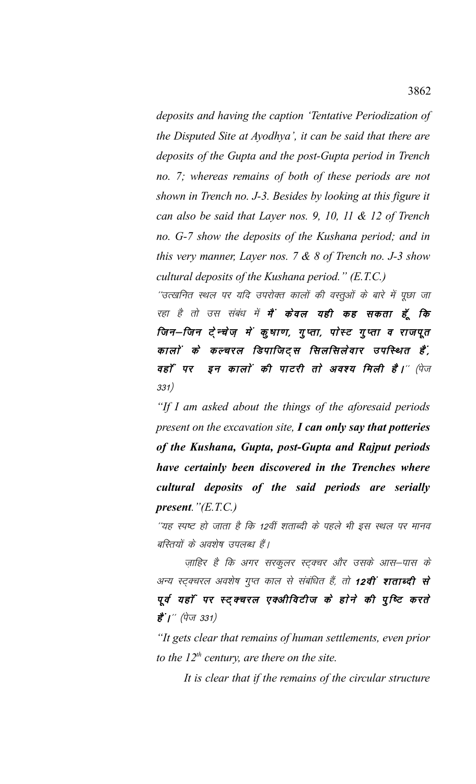*deposits and having the caption 'Tentative Periodization of the Disputed Site at Ayodhya', it can be said that there are deposits of the Gupta and the post-Gupta period in Trench no. 7; whereas remains of both of these periods are not shown in Trench no. J-3. Besides by looking at this figure it can also be said that Layer nos. 9, 10, 11 & 12 of Trench no. G-7 show the deposits of the Kushana period; and in this very manner, Layer nos. 7 & 8 of Trench no. J-3 show cultural deposits of the Kushana period." (E.T.C.)*

''उत्खनित स्थल पर यदि उपरोक्त कालों की वस्तुओं के बारे में पूछा जा रहा है तो उस संबंध में **मैं केवल यही कह सकता हूँ कि** जिन-जिन टे्न्चेज़ में कृषाण, गुप्ता, पोस्ट गुप्ता व राजपूत कालों के कल्चरल डिपाजिट्स सिलसिलेवार उपस्थित हैं, वहॉं पर इन कालों की पाटरी तो अवश्य मिली है।" (पेज 331½

*"If I am asked about the things of the aforesaid periods present on the excavation site, I can only say that potteries of the Kushana, Gupta, post-Gupta and Rajput periods have certainly been discovered in the Trenches where cultural deposits of the said periods are serially present."(E.T.C.)*

''यह स्पष्ट हो जाता है कि 12वीं शताब्दी के पहले भी इस स्थल पर मानव बस्तियों के अवशेष उपलब्ध हैं।

ज़ाहिर है कि अगर सरकुलर स्ट्क्चर और उसके आस–पास के अन्य स्ट्क्चरल अवशेष गुप्त काल से संबंधित हैं, तो **12वीं शताब्दी से** पूर्व यहाँ पर स्ट्क्चरल एक्ओविटीज के होने की पुष्टि करते  $\overrightarrow{g}'$  |" (पेज 331)

*"It gets clear that remains of human settlements, even prior to the 12th century, are there on the site.* 

*It is clear that if the remains of the circular structure*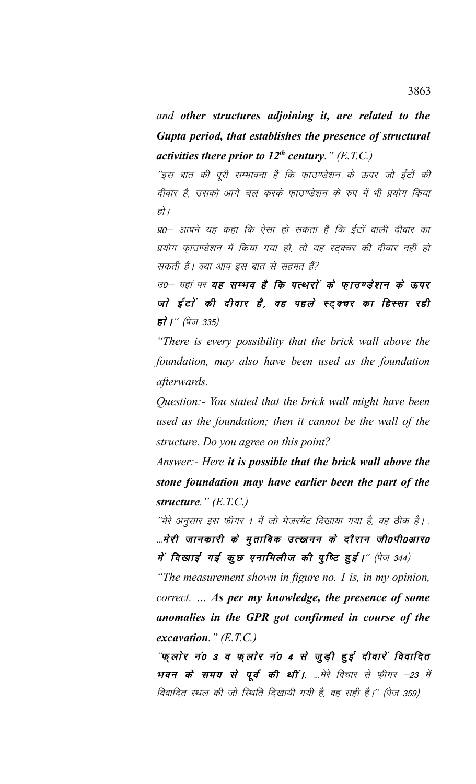*and other structures adjoining it, are related to the Gupta period, that establishes the presence of structural activities there prior to 12th century." (E.T.C.)*

''इस बात की पूरी सम्भावना है कि फ़ाउण्डेशन के ऊपर जो ईंटों की दीवार है, उसको आगे चल करके फाउण्डेशन के रुप में भी प्रयोग किया हो ।

प्र0– आपने यह कहा कि ऐसा हो सकता है कि ईटों वाली दीवार का प्रयोग फ़ाउण्डेशन में किया गया हो, तो यह स्टक्वर की दीवार नहीं हो सकती है। क्या आप इस बात से सहमत हैं?

उ०– यहां पर यह सम्भव है कि पत्थरों के फ़ाउण्डेशन के ऊपर जो ईटों की दीवार है, वह पहले स्टुक्चर का हिस्सा रही **हो ।**'' (पेज 335)

*"There is every possibility that the brick wall above the foundation, may also have been used as the foundation afterwards.*

*Question:- You stated that the brick wall might have been used as the foundation; then it cannot be the wall of the structure. Do you agree on this point?*

*Answer:- Here it is possible that the brick wall above the stone foundation may have earlier been the part of the structure." (E.T.C.)*

''मेरे अनुसार इस फ़ीगर 1 में जो मेजरमेंट दिखाया गया है, वह ठीक है। . ...मेरी जानकारी के मुताबिक उत्खनन के दौरान जीoपीoआरo में दिखाई गई कुछ एनामिलीज की पुष्टि हुई।" (पेज 344)

*"The measurement shown in figure no. 1 is, in my opinion, correct. … As per my knowledge, the presence of some anomalies in the GPR got confirmed in course of the excavation." (E.T.C.)*

 $\gamma$ फ्लोर नं0 3 व फ्लोर नं0 4 से जुड़ी हुई दीवारें विवादित भवन के समय से पूर्व की थीं।. ...मेरे विचार से फ़ीगर –23 में विवादित स्थल की जो स्थिति दिखायी गयी है, वह सही है।'' (पेज 359)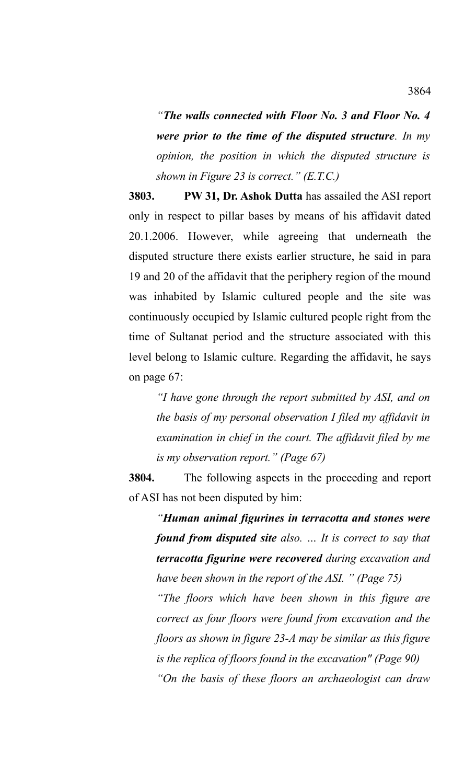*"The walls connected with Floor No. 3 and Floor No. 4 were prior to the time of the disputed structure. In my opinion, the position in which the disputed structure is shown in Figure 23 is correct." (E.T.C.)*

**3803. PW 31, Dr. Ashok Dutta** has assailed the ASI report only in respect to pillar bases by means of his affidavit dated 20.1.2006. However, while agreeing that underneath the disputed structure there exists earlier structure, he said in para 19 and 20 of the affidavit that the periphery region of the mound was inhabited by Islamic cultured people and the site was continuously occupied by Islamic cultured people right from the time of Sultanat period and the structure associated with this level belong to Islamic culture. Regarding the affidavit, he says on page 67:

*"I have gone through the report submitted by ASI, and on the basis of my personal observation I filed my affidavit in examination in chief in the court. The affidavit filed by me is my observation report." (Page 67)*

**3804.** The following aspects in the proceeding and report of ASI has not been disputed by him:

*"Human animal figurines in terracotta and stones were found from disputed site also. … It is correct to say that terracotta figurine were recovered during excavation and have been shown in the report of the ASI. " (Page 75)*

*"The floors which have been shown in this figure are correct as four floors were found from excavation and the floors as shown in figure 23-A may be similar as this figure is the replica of floors found in the excavation" (Page 90) "On the basis of these floors an archaeologist can draw*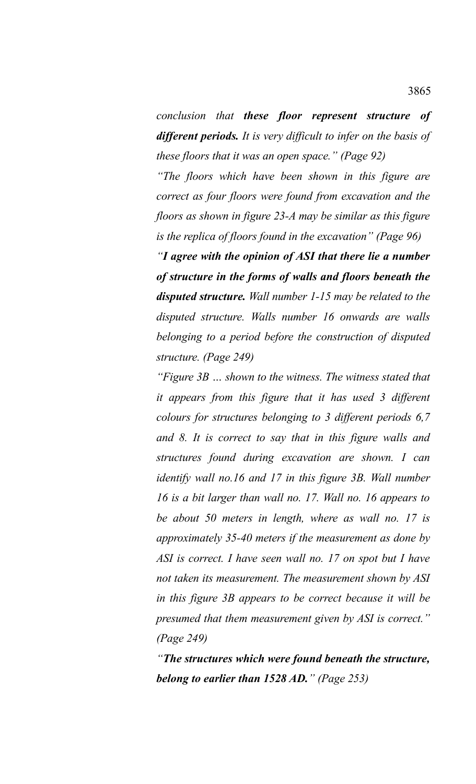*conclusion that these floor represent structure of different periods. It is very difficult to infer on the basis of these floors that it was an open space." (Page 92)*

*"The floors which have been shown in this figure are correct as four floors were found from excavation and the floors as shown in figure 23-A may be similar as this figure is the replica of floors found in the excavation" (Page 96)*

*"I agree with the opinion of ASI that there lie a number of structure in the forms of walls and floors beneath the disputed structure. Wall number 1-15 may be related to the disputed structure. Walls number 16 onwards are walls belonging to a period before the construction of disputed structure. (Page 249)*

*"Figure 3B … shown to the witness. The witness stated that it appears from this figure that it has used 3 different colours for structures belonging to 3 different periods 6,7 and 8. It is correct to say that in this figure walls and structures found during excavation are shown. I can identify wall no.16 and 17 in this figure 3B. Wall number 16 is a bit larger than wall no. 17. Wall no. 16 appears to be about 50 meters in length, where as wall no. 17 is approximately 35-40 meters if the measurement as done by ASI is correct. I have seen wall no. 17 on spot but I have not taken its measurement. The measurement shown by ASI in this figure 3B appears to be correct because it will be presumed that them measurement given by ASI is correct." (Page 249)* 

*"The structures which were found beneath the structure, belong to earlier than 1528 AD." (Page 253)*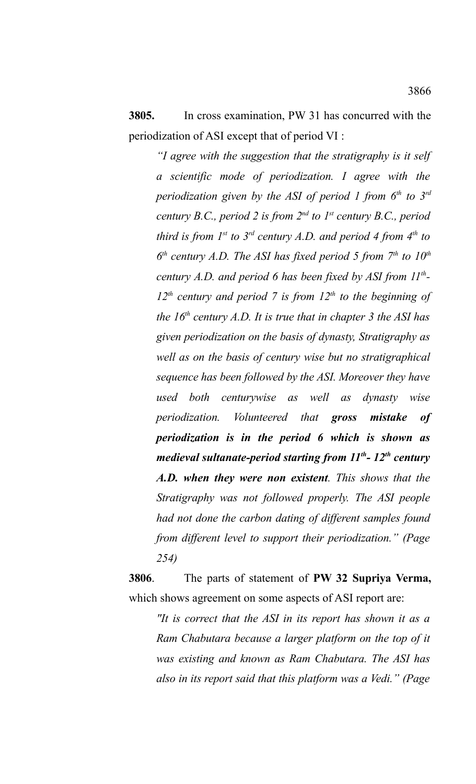**3805.** In cross examination, PW 31 has concurred with the periodization of ASI except that of period VI :

*"I agree with the suggestion that the stratigraphy is it self a scientific mode of periodization. I agree with the periodization given by the ASI of period 1 from 6th to 3rd century B.C., period 2 is from 2nd to 1st century B.C., period third is from 1st to 3rd century A.D. and period 4 from 4th to 6 th century A.D. The ASI has fixed period 5 from 7th to 10th century A.D. and period 6 has been fixed by ASI from 11th - 12th century and period 7 is from 12th to the beginning of the 16th century A.D. It is true that in chapter 3 the ASI has given periodization on the basis of dynasty, Stratigraphy as well as on the basis of century wise but no stratigraphical sequence has been followed by the ASI. Moreover they have used both centurywise as well as dynasty wise periodization. Volunteered that gross mistake of periodization is in the period 6 which is shown as medieval sultanate-period starting from 11th- 12th century A.D. when they were non existent. This shows that the Stratigraphy was not followed properly. The ASI people had not done the carbon dating of different samples found from different level to support their periodization." (Page 254)*

**3806**. The parts of statement of **PW 32 Supriya Verma,** which shows agreement on some aspects of ASI report are:

*"It is correct that the ASI in its report has shown it as a Ram Chabutara because a larger platform on the top of it was existing and known as Ram Chabutara. The ASI has also in its report said that this platform was a Vedi." (Page*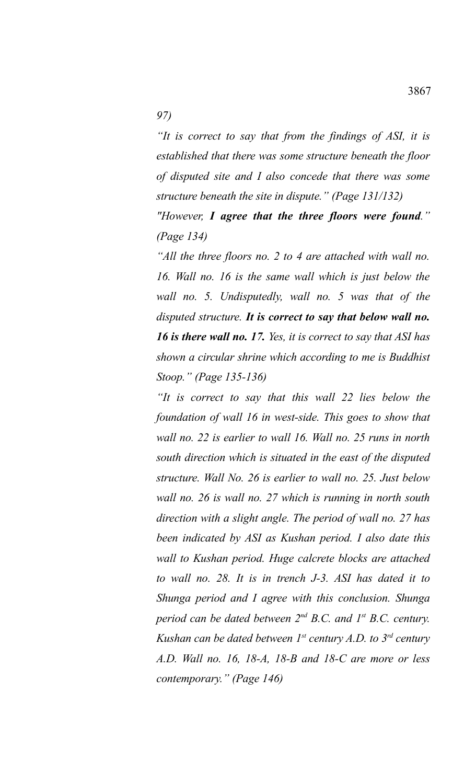*97)*

*"It is correct to say that from the findings of ASI, it is established that there was some structure beneath the floor of disputed site and I also concede that there was some structure beneath the site in dispute." (Page 131/132)* 

*"However, I agree that the three floors were found." (Page 134)*

*"All the three floors no. 2 to 4 are attached with wall no. 16. Wall no. 16 is the same wall which is just below the wall no. 5. Undisputedly, wall no. 5 was that of the disputed structure. It is correct to say that below wall no. 16 is there wall no. 17. Yes, it is correct to say that ASI has shown a circular shrine which according to me is Buddhist Stoop." (Page 135-136)*

*"It is correct to say that this wall 22 lies below the foundation of wall 16 in west-side. This goes to show that wall no. 22 is earlier to wall 16. Wall no. 25 runs in north south direction which is situated in the east of the disputed structure. Wall No. 26 is earlier to wall no. 25. Just below wall no. 26 is wall no. 27 which is running in north south direction with a slight angle. The period of wall no. 27 has been indicated by ASI as Kushan period. I also date this wall to Kushan period. Huge calcrete blocks are attached to wall no. 28. It is in trench J-3. ASI has dated it to Shunga period and I agree with this conclusion. Shunga period can be dated between 2nd B.C. and 1st B.C. century. Kushan can be dated between 1st century A.D. to 3rd century A.D. Wall no. 16, 18-A, 18-B and 18-C are more or less contemporary." (Page 146)*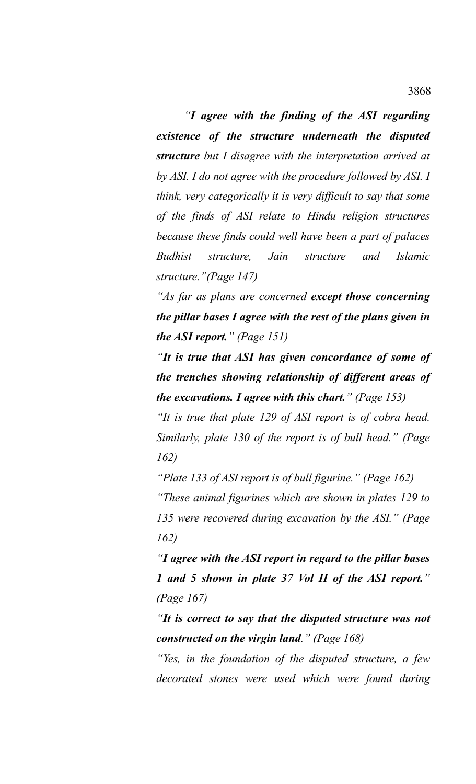*"I agree with the finding of the ASI regarding existence of the structure underneath the disputed structure but I disagree with the interpretation arrived at by ASI. I do not agree with the procedure followed by ASI. I think, very categorically it is very difficult to say that some of the finds of ASI relate to Hindu religion structures because these finds could well have been a part of palaces Budhist structure, Jain structure and Islamic structure."(Page 147)*

*"As far as plans are concerned except those concerning the pillar bases I agree with the rest of the plans given in the ASI report." (Page 151)*

*"It is true that ASI has given concordance of some of the trenches showing relationship of different areas of the excavations. I agree with this chart." (Page 153)*

*"It is true that plate 129 of ASI report is of cobra head. Similarly, plate 130 of the report is of bull head." (Page 162)*

*"Plate 133 of ASI report is of bull figurine." (Page 162) "These animal figurines which are shown in plates 129 to 135 were recovered during excavation by the ASI." (Page 162)*

*"I agree with the ASI report in regard to the pillar bases 1 and 5 shown in plate 37 Vol II of the ASI report." (Page 167)*

*"It is correct to say that the disputed structure was not constructed on the virgin land." (Page 168)*

*"Yes, in the foundation of the disputed structure, a few decorated stones were used which were found during*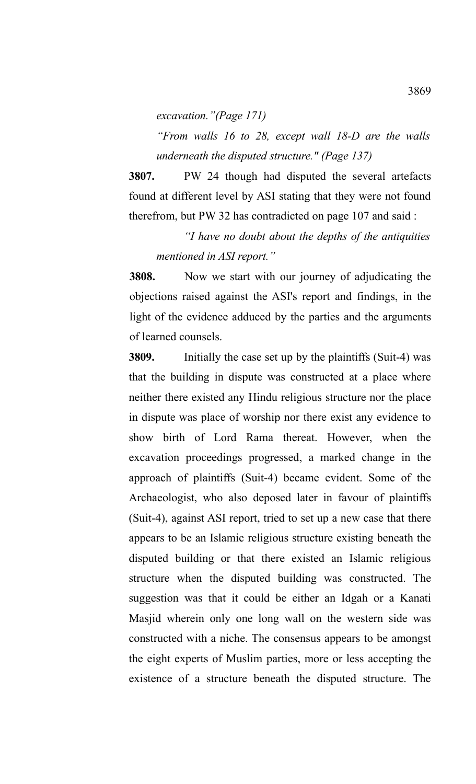*excavation."(Page 171)*

*"From walls 16 to 28, except wall 18-D are the walls underneath the disputed structure." (Page 137)*

**3807.** PW 24 though had disputed the several artefacts found at different level by ASI stating that they were not found therefrom, but PW 32 has contradicted on page 107 and said :

*"I have no doubt about the depths of the antiquities mentioned in ASI report."*

**3808.** Now we start with our journey of adjudicating the objections raised against the ASI's report and findings, in the light of the evidence adduced by the parties and the arguments of learned counsels.

**3809.** Initially the case set up by the plaintiffs (Suit-4) was that the building in dispute was constructed at a place where neither there existed any Hindu religious structure nor the place in dispute was place of worship nor there exist any evidence to show birth of Lord Rama thereat. However, when the excavation proceedings progressed, a marked change in the approach of plaintiffs (Suit-4) became evident. Some of the Archaeologist, who also deposed later in favour of plaintiffs (Suit-4), against ASI report, tried to set up a new case that there appears to be an Islamic religious structure existing beneath the disputed building or that there existed an Islamic religious structure when the disputed building was constructed. The suggestion was that it could be either an Idgah or a Kanati Masjid wherein only one long wall on the western side was constructed with a niche. The consensus appears to be amongst the eight experts of Muslim parties, more or less accepting the existence of a structure beneath the disputed structure. The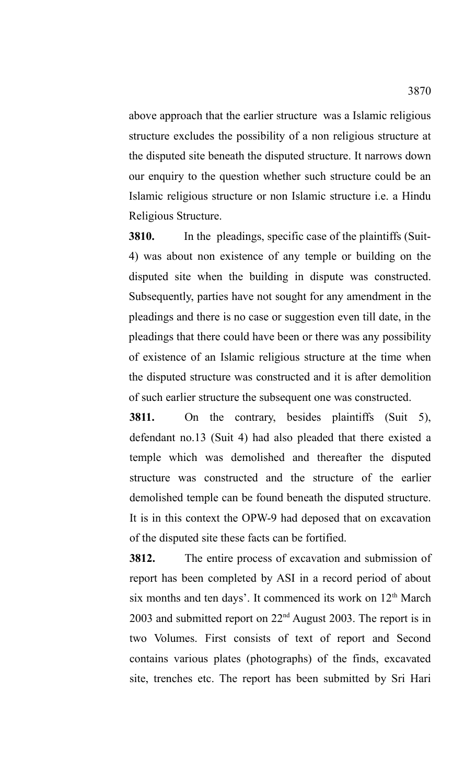above approach that the earlier structure was a Islamic religious structure excludes the possibility of a non religious structure at the disputed site beneath the disputed structure. It narrows down our enquiry to the question whether such structure could be an Islamic religious structure or non Islamic structure i.e. a Hindu Religious Structure.

**3810.** In the pleadings, specific case of the plaintiffs (Suit-4) was about non existence of any temple or building on the disputed site when the building in dispute was constructed. Subsequently, parties have not sought for any amendment in the pleadings and there is no case or suggestion even till date, in the pleadings that there could have been or there was any possibility of existence of an Islamic religious structure at the time when the disputed structure was constructed and it is after demolition of such earlier structure the subsequent one was constructed.

**3811.** On the contrary, besides plaintiffs (Suit 5), defendant no.13 (Suit 4) had also pleaded that there existed a temple which was demolished and thereafter the disputed structure was constructed and the structure of the earlier demolished temple can be found beneath the disputed structure. It is in this context the OPW-9 had deposed that on excavation of the disputed site these facts can be fortified.

**3812.** The entire process of excavation and submission of report has been completed by ASI in a record period of about six months and ten days'. It commenced its work on 12<sup>th</sup> March 2003 and submitted report on  $22<sup>nd</sup>$  August 2003. The report is in two Volumes. First consists of text of report and Second contains various plates (photographs) of the finds, excavated site, trenches etc. The report has been submitted by Sri Hari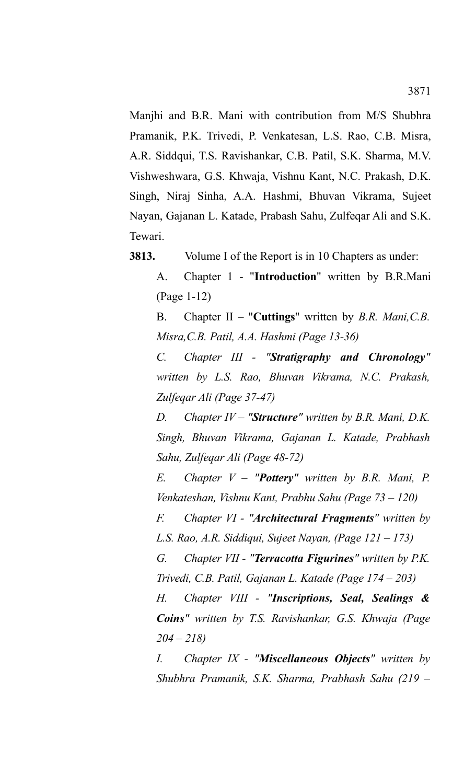Manjhi and B.R. Mani with contribution from M/S Shubhra Pramanik, P.K. Trivedi, P. Venkatesan, L.S. Rao, C.B. Misra, A.R. Siddqui, T.S. Ravishankar, C.B. Patil, S.K. Sharma, M.V. Vishweshwara, G.S. Khwaja, Vishnu Kant, N.C. Prakash, D.K. Singh, Niraj Sinha, A.A. Hashmi, Bhuvan Vikrama, Sujeet Nayan, Gajanan L. Katade, Prabash Sahu, Zulfeqar Ali and S.K. Tewari.

**3813.** Volume I of the Report is in 10 Chapters as under:

A. Chapter 1 - "**Introduction**" written by B.R.Mani (Page 1-12)

B. Chapter II – "**Cuttings**" written by *B.R. Mani,C.B. Misra,C.B. Patil, A.A. Hashmi (Page 13-36)*

*C. Chapter III - "Stratigraphy and Chronology" written by L.S. Rao, Bhuvan Vikrama, N.C. Prakash, Zulfeqar Ali (Page 37-47)*

*D. Chapter IV – "Structure" written by B.R. Mani, D.K. Singh, Bhuvan Vikrama, Gajanan L. Katade, Prabhash Sahu, Zulfeqar Ali (Page 48-72)*

*E. Chapter V – "Pottery" written by B.R. Mani, P. Venkateshan, Vishnu Kant, Prabhu Sahu (Page 73 – 120)*

*F. Chapter VI - "Architectural Fragments" written by L.S. Rao, A.R. Siddiqui, Sujeet Nayan, (Page 121 – 173)*

*G. Chapter VII - "Terracotta Figurines" written by P.K. Trivedi, C.B. Patil, Gajanan L. Katade (Page 174 – 203)*

*H. Chapter VIII - "Inscriptions, Seal, Sealings & Coins" written by T.S. Ravishankar, G.S. Khwaja (Page 204 – 218)*

*I. Chapter IX - "Miscellaneous Objects" written by Shubhra Pramanik, S.K. Sharma, Prabhash Sahu (219 –*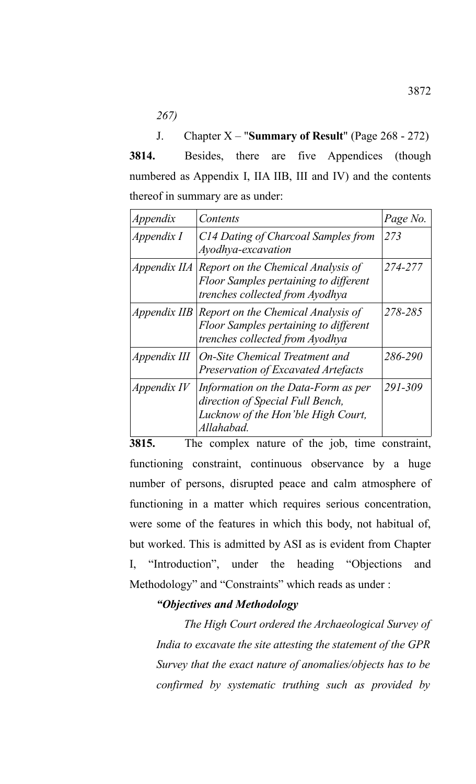*267)*

J. Chapter X – "**Summary of Result**" (Page 268 - 272) **3814.** Besides, there are five Appendices (though numbered as Appendix I, IIA IIB, III and IV) and the contents thereof in summary are as under:

| <i>Appendix</i> | Contents                                                                                                                    | Page No. |
|-----------------|-----------------------------------------------------------------------------------------------------------------------------|----------|
| Appendix I      | C14 Dating of Charcoal Samples from<br>Ayodhya-excavation                                                                   | 273      |
| Appendix IIA    | Report on the Chemical Analysis of<br>Floor Samples pertaining to different<br>trenches collected from Ayodhya              | 274-277  |
| Appendix IIB    | Report on the Chemical Analysis of<br>Floor Samples pertaining to different<br>trenches collected from Ayodhya              | 278-285  |
| Appendix III    | <b>On-Site Chemical Treatment and</b><br>Preservation of Excavated Artefacts                                                | 286-290  |
| Appendix IV     | Information on the Data-Form as per<br>direction of Special Full Bench,<br>Lucknow of the Hon'ble High Court,<br>Allahabad. | 291-309  |

**3815.** The complex nature of the job, time constraint, functioning constraint, continuous observance by a huge number of persons, disrupted peace and calm atmosphere of functioning in a matter which requires serious concentration, were some of the features in which this body, not habitual of, but worked. This is admitted by ASI as is evident from Chapter I, "Introduction", under the heading "Objections and Methodology" and "Constraints" which reads as under :

# *"Objectives and Methodology*

*The High Court ordered the Archaeological Survey of India to excavate the site attesting the statement of the GPR Survey that the exact nature of anomalies/objects has to be confirmed by systematic truthing such as provided by*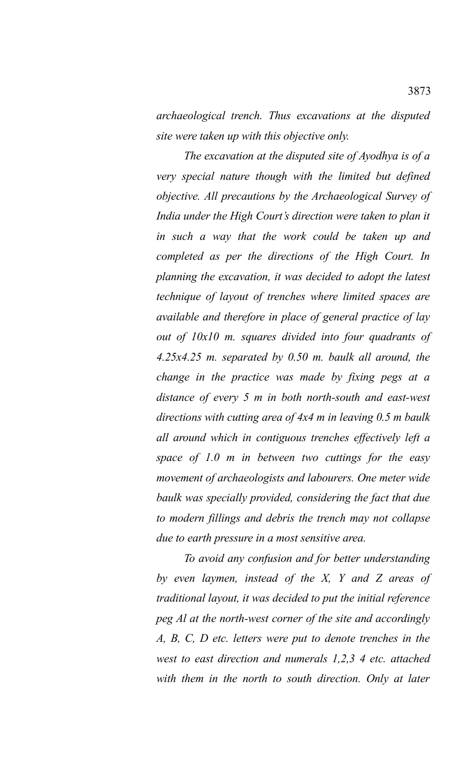*archaeological trench. Thus excavations at the disputed site were taken up with this objective only.* 

*The excavation at the disputed site of Ayodhya is of a very special nature though with the limited but defined objective. All precautions by the Archaeological Survey of India under the High Court's direction were taken to plan it in such a way that the work could be taken up and completed as per the directions of the High Court. In planning the excavation, it was decided to adopt the latest technique of layout of trenches where limited spaces are available and therefore in place of general practice of lay out of 10x10 m. squares divided into four quadrants of 4.25x4.25 m. separated by 0.50 m. baulk all around, the change in the practice was made by fixing pegs at a distance of every 5 m in both north-south and east-west directions with cutting area of 4x4 m in leaving 0.5 m baulk all around which in contiguous trenches effectively left a space of 1.0 m in between two cuttings for the easy movement of archaeologists and labourers. One meter wide baulk was specially provided, considering the fact that due to modern fillings and debris the trench may not collapse due to earth pressure in a most sensitive area.*

*To avoid any confusion and for better understanding by even laymen, instead of the X, Y and Z areas of traditional layout, it was decided to put the initial reference peg Al at the north-west corner of the site and accordingly A, B, C, D etc. letters were put to denote trenches in the west to east direction and numerals 1,2,3 4 etc. attached with them in the north to south direction. Only at later*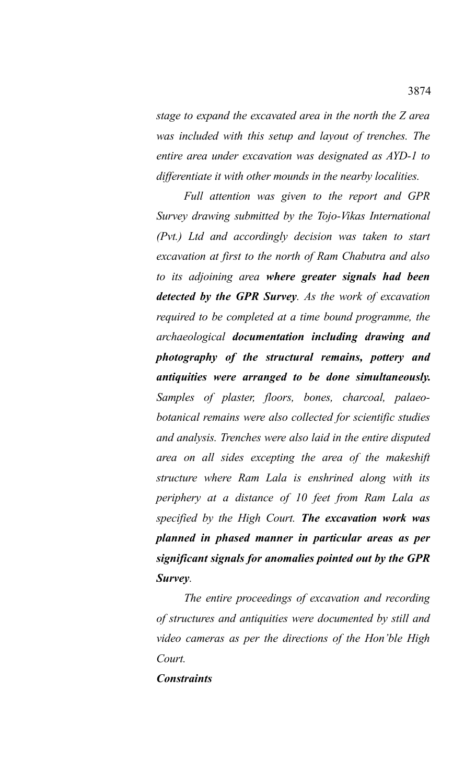*stage to expand the excavated area in the north the Z area was included with this setup and layout of trenches. The entire area under excavation was designated as AYD-1 to differentiate it with other mounds in the nearby localities.*

*Full attention was given to the report and GPR Survey drawing submitted by the Tojo-Vikas International (Pvt.) Ltd and accordingly decision was taken to start excavation at first to the north of Ram Chabutra and also to its adjoining area where greater signals had been detected by the GPR Survey. As the work of excavation required to be completed at a time bound programme, the archaeological documentation including drawing and photography of the structural remains, pottery and antiquities were arranged to be done simultaneously. Samples of plaster, floors, bones, charcoal, palaeobotanical remains were also collected for scientific studies and analysis. Trenches were also laid in the entire disputed area on all sides excepting the area of the makeshift structure where Ram Lala is enshrined along with its periphery at a distance of 10 feet from Ram Lala as specified by the High Court. The excavation work was planned in phased manner in particular areas as per significant signals for anomalies pointed out by the GPR Survey.*

*The entire proceedings of excavation and recording of structures and antiquities were documented by still and video cameras as per the directions of the Hon'ble High Court.*

# *Constraints*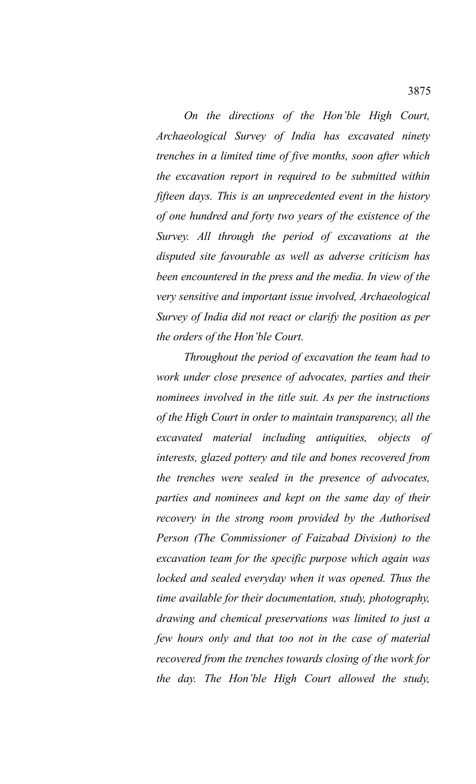*On the directions of the Hon'ble High Court, Archaeological Survey of India has excavated ninety trenches in a limited time of five months, soon after which the excavation report in required to be submitted within fifteen days. This is an unprecedented event in the history of one hundred and forty two years of the existence of the Survey. All through the period of excavations at the disputed site favourable as well as adverse criticism has been encountered in the press and the media. In view of the very sensitive and important issue involved, Archaeological Survey of India did not react or clarify the position as per the orders of the Hon'ble Court.*

*Throughout the period of excavation the team had to work under close presence of advocates, parties and their nominees involved in the title suit. As per the instructions of the High Court in order to maintain transparency, all the excavated material including antiquities, objects of interests, glazed pottery and tile and bones recovered from the trenches were sealed in the presence of advocates, parties and nominees and kept on the same day of their recovery in the strong room provided by the Authorised Person (The Commissioner of Faizabad Division) to the excavation team for the specific purpose which again was locked and sealed everyday when it was opened. Thus the time available for their documentation, study, photography, drawing and chemical preservations was limited to just a few hours only and that too not in the case of material recovered from the trenches towards closing of the work for the day. The Hon'ble High Court allowed the study,*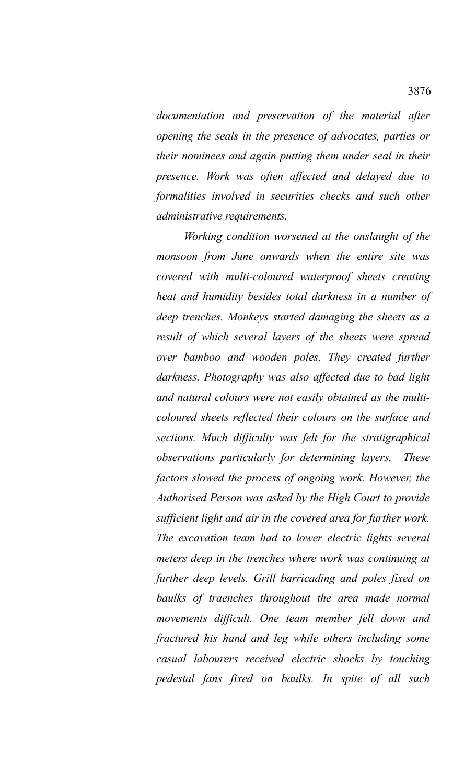*documentation and preservation of the material after opening the seals in the presence of advocates, parties or their nominees and again putting them under seal in their presence. Work was often affected and delayed due to formalities involved in securities checks and such other administrative requirements.* 

*Working condition worsened at the onslaught of the monsoon from June onwards when the entire site was covered with multi-coloured waterproof sheets creating heat and humidity besides total darkness in a number of deep trenches. Monkeys started damaging the sheets as a result of which several layers of the sheets were spread over bamboo and wooden poles. They created further darkness. Photography was also affected due to bad light and natural colours were not easily obtained as the multicoloured sheets reflected their colours on the surface and sections. Much difficulty was felt for the stratigraphical observations particularly for determining layers. These factors slowed the process of ongoing work. However, the Authorised Person was asked by the High Court to provide sufficient light and air in the covered area for further work. The excavation team had to lower electric lights several meters deep in the trenches where work was continuing at further deep levels. Grill barricading and poles fixed on baulks of traenches throughout the area made normal movements difficult. One team member fell down and fractured his hand and leg while others including some casual labourers received electric shocks by touching pedestal fans fixed on baulks. In spite of all such*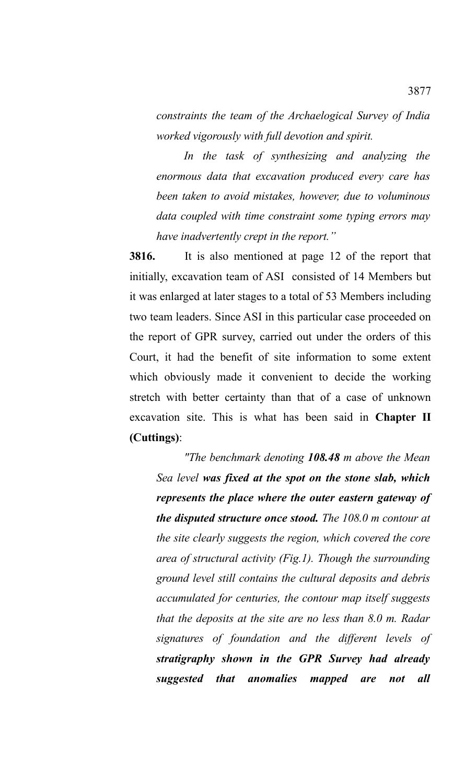*constraints the team of the Archaelogical Survey of India worked vigorously with full devotion and spirit.* 

*In the task of synthesizing and analyzing the enormous data that excavation produced every care has been taken to avoid mistakes, however, due to voluminous data coupled with time constraint some typing errors may have inadvertently crept in the report."*

**3816.** It is also mentioned at page 12 of the report that initially, excavation team of ASI consisted of 14 Members but it was enlarged at later stages to a total of 53 Members including two team leaders. Since ASI in this particular case proceeded on the report of GPR survey, carried out under the orders of this Court, it had the benefit of site information to some extent which obviously made it convenient to decide the working stretch with better certainty than that of a case of unknown excavation site. This is what has been said in **Chapter II (Cuttings)**:

*"The benchmark denoting 108.48 m above the Mean Sea level was fixed at the spot on the stone slab, which represents the place where the outer eastern gateway of the disputed structure once stood. The 108.0 m contour at the site clearly suggests the region, which covered the core area of structural activity (Fig.1). Though the surrounding ground level still contains the cultural deposits and debris accumulated for centuries, the contour map itself suggests that the deposits at the site are no less than 8.0 m. Radar signatures of foundation and the different levels of stratigraphy shown in the GPR Survey had already suggested that anomalies mapped are not all*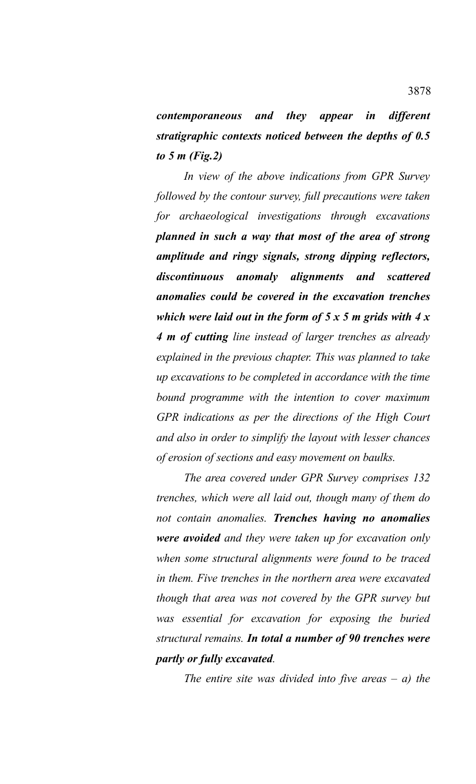*contemporaneous and they appear in different stratigraphic contexts noticed between the depths of 0.5 to 5 m (Fig.2)*

*In view of the above indications from GPR Survey followed by the contour survey, full precautions were taken for archaeological investigations through excavations planned in such a way that most of the area of strong amplitude and ringy signals, strong dipping reflectors, discontinuous anomaly alignments and scattered anomalies could be covered in the excavation trenches which were laid out in the form of 5 x 5 m grids with 4 x 4 m of cutting line instead of larger trenches as already explained in the previous chapter. This was planned to take up excavations to be completed in accordance with the time bound programme with the intention to cover maximum GPR indications as per the directions of the High Court and also in order to simplify the layout with lesser chances of erosion of sections and easy movement on baulks.* 

*The area covered under GPR Survey comprises 132 trenches, which were all laid out, though many of them do not contain anomalies. Trenches having no anomalies were avoided and they were taken up for excavation only when some structural alignments were found to be traced in them. Five trenches in the northern area were excavated though that area was not covered by the GPR survey but was essential for excavation for exposing the buried structural remains. In total a number of 90 trenches were partly or fully excavated.* 

*The entire site was divided into five areas – a) the*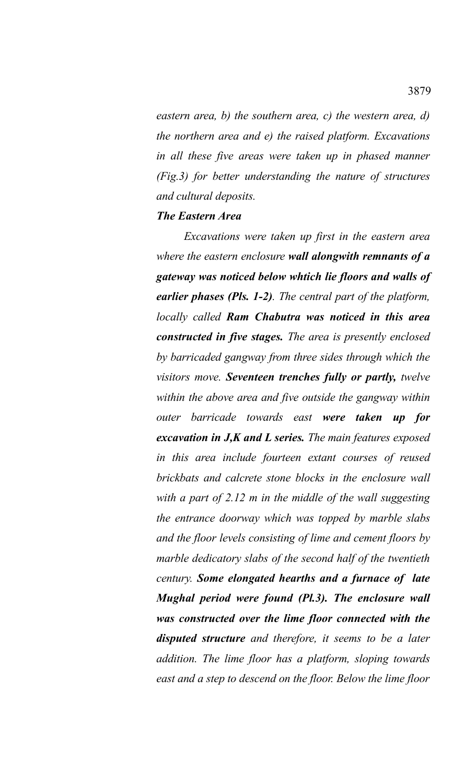*eastern area, b) the southern area, c) the western area, d) the northern area and e) the raised platform. Excavations in all these five areas were taken up in phased manner (Fig.3) for better understanding the nature of structures and cultural deposits.*

# *The Eastern Area*

*Excavations were taken up first in the eastern area where the eastern enclosure wall alongwith remnants of a gateway was noticed below whtich lie floors and walls of earlier phases (Pls. 1-2). The central part of the platform, locally called Ram Chabutra was noticed in this area constructed in five stages. The area is presently enclosed by barricaded gangway from three sides through which the visitors move. Seventeen trenches fully or partly, twelve within the above area and five outside the gangway within outer barricade towards east were taken up for excavation in J,K and L series. The main features exposed in this area include fourteen extant courses of reused brickbats and calcrete stone blocks in the enclosure wall with a part of 2.12 m in the middle of the wall suggesting the entrance doorway which was topped by marble slabs and the floor levels consisting of lime and cement floors by marble dedicatory slabs of the second half of the twentieth century. Some elongated hearths and a furnace of late Mughal period were found (Pl.3). The enclosure wall was constructed over the lime floor connected with the disputed structure and therefore, it seems to be a later addition. The lime floor has a platform, sloping towards east and a step to descend on the floor. Below the lime floor*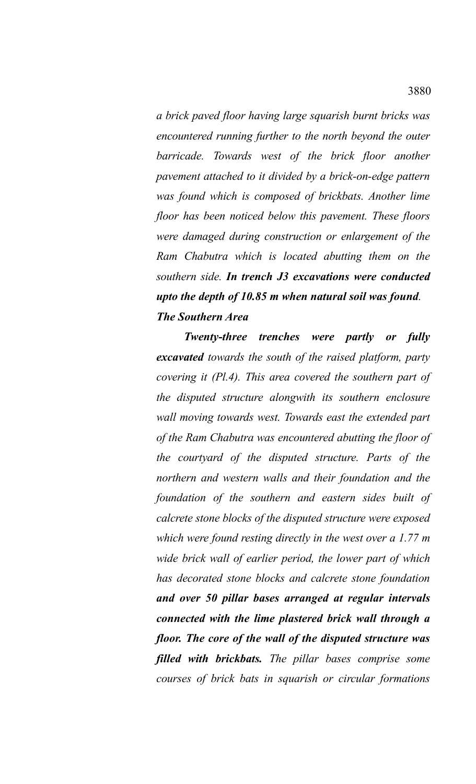*a brick paved floor having large squarish burnt bricks was encountered running further to the north beyond the outer barricade. Towards west of the brick floor another pavement attached to it divided by a brick-on-edge pattern was found which is composed of brickbats. Another lime floor has been noticed below this pavement. These floors were damaged during construction or enlargement of the Ram Chabutra which is located abutting them on the southern side. In trench J3 excavations were conducted upto the depth of 10.85 m when natural soil was found. The Southern Area*

*Twenty-three trenches were partly or fully excavated towards the south of the raised platform, party covering it (Pl.4). This area covered the southern part of the disputed structure alongwith its southern enclosure wall moving towards west. Towards east the extended part of the Ram Chabutra was encountered abutting the floor of the courtyard of the disputed structure. Parts of the northern and western walls and their foundation and the foundation of the southern and eastern sides built of calcrete stone blocks of the disputed structure were exposed which were found resting directly in the west over a 1.77 m wide brick wall of earlier period, the lower part of which has decorated stone blocks and calcrete stone foundation and over 50 pillar bases arranged at regular intervals connected with the lime plastered brick wall through a floor. The core of the wall of the disputed structure was filled with brickbats. The pillar bases comprise some courses of brick bats in squarish or circular formations*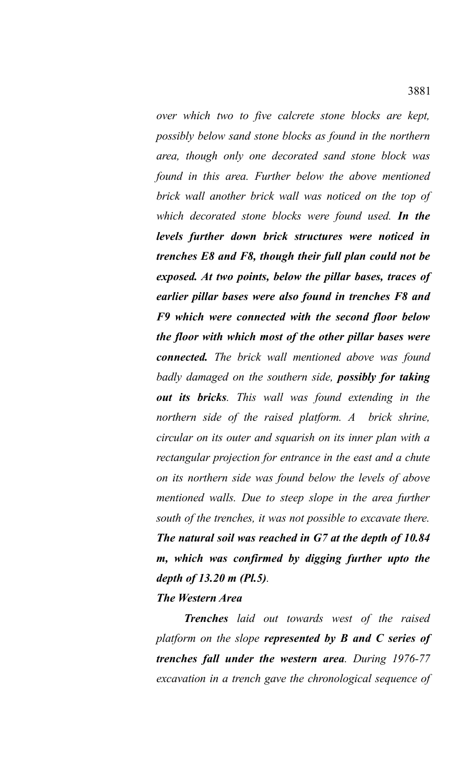*over which two to five calcrete stone blocks are kept, possibly below sand stone blocks as found in the northern area, though only one decorated sand stone block was found in this area. Further below the above mentioned brick wall another brick wall was noticed on the top of which decorated stone blocks were found used. In the levels further down brick structures were noticed in trenches E8 and F8, though their full plan could not be exposed. At two points, below the pillar bases, traces of earlier pillar bases were also found in trenches F8 and F9 which were connected with the second floor below the floor with which most of the other pillar bases were connected. The brick wall mentioned above was found badly damaged on the southern side, possibly for taking out its bricks. This wall was found extending in the northern side of the raised platform. A brick shrine, circular on its outer and squarish on its inner plan with a rectangular projection for entrance in the east and a chute on its northern side was found below the levels of above mentioned walls. Due to steep slope in the area further south of the trenches, it was not possible to excavate there. The natural soil was reached in G7 at the depth of 10.84 m, which was confirmed by digging further upto the depth of 13.20 m (Pl.5).*

### *The Western Area*

*Trenches laid out towards west of the raised platform on the slope represented by B and C series of trenches fall under the western area. During 1976-77 excavation in a trench gave the chronological sequence of*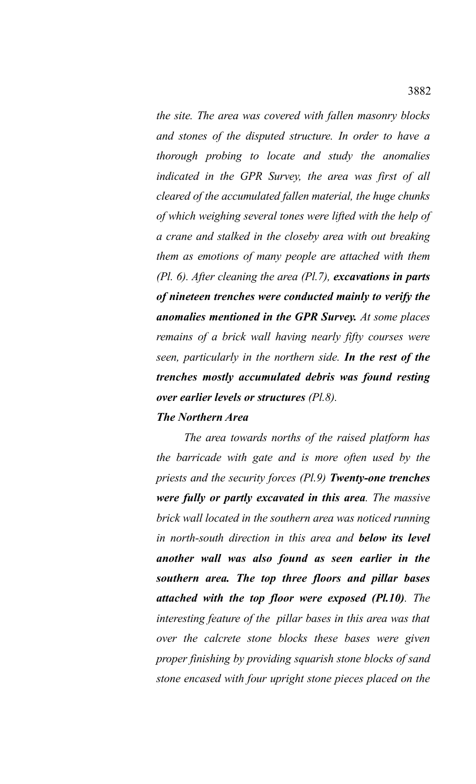*the site. The area was covered with fallen masonry blocks and stones of the disputed structure. In order to have a thorough probing to locate and study the anomalies indicated in the GPR Survey, the area was first of all cleared of the accumulated fallen material, the huge chunks of which weighing several tones were lifted with the help of a crane and stalked in the closeby area with out breaking them as emotions of many people are attached with them (Pl. 6). After cleaning the area (Pl.7), excavations in parts of nineteen trenches were conducted mainly to verify the anomalies mentioned in the GPR Survey. At some places remains of a brick wall having nearly fifty courses were seen, particularly in the northern side. In the rest of the trenches mostly accumulated debris was found resting over earlier levels or structures (Pl.8).*

### *The Northern Area*

*The area towards norths of the raised platform has the barricade with gate and is more often used by the priests and the security forces (Pl.9) Twenty-one trenches were fully or partly excavated in this area. The massive brick wall located in the southern area was noticed running in north-south direction in this area and below its level another wall was also found as seen earlier in the southern area. The top three floors and pillar bases attached with the top floor were exposed (Pl.10). The interesting feature of the pillar bases in this area was that over the calcrete stone blocks these bases were given proper finishing by providing squarish stone blocks of sand stone encased with four upright stone pieces placed on the*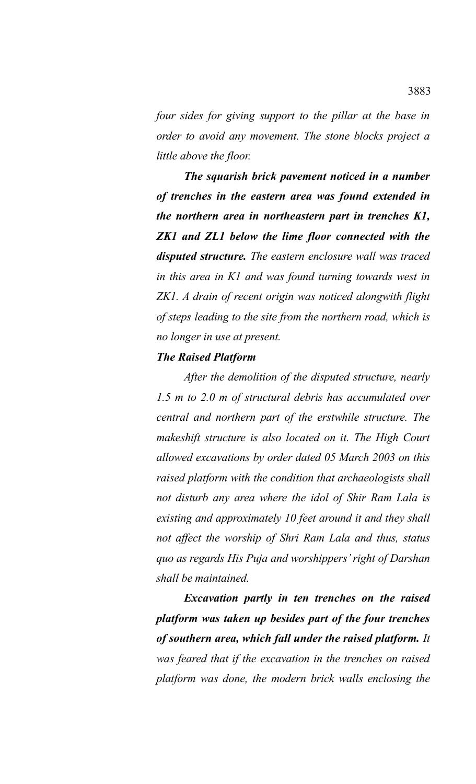*four sides for giving support to the pillar at the base in order to avoid any movement. The stone blocks project a little above the floor.* 

*The squarish brick pavement noticed in a number of trenches in the eastern area was found extended in the northern area in northeastern part in trenches K1, ZK1 and ZL1 below the lime floor connected with the disputed structure. The eastern enclosure wall was traced in this area in K1 and was found turning towards west in ZK1. A drain of recent origin was noticed alongwith flight of steps leading to the site from the northern road, which is no longer in use at present.* 

### *The Raised Platform*

*After the demolition of the disputed structure, nearly 1.5 m to 2.0 m of structural debris has accumulated over central and northern part of the erstwhile structure. The makeshift structure is also located on it. The High Court allowed excavations by order dated 05 March 2003 on this raised platform with the condition that archaeologists shall not disturb any area where the idol of Shir Ram Lala is existing and approximately 10 feet around it and they shall not affect the worship of Shri Ram Lala and thus, status quo as regards His Puja and worshippers' right of Darshan shall be maintained.* 

*Excavation partly in ten trenches on the raised platform was taken up besides part of the four trenches of southern area, which fall under the raised platform. It was feared that if the excavation in the trenches on raised platform was done, the modern brick walls enclosing the*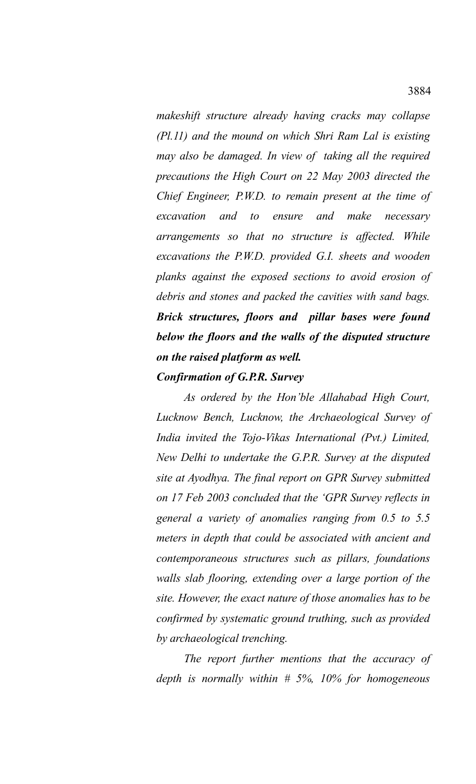*makeshift structure already having cracks may collapse (Pl.11) and the mound on which Shri Ram Lal is existing may also be damaged. In view of taking all the required precautions the High Court on 22 May 2003 directed the Chief Engineer, P.W.D. to remain present at the time of excavation and to ensure and make necessary arrangements so that no structure is affected. While excavations the P.W.D. provided G.I. sheets and wooden planks against the exposed sections to avoid erosion of debris and stones and packed the cavities with sand bags. Brick structures, floors and pillar bases were found below the floors and the walls of the disputed structure on the raised platform as well.*

# *Confirmation of G.P.R. Survey*

*As ordered by the Hon'ble Allahabad High Court, Lucknow Bench, Lucknow, the Archaeological Survey of India invited the Tojo-Vikas International (Pvt.) Limited, New Delhi to undertake the G.P.R. Survey at the disputed site at Ayodhya. The final report on GPR Survey submitted on 17 Feb 2003 concluded that the 'GPR Survey reflects in general a variety of anomalies ranging from 0.5 to 5.5 meters in depth that could be associated with ancient and contemporaneous structures such as pillars, foundations walls slab flooring, extending over a large portion of the site. However, the exact nature of those anomalies has to be confirmed by systematic ground truthing, such as provided by archaeological trenching.* 

*The report further mentions that the accuracy of depth is normally within # 5%, 10% for homogeneous*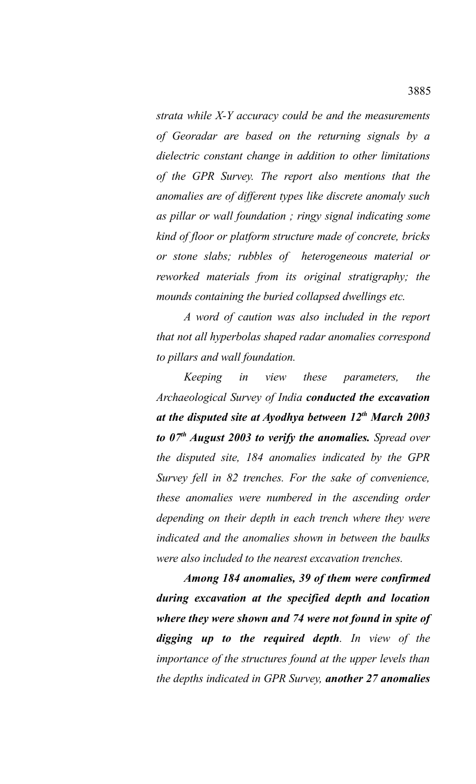*strata while X-Y accuracy could be and the measurements of Georadar are based on the returning signals by a dielectric constant change in addition to other limitations of the GPR Survey. The report also mentions that the anomalies are of different types like discrete anomaly such as pillar or wall foundation ; ringy signal indicating some kind of floor or platform structure made of concrete, bricks or stone slabs; rubbles of heterogeneous material or reworked materials from its original stratigraphy; the mounds containing the buried collapsed dwellings etc.* 

*A word of caution was also included in the report that not all hyperbolas shaped radar anomalies correspond to pillars and wall foundation.*

*Keeping in view these parameters, the Archaeological Survey of India conducted the excavation at the disputed site at Ayodhya between 12th March 2003 to 07th August 2003 to verify the anomalies. Spread over the disputed site, 184 anomalies indicated by the GPR Survey fell in 82 trenches. For the sake of convenience, these anomalies were numbered in the ascending order depending on their depth in each trench where they were indicated and the anomalies shown in between the baulks were also included to the nearest excavation trenches.* 

*Among 184 anomalies, 39 of them were confirmed during excavation at the specified depth and location where they were shown and 74 were not found in spite of digging up to the required depth. In view of the importance of the structures found at the upper levels than the depths indicated in GPR Survey, another 27 anomalies*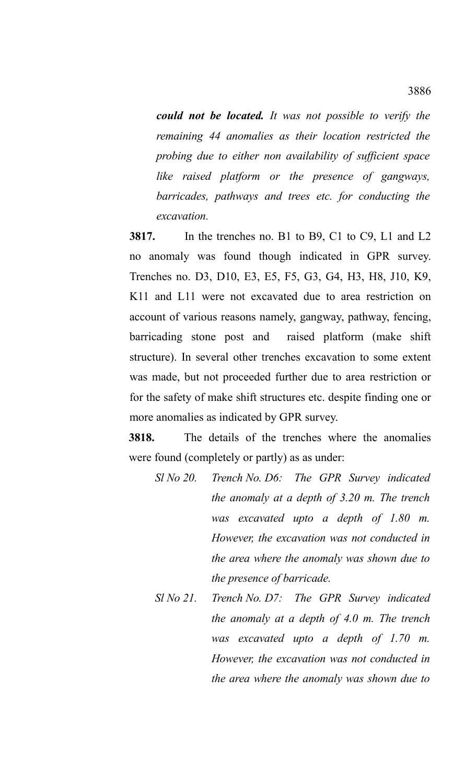*could not be located. It was not possible to verify the remaining 44 anomalies as their location restricted the probing due to either non availability of sufficient space like raised platform or the presence of gangways, barricades, pathways and trees etc. for conducting the excavation.* 

**3817.** In the trenches no. B1 to B9, C1 to C9, L1 and L2 no anomaly was found though indicated in GPR survey. Trenches no. D3, D10, E3, E5, F5, G3, G4, H3, H8, J10, K9, K11 and L11 were not excavated due to area restriction on account of various reasons namely, gangway, pathway, fencing, barricading stone post and raised platform (make shift structure). In several other trenches excavation to some extent was made, but not proceeded further due to area restriction or for the safety of make shift structures etc. despite finding one or more anomalies as indicated by GPR survey.

**3818.** The details of the trenches where the anomalies were found (completely or partly) as as under:

- *Sl No 20. Trench No. D6: The GPR Survey indicated the anomaly at a depth of 3.20 m. The trench was excavated upto a depth of 1.80 m. However, the excavation was not conducted in the area where the anomaly was shown due to the presence of barricade.*
- *Sl No 21. Trench No. D7: The GPR Survey indicated the anomaly at a depth of 4.0 m. The trench was excavated upto a depth of 1.70 m. However, the excavation was not conducted in the area where the anomaly was shown due to*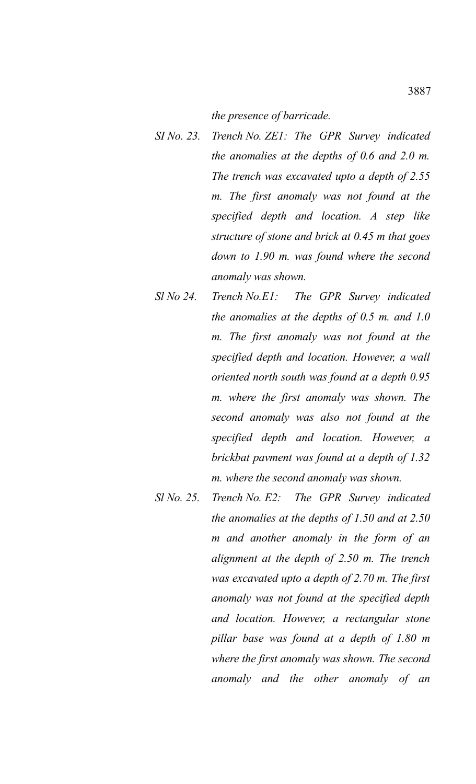*the presence of barricade.*

- *SI No. 23. Trench No. ZE1: The GPR Survey indicated the anomalies at the depths of 0.6 and 2.0 m. The trench was excavated upto a depth of 2.55 m. The first anomaly was not found at the specified depth and location. A step like structure of stone and brick at 0.45 m that goes down to 1.90 m. was found where the second anomaly was shown.*
- *Sl No 24. Trench No.E1: The GPR Survey indicated the anomalies at the depths of 0.5 m. and 1.0 m. The first anomaly was not found at the specified depth and location. However, a wall oriented north south was found at a depth 0.95 m. where the first anomaly was shown. The second anomaly was also not found at the specified depth and location. However, a brickbat pavment was found at a depth of 1.32 m. where the second anomaly was shown.*
- *Sl No. 25. Trench No. E2: The GPR Survey indicated the anomalies at the depths of 1.50 and at 2.50 m and another anomaly in the form of an alignment at the depth of 2.50 m. The trench was excavated upto a depth of 2.70 m. The first anomaly was not found at the specified depth and location. However, a rectangular stone pillar base was found at a depth of 1.80 m where the first anomaly was shown. The second anomaly and the other anomaly of an*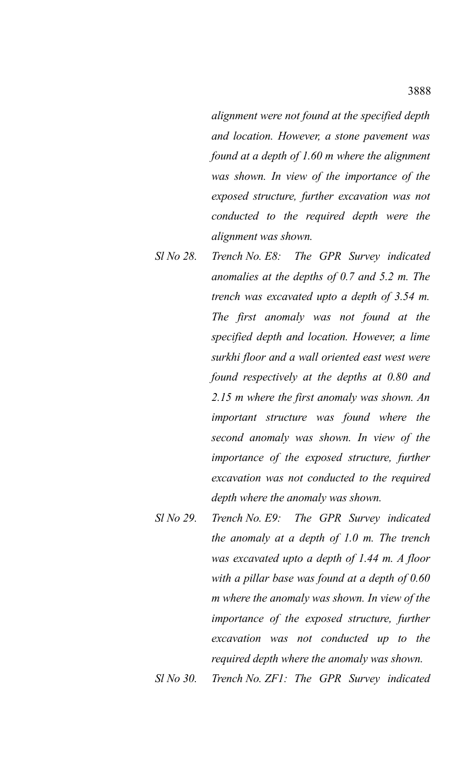*alignment were not found at the specified depth and location. However, a stone pavement was found at a depth of 1.60 m where the alignment was shown. In view of the importance of the exposed structure, further excavation was not conducted to the required depth were the alignment was shown.* 

- *Sl No 28. Trench No. E8: The GPR Survey indicated anomalies at the depths of 0.7 and 5.2 m. The trench was excavated upto a depth of 3.54 m. The first anomaly was not found at the specified depth and location. However, a lime surkhi floor and a wall oriented east west were found respectively at the depths at 0.80 and 2.15 m where the first anomaly was shown. An important structure was found where the second anomaly was shown. In view of the importance of the exposed structure, further excavation was not conducted to the required depth where the anomaly was shown.*
- *Sl No 29. Trench No. E9: The GPR Survey indicated the anomaly at a depth of 1.0 m. The trench was excavated upto a depth of 1.44 m. A floor with a pillar base was found at a depth of 0.60 m where the anomaly was shown. In view of the importance of the exposed structure, further excavation was not conducted up to the required depth where the anomaly was shown.*

*Sl No 30. Trench No. ZF1: The GPR Survey indicated*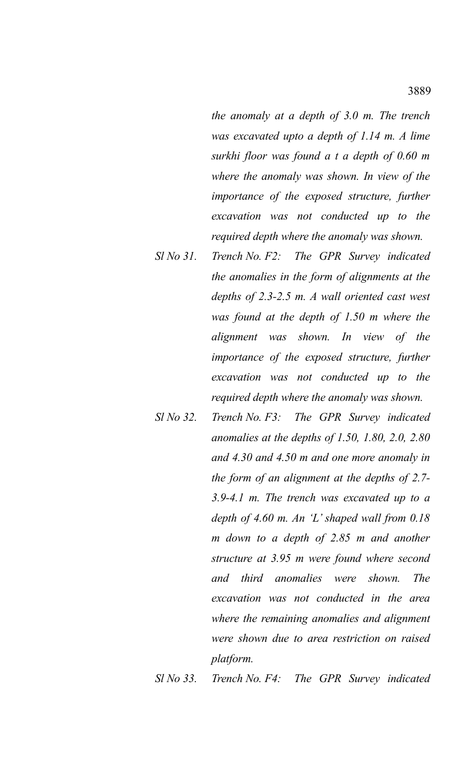*the anomaly at a depth of 3.0 m. The trench was excavated upto a depth of 1.14 m. A lime surkhi floor was found a t a depth of 0.60 m where the anomaly was shown. In view of the importance of the exposed structure, further excavation was not conducted up to the required depth where the anomaly was shown.*

- *Sl No 31. Trench No. F2: The GPR Survey indicated the anomalies in the form of alignments at the depths of 2.3-2.5 m. A wall oriented cast west was found at the depth of 1.50 m where the alignment was shown. In view of the importance of the exposed structure, further excavation was not conducted up to the required depth where the anomaly was shown.*
- *Sl No 32. Trench No. F3: The GPR Survey indicated anomalies at the depths of 1.50, 1.80, 2.0, 2.80 and 4.30 and 4.50 m and one more anomaly in the form of an alignment at the depths of 2.7- 3.9-4.1 m. The trench was excavated up to a depth of 4.60 m. An 'L' shaped wall from 0.18 m down to a depth of 2.85 m and another structure at 3.95 m were found where second and third anomalies were shown. The excavation was not conducted in the area where the remaining anomalies and alignment were shown due to area restriction on raised platform.*

*Sl No 33. Trench No. F4: The GPR Survey indicated*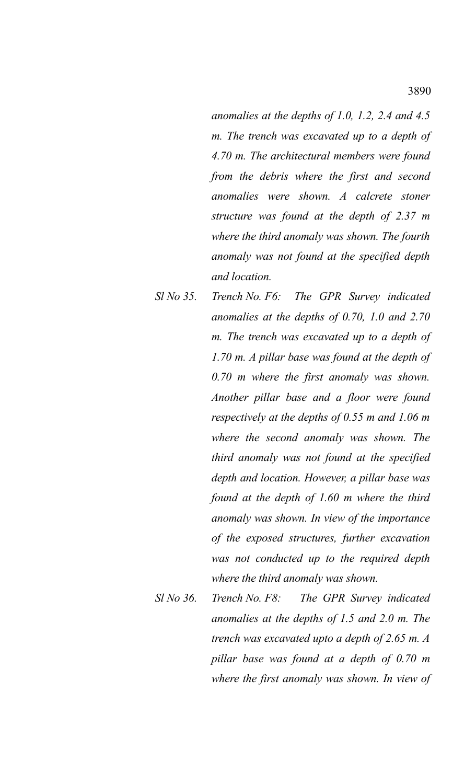*anomalies at the depths of 1.0, 1.2, 2.4 and 4.5 m. The trench was excavated up to a depth of 4.70 m. The architectural members were found from the debris where the first and second anomalies were shown. A calcrete stoner structure was found at the depth of 2.37 m where the third anomaly was shown. The fourth anomaly was not found at the specified depth and location.* 

- *Sl No 35. Trench No. F6: The GPR Survey indicated anomalies at the depths of 0.70, 1.0 and 2.70 m. The trench was excavated up to a depth of 1.70 m. A pillar base was found at the depth of 0.70 m where the first anomaly was shown. Another pillar base and a floor were found respectively at the depths of 0.55 m and 1.06 m where the second anomaly was shown. The third anomaly was not found at the specified depth and location. However, a pillar base was found at the depth of 1.60 m where the third anomaly was shown. In view of the importance of the exposed structures, further excavation was not conducted up to the required depth where the third anomaly was shown.*
- *Sl No 36. Trench No. F8: The GPR Survey indicated anomalies at the depths of 1.5 and 2.0 m. The trench was excavated upto a depth of 2.65 m. A pillar base was found at a depth of 0.70 m where the first anomaly was shown. In view of*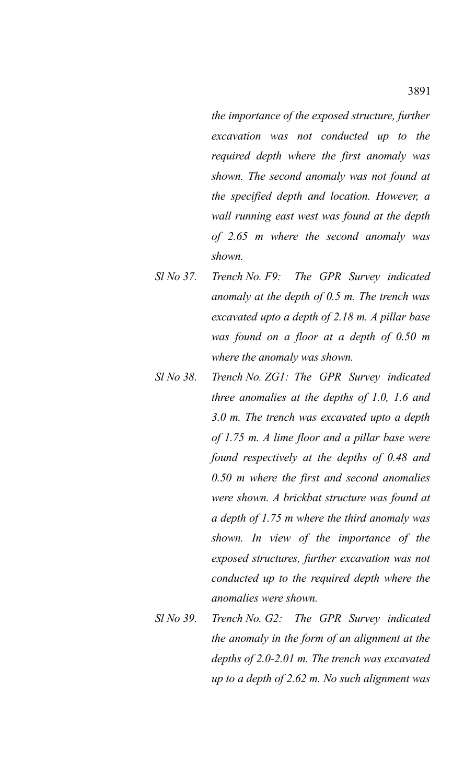*the importance of the exposed structure, further excavation was not conducted up to the required depth where the first anomaly was shown. The second anomaly was not found at the specified depth and location. However, a wall running east west was found at the depth of 2.65 m where the second anomaly was shown.* 

- *Sl No 37. Trench No. F9: The GPR Survey indicated anomaly at the depth of 0.5 m. The trench was excavated upto a depth of 2.18 m. A pillar base was found on a floor at a depth of 0.50 m where the anomaly was shown.*
- *Sl No 38. Trench No. ZG1: The GPR Survey indicated three anomalies at the depths of 1.0, 1.6 and 3.0 m. The trench was excavated upto a depth of 1.75 m. A lime floor and a pillar base were found respectively at the depths of 0.48 and 0.50 m where the first and second anomalies were shown. A brickbat structure was found at a depth of 1.75 m where the third anomaly was shown. In view of the importance of the exposed structures, further excavation was not conducted up to the required depth where the anomalies were shown.*
- *Sl No 39. Trench No. G2: The GPR Survey indicated the anomaly in the form of an alignment at the depths of 2.0-2.01 m. The trench was excavated up to a depth of 2.62 m. No such alignment was*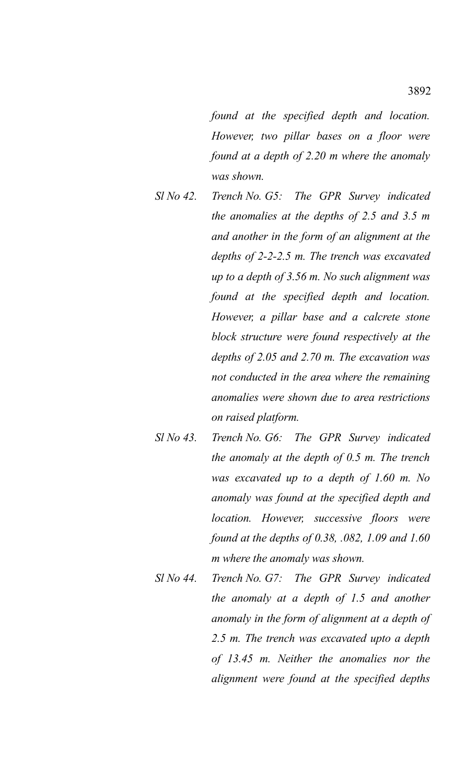*found at the specified depth and location. However, two pillar bases on a floor were found at a depth of 2.20 m where the anomaly was shown.* 

- *Sl No 42. Trench No. G5: The GPR Survey indicated the anomalies at the depths of 2.5 and 3.5 m and another in the form of an alignment at the depths of 2-2-2.5 m. The trench was excavated up to a depth of 3.56 m. No such alignment was found at the specified depth and location. However, a pillar base and a calcrete stone block structure were found respectively at the depths of 2.05 and 2.70 m. The excavation was not conducted in the area where the remaining anomalies were shown due to area restrictions on raised platform.*
- *Sl No 43. Trench No. G6: The GPR Survey indicated the anomaly at the depth of 0.5 m. The trench was excavated up to a depth of 1.60 m. No anomaly was found at the specified depth and location. However, successive floors were found at the depths of 0.38, .082, 1.09 and 1.60 m where the anomaly was shown.*
- *Sl No 44. Trench No. G7: The GPR Survey indicated the anomaly at a depth of 1.5 and another anomaly in the form of alignment at a depth of 2.5 m. The trench was excavated upto a depth of 13.45 m. Neither the anomalies nor the alignment were found at the specified depths*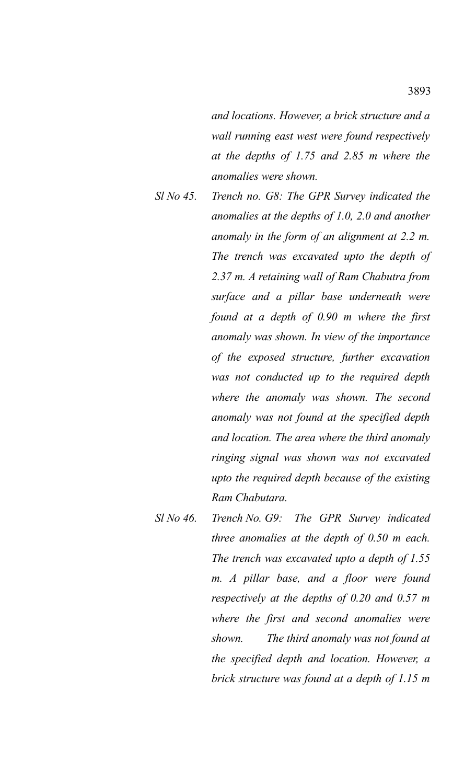*and locations. However, a brick structure and a wall running east west were found respectively at the depths of 1.75 and 2.85 m where the anomalies were shown.* 

- *Sl No 45. Trench no. G8: The GPR Survey indicated the anomalies at the depths of 1.0, 2.0 and another anomaly in the form of an alignment at 2.2 m. The trench was excavated upto the depth of 2.37 m. A retaining wall of Ram Chabutra from surface and a pillar base underneath were found at a depth of 0.90 m where the first anomaly was shown. In view of the importance of the exposed structure, further excavation was not conducted up to the required depth where the anomaly was shown. The second anomaly was not found at the specified depth and location. The area where the third anomaly ringing signal was shown was not excavated upto the required depth because of the existing Ram Chabutara.*
- *Sl No 46. Trench No. G9: The GPR Survey indicated three anomalies at the depth of 0.50 m each. The trench was excavated upto a depth of 1.55 m. A pillar base, and a floor were found respectively at the depths of 0.20 and 0.57 m where the first and second anomalies were shown. The third anomaly was not found at the specified depth and location. However, a brick structure was found at a depth of 1.15 m*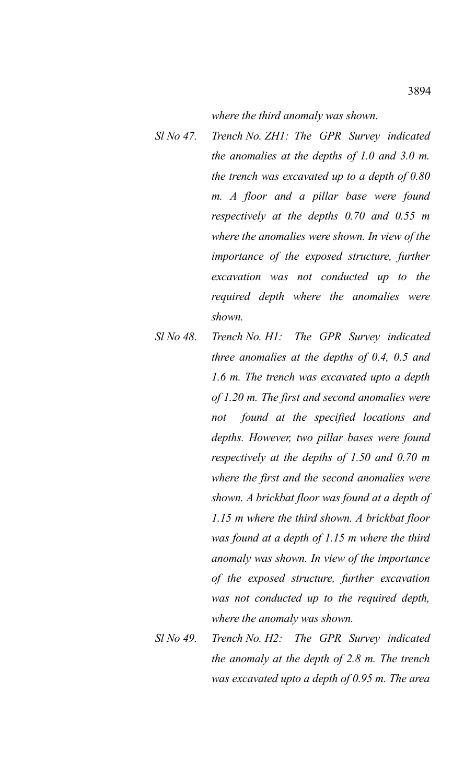*where the third anomaly was shown.* 

- *Sl No 47. Trench No. ZH1: The GPR Survey indicated the anomalies at the depths of 1.0 and 3.0 m. the trench was excavated up to a depth of 0.80 m. A floor and a pillar base were found respectively at the depths 0.70 and 0.55 m where the anomalies were shown. In view of the importance of the exposed structure, further excavation was not conducted up to the required depth where the anomalies were shown.*
- *Sl No 48. Trench No. H1: The GPR Survey indicated three anomalies at the depths of 0.4, 0.5 and 1.6 m. The trench was excavated upto a depth of 1.20 m. The first and second anomalies were not found at the specified locations and depths. However, two pillar bases were found respectively at the depths of 1.50 and 0.70 m where the first and the second anomalies were shown. A brickbat floor was found at a depth of 1.15 m where the third shown. A brickbat floor was found at a depth of 1.15 m where the third anomaly was shown. In view of the importance of the exposed structure, further excavation was not conducted up to the required depth, where the anomaly was shown.*
- *Sl No 49. Trench No. H2: The GPR Survey indicated the anomaly at the depth of 2.8 m. The trench was excavated upto a depth of 0.95 m. The area*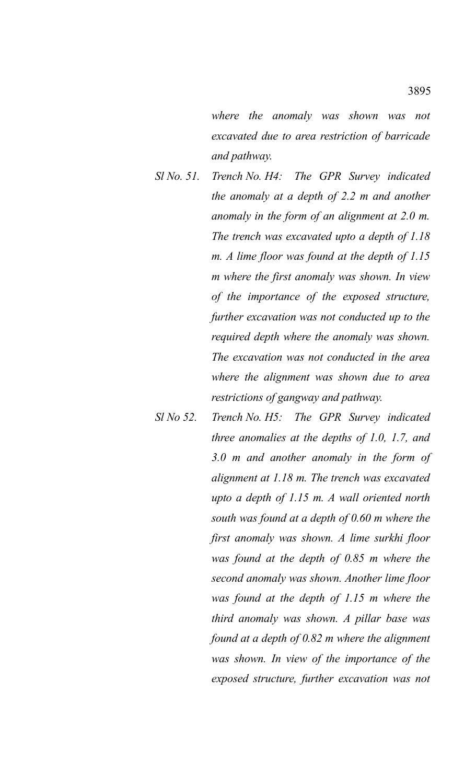*where the anomaly was shown was not excavated due to area restriction of barricade and pathway.*

- *Sl No. 51. Trench No. H4: The GPR Survey indicated the anomaly at a depth of 2.2 m and another anomaly in the form of an alignment at 2.0 m. The trench was excavated upto a depth of 1.18 m. A lime floor was found at the depth of 1.15 m where the first anomaly was shown. In view of the importance of the exposed structure, further excavation was not conducted up to the required depth where the anomaly was shown. The excavation was not conducted in the area where the alignment was shown due to area restrictions of gangway and pathway.*
- *Sl No 52. Trench No. H5: The GPR Survey indicated three anomalies at the depths of 1.0, 1.7, and 3.0 m and another anomaly in the form of alignment at 1.18 m. The trench was excavated upto a depth of 1.15 m. A wall oriented north south was found at a depth of 0.60 m where the first anomaly was shown. A lime surkhi floor was found at the depth of 0.85 m where the second anomaly was shown. Another lime floor was found at the depth of 1.15 m where the third anomaly was shown. A pillar base was found at a depth of 0.82 m where the alignment was shown. In view of the importance of the exposed structure, further excavation was not*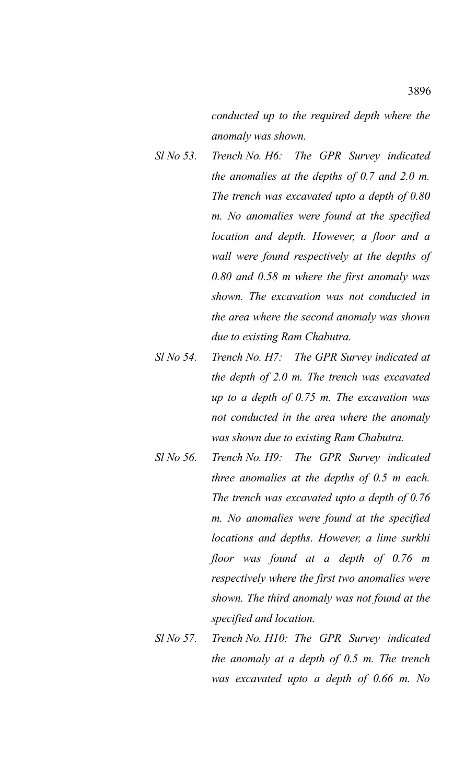*conducted up to the required depth where the anomaly was shown.* 

- *Sl No 53. Trench No. H6: The GPR Survey indicated the anomalies at the depths of 0.7 and 2.0 m. The trench was excavated upto a depth of 0.80 m. No anomalies were found at the specified location and depth. However, a floor and a wall were found respectively at the depths of 0.80 and 0.58 m where the first anomaly was shown. The excavation was not conducted in the area where the second anomaly was shown due to existing Ram Chabutra.*
- *Sl No 54. Trench No. H7: The GPR Survey indicated at the depth of 2.0 m. The trench was excavated up to a depth of 0.75 m. The excavation was not conducted in the area where the anomaly was shown due to existing Ram Chabutra.*
- *Sl No 56. Trench No. H9: The GPR Survey indicated three anomalies at the depths of 0.5 m each. The trench was excavated upto a depth of 0.76 m. No anomalies were found at the specified locations and depths. However, a lime surkhi floor was found at a depth of 0.76 m respectively where the first two anomalies were shown. The third anomaly was not found at the specified and location.*
- *Sl No 57. Trench No. H10: The GPR Survey indicated the anomaly at a depth of 0.5 m. The trench was excavated upto a depth of 0.66 m. No*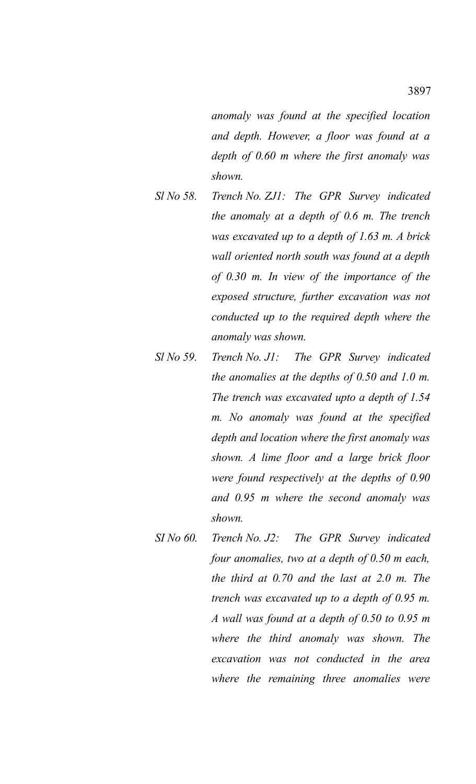*anomaly was found at the specified location and depth. However, a floor was found at a depth of 0.60 m where the first anomaly was shown.* 

- *Sl No 58. Trench No. ZJ1: The GPR Survey indicated the anomaly at a depth of 0.6 m. The trench was excavated up to a depth of 1.63 m. A brick wall oriented north south was found at a depth of 0.30 m. In view of the importance of the exposed structure, further excavation was not conducted up to the required depth where the anomaly was shown.*
- *Sl No 59. Trench No. J1: The GPR Survey indicated the anomalies at the depths of 0.50 and 1.0 m. The trench was excavated upto a depth of 1.54 m. No anomaly was found at the specified depth and location where the first anomaly was shown. A lime floor and a large brick floor were found respectively at the depths of 0.90 and 0.95 m where the second anomaly was shown.*
- *SI No 60. Trench No. J2: The GPR Survey indicated four anomalies, two at a depth of 0.50 m each, the third at 0.70 and the last at 2.0 m. The trench was excavated up to a depth of 0.95 m. A wall was found at a depth of 0.50 to 0.95 m where the third anomaly was shown. The excavation was not conducted in the area where the remaining three anomalies were*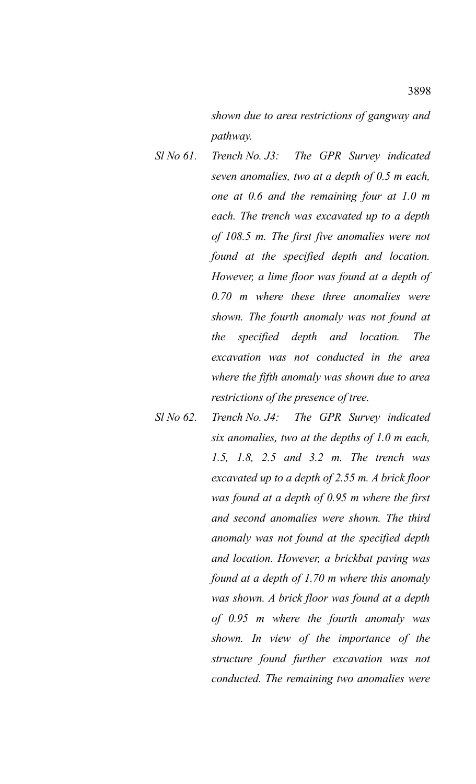*shown due to area restrictions of gangway and pathway.*

- *Sl No 61. Trench No. J3: The GPR Survey indicated seven anomalies, two at a depth of 0.5 m each, one at 0.6 and the remaining four at 1.0 m each. The trench was excavated up to a depth of 108.5 m. The first five anomalies were not found at the specified depth and location. However, a lime floor was found at a depth of 0.70 m where these three anomalies were shown. The fourth anomaly was not found at the specified depth and location. The excavation was not conducted in the area where the fifth anomaly was shown due to area restrictions of the presence of tree.*
- *Sl No 62. Trench No. J4: The GPR Survey indicated six anomalies, two at the depths of 1.0 m each, 1.5, 1.8, 2.5 and 3.2 m. The trench was excavated up to a depth of 2.55 m. A brick floor was found at a depth of 0.95 m where the first and second anomalies were shown. The third anomaly was not found at the specified depth and location. However, a brickbat paving was found at a depth of 1.70 m where this anomaly was shown. A brick floor was found at a depth of 0.95 m where the fourth anomaly was shown. In view of the importance of the structure found further excavation was not conducted. The remaining two anomalies were*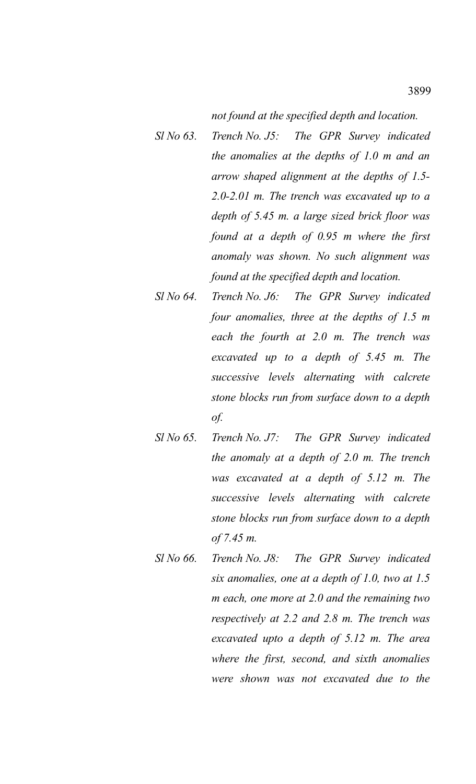*not found at the specified depth and location.* 

- *Sl No 63. Trench No. J5: The GPR Survey indicated the anomalies at the depths of 1.0 m and an arrow shaped alignment at the depths of 1.5- 2.0-2.01 m. The trench was excavated up to a depth of 5.45 m. a large sized brick floor was found at a depth of 0.95 m where the first anomaly was shown. No such alignment was found at the specified depth and location.*
- *Sl No 64. Trench No. J6: The GPR Survey indicated four anomalies, three at the depths of 1.5 m each the fourth at 2.0 m. The trench was excavated up to a depth of 5.45 m. The successive levels alternating with calcrete stone blocks run from surface down to a depth of.*
- *Sl No 65. Trench No. J7: The GPR Survey indicated the anomaly at a depth of 2.0 m. The trench was excavated at a depth of 5.12 m. The successive levels alternating with calcrete stone blocks run from surface down to a depth of 7.45 m.*
- *Sl No 66. Trench No. J8: The GPR Survey indicated six anomalies, one at a depth of 1.0, two at 1.5 m each, one more at 2.0 and the remaining two respectively at 2.2 and 2.8 m. The trench was excavated upto a depth of 5.12 m. The area where the first, second, and sixth anomalies were shown was not excavated due to the*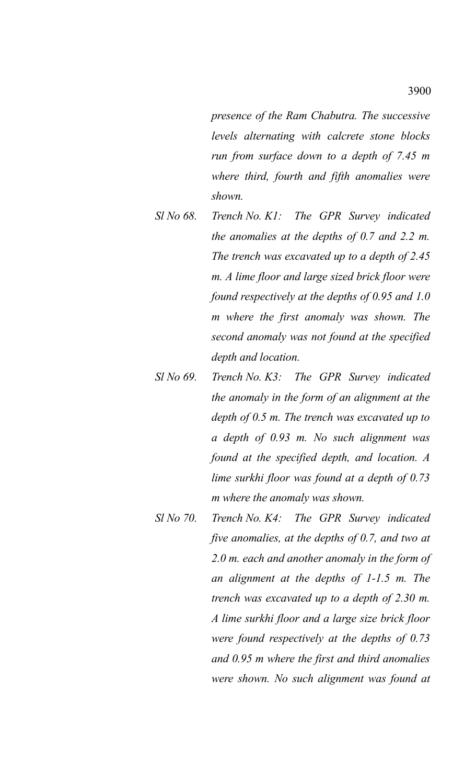*presence of the Ram Chabutra. The successive levels alternating with calcrete stone blocks run from surface down to a depth of 7.45 m where third, fourth and fifth anomalies were shown.* 

- *Sl No 68. Trench No. K1: The GPR Survey indicated the anomalies at the depths of 0.7 and 2.2 m. The trench was excavated up to a depth of 2.45 m. A lime floor and large sized brick floor were found respectively at the depths of 0.95 and 1.0 m where the first anomaly was shown. The second anomaly was not found at the specified depth and location.*
- *Sl No 69. Trench No. K3: The GPR Survey indicated the anomaly in the form of an alignment at the depth of 0.5 m. The trench was excavated up to a depth of 0.93 m. No such alignment was found at the specified depth, and location. A lime surkhi floor was found at a depth of 0.73 m where the anomaly was shown.*
- *Sl No 70. Trench No. K4: The GPR Survey indicated five anomalies, at the depths of 0.7, and two at 2.0 m. each and another anomaly in the form of an alignment at the depths of 1-1.5 m. The trench was excavated up to a depth of 2.30 m. A lime surkhi floor and a large size brick floor were found respectively at the depths of 0.73 and 0.95 m where the first and third anomalies were shown. No such alignment was found at*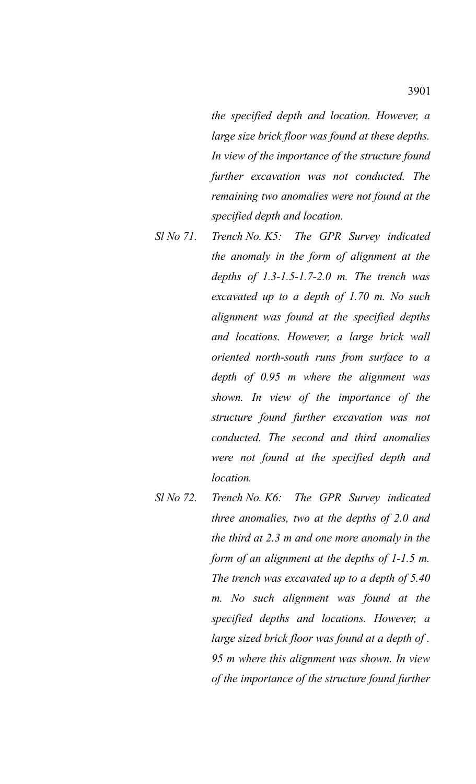*the specified depth and location. However, a large size brick floor was found at these depths. In view of the importance of the structure found further excavation was not conducted. The remaining two anomalies were not found at the specified depth and location.* 

- *Sl No 71. Trench No. K5: The GPR Survey indicated the anomaly in the form of alignment at the depths of 1.3-1.5-1.7-2.0 m. The trench was excavated up to a depth of 1.70 m. No such alignment was found at the specified depths and locations. However, a large brick wall oriented north-south runs from surface to a depth of 0.95 m where the alignment was shown. In view of the importance of the structure found further excavation was not conducted. The second and third anomalies were not found at the specified depth and location.*
- *Sl No 72. Trench No. K6: The GPR Survey indicated three anomalies, two at the depths of 2.0 and the third at 2.3 m and one more anomaly in the form of an alignment at the depths of 1-1.5 m. The trench was excavated up to a depth of 5.40 m. No such alignment was found at the specified depths and locations. However, a large sized brick floor was found at a depth of . 95 m where this alignment was shown. In view of the importance of the structure found further*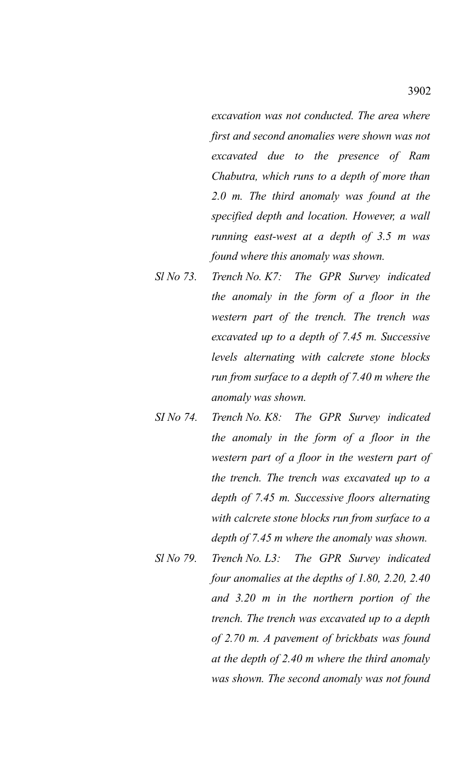*excavation was not conducted. The area where first and second anomalies were shown was not excavated due to the presence of Ram Chabutra, which runs to a depth of more than 2.0 m. The third anomaly was found at the specified depth and location. However, a wall running east-west at a depth of 3.5 m was found where this anomaly was shown.* 

- *Sl No 73. Trench No. K7: The GPR Survey indicated the anomaly in the form of a floor in the western part of the trench. The trench was excavated up to a depth of 7.45 m. Successive levels alternating with calcrete stone blocks run from surface to a depth of 7.40 m where the anomaly was shown.*
- *SI No 74. Trench No. K8: The GPR Survey indicated the anomaly in the form of a floor in the western part of a floor in the western part of the trench. The trench was excavated up to a depth of 7.45 m. Successive floors alternating with calcrete stone blocks run from surface to a depth of 7.45 m where the anomaly was shown.*
- *Sl No 79. Trench No. L3: The GPR Survey indicated four anomalies at the depths of 1.80, 2.20, 2.40 and 3.20 m in the northern portion of the trench. The trench was excavated up to a depth of 2.70 m. A pavement of brickbats was found at the depth of 2.40 m where the third anomaly was shown. The second anomaly was not found*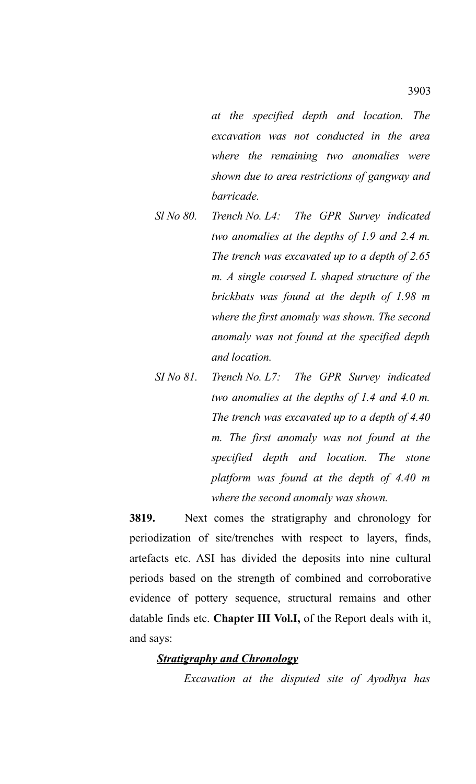*at the specified depth and location. The excavation was not conducted in the area where the remaining two anomalies were shown due to area restrictions of gangway and barricade.* 

- *Sl No 80. Trench No. L4: The GPR Survey indicated two anomalies at the depths of 1.9 and 2.4 m. The trench was excavated up to a depth of 2.65 m. A single coursed L shaped structure of the brickbats was found at the depth of 1.98 m where the first anomaly was shown. The second anomaly was not found at the specified depth and location.*
- *SI No 81. Trench No. L7: The GPR Survey indicated two anomalies at the depths of 1.4 and 4.0 m. The trench was excavated up to a depth of 4.40 m. The first anomaly was not found at the specified depth and location. The stone platform was found at the depth of 4.40 m where the second anomaly was shown.*

**3819.** Next comes the stratigraphy and chronology for periodization of site/trenches with respect to layers, finds, artefacts etc. ASI has divided the deposits into nine cultural periods based on the strength of combined and corroborative evidence of pottery sequence, structural remains and other datable finds etc. **Chapter III Vol.I,** of the Report deals with it, and says:

### *Stratigraphy and Chronology*

*Excavation at the disputed site of Ayodhya has*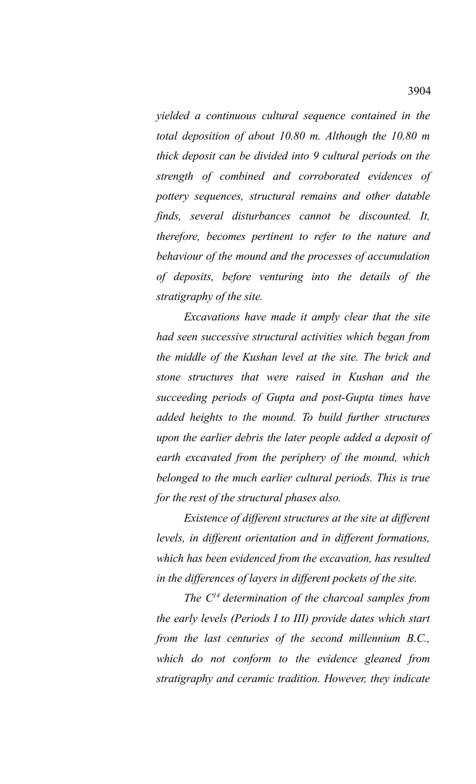*yielded a continuous cultural sequence contained in the total deposition of about 10.80 m. Although the 10.80 m thick deposit can be divided into 9 cultural periods on the strength of combined and corroborated evidences of pottery sequences, structural remains and other datable finds, several disturbances cannot be discounted. It, therefore, becomes pertinent to refer to the nature and behaviour of the mound and the processes of accumulation of deposits, before venturing into the details of the stratigraphy of the site.*

*Excavations have made it amply clear that the site had seen successive structural activities which began from the middle of the Kushan level at the site. The brick and stone structures that were raised in Kushan and the succeeding periods of Gupta and post-Gupta times have added heights to the mound. To build further structures upon the earlier debris the later people added a deposit of earth excavated from the periphery of the mound, which belonged to the much earlier cultural periods. This is true for the rest of the structural phases also.*

*Existence of different structures at the site at different levels, in different orientation and in different formations, which has been evidenced from the excavation, has resulted in the differences of layers in different pockets of the site.*

*The C<sup>14</sup>determination of the charcoal samples from the early levels (Periods I to III) provide dates which start from the last centuries of the second millennium B.C., which do not conform to the evidence gleaned from stratigraphy and ceramic tradition. However, they indicate*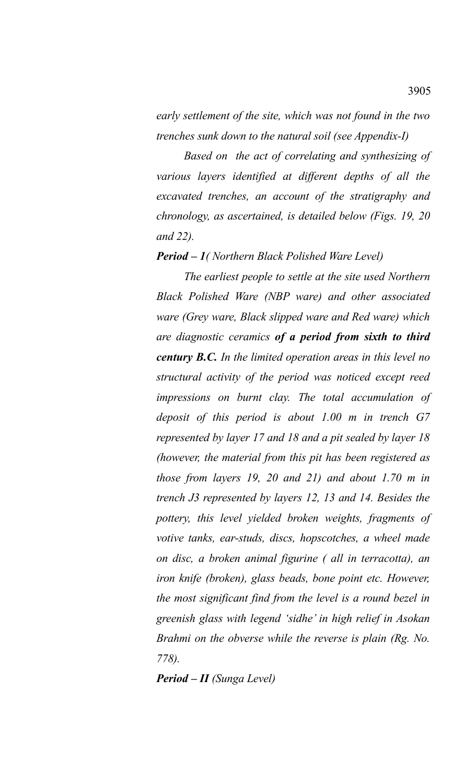*early settlement of the site, which was not found in the two trenches sunk down to the natural soil (see Appendix-I)*

*Based on the act of correlating and synthesizing of various layers identified at different depths of all the excavated trenches, an account of the stratigraphy and chronology, as ascertained, is detailed below (Figs. 19, 20 and 22).*

# *Period – 1( Northern Black Polished Ware Level)*

*The earliest people to settle at the site used Northern Black Polished Ware (NBP ware) and other associated ware (Grey ware, Black slipped ware and Red ware) which are diagnostic ceramics of a period from sixth to third century B.C. In the limited operation areas in this level no structural activity of the period was noticed except reed impressions on burnt clay. The total accumulation of deposit of this period is about 1.00 m in trench G7 represented by layer 17 and 18 and a pit sealed by layer 18 (however, the material from this pit has been registered as those from layers 19, 20 and 21) and about 1.70 m in trench J3 represented by layers 12, 13 and 14. Besides the pottery, this level yielded broken weights, fragments of votive tanks, ear-studs, discs, hopscotches, a wheel made on disc, a broken animal figurine ( all in terracotta), an iron knife (broken), glass beads, bone point etc. However, the most significant find from the level is a round bezel in greenish glass with legend 'sidhe' in high relief in Asokan Brahmi on the obverse while the reverse is plain (Rg. No. 778).*

*Period – II (Sunga Level)*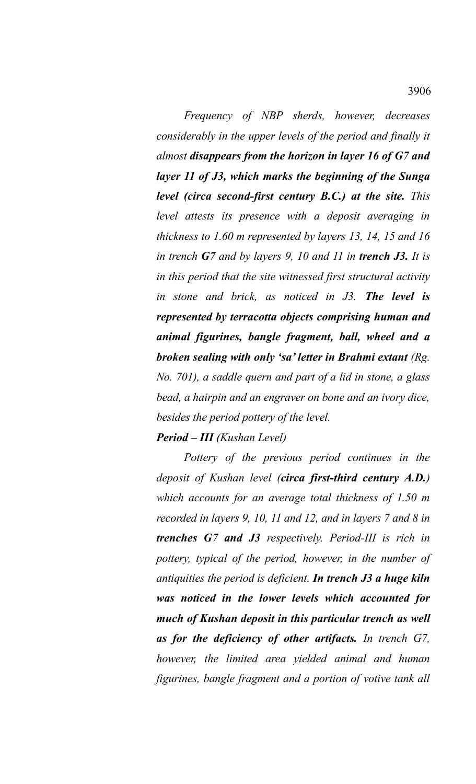*Frequency of NBP sherds, however, decreases considerably in the upper levels of the period and finally it almost disappears from the horizon in layer 16 of G7 and layer 11 of J3, which marks the beginning of the Sunga level (circa second-first century B.C.) at the site. This level attests its presence with a deposit averaging in thickness to 1.60 m represented by layers 13, 14, 15 and 16 in trench G7 and by layers 9, 10 and 11 in trench J3. It is in this period that the site witnessed first structural activity in stone and brick, as noticed in J3. The level is represented by terracotta objects comprising human and animal figurines, bangle fragment, ball, wheel and a broken sealing with only 'sa' letter in Brahmi extant (Rg. No. 701), a saddle quern and part of a lid in stone, a glass bead, a hairpin and an engraver on bone and an ivory dice, besides the period pottery of the level.* 

# *Period – III (Kushan Level)*

*Pottery of the previous period continues in the deposit of Kushan level (circa first-third century A.D.) which accounts for an average total thickness of 1.50 m recorded in layers 9, 10, 11 and 12, and in layers 7 and 8 in trenches G7 and J3 respectively. Period-III is rich in pottery, typical of the period, however, in the number of antiquities the period is deficient. In trench J3 a huge kiln was noticed in the lower levels which accounted for much of Kushan deposit in this particular trench as well as for the deficiency of other artifacts. In trench G7, however, the limited area yielded animal and human figurines, bangle fragment and a portion of votive tank all*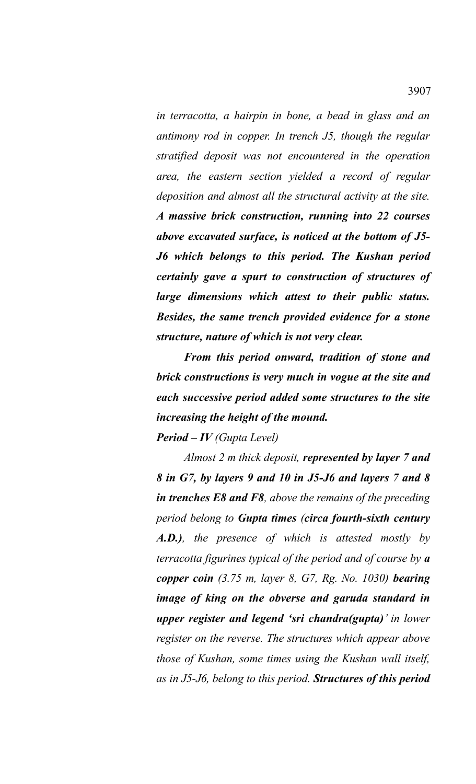*in terracotta, a hairpin in bone, a bead in glass and an antimony rod in copper. In trench J5, though the regular stratified deposit was not encountered in the operation area, the eastern section yielded a record of regular deposition and almost all the structural activity at the site. A massive brick construction, running into 22 courses above excavated surface, is noticed at the bottom of J5- J6 which belongs to this period. The Kushan period certainly gave a spurt to construction of structures of large dimensions which attest to their public status. Besides, the same trench provided evidence for a stone structure, nature of which is not very clear.* 

*From this period onward, tradition of stone and brick constructions is very much in vogue at the site and each successive period added some structures to the site increasing the height of the mound.* 

*Period – IV (Gupta Level)*

*Almost 2 m thick deposit, represented by layer 7 and 8 in G7, by layers 9 and 10 in J5-J6 and layers 7 and 8 in trenches E8 and F8, above the remains of the preceding period belong to Gupta times (circa fourth-sixth century A.D.), the presence of which is attested mostly by terracotta figurines typical of the period and of course by a copper coin (3.75 m, layer 8, G7, Rg. No. 1030) bearing image of king on the obverse and garuda standard in upper register and legend 'sri chandra(gupta)' in lower register on the reverse. The structures which appear above those of Kushan, some times using the Kushan wall itself, as in J5-J6, belong to this period. Structures of this period*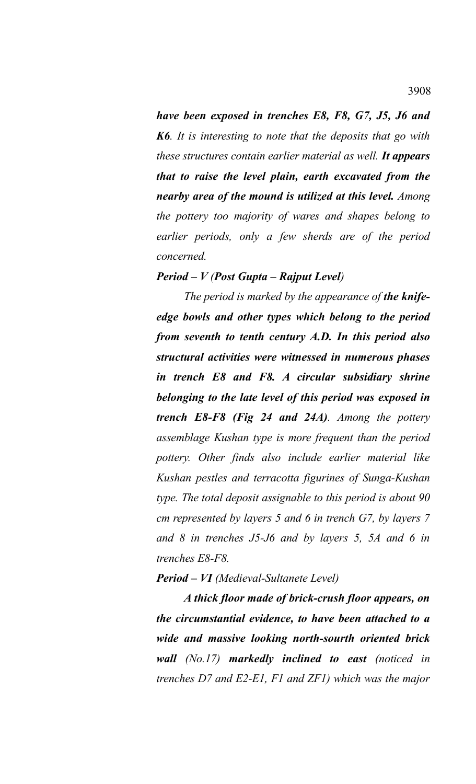*have been exposed in trenches E8, F8, G7, J5, J6 and K6. It is interesting to note that the deposits that go with these structures contain earlier material as well. It appears that to raise the level plain, earth excavated from the nearby area of the mound is utilized at this level. Among the pottery too majority of wares and shapes belong to earlier periods, only a few sherds are of the period concerned.* 

### *Period – V (Post Gupta – Rajput Level)*

*The period is marked by the appearance of the knifeedge bowls and other types which belong to the period from seventh to tenth century A.D. In this period also structural activities were witnessed in numerous phases in trench E8 and F8. A circular subsidiary shrine belonging to the late level of this period was exposed in trench E8-F8 (Fig 24 and 24A). Among the pottery assemblage Kushan type is more frequent than the period pottery. Other finds also include earlier material like Kushan pestles and terracotta figurines of Sunga-Kushan type. The total deposit assignable to this period is about 90 cm represented by layers 5 and 6 in trench G7, by layers 7 and 8 in trenches J5-J6 and by layers 5, 5A and 6 in trenches E8-F8.*

# *Period – VI (Medieval-Sultanete Level)*

*A thick floor made of brick-crush floor appears, on the circumstantial evidence, to have been attached to a wide and massive looking north-sourth oriented brick wall (No.17) markedly inclined to east (noticed in trenches D7 and E2-E1, F1 and ZF1) which was the major*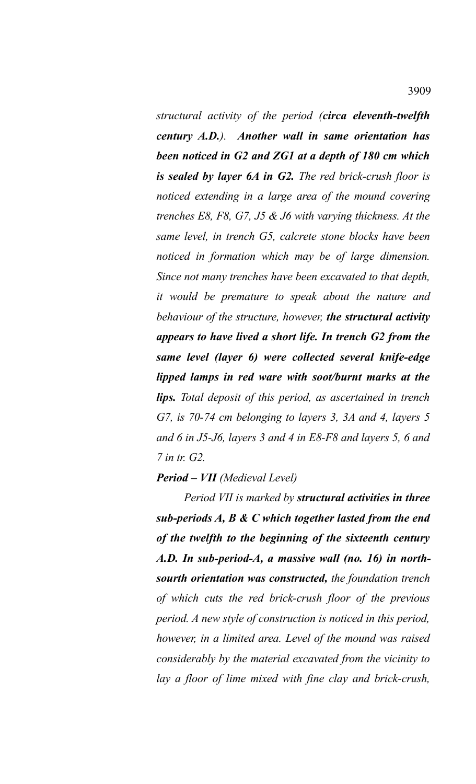*structural activity of the period (circa eleventh-twelfth century A.D.). Another wall in same orientation has been noticed in G2 and ZG1 at a depth of 180 cm which is sealed by layer 6A in G2. The red brick-crush floor is noticed extending in a large area of the mound covering trenches E8, F8, G7, J5 & J6 with varying thickness. At the same level, in trench G5, calcrete stone blocks have been noticed in formation which may be of large dimension. Since not many trenches have been excavated to that depth, it would be premature to speak about the nature and behaviour of the structure, however, the structural activity appears to have lived a short life. In trench G2 from the same level (layer 6) were collected several knife-edge lipped lamps in red ware with soot/burnt marks at the lips. Total deposit of this period, as ascertained in trench G7, is 70-74 cm belonging to layers 3, 3A and 4, layers 5 and 6 in J5-J6, layers 3 and 4 in E8-F8 and layers 5, 6 and 7 in tr. G2.* 

# *Period – VII (Medieval Level)*

*Period VII is marked by structural activities in three sub-periods A, B & C which together lasted from the end of the twelfth to the beginning of the sixteenth century A.D. In sub-period-A, a massive wall (no. 16) in northsourth orientation was constructed, the foundation trench of which cuts the red brick-crush floor of the previous period. A new style of construction is noticed in this period, however, in a limited area. Level of the mound was raised considerably by the material excavated from the vicinity to lay a floor of lime mixed with fine clay and brick-crush,*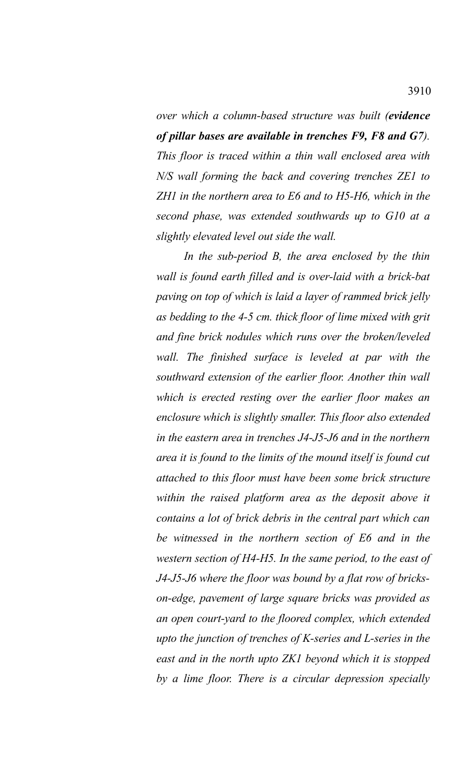*over which a column-based structure was built (evidence of pillar bases are available in trenches F9, F8 and G7). This floor is traced within a thin wall enclosed area with N/S wall forming the back and covering trenches ZE1 to ZH1 in the northern area to E6 and to H5-H6, which in the second phase, was extended southwards up to G10 at a slightly elevated level out side the wall.* 

*In the sub-period B, the area enclosed by the thin wall is found earth filled and is over-laid with a brick-bat paving on top of which is laid a layer of rammed brick jelly as bedding to the 4-5 cm. thick floor of lime mixed with grit and fine brick nodules which runs over the broken/leveled wall. The finished surface is leveled at par with the southward extension of the earlier floor. Another thin wall which is erected resting over the earlier floor makes an enclosure which is slightly smaller. This floor also extended in the eastern area in trenches J4-J5-J6 and in the northern area it is found to the limits of the mound itself is found cut attached to this floor must have been some brick structure within the raised platform area as the deposit above it contains a lot of brick debris in the central part which can be witnessed in the northern section of E6 and in the western section of H4-H5. In the same period, to the east of J4-J5-J6 where the floor was bound by a flat row of brickson-edge, pavement of large square bricks was provided as an open court-yard to the floored complex, which extended upto the junction of trenches of K-series and L-series in the east and in the north upto ZK1 beyond which it is stopped by a lime floor. There is a circular depression specially*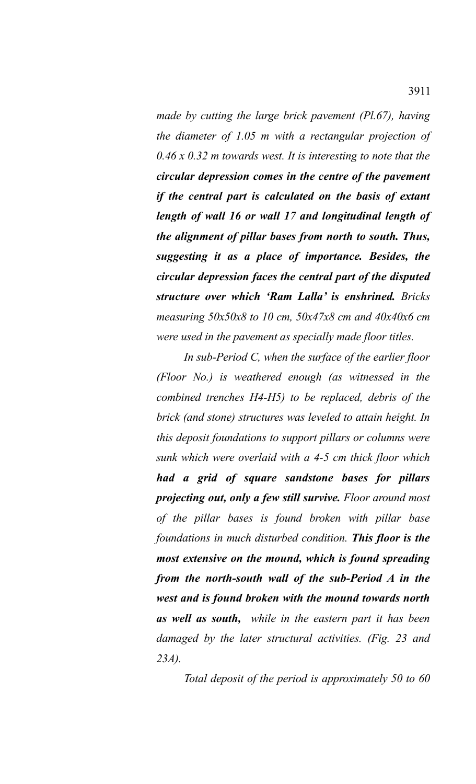*made by cutting the large brick pavement (Pl.67), having the diameter of 1.05 m with a rectangular projection of 0.46 x 0.32 m towards west. It is interesting to note that the circular depression comes in the centre of the pavement if the central part is calculated on the basis of extant length of wall 16 or wall 17 and longitudinal length of the alignment of pillar bases from north to south. Thus, suggesting it as a place of importance. Besides, the circular depression faces the central part of the disputed structure over which 'Ram Lalla' is enshrined. Bricks measuring 50x50x8 to 10 cm, 50x47x8 cm and 40x40x6 cm were used in the pavement as specially made floor titles.* 

*In sub-Period C, when the surface of the earlier floor (Floor No.) is weathered enough (as witnessed in the combined trenches H4-H5) to be replaced, debris of the brick (and stone) structures was leveled to attain height. In this deposit foundations to support pillars or columns were sunk which were overlaid with a 4-5 cm thick floor which had a grid of square sandstone bases for pillars projecting out, only a few still survive. Floor around most of the pillar bases is found broken with pillar base foundations in much disturbed condition. This floor is the most extensive on the mound, which is found spreading from the north-south wall of the sub-Period A in the west and is found broken with the mound towards north as well as south, while in the eastern part it has been damaged by the later structural activities. (Fig. 23 and 23A).*

*Total deposit of the period is approximately 50 to 60*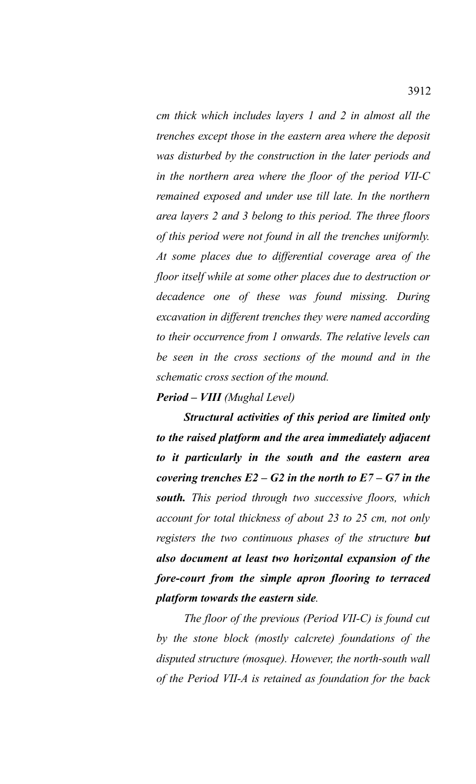*cm thick which includes layers 1 and 2 in almost all the trenches except those in the eastern area where the deposit was disturbed by the construction in the later periods and in the northern area where the floor of the period VII-C remained exposed and under use till late. In the northern area layers 2 and 3 belong to this period. The three floors of this period were not found in all the trenches uniformly. At some places due to differential coverage area of the floor itself while at some other places due to destruction or decadence one of these was found missing. During excavation in different trenches they were named according to their occurrence from 1 onwards. The relative levels can be seen in the cross sections of the mound and in the schematic cross section of the mound.* 

### *Period – VIII (Mughal Level)*

*Structural activities of this period are limited only to the raised platform and the area immediately adjacent to it particularly in the south and the eastern area covering trenches E2 – G2 in the north to E7 – G7 in the south. This period through two successive floors, which account for total thickness of about 23 to 25 cm, not only registers the two continuous phases of the structure but also document at least two horizontal expansion of the fore-court from the simple apron flooring to terraced platform towards the eastern side.* 

*The floor of the previous (Period VII-C) is found cut by the stone block (mostly calcrete) foundations of the disputed structure (mosque). However, the north-south wall of the Period VII-A is retained as foundation for the back*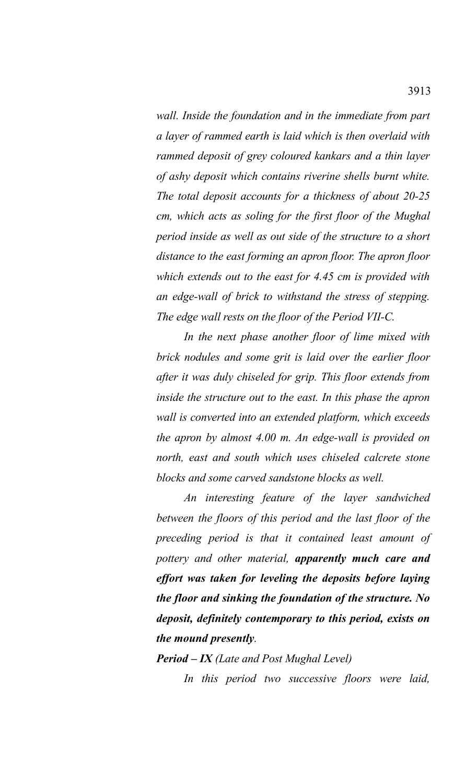*wall. Inside the foundation and in the immediate from part a layer of rammed earth is laid which is then overlaid with rammed deposit of grey coloured kankars and a thin layer of ashy deposit which contains riverine shells burnt white. The total deposit accounts for a thickness of about 20-25 cm, which acts as soling for the first floor of the Mughal period inside as well as out side of the structure to a short distance to the east forming an apron floor. The apron floor which extends out to the east for 4.45 cm is provided with an edge-wall of brick to withstand the stress of stepping. The edge wall rests on the floor of the Period VII-C.*

*In the next phase another floor of lime mixed with brick nodules and some grit is laid over the earlier floor after it was duly chiseled for grip. This floor extends from inside the structure out to the east. In this phase the apron wall is converted into an extended platform, which exceeds the apron by almost 4.00 m. An edge-wall is provided on north, east and south which uses chiseled calcrete stone blocks and some carved sandstone blocks as well.* 

*An interesting feature of the layer sandwiched between the floors of this period and the last floor of the preceding period is that it contained least amount of pottery and other material, apparently much care and effort was taken for leveling the deposits before laying the floor and sinking the foundation of the structure. No deposit, definitely contemporary to this period, exists on the mound presently.* 

*Period – IX (Late and Post Mughal Level)*

*In this period two successive floors were laid,*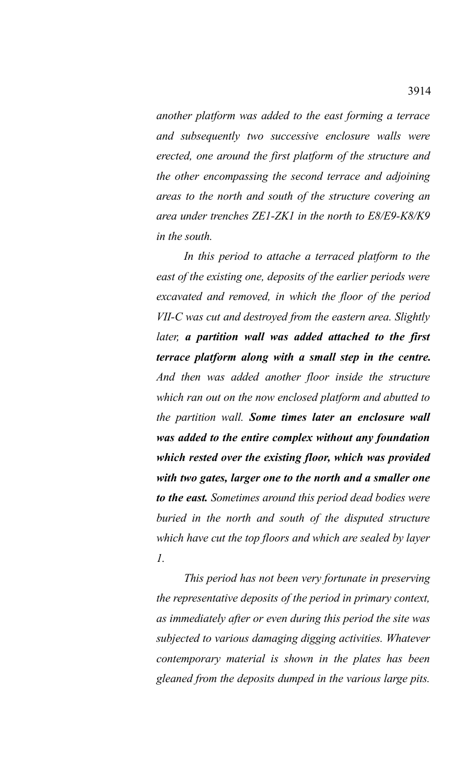*another platform was added to the east forming a terrace and subsequently two successive enclosure walls were erected, one around the first platform of the structure and the other encompassing the second terrace and adjoining areas to the north and south of the structure covering an area under trenches ZE1-ZK1 in the north to E8/E9-K8/K9 in the south.* 

*In this period to attache a terraced platform to the east of the existing one, deposits of the earlier periods were excavated and removed, in which the floor of the period VII-C was cut and destroyed from the eastern area. Slightly later, a partition wall was added attached to the first terrace platform along with a small step in the centre. And then was added another floor inside the structure which ran out on the now enclosed platform and abutted to the partition wall. Some times later an enclosure wall was added to the entire complex without any foundation which rested over the existing floor, which was provided with two gates, larger one to the north and a smaller one to the east. Sometimes around this period dead bodies were buried in the north and south of the disputed structure which have cut the top floors and which are sealed by layer 1.* 

*This period has not been very fortunate in preserving the representative deposits of the period in primary context, as immediately after or even during this period the site was subjected to various damaging digging activities. Whatever contemporary material is shown in the plates has been gleaned from the deposits dumped in the various large pits.*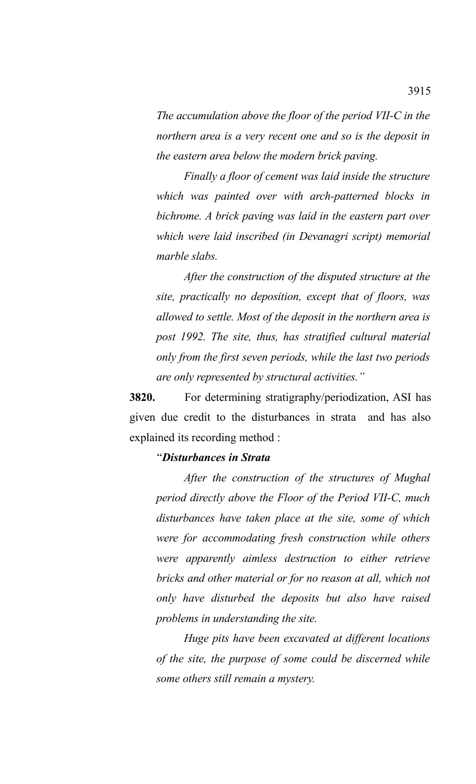*The accumulation above the floor of the period VII-C in the northern area is a very recent one and so is the deposit in the eastern area below the modern brick paving.* 

*Finally a floor of cement was laid inside the structure which was painted over with arch-patterned blocks in bichrome. A brick paving was laid in the eastern part over which were laid inscribed (in Devanagri script) memorial marble slabs.* 

*After the construction of the disputed structure at the site, practically no deposition, except that of floors, was allowed to settle. Most of the deposit in the northern area is post 1992. The site, thus, has stratified cultural material only from the first seven periods, while the last two periods are only represented by structural activities."* 

**3820.** For determining stratigraphy/periodization, ASI has given due credit to the disturbances in strata and has also explained its recording method :

### "*Disturbances in Strata*

*After the construction of the structures of Mughal period directly above the Floor of the Period VII-C, much disturbances have taken place at the site, some of which were for accommodating fresh construction while others were apparently aimless destruction to either retrieve bricks and other material or for no reason at all, which not only have disturbed the deposits but also have raised problems in understanding the site.* 

*Huge pits have been excavated at different locations of the site, the purpose of some could be discerned while some others still remain a mystery.*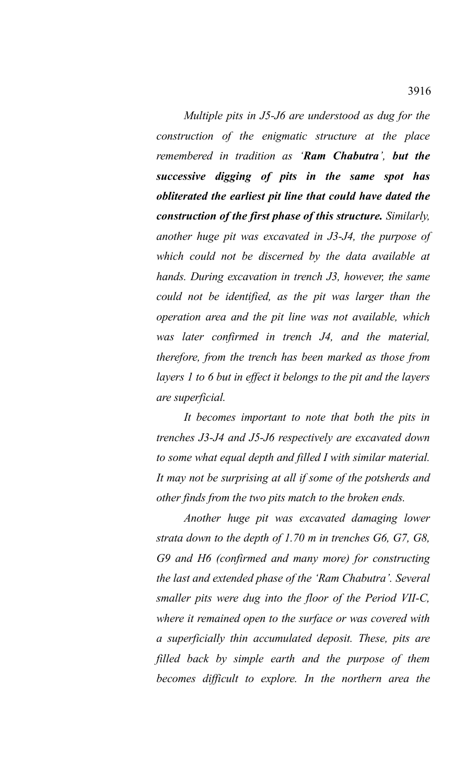*Multiple pits in J5-J6 are understood as dug for the construction of the enigmatic structure at the place remembered in tradition as 'Ram Chabutra', but the successive digging of pits in the same spot has obliterated the earliest pit line that could have dated the construction of the first phase of this structure. Similarly, another huge pit was excavated in J3-J4, the purpose of which could not be discerned by the data available at hands. During excavation in trench J3, however, the same could not be identified, as the pit was larger than the operation area and the pit line was not available, which was later confirmed in trench J4, and the material, therefore, from the trench has been marked as those from layers 1 to 6 but in effect it belongs to the pit and the layers are superficial.* 

*It becomes important to note that both the pits in trenches J3-J4 and J5-J6 respectively are excavated down to some what equal depth and filled I with similar material. It may not be surprising at all if some of the potsherds and other finds from the two pits match to the broken ends.* 

*Another huge pit was excavated damaging lower strata down to the depth of 1.70 m in trenches G6, G7, G8, G9 and H6 (confirmed and many more) for constructing the last and extended phase of the 'Ram Chabutra'. Several smaller pits were dug into the floor of the Period VII-C, where it remained open to the surface or was covered with a superficially thin accumulated deposit. These, pits are filled back by simple earth and the purpose of them becomes difficult to explore. In the northern area the*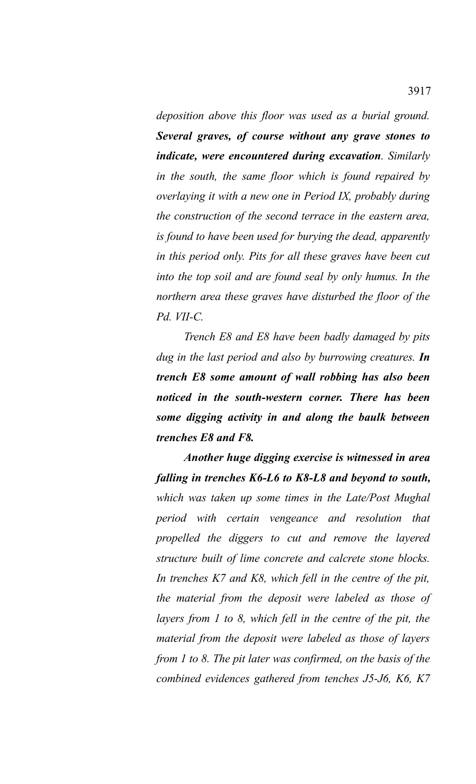*deposition above this floor was used as a burial ground. Several graves, of course without any grave stones to indicate, were encountered during excavation. Similarly in the south, the same floor which is found repaired by overlaying it with a new one in Period IX, probably during the construction of the second terrace in the eastern area, is found to have been used for burying the dead, apparently in this period only. Pits for all these graves have been cut into the top soil and are found seal by only humus. In the northern area these graves have disturbed the floor of the Pd. VII-C.*

*Trench E8 and E8 have been badly damaged by pits dug in the last period and also by burrowing creatures. In trench E8 some amount of wall robbing has also been noticed in the south-western corner. There has been some digging activity in and along the baulk between trenches E8 and F8.*

*Another huge digging exercise is witnessed in area falling in trenches K6-L6 to K8-L8 and beyond to south, which was taken up some times in the Late/Post Mughal period with certain vengeance and resolution that propelled the diggers to cut and remove the layered structure built of lime concrete and calcrete stone blocks. In trenches K7 and K8, which fell in the centre of the pit, the material from the deposit were labeled as those of layers from 1 to 8, which fell in the centre of the pit, the material from the deposit were labeled as those of layers from 1 to 8. The pit later was confirmed, on the basis of the combined evidences gathered from tenches J5-J6, K6, K7*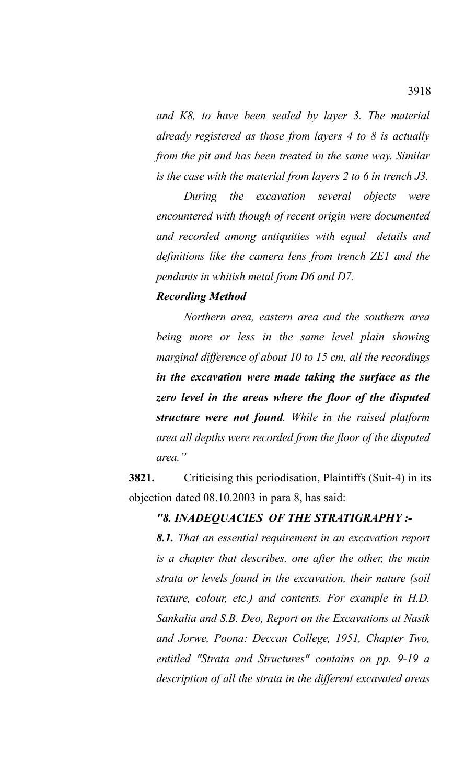*and K8, to have been sealed by layer 3. The material already registered as those from layers 4 to 8 is actually from the pit and has been treated in the same way. Similar is the case with the material from layers 2 to 6 in trench J3.*

*During the excavation several objects were encountered with though of recent origin were documented and recorded among antiquities with equal details and definitions like the camera lens from trench ZE1 and the pendants in whitish metal from D6 and D7.* 

#### *Recording Method*

*Northern area, eastern area and the southern area being more or less in the same level plain showing marginal difference of about 10 to 15 cm, all the recordings in the excavation were made taking the surface as the zero level in the areas where the floor of the disputed structure were not found. While in the raised platform area all depths were recorded from the floor of the disputed area."*

**3821.** Criticising this periodisation, Plaintiffs (Suit-4) in its objection dated 08.10.2003 in para 8, has said:

# *"8. INADEQUACIES OF THE STRATIGRAPHY :-*

*8.1. That an essential requirement in an excavation report is a chapter that describes, one after the other, the main strata or levels found in the excavation, their nature (soil texture, colour, etc.) and contents. For example in H.D. Sankalia and S.B. Deo, Report on the Excavations at Nasik and Jorwe, Poona: Deccan College, 1951, Chapter Two, entitled "Strata and Structures" contains on pp. 9-19 a description of all the strata in the different excavated areas*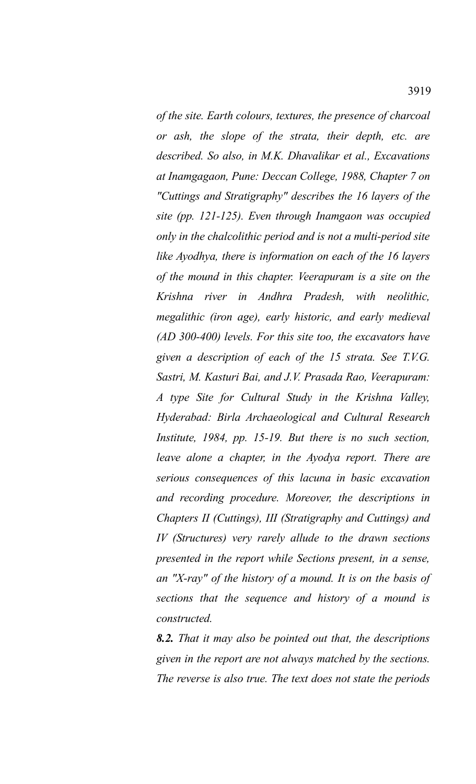*of the site. Earth colours, textures, the presence of charcoal or ash, the slope of the strata, their depth, etc. are described. So also, in M.K. Dhavalikar et al., Excavations at Inamgagaon, Pune: Deccan College, 1988, Chapter 7 on "Cuttings and Stratigraphy" describes the 16 layers of the site (pp. 121-125). Even through Inamgaon was occupied only in the chalcolithic period and is not a multi-period site like Ayodhya, there is information on each of the 16 layers of the mound in this chapter. Veerapuram is a site on the Krishna river in Andhra Pradesh, with neolithic, megalithic (iron age), early historic, and early medieval (AD 300-400) levels. For this site too, the excavators have given a description of each of the 15 strata. See T.V.G. Sastri, M. Kasturi Bai, and J.V. Prasada Rao, Veerapuram: A type Site for Cultural Study in the Krishna Valley, Hyderabad: Birla Archaeological and Cultural Research Institute, 1984, pp. 15-19. But there is no such section, leave alone a chapter, in the Ayodya report. There are serious consequences of this lacuna in basic excavation and recording procedure. Moreover, the descriptions in Chapters II (Cuttings), III (Stratigraphy and Cuttings) and IV (Structures) very rarely allude to the drawn sections presented in the report while Sections present, in a sense, an "X-ray" of the history of a mound. It is on the basis of sections that the sequence and history of a mound is constructed.* 

*8.2. That it may also be pointed out that, the descriptions given in the report are not always matched by the sections. The reverse is also true. The text does not state the periods*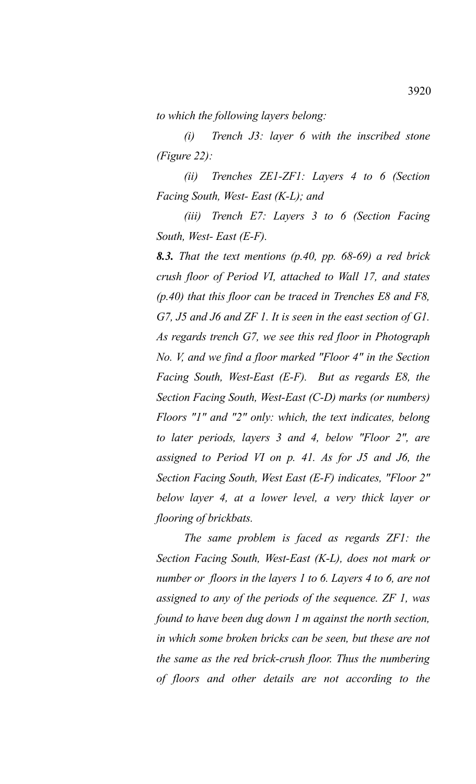*to which the following layers belong:*

*(i) Trench J3: layer 6 with the inscribed stone (Figure 22):*

*(ii) Trenches ZE1-ZF1: Layers 4 to 6 (Section Facing South, West- East (K-L); and* 

*(iii) Trench E7: Layers 3 to 6 (Section Facing South, West- East (E-F).* 

*8.3. That the text mentions (p.40, pp. 68-69) a red brick crush floor of Period VI, attached to Wall 17, and states (p.40) that this floor can be traced in Trenches E8 and F8, G7, J5 and J6 and ZF 1. It is seen in the east section of G1. As regards trench G7, we see this red floor in Photograph No. V, and we find a floor marked "Floor 4" in the Section Facing South, West-East (E-F). But as regards E8, the Section Facing South, West-East (C-D) marks (or numbers) Floors "1" and "2" only: which, the text indicates, belong to later periods, layers 3 and 4, below "Floor 2", are assigned to Period VI on p. 41. As for J5 and J6, the Section Facing South, West East (E-F) indicates, "Floor 2" below layer 4, at a lower level, a very thick layer or flooring of brickbats.* 

*The same problem is faced as regards ZF1: the Section Facing South, West-East (K-L), does not mark or number or floors in the layers 1 to 6. Layers 4 to 6, are not assigned to any of the periods of the sequence. ZF 1, was found to have been dug down 1 m against the north section, in which some broken bricks can be seen, but these are not the same as the red brick-crush floor. Thus the numbering of floors and other details are not according to the*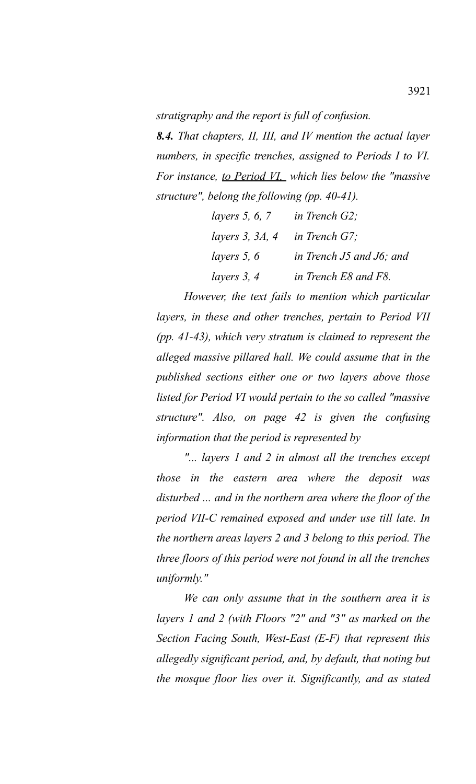*stratigraphy and the report is full of confusion.*

*8.4. That chapters, II, III, and IV mention the actual layer numbers, in specific trenches, assigned to Periods I to VI. For instance, to Period VI, which lies below the "massive structure", belong the following (pp. 40-41).*

| layers $5, 6, 7$<br>layers $3, 3A, 4$<br>layers $5, 6$ | in Trench $G2$ ;         |
|--------------------------------------------------------|--------------------------|
|                                                        | in Trench $G7$ :         |
|                                                        | in Trench J5 and J6; and |
| layers 3, 4                                            | in Trench E8 and F8.     |

*However, the text fails to mention which particular layers, in these and other trenches, pertain to Period VII (pp. 41-43), which very stratum is claimed to represent the alleged massive pillared hall. We could assume that in the published sections either one or two layers above those listed for Period VI would pertain to the so called "massive structure". Also, on page 42 is given the confusing information that the period is represented by*

*"... layers 1 and 2 in almost all the trenches except those in the eastern area where the deposit was disturbed ... and in the northern area where the floor of the period VII-C remained exposed and under use till late. In the northern areas layers 2 and 3 belong to this period. The three floors of this period were not found in all the trenches uniformly."*

*We can only assume that in the southern area it is layers 1 and 2 (with Floors "2" and "3" as marked on the Section Facing South, West-East (E-F) that represent this allegedly significant period, and, by default, that noting but the mosque floor lies over it. Significantly, and as stated*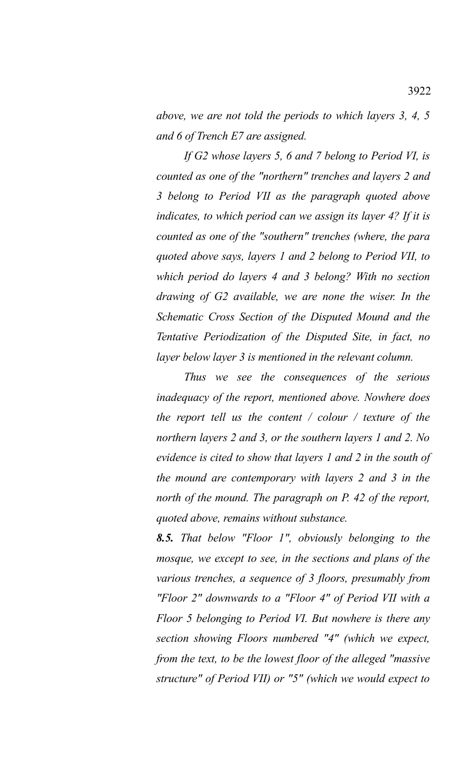*above, we are not told the periods to which layers 3, 4, 5 and 6 of Trench E7 are assigned.* 

*If G2 whose layers 5, 6 and 7 belong to Period VI, is counted as one of the "northern" trenches and layers 2 and 3 belong to Period VII as the paragraph quoted above indicates, to which period can we assign its layer 4? If it is counted as one of the "southern" trenches (where, the para quoted above says, layers 1 and 2 belong to Period VII, to which period do layers 4 and 3 belong? With no section drawing of G2 available, we are none the wiser. In the Schematic Cross Section of the Disputed Mound and the Tentative Periodization of the Disputed Site, in fact, no layer below layer 3 is mentioned in the relevant column.* 

*Thus we see the consequences of the serious inadequacy of the report, mentioned above. Nowhere does the report tell us the content / colour / texture of the northern layers 2 and 3, or the southern layers 1 and 2. No evidence is cited to show that layers 1 and 2 in the south of the mound are contemporary with layers 2 and 3 in the north of the mound. The paragraph on P. 42 of the report, quoted above, remains without substance.* 

*8.5. That below "Floor 1", obviously belonging to the mosque, we except to see, in the sections and plans of the various trenches, a sequence of 3 floors, presumably from "Floor 2" downwards to a "Floor 4" of Period VII with a Floor 5 belonging to Period VI. But nowhere is there any section showing Floors numbered "4" (which we expect, from the text, to be the lowest floor of the alleged "massive structure" of Period VII) or "5" (which we would expect to*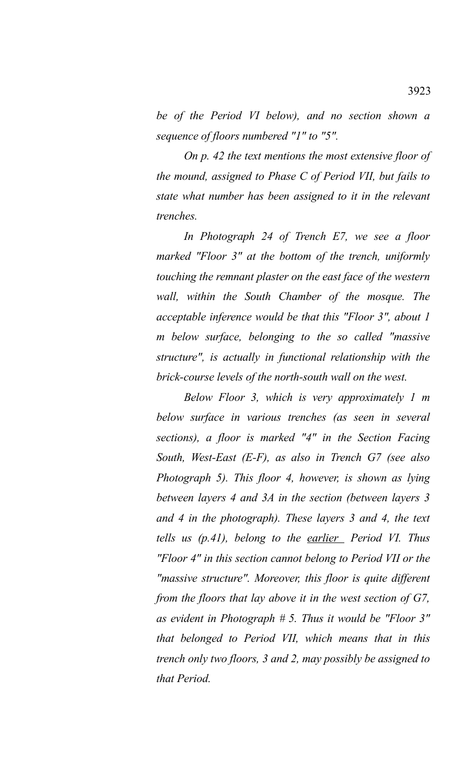*be of the Period VI below), and no section shown a sequence of floors numbered "1" to "5".*

*On p. 42 the text mentions the most extensive floor of the mound, assigned to Phase C of Period VII, but fails to state what number has been assigned to it in the relevant trenches.* 

*In Photograph 24 of Trench E7, we see a floor marked "Floor 3" at the bottom of the trench, uniformly touching the remnant plaster on the east face of the western wall, within the South Chamber of the mosque. The acceptable inference would be that this "Floor 3", about 1 m below surface, belonging to the so called "massive structure", is actually in functional relationship with the brick-course levels of the north-south wall on the west.* 

*Below Floor 3, which is very approximately 1 m below surface in various trenches (as seen in several sections), a floor is marked "4" in the Section Facing South, West-East (E-F), as also in Trench G7 (see also Photograph 5). This floor 4, however, is shown as lying between layers 4 and 3A in the section (between layers 3 and 4 in the photograph). These layers 3 and 4, the text tells us (p.41), belong to the earlier Period VI. Thus "Floor 4" in this section cannot belong to Period VII or the "massive structure". Moreover, this floor is quite different from the floors that lay above it in the west section of G7, as evident in Photograph # 5. Thus it would be "Floor 3" that belonged to Period VII, which means that in this trench only two floors, 3 and 2, may possibly be assigned to that Period.*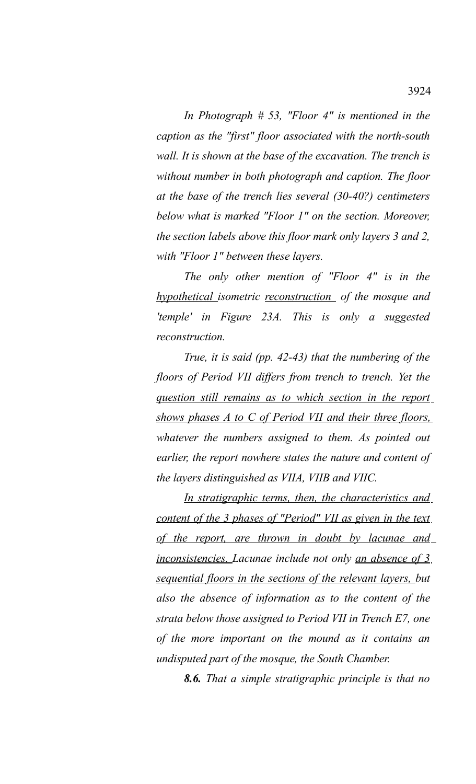*In Photograph # 53, "Floor 4" is mentioned in the caption as the "first" floor associated with the north-south wall. It is shown at the base of the excavation. The trench is without number in both photograph and caption. The floor at the base of the trench lies several (30-40?) centimeters below what is marked "Floor 1" on the section. Moreover, the section labels above this floor mark only layers 3 and 2, with "Floor 1" between these layers.* 

*The only other mention of "Floor 4" is in the hypothetical isometric reconstruction of the mosque and 'temple' in Figure 23A. This is only a suggested reconstruction.* 

*True, it is said (pp. 42-43) that the numbering of the floors of Period VII differs from trench to trench. Yet the question still remains as to which section in the report shows phases A to C of Period VII and their three floors, whatever the numbers assigned to them. As pointed out earlier, the report nowhere states the nature and content of the layers distinguished as VIIA, VIIB and VIIC.* 

*In stratigraphic terms, then, the characteristics and content of the 3 phases of "Period" VII as given in the text of the report, are thrown in doubt by lacunae and inconsistencies. Lacunae include not only an absence of 3 sequential floors in the sections of the relevant layers, but also the absence of information as to the content of the strata below those assigned to Period VII in Trench E7, one of the more important on the mound as it contains an undisputed part of the mosque, the South Chamber.* 

*8.6. That a simple stratigraphic principle is that no*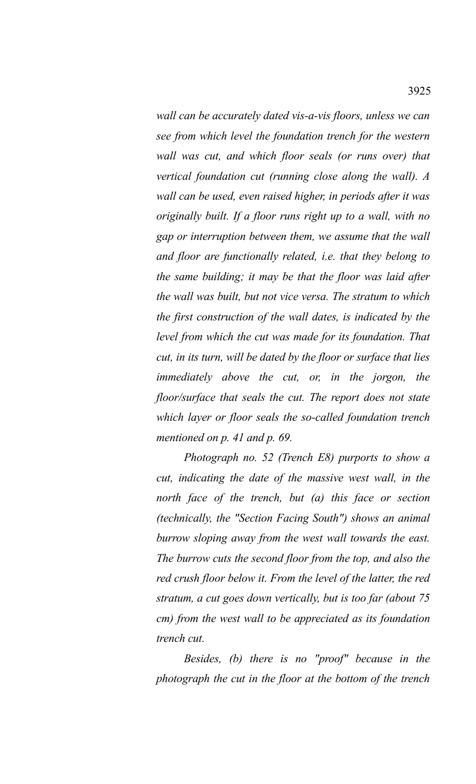*wall can be accurately dated vis-a-vis floors, unless we can see from which level the foundation trench for the western wall was cut, and which floor seals (or runs over) that vertical foundation cut (running close along the wall). A wall can be used, even raised higher, in periods after it was originally built. If a floor runs right up to a wall, with no gap or interruption between them, we assume that the wall and floor are functionally related, i.e. that they belong to the same building; it may be that the floor was laid after the wall was built, but not vice versa. The stratum to which the first construction of the wall dates, is indicated by the level from which the cut was made for its foundation. That cut, in its turn, will be dated by the floor or surface that lies immediately above the cut, or, in the jorgon, the floor/surface that seals the cut. The report does not state which layer or floor seals the so-called foundation trench mentioned on p. 41 and p. 69.*

*Photograph no. 52 (Trench E8) purports to show a cut, indicating the date of the massive west wall, in the north face of the trench, but (a) this face or section (technically, the "Section Facing South") shows an animal burrow sloping away from the west wall towards the east. The burrow cuts the second floor from the top, and also the red crush floor below it. From the level of the latter, the red stratum, a cut goes down vertically, but is too far (about 75 cm) from the west wall to be appreciated as its foundation trench cut.* 

*Besides, (b) there is no "proof" because in the photograph the cut in the floor at the bottom of the trench*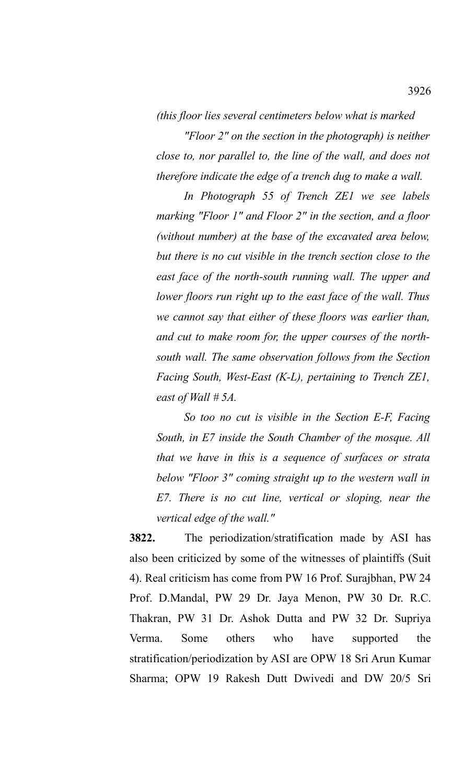*(this floor lies several centimeters below what is marked*

*"Floor 2" on the section in the photograph) is neither close to, nor parallel to, the line of the wall, and does not therefore indicate the edge of a trench dug to make a wall.* 

*In Photograph 55 of Trench ZE1 we see labels marking "Floor 1" and Floor 2" in the section, and a floor (without number) at the base of the excavated area below, but there is no cut visible in the trench section close to the east face of the north-south running wall. The upper and lower floors run right up to the east face of the wall. Thus we cannot say that either of these floors was earlier than, and cut to make room for, the upper courses of the northsouth wall. The same observation follows from the Section Facing South, West-East (K-L), pertaining to Trench ZE1, east of Wall # 5A.*

*So too no cut is visible in the Section E-F, Facing South, in E7 inside the South Chamber of the mosque. All that we have in this is a sequence of surfaces or strata below "Floor 3" coming straight up to the western wall in E7. There is no cut line, vertical or sloping, near the vertical edge of the wall."*

**3822.** The periodization/stratification made by ASI has also been criticized by some of the witnesses of plaintiffs (Suit 4). Real criticism has come from PW 16 Prof. Surajbhan, PW 24 Prof. D.Mandal, PW 29 Dr. Jaya Menon, PW 30 Dr. R.C. Thakran, PW 31 Dr. Ashok Dutta and PW 32 Dr. Supriya Verma. Some others who have supported the stratification/periodization by ASI are OPW 18 Sri Arun Kumar Sharma; OPW 19 Rakesh Dutt Dwivedi and DW 20/5 Sri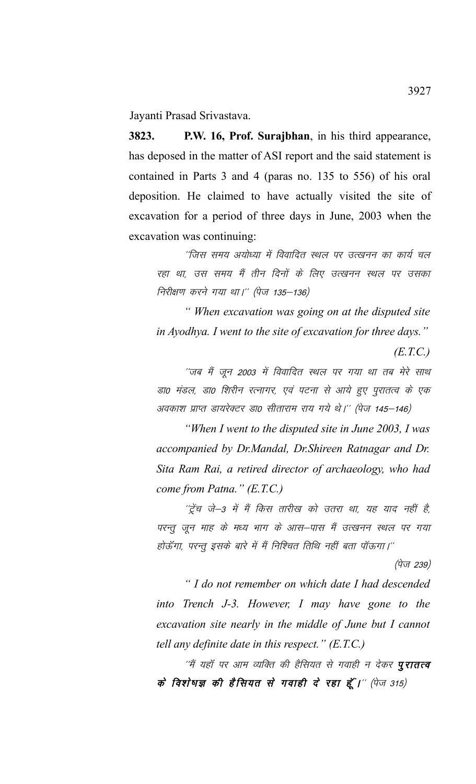Jayanti Prasad Srivastava.

**3823. P.W. 16, Prof. Surajbhan**, in his third appearance, has deposed in the matter of ASI report and the said statement is contained in Parts 3 and 4 (paras no. 135 to 556) of his oral deposition. He claimed to have actually visited the site of excavation for a period of three days in June, 2003 when the excavation was continuing:

''जिस समय अयोध्या में विवादित स्थल पर उत्खनन का कार्य चल रहा था, उस समय मैं तीन दिनों के लिए उत्खनन स्थल पर उसका निरीक्षण करने गया था।'' (पेज 135–136)

*" When excavation was going on at the disputed site in Ayodhya. I went to the site of excavation for three days." (E.T.C.)*

''जब मैं जून 2003 में विवादित स्थल पर गया था तब मेरे साथ डा0 मंडल, डा0 शिरीन रत्नागर, एवं पटना से आये हुए पुरातत्व के एक अवकाश प्राप्त डायरेक्टर डा0 सीताराम राय गये थे।'' (पेज 145–146)

*"When I went to the disputed site in June 2003, I was accompanied by Dr.Mandal, Dr.Shireen Ratnagar and Dr. Sita Ram Rai, a retired director of archaeology, who had come from Patna." (E.T.C.)*

''ट्रेंच जे–3 में मैं किस तारीख को उतरा था, यह याद नहीं है, परन्तू जून माह के मध्य भाग के आस–पास मैं उत्खनन स्थल पर गया होऊँगा, परन्तु इसके बारे में मैं निश्चित तिथि नहीं बता पॉऊगा।''

 $(\dot{q}\bar{w}$  239)

*" I do not remember on which date I had descended into Trench J-3. However, I may have gone to the excavation site nearly in the middle of June but I cannot tell any definite date in this respect." (E.T.C.)*

''मैं यहाँ पर आम व्यक्ति की हैसियत से गवाही न देकर **प्***रा***तत्व** के विशेषज्ञ की हैसियत से गवाही दे रहा हूँ।" (पेज 315)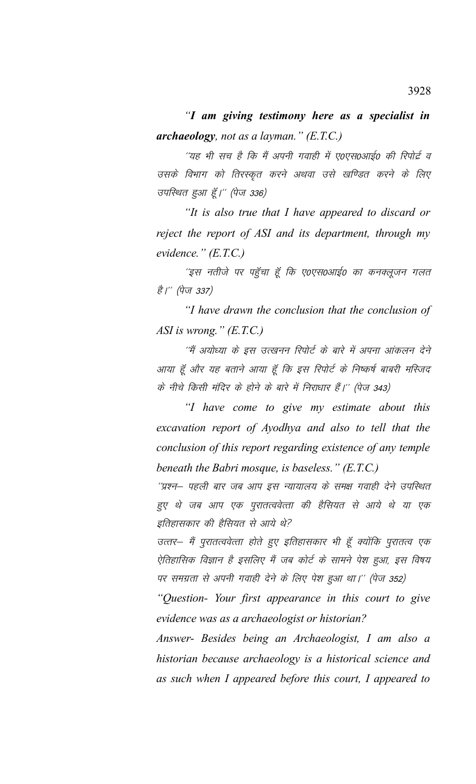*"I am giving testimony here as a specialist in archaeology, not as a layman." (E.T.C.)*

''यह भी सच है कि मैं अपनी गवाही में ए०एस०आई० की रिपोर्ट व उसके विभाग को तिरस्कृत करने अथवा उसे खण्डित करने के लिए उपस्थित हुआ हूँ।" (पेज 336)

*"It is also true that I have appeared to discard or reject the report of ASI and its department, through my evidence." (E.T.C.)*

''इस नतीजे पर पहुँचा हूँ कि ए०एस०आई० का कनक्लूजन गलत *है।'' (पेज 337)* 

*"I have drawn the conclusion that the conclusion of ASI is wrong." (E.T.C.)*

''मैं अयोध्या के इस उत्खनन रिपोर्ट के बारे में अपना आंकलन देने आया हूँ और यह बताने आया हूँ कि इस रिपोर्ट के निष्कर्ष बाबरी मस्जिद के नीचे किसी मंदिर के होने के बारे में निराधार हैं।'' (पेज 343)

*"I have come to give my estimate about this excavation report of Ayodhya and also to tell that the conclusion of this report regarding existence of any temple beneath the Babri mosque, is baseless." (E.T.C.)*

''प्रश्न– पहली बार जब आप इस न्यायालय के समक्ष गवाही देने उपस्थित हुए थे जब आप एक पुरातत्ववेत्ता की हैसियत से आये थे या एक इतिहासकार की हैसियत से आये थे?

उत्तर– मैं पुरातत्ववेत्ता होते हुए इतिहासकार भी हूँ क्योंकि पुरातत्व एक ऐतिहासिक विज्ञान है इसलिए मैं जब कोर्ट के सामने पेश हुआ, इस विषय पर समग्रता से अपनी गवाही देने के लिए पेश हुआ था।'' (पेज 352)

*"Question- Your first appearance in this court to give evidence was as a archaeologist or historian?*

*Answer- Besides being an Archaeologist, I am also a historian because archaeology is a historical science and as such when I appeared before this court, I appeared to*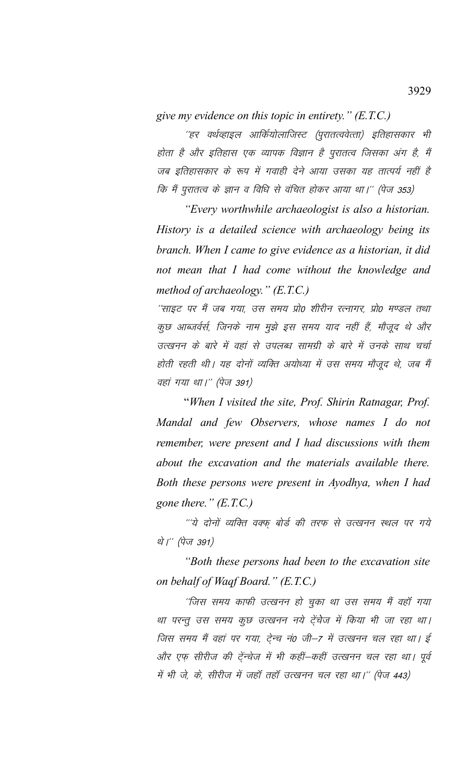*give my evidence on this topic in entirety." (E.T.C.)*

´´हर वर्थव्हाइल आर्कियोलाजिस्ट (पुरातत्ववेत्ता) इतिहासकार भी होता है और इतिहास एक व्यापक विज्ञान है पुरातत्व जिसका अंग है, मैं जब इतिहासकार के रूप में गवाही देने आया उसका यह तात्पर्य नहीं है कि मैं पुरातत्व के ज्ञान व विधि से वंचित होकर आया था।'' (पेज 353)

*"Every worthwhile archaeologist is also a historian. History is a detailed science with archaeology being its branch. When I came to give evidence as a historian, it did not mean that I had come without the knowledge and method of archaeology." (E.T.C.)*

''साइट पर मैं जब गया, उस समय प्रो0 शीरीन रत्नागर, प्रो0 मण्डल तथा कूछ आब्जर्वर्स, जिनके नाम मुझे इस समय याद नहीं हैं, मौजूद थे और उत्खनन के बारे में वहां से उपलब्ध सामग्री के बारे में उनके साथ चर्चा होती रहती थी। यह दोनों व्यक्ति अयोध्या में उस समय मौजूद थे, जब मैं वहां गया था।" (पेज 391)

"*When I visited the site, Prof. Shirin Ratnagar, Prof. Mandal and few Observers, whose names I do not remember, were present and I had discussions with them about the excavation and the materials available there. Both these persons were present in Ayodhya, when I had gone there." (E.T.C.)*

\*'ये दोनों व्यक्ति वक्फ़ बोर्ड की तरफ से उत्खनन स्थल पर गये थे।'' (पेज 391)

*"Both these persons had been to the excavation site on behalf of Waqf Board." (E.T.C.)*

´´जिस समय काफी उत्खनन हो चुका था उस समय मैं वहाँ गया था परन्तू उस समय कुछ उत्खनन नये टेंचेज में किया भी जा रहा था। जिस समय मैं वहां पर गया, टे्न्व नं0 जी–7 में उत्खनन चल रहा था। ई ओर एफ़ सीरीज की टेंन्चेज में भी कहीं–कहीं उत्खनन चल रहा था। पूर्व में भी जे, के, सीरीज में जहाँ तहाँ उत्खनन चल रहा था।'' (पेज 443)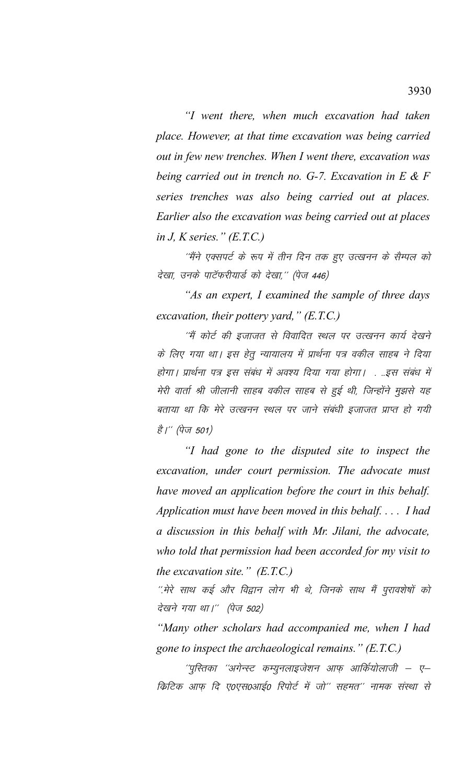*"I went there, when much excavation had taken place. However, at that time excavation was being carried out in few new trenches. When I went there, excavation was being carried out in trench no. G-7. Excavation in E & F series trenches was also being carried out at places. Earlier also the excavation was being carried out at places in J, K series." (E.T.C.)*

''मैंने एक्सपर्ट के रूप में तीन दिन तक हुए उत्खनन के सैम्पल को देखा, उनके पाटॅफरीयार्ड को देखा,'' (पेज 446)

*"As an expert, I examined the sample of three days excavation, their pottery yard," (E.T.C.)*

''मैं कोर्ट की इजाजत से विवादित स्थल पर उत्खनन कार्य देखने के लिए गया था। इस हेतु न्यायालय में प्रार्थना पत्र वकील साहब ने दिया होगा। प्रार्थना पत्र इस संबंध में अवश्य दिया गया होगा। . ..इस संबंध में मेरी वार्ता श्री जीलानी साहब वकील साहब से हुई थी, जिन्होंने मुझसे यह बताया था कि मेरे उत्खनन स्थल पर जाने संबंधी इजाजत प्राप्त हो गयी है।'' (पेज 501)

*"I had gone to the disputed site to inspect the excavation, under court permission. The advocate must have moved an application before the court in this behalf. Application must have been moved in this behalf. . . . I had a discussion in this behalf with Mr. Jilani, the advocate, who told that permission had been accorded for my visit to the excavation site." (E.T.C.)*

´´.मेरे साथ कई और विद्वान लोग भी थे, जिनके साथ मैं पुरावशेषों को देखने गया था।" (पेज 502)

*"Many other scholars had accompanied me, when I had gone to inspect the archaeological remains." (E.T.C.)*

 $^{\prime\prime}$ पुस्तिका  $^{\prime\prime}$ अगेन्स्ट कम्युनलाइजेशन आफ़ आर्कियोलाजी – ए– किटिक आफ दि ए०एस०आई० रिपोर्ट में जो'' सहमत'' नामक संस्था से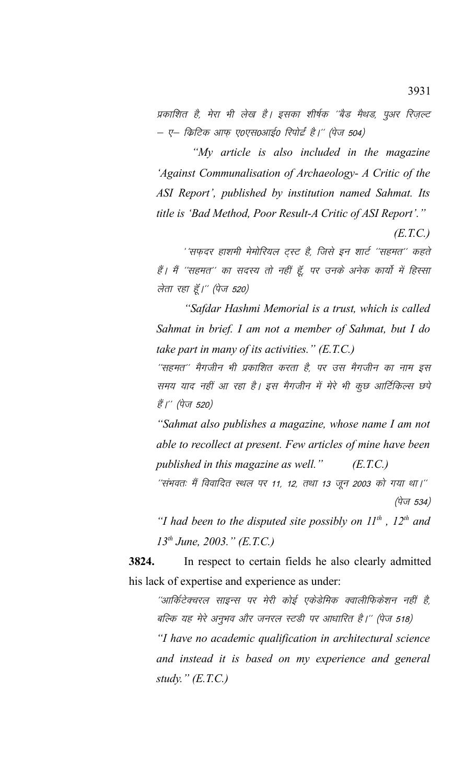प्रकाशित है, मेरा भी लेख है। इसका शीर्षक ''बैड मैथड, पुअर रिजल्ट – ए– किटिक आफ़ ए०एस०आई० रिपोर्ट्ट है।'' (पेज 504)

 *"My article is also included in the magazine 'Against Communalisation of Archaeology- A Critic of the ASI Report', published by institution named Sahmat. Its title is 'Bad Method, Poor Result-A Critic of ASI Report'."* 

*(E.T.C.)*

''सफ़दर हाशमी मेमोरियल ट्स्ट है, जिसे इन शार्ट ''सहमत'' कहते हैं। मैं ''सहमत'' का सदस्य तो नहीं हूँ, पर उनके अनेक कार्यो में हिस्सा लेता रहा हूँ।" (पेज 520)

*"Safdar Hashmi Memorial is a trust, which is called Sahmat in brief. I am not a member of Sahmat, but I do take part in many of its activities." (E.T.C.)*

''सहमत'' मैगजीन भी प्रकाशित करता है, पर उस मैगजीन का नाम इस समय याद नहीं आ रहा है। इस मैगजीन में मेरे भी कुछ आर्टिकिल्स छपे हैं।'' (पेज 520)

*"Sahmat also publishes a magazine, whose name I am not able to recollect at present. Few articles of mine have been published in this magazine as well." (E.T.C.)*

''संभवतः मैं विवादित स्थल पर 11, 12, तथा 13 जून 2003 को गया था।'' (पेज 534)

*"I had been to the disputed site possibly on 11th , 12th and 13th June, 2003." (E.T.C.)*

**3824.** In respect to certain fields he also clearly admitted his lack of expertise and experience as under:

''आर्किटेक्चरल साइन्स पर मेरी कोई एकेडेमिक क्वालीफिकेशन नहीं है, बल्कि यह मेरे अनुभव और जनरल स्टडी पर आधारित है।'' (पेज 518)

*"I have no academic qualification in architectural science and instead it is based on my experience and general study." (E.T.C.)*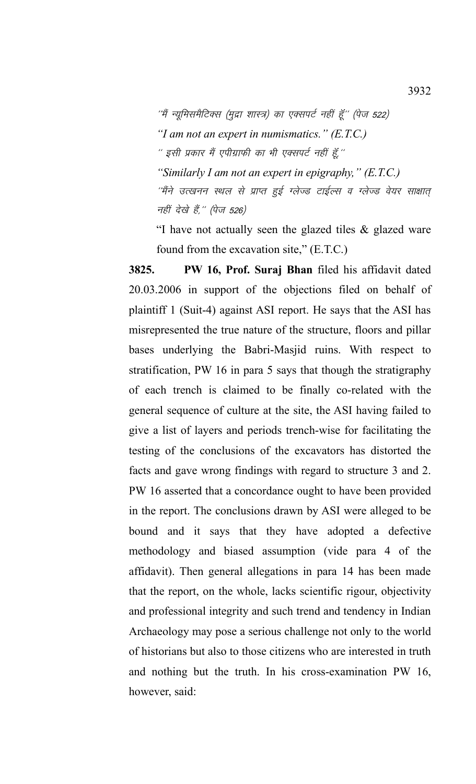''मैं न्यूमिसमैटिक्स (मुद्रा शास्त्र) का एक्सपर्ट नहीं हूँ'' (पेज 522) *"I am not an expert in numismatics." (E.T.C.)* '' इसी प्रकार मैं एपीग्राफी का भी एक्सपर्ट नहीं हूँ,'' *"Similarly I am not an expert in epigraphy," (E.T.C.)*  ^'मैंने उत्खनन स्थल से प्राप्त हुई ग्लेज्ड टाईल्स व ग्लेज्ड वेयर साक्षात् नहीं देखे हैं," (पेज 526)

"I have not actually seen the glazed tiles & glazed ware found from the excavation site," (E.T.C.)

**3825. PW 16, Prof. Suraj Bhan** filed his affidavit dated 20.03.2006 in support of the objections filed on behalf of plaintiff 1 (Suit-4) against ASI report. He says that the ASI has misrepresented the true nature of the structure, floors and pillar bases underlying the Babri-Masjid ruins. With respect to stratification, PW 16 in para 5 says that though the stratigraphy of each trench is claimed to be finally co-related with the general sequence of culture at the site, the ASI having failed to give a list of layers and periods trench-wise for facilitating the testing of the conclusions of the excavators has distorted the facts and gave wrong findings with regard to structure 3 and 2. PW 16 asserted that a concordance ought to have been provided in the report. The conclusions drawn by ASI were alleged to be bound and it says that they have adopted a defective methodology and biased assumption (vide para 4 of the affidavit). Then general allegations in para 14 has been made that the report, on the whole, lacks scientific rigour, objectivity and professional integrity and such trend and tendency in Indian Archaeology may pose a serious challenge not only to the world of historians but also to those citizens who are interested in truth and nothing but the truth. In his cross-examination PW 16, however, said: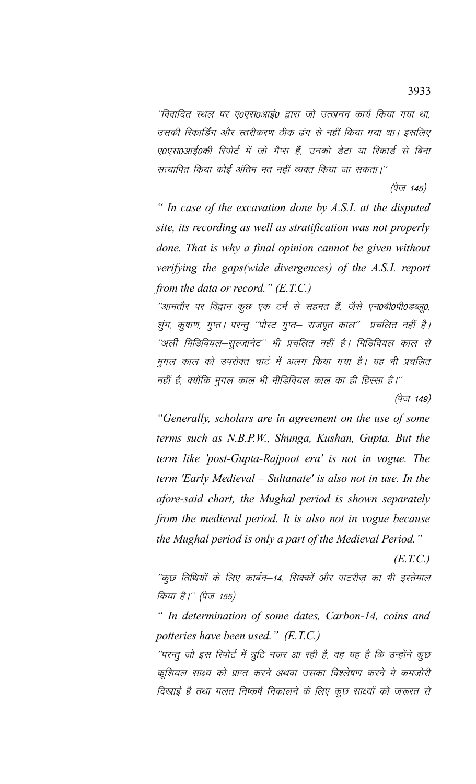''विवादित स्थल पर ए०एस०आई० द्वारा जो उत्खनन कार्य किया गया था, उसकी रिकार्डिंग और स्तरीकरण ठीक ढंग से नहीं किया गया था। इसलिए ए०एस०आई०की रिपोर्ट में जो गैप्स हैं, उनको डेटा या रिकार्ड से बिना सत्यापित किया कोई अंतिम मत नहीं व्यक्त किया जा सकता।''

*(पेज 145)* 

" In case of the excavation done by A.S.I. at the disputed site, its recording as well as stratification was not properly done. That is why a final opinion cannot be given without verifying the gaps (wide divergences) of the A.S.I. report from the data or record."  $(E.T.C.)$ 

''आमतौर पर विद्वान कुछ एक टर्म से सहमत हैं, जैसे एन0बी0पी0डब्लू0, शुंग, कुषाण, गुप्त। परन्तु ''पोस्ट गुप्त– राजपूत काल'' प्रचलित नहीं है। ''अर्ली मिडिवियल–सूल्जानेट'' भी प्रचलित नहीं है। मिडिवियल काल से मुगल काल को उपरोक्त चार्ट में अलग किया गया है। यह भी प्रचलित नहीं है, क्योंकि मुगल काल भी मीडिवियल काल का ही हिस्सा है।''

(पेज 149)

"Generally, scholars are in agreement on the use of some terms such as N.B.P.W., Shunga, Kushan, Gupta. But the term like 'post-Gupta-Rajpoot era' is not in vogue. The term 'Early Medieval – Sultanate' is also not in use. In the afore-said chart, the Mughal period is shown separately from the medieval period. It is also not in vogue because the Mughal period is only a part of the Medieval Period."

 $(E.T.C.)$ 

''कुछ तिथियों के लिए कार्बन–14, सिक्कों और पाटरीज का भी इस्तेमाल किया है।'' (पेज 155)

" In determination of some dates, Carbon-14, coins and potteries have been used." (E.T.C.)

''परन्तु जो इस रिपोर्ट में त्रूटि नजर आ रही है, वह यह है कि उन्होंने कुछ कूशियल साक्ष्य को प्राप्त करने अथवा उसका विश्लेषण करने मे कमजोरी दिखाई है तथा गलत निष्कर्ष निकालने के लिए कुछ साक्ष्यों को जरूरत से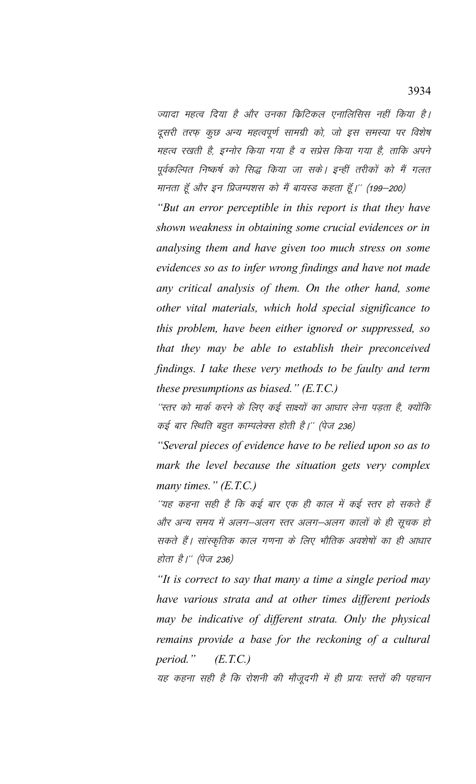ज्यादा महत्व दिया है और उनका क्रिटिकल एनालिसिस नहीं किया है। दूसरी तरफ़ कुछ अन्य महत्वपूर्ण सामग्री को, जो इस समस्या पर विशेष महत्व रखती है, इग्नोर किया गया है व सप्रेस किया गया है, ताकि अपने पूर्वकल्पित निष्कर्ष को सिद्ध किया जा सके। इन्हीं तरीकों को मैं गलत मानता हूँ और इन प्रिजम्पशस को मैं बायरड कहता हूँ।'' (199–200)

"But an error perceptible in this report is that they have shown weakness in obtaining some crucial evidences or in analysing them and have given too much stress on some evidences so as to infer wrong findings and have not made any critical analysis of them. On the other hand, some other vital materials, which hold special significance to this problem, have been either ignored or suppressed, so that they may be able to establish their preconceived findings. I take these very methods to be faulty and term these presumptions as biased."  $(E.T.C.)$ 

''स्तर को मार्क करने के लिए कई साक्ष्यों का आधार लेना पडता है, क्योंकि कई बार स्थिति बहुत काम्पलेक्स होती है।'' (पेज 236)

"Several pieces of evidence have to be relied upon so as to mark the level because the situation gets very complex many times."  $(E.T.C.)$ 

''यह कहना सही है कि कई बार एक ही काल में कई स्तर हो सकते हैं और अन्य समय में अलग—अलग स्तर अलग—अलग कालों के ही सूचक हो सकते हैं। सांस्कृतिक काल गणना के लिए भौतिक अवशेषों का ही आधार होता है।'' (पेज 236)

"It is correct to say that many a time a single period may have various strata and at other times different periods may be indicative of different strata. Only the physical remains provide a base for the reckoning of a cultural period."  $(E.T.C.)$ 

यह कहना सही है कि रोशनी की मौजूदगी में ही प्रायः स्तरों की पहचान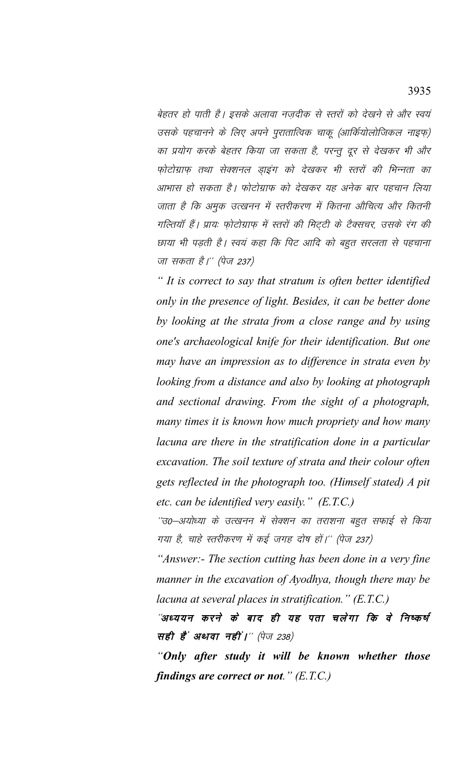बेहतर हो पाती है। इसके अलावा नजदीक से स्तरों को देखने से और स्वयं उसके पहचानने के लिए अपने पुरातात्विक चाकू (आर्कियोलोजिकल नाइफ़्) का प्रयोग करके बेहतर किया जा सकता है, परन्तु दूर से देखकर भी और फोटोग्राफ तथा सेक्शनल डाइंग को देखकर भी स्तरों की भिन्नता का आभास हो सकता है। फोटोग्राफ को देखकर यह अनेक बार पहचान लिया जाता है कि अमुक उत्खनन में स्तरीकरण में कितना औचित्य और कितनी गल्तियॉ हैं। प्रायः फोटोग्राफ़ में स्तरों की मिट्टी के टैक्सचर, उसके रंग की छाया भी पड़ती है। स्वयं कहा कि पिट आदि को बहुत सरलता से पहचाना जा सकता है।'' (पेज 237)

*" It is correct to say that stratum is often better identified only in the presence of light. Besides, it can be better done by looking at the strata from a close range and by using one's archaeological knife for their identification. But one may have an impression as to difference in strata even by looking from a distance and also by looking at photograph and sectional drawing. From the sight of a photograph, many times it is known how much propriety and how many lacuna are there in the stratification done in a particular excavation. The soil texture of strata and their colour often gets reflected in the photograph too. (Himself stated) A pit etc. can be identified very easily." (E.T.C.)*

''उ0–अयोध्या के उत्खनन में सेक्शन का तराशना बहुत सफाई से किया गया है, चाहे स्तरीकरण में कई जगह दोष हों।'' (पेज 237)

*"Answer:- The section cutting has been done in a very fine manner in the excavation of Ayodhya, though there may be lacuna at several places in stratification." (E.T.C.)*

''अध्ययन करने के बाद ही यह पता चलेगा कि वे निष्कर्ष सही हैं अथवा नहीं।" (पेज 238)

*"Only after study it will be known whether those findings are correct or not." (E.T.C.)*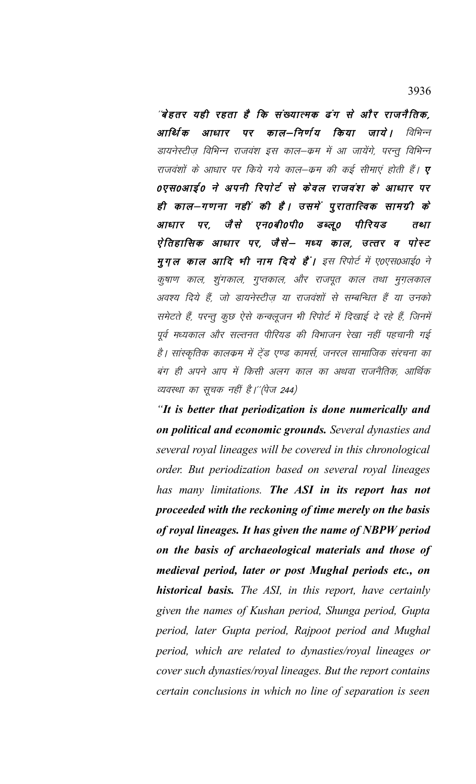'बेहतर यही रहता है कि संख्यात्मक ढंग से और राजनैतिक, पर काल–निर्णय किया जाये। आर्थिक आधार विभिन्न डायनेस्टीज़ विभिन्न राजवंश इस काल–कम में आ जायेंगे, परन्तु विभिन्न राजवंशों के आधार पर किये गये काल–कम की कई सीमाएं होती हैं। **ए** 0एस0आई0 ने अपनी रिपोर्ट से केवल राजवंश के आधार पर ही काल—गणना नहीं की है। उसमें पुरातात्विक सामग्री के जैसे एन0बी0पी0 डब्लू० पर, पीरियड आधार तथा ऐतिहासिक आधार पर, जैसे— मध्य काल, उत्तर व पोस्ट म्गल काल आदि भी नाम दिये हैं। इस रिपोर्ट में ए०एस०आई० ने कुषाण काल, शुंगकाल, गुप्तकाल, और राजपूत काल तथा मुग़लकाल अवश्य दिये हैं, जो डायनेस्टीज या राजवंशों से सम्बन्धित हैं या उनको समेटते हैं, परन्तु कुछ ऐसे कन्क्लुजन भी रिपोर्ट में दिखाई दे रहे हैं, जिनमें पूर्व मध्यकाल और सल्तनत पीरियड की विभाजन रेखा नहीं पहचानी गई है। सांस्कृतिक कालकम में ट्रेंड एण्ड कामर्स, जनरल सामाजिक संरचना का बंग ही अपने आप में किसी अलग काल का अथवा राजनैतिक, आर्थिक व्यवस्था का सूचक नहीं है।''(पेज 244)

"It is better that periodization is done numerically and on political and economic grounds. Several dynasties and several royal lineages will be covered in this chronological order. But periodization based on several royal lineages has many limitations. The ASI in its report has not proceeded with the reckoning of time merely on the basis of royal lineages. It has given the name of NBPW period on the basis of archaeological materials and those of medieval period, later or post Mughal periods etc., on **historical basis.** The ASI, in this report, have certainly given the names of Kushan period, Shunga period, Gupta period, later Gupta period, Rajpoot period and Mughal period, which are related to dynasties/royal lineages or cover such dynasties/royal lineages. But the report contains certain conclusions in which no line of separation is seen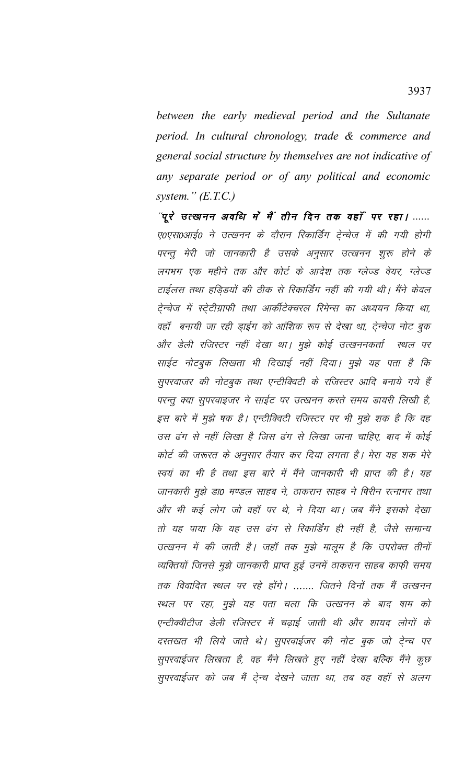between the early medieval period and the Sultanate period. In cultural chronology, trade & commerce and general social structure by themselves are not indicative of any separate period or of any political and economic system."  $(E.T.C.)$ 

'पूरे उत्खनन अवधि में मैं तीन दिन तक वहाँ पर रहा। ...... ए०एस०आई० ने उत्खनन के दौरान रिकार्डिंग टे्न्वेज में की गयी होगी परन्तू मेरी जो जानकारी है उसके अनुसार उत्खनन शुरू होने के लगभग एक महीने तक और कोर्ट के आदेश तक ग्लेज्ड वेयर, ग्लेज्ड टाईलस तथा हड़िडयों की ठीक से रिकार्डिंग नहीं की गयी थी। मैंने केवल टे्न्वेज में स्ट्रेटीग्राफी तथा आर्कीटेक्चरल रिमेन्स का अध्ययन किया था, वहॉ बनायी जा रही ड़ाईग को आंशिक रूप से देखा था, टे्न्चेज नोट बुक और डेली रजिस्टर नहीं देखा था। मुझे कोई उत्खननकर्ता स्थल पर साईट नोटबुक लिखता भी दिखाई नहीं दिया। मुझे यह पता है कि सुपरवाजर की नोटबुक तथा एन्टीक्विटी के रजिस्टर आदि बनाये गये हैं परन्तु क्या सुपरवाइजर ने साईट पर उत्खनन करते समय डायरी लिखी है, इस बारे में मुझे षक है। एन्टीक्विटी रजिस्टर पर भी मुझे शक है कि वह उस ढंग से नहीं लिखा है जिस ढंग से लिखा जाना चाहिए, बाद में कोई कोर्ट की जरूरत के अनुसार तैयार कर दिया लगता है। मेरा यह शक मेरे स्वयं का भी है तथा इस बारे में मैंने जानकारी भी प्राप्त की है। यह जानकारी मुझे डा0 मण्डल साहब ने, ठाकरान साहब ने षिरीन रत्नागर तथा और भी कई लोग जो वहाँ पर थे, ने दिया था। जब मैंने इसको देखा तो यह पाया कि यह उस ढंग से रिकार्डिंग ही नहीं है, जैसे सामान्य उत्खनन में की जाती है। जहाँ तक मुझे मालूम है कि उपरोक्त तीनों व्यक्तियों जिनसे मुझे जानकारी प्राप्त हुई उनमें ठाकरान साहब काफ़ी समय तक विवादित स्थल पर रहे होंगे। ....... जितने दिनों तक मैं उत्खनन स्थल पर रहा, मुझे यह पता चला कि उत्खनन के बाद षाम को एन्टीक्वीटीज डेली रजिस्टर में चढ़ाई जाती थी और शायद लोगों के दस्तखत भी लिये जाते थे। सुपरवाईजर की नोट बुक जो टे़न्च पर सुपरवाईजर लिखता है, वह मैंने लिखते हुए नहीं देखा बल्कि मैंने कुछ सुपरवाईजर को जब मैं टे्न्च देखने जाता था, तब वह वहाँ से अलग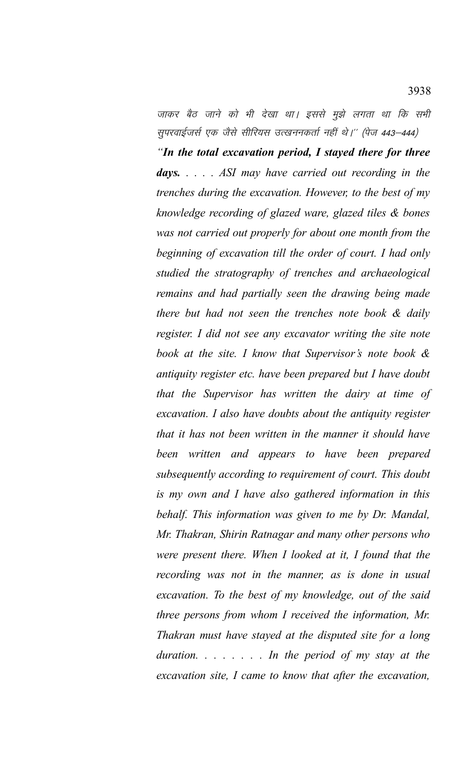जाकर बैठ जाने को भी देखा था। इससे मुझे लगता था कि सभी सुपरवाईजर्स एक जैसे सीरियस उत्खननकर्ता नहीं थे।'' (पेज 443–444)

*"In the total excavation period, I stayed there for three days. . . . . ASI may have carried out recording in the trenches during the excavation. However, to the best of my knowledge recording of glazed ware, glazed tiles & bones was not carried out properly for about one month from the beginning of excavation till the order of court. I had only studied the stratography of trenches and archaeological remains and had partially seen the drawing being made there but had not seen the trenches note book & daily register. I did not see any excavator writing the site note book at the site. I know that Supervisor's note book & antiquity register etc. have been prepared but I have doubt that the Supervisor has written the dairy at time of excavation. I also have doubts about the antiquity register that it has not been written in the manner it should have been written and appears to have been prepared subsequently according to requirement of court. This doubt is my own and I have also gathered information in this behalf. This information was given to me by Dr. Mandal, Mr. Thakran, Shirin Ratnagar and many other persons who were present there. When I looked at it, I found that the recording was not in the manner, as is done in usual excavation. To the best of my knowledge, out of the said three persons from whom I received the information, Mr. Thakran must have stayed at the disputed site for a long duration. . . . . . . . In the period of my stay at the excavation site, I came to know that after the excavation,*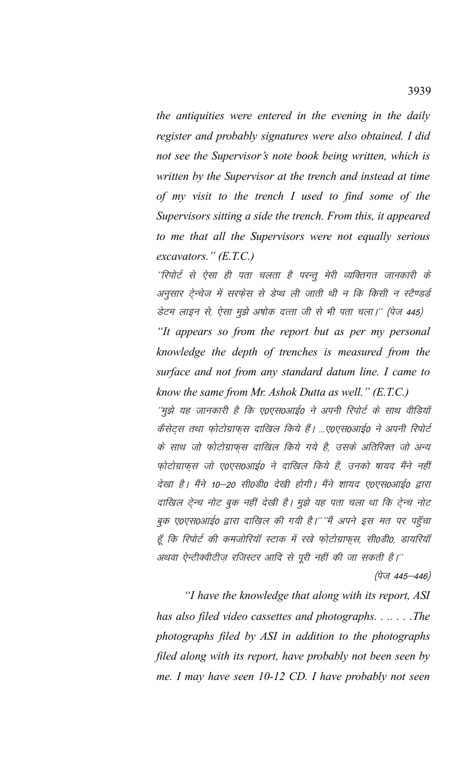the antiquities were entered in the evening in the daily register and probably signatures were also obtained. I did not see the Supervisor's note book being written, which is written by the Supervisor at the trench and instead at time of my visit to the trench I used to find some of the Supervisors sitting a side the trench. From this, it appeared to me that all the Supervisors were not equally serious excavators."  $(E.T.C.)$ 

''रिपोर्ट से ऐसा ही पता चलता है परन्तू मेरी व्यक्तिगत जानकारी के अनुसार टे्न्चेज में सरफ़ेस से डेप्थ ली जाती थी न कि किसी न स्टैण्डर्ड डेटम लाइन से, ऐसा मुझे अषोक दत्ता जी से भी पता चला।'' (पेज 445) "It appears so from the report but as per my personal knowledge the depth of trenches is measured from the surface and not from any standard datum line. I came to know the same from Mr. Ashok Dutta as well."  $(E.T.C.)$ 

''मुझे यह जानकारी है कि ए०एस०आई० ने अपनी रिपोर्ट के साथ वीडियों कैसेट्स तथा फ़ोटोग्राफुस दाखिल किये हैं। ...ए0एस0आई0 ने अपनी रिपोर्ट के साथ जो फोटोग्राफुस दाखिल किये गये है, उसके अतिरिक्त जो अन्य फोटोग्राफुस जो ए०एस०आई० ने दाखिल किये हैं, उनको षायद मैंने नहीं देखा है। मैंने 10–20 सी0डी0 देखी होगी। मैंने शायद ए0एस0आई0 द्वारा दाखिल टे्न्च नोट बुक नहीं देखी है। मुझे यह पता चला था कि टे्न्च नोट बुक ए०एस०आई० द्वारा दाख़िल की गयी है।''''मैं अपने इस मत पर पहुँचा हूँ कि रिपोर्ट की कमजोरियॉ स्टाक में रखे फोटोग्राफुस, सी०डी०, डायरियॉ अथवा ऐन्टीक्वीटीज़ रजिस्टर आदि से पूरी नहीं की जा सकती है।''

(पेज 445-446)

"I have the knowledge that along with its report, ASI has also filed video cassettes and photographs. . .. . . . . The photographs filed by ASI in addition to the photographs filed along with its report, have probably not been seen by me. I may have seen 10-12 CD. I have probably not seen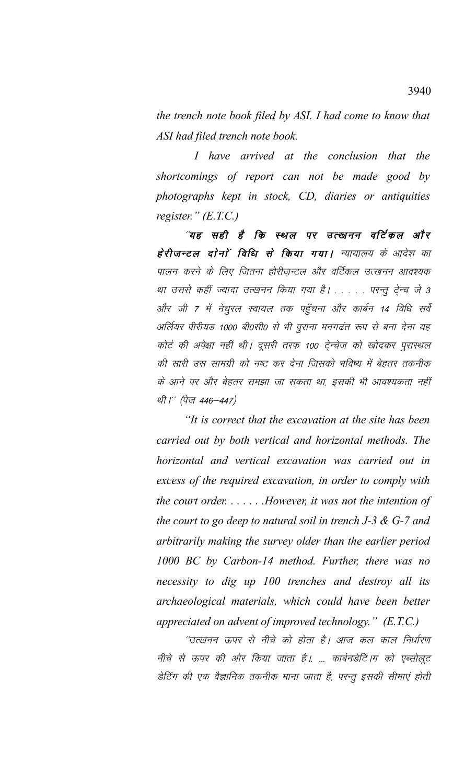the trench note book filed by ASI. I had come to know that ASI had filed trench note book.

I have arrived at the conclusion that the shortcomings of report can not be made good by photographs kept in stock, CD, diaries or antiquities register."  $(E.T.C.)$ 

"यह सही है कि स्थल पर उत्खनन वर्टिकल और हेरीजन्टल दोनों विधि से किया गया। न्यायालय के आदेश का पालन करने के लिए जितना होरीजन्टल और वर्टिकल उत्खनन आवश्यक था उससे कहीं ज्यादा उत्खनन किया गया है। . . . . परन्तु टेन्च जे 3 और जी 7 में नेचुरल स्वायल तक पहुँचना और कार्बन 14 विधि सर्वे अर्लियर पीरीयड 1000 बी0सी0 से भी पुराना मनगढंत रूप से बना देना यह कोर्ट की अपेक्षा नहीं थी। दूसरी तरफ 100 टेन्चेज को खोदकर पुरास्थल की सारी उस सामग्री को नष्ट कर देना जिसको भविष्य में बेहतर तकनीक के आने पर और बेहतर समझा जा सकता था. इसकी भी आवश्यकता नहीं थी।" (पेज 446–447)

"It is correct that the excavation at the site has been carried out by both vertical and horizontal methods. The horizontal and vertical excavation was carried out in excess of the required excavation, in order to comply with the court order.  $\dots$ . However, it was not the intention of the court to go deep to natural soil in trench  $J-3 \& G-7$  and arbitrarily making the survey older than the earlier period 1000 BC by Carbon-14 method. Further, there was no necessity to dig up 100 trenches and destroy all its archaeological materials, which could have been better appreciated on advent of improved technology."  $(E.T.C.)$ 

''उत्खनन ऊपर से नीचे को होता है। आज कल काल निर्धारण नीचे से ऊपर की ओर किया जाता है। ... कार्बनडेटि।ग को एब्सोलुट डेटिंग की एक वैज्ञानिक तकनीक माना जाता है, परन्तू इसकी सीमाएं होती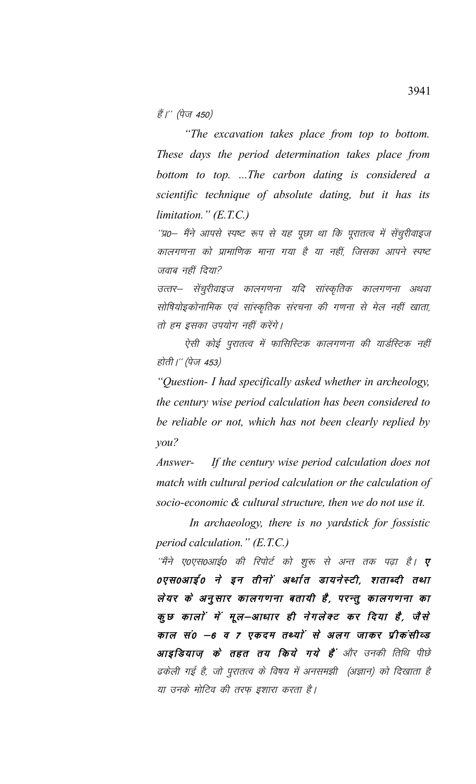हैं।" (पेज 450)

"The excavation takes place from top to bottom. These days the period determination takes place from bottom to top. ...The carbon dating is considered a scientific technique of absolute dating, but it has its  $limitation.$ "  $(E.T.C.)$ 

''प्र0– मैंने आपसे स्पष्ट रूप से यह पूछा था कि पूरातत्व में सेंचुरीवाइज कालगणना को प्रामाणिक माना गया है या नहीं, जिसका आपने स्पष्ट जवाब नहीं दिया?

उत्तर– सेंचुरीवाइज कालगणना यदि सांस्कृतिक कालगणना अथवा सोषियोइकोनामिक एवं सांस्कृतिक संरचना की गणना से मेल नहीं खाता, तो हम इसका उपयोग नहीं करेंगे।

ऐसी कोई पुरातत्व में फासिस्टिक कालगणना की यार्डस्टिक नहीं होती |'' (पेज 453)

"Question- I had specifically asked whether in archeology, the century wise period calculation has been considered to be reliable or not, which has not been clearly replied by  $you?$ 

If the century wise period calculation does not Answermatch with cultural period calculation or the calculation of socio-economic & cultural structure, then we do not use it.

In archaeology, there is no yardstick for fossistic period calculation."  $(E.T.C.)$ 

''मैंने ए०एस०आई० की रिपोर्ट को शुरू से अन्त तक पढ़ा है। **ए** ०एस०आई० ने इन तीनों अर्थात डायनेस्टी, शताब्दी तथा लेयर के अनुसार कालगणना बतायी है, परन्तु कालगणना का कुछ कालों में मूल–आधार ही नेगलेक्ट कर दिया है, जैसे काल सं० –६ व ७ एकदम तथ्यों से अलग जाकर प्रीकंसीव्ड आइडियाज के तहत तय किये गये हैं और उनकी तिथि पीछे ढकेली गई है, जो पुरातत्व के विषय में अनसमझी (अज्ञान) को दिखाता है या उनके मोटिव की तरफ इशारा करता है।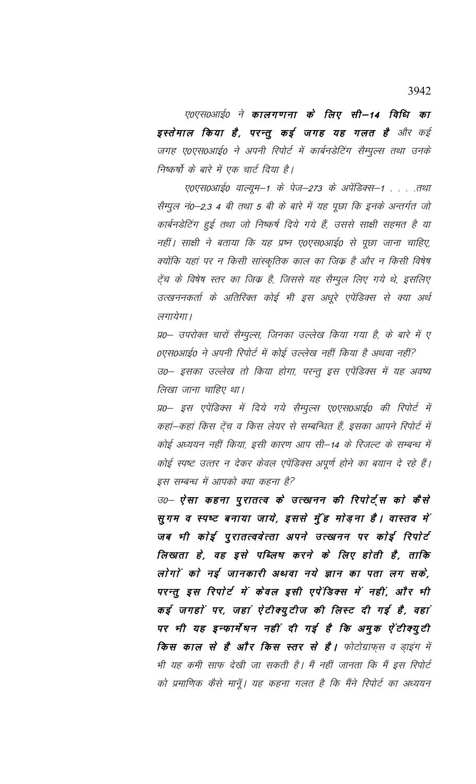ए०एस०आई० ने कालगणना के लिए सी–14 विधि का इस्तेमाल किया है, परन्तु कई जगह यह गलत है और कई जगह ए०एस०आई० ने अपनी रिपोर्ट में कार्बनडेटिंग सैम्पूल्स तथा उनके निष्कर्षो के बारे में एक चार्ट दिया है।

ए०एस०आई० वाल्यूम–1 के पेज–273 के अपेंडिक्स–1 . . . .तथा सैम्पुल नं0-2,3 4 बी तथा 5 बी के बारे में यह पूछा कि इनके अन्तर्गत जो कार्बनडेटिंग हुई तथा जो निष्कर्ष दिये गये हैं, उससे साक्षी सहमत है या नहीं। साक्षी ने बताया कि यह प्रष्न ए0एस0आई0 से पूछा जाना चाहिए, क्योंकि यहां पर न किसी सांस्कृतिक काल का जि़क है और न किसी विषेष ट्रेंच के विषेष स्तर का जिक्र है, जिससे यह सैम्पुल लिए गये थे, इसलिए उत्खननकर्ता के अतिरिक्त कोई भी इस अधूरे एपेंडिक्स से क्या अर्थ लगायेगा।

प्र0– उपरोक्त चारों सैम्पुल्स, जिनका उल्लेख किया गया है, के बारे में ए 0एस0आई0 ने अपनी रिपोर्ट में कोई उल्लेख नहीं किया है अथवा नहीं? उ0– इसका उल्लेख तो किया होगा, परन्तु इस एपेंडिक्स में यह अवष्य लिखा जाना चाहिए था।

प्र0– इस एपेंडिक्स में दिये गये सैम्पुल्स ए०एस०आई० की रिपोर्ट में कहां—कहां किस ट्रेंच व किस लेयर से सम्बन्धित हैं, इसका आपने रिपोर्ट में कोई अध्ययन नहीं किया, इसी कारण आप सी–14 के रिजल्ट के सम्बन्ध में कोई स्पष्ट उत्तर न देकर केवल एपेंडिक्स अपूर्ण होने का बयान दे रहे हैं। इस सम्बन्ध में आपको क्या कहना है?

उ० - ऐसा कहना पुरातत्व के उत्खनन की रिपोर्ट्स को कैसे सुगम व स्पष्ट बनाया जाये, इससे मुँह मोड़ना है। वास्तव में जब भी कोई पुरातत्ववेत्ता अपने उत्खनन पर कोई रिपोर्ट लिखता हे, वह इसे पब्लिष करने के लिए होती है, ताकि लोगों को नई जानकारी अथवा नये ज्ञान का पता लग सके, परन्तु इस रिपोर्ट में केवल इसी एपेंडिक्स में नहीं, और भी कई जगहों पर, जहां ऐटीक्युटीज की लिस्ट दी गई है, वहां पर भी यह इन्फार्मेषन नहीं दी गई है कि अमुक ऐंटीक्युटी किस काल से हैं और किस स्तर से हैं। फोटोग्राफ़स व ड़ाइंग में भी यह कमी साफ देखी जा सकती है। मैं नहीं जानता कि मैं इस रिपोर्ट को प्रमाणिक कैसे मानूँ। यह कहना गलत है कि मैंने रिपोर्ट का अध्ययन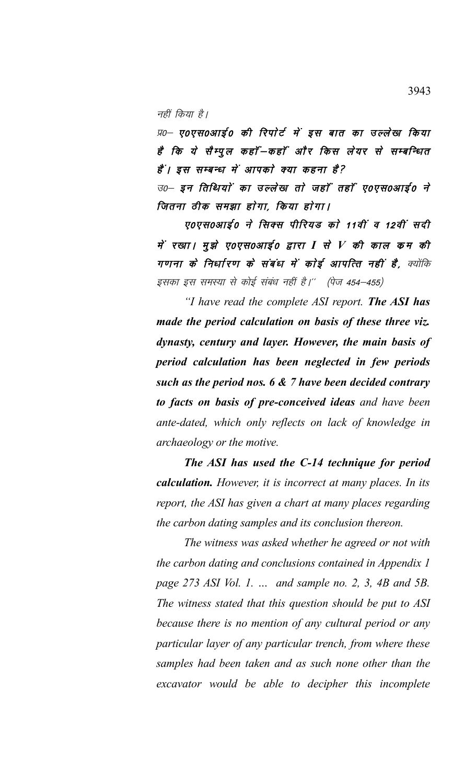नहीं किया है।

प्र0— ए0एस0आई0 की रिपोर्ट में इस बात का उल्लेख किया है कि ये सैम्पूल कहॉं–कहॉं और किस लेयर से सम्बन्धित हैं। इस सम्बन्ध में आपको क्या कहना है?

 $\vec{v}$  ज $\vec{v}$  ,  $\vec{v}$  are  $\vec{r}$  and  $\vec{r}$  and  $\vec{r}$  and  $\vec{r}$  and  $\vec{r}$  and  $\vec{r}$  and  $\vec{r}$ जितना ठीक समझा होगा, किया होगा।

ए०एस०आई० ने सिक्स पीरियड को 11वीं व 12वीं सदी में रखा। मूझे ए०एस०आई० द्वारा I से V की काल कम की गणना के निर्धारण के संबंध में कोई आपत्ति नहीं है, क्योंकि इसका इस समस्या से कोई संबंध नहीं है।'' (पेज 454–455)

*"I have read the complete ASI report. The ASI has made the period calculation on basis of these three viz. dynasty, century and layer. However, the main basis of period calculation has been neglected in few periods such as the period nos. 6 & 7 have been decided contrary to facts on basis of pre-conceived ideas and have been ante-dated, which only reflects on lack of knowledge in archaeology or the motive.*

*The ASI has used the C-14 technique for period calculation. However, it is incorrect at many places. In its report, the ASI has given a chart at many places regarding the carbon dating samples and its conclusion thereon.*

*The witness was asked whether he agreed or not with the carbon dating and conclusions contained in Appendix 1 page 273 ASI Vol. 1. … and sample no. 2, 3, 4B and 5B. The witness stated that this question should be put to ASI because there is no mention of any cultural period or any particular layer of any particular trench, from where these samples had been taken and as such none other than the excavator would be able to decipher this incomplete*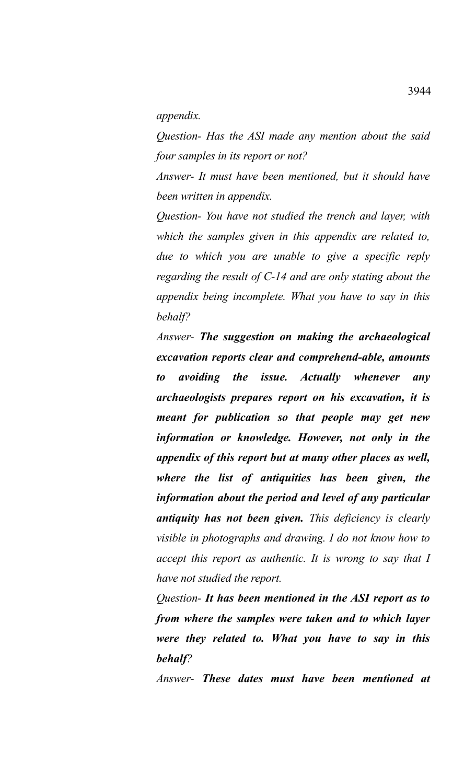*appendix.*

*Question- Has the ASI made any mention about the said four samples in its report or not?*

*Answer- It must have been mentioned, but it should have been written in appendix.* 

*Question- You have not studied the trench and layer, with which the samples given in this appendix are related to, due to which you are unable to give a specific reply regarding the result of C-14 and are only stating about the appendix being incomplete. What you have to say in this behalf?*

*Answer- The suggestion on making the archaeological excavation reports clear and comprehend-able, amounts to avoiding the issue. Actually whenever any archaeologists prepares report on his excavation, it is meant for publication so that people may get new information or knowledge. However, not only in the appendix of this report but at many other places as well, where the list of antiquities has been given, the information about the period and level of any particular antiquity has not been given. This deficiency is clearly visible in photographs and drawing. I do not know how to accept this report as authentic. It is wrong to say that I have not studied the report.*

*Question- It has been mentioned in the ASI report as to from where the samples were taken and to which layer were they related to. What you have to say in this behalf?*

*Answer- These dates must have been mentioned at*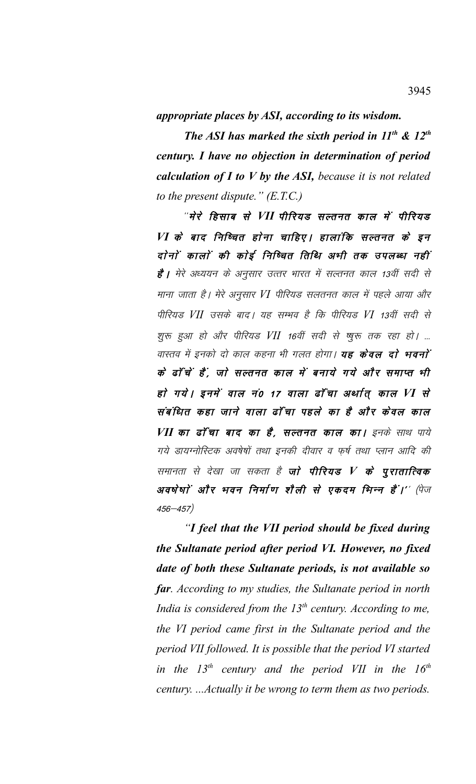appropriate places by ASI, according to its wisdom.

The ASI has marked the sixth period in  $11^{th}$  &  $12^{th}$ century. I have no objection in determination of period calculation of  $I$  to  $V$  by the ASI, because it is not related to the present dispute."  $(E.T.C.)$ 

"मेरे हिसाब से VII पीरियड सल्तनत काल में पीरियड VI के बाद निष्चित होना चाहिए। हालांकि सल्तनत के इन दोनों कालों की कोई निष्चित तिथि अभी तक उपलब्ध नहीं **है |** मेरे अध्ययन के अनुसार उत्तर भारत में सल्तनत काल 13वीं सदी से माना जाता है। मेरे अनुसार VI पीरियड सलतनत काल में पहले आया और पीरियड VII उसके बाद। यह सम्भव है कि पीरियड VI 13वीं सदी से शुरू हुआ हो और पीरियड VII 16वीं सदी से ष्युरू तक रहा हो। ... वास्तव में इनको दो काल कहना भी गलत होगा। **यह केवल दो भवनों** के ढॉ.चें हैं, जो सल्तनत काल में बनाये गये और समाप्त भी हो गये। इनमें वाल नं0 17 वाला ढाँचा अर्थात् काल VI से संबंधित कहा जाने वाला ढाँचा पहले का है और केवल काल VII का ढॉंचा बाद का है, सल्तनत काल का। इनके साथ पाये गये डायग्नोस्टिक अवषेषों तथा इनकी दीवार व फ़र्ष तथा प्लान आदि की समानता से देखा जा सकता है **जो पीरियड V के पुरातात्विक** अवर्षेषां और भवन निर्माण शैली से एकदम भिन्न हैं।'' (पेज  $456 - 457$ )

"I feel that the VII period should be fixed during the Sultanate period after period VI. However, no fixed date of both these Sultanate periods, is not available so far. According to my studies, the Sultanate period in north India is considered from the  $13<sup>th</sup>$  century. According to me, the VI period came first in the Sultanate period and the period VII followed. It is possible that the period VI started in the  $13^{th}$  century and the period VII in the  $16^{th}$ century. ...Actually it be wrong to term them as two periods.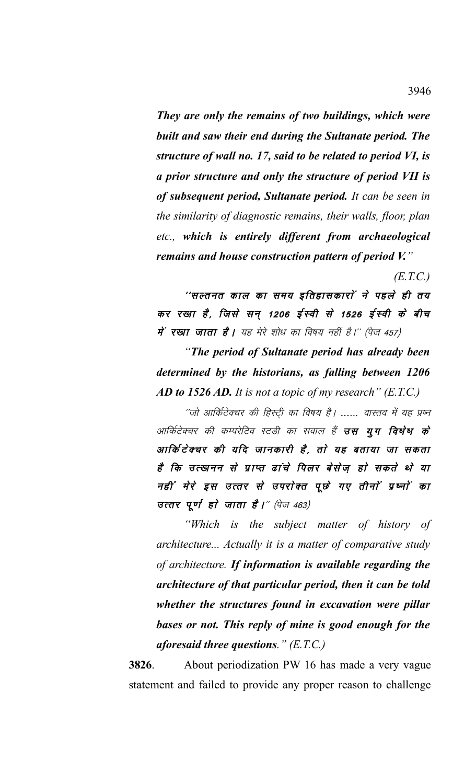*They are only the remains of two buildings, which were built and saw their end during the Sultanate period. The structure of wall no. 17, said to be related to period VI, is a prior structure and only the structure of period VII is of subsequent period, Sultanate period. It can be seen in the similarity of diagnostic remains, their walls, floor, plan etc., which is entirely different from archaeological remains and house construction pattern of period V."* 

*(E.T.C.)*

''सल्तनत काल का समय इतिहासकारों ने पहले ही तय कर रखा है, जिसे सन् 1206 ईस्वी से 1526 ईस्वी के बीच में रखा जाता है। यह मेरे शोध का विषय नहीं है।'' (पेज 457)

*"The period of Sultanate period has already been determined by the historians, as falling between 1206 AD to 1526 AD. It is not a topic of my research" (E.T.C.)*

''जो आर्किटेक्चर की हिस्टी का विषय है। …… वास्तव में यह प्रष्न आर्किटेक्चर की कम्परेटिव स्टडी का सवाल हैं **उस युग विषेष के** आर्किटेक्चर की यदि जानकारी है, तो यह बताया जा सकता है कि उत्खनन से प्राप्त ढांचे पिलर बेसेज हो सकते थे या नहीं मेरे इस उत्तर से उपरोक्त पूछे गए तीनों प्रष्नों का उत्तर पूर्ण हो जाता है।" (पेज 463)

*"Which is the subject matter of history of architecture... Actually it is a matter of comparative study of architecture. If information is available regarding the architecture of that particular period, then it can be told whether the structures found in excavation were pillar bases or not. This reply of mine is good enough for the aforesaid three questions." (E.T.C.)*

**3826**. About periodization PW 16 has made a very vague statement and failed to provide any proper reason to challenge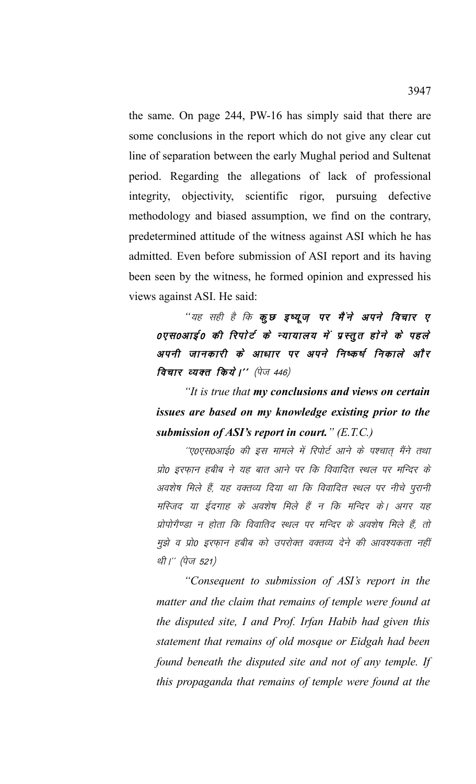the same. On page 244, PW-16 has simply said that there are some conclusions in the report which do not give any clear cut line of separation between the early Mughal period and Sultenat period. Regarding the allegations of lack of professional integrity, objectivity, scientific rigor, pursuing defective methodology and biased assumption, we find on the contrary, predetermined attitude of the witness against ASI which he has admitted. Even before submission of ASI report and its having been seen by the witness, he formed opinion and expressed his views against ASI. He said:

"यह सही है कि कुछ इष्यूज़ पर मैंने अपने विचार ए 0एस0आई0 की रिपोर्ट के न्यायालय में प्रस्तुत होने के पहले अपनी जानकारी के आधार पर अपने निष्कर्ष निकाले और विचार व्यक्त किये।'' (पेज 446)

"It is true that **my conclusions and views on certain** issues are based on my knowledge existing prior to the submission of ASI's report in court."  $(E.T.C.)$ 

''ए०एस०आई० की इस मामले में रिपोर्ट आने के पश्चात मैंने तथा प्रो0 इरफ़ान हबीब ने यह बात आने पर कि विवादित स्थल पर मन्दिर के अवशेष मिले हैं, यह वक्तव्य दिया था कि विवादित स्थल पर नीचे पुरानी मस्जिद या ईदगाह के अवशेष मिले हैं न कि मन्दिर के। अगर यह प्रोपोगैण्डा न होता कि विवातिद स्थल पर मन्दिर के अवशेष मिले हैं, तो मुझे व प्रो0 इरफ़ान हबीब को उपरोक्त वक्तव्य देने की आवश्यकता नहीं थी।'' (पेज 521)

"Consequent to submission of ASI's report in the matter and the claim that remains of temple were found at the disputed site, I and Prof. Irfan Habib had given this statement that remains of old mosque or Eidgah had been found beneath the disputed site and not of any temple. If this propaganda that remains of temple were found at the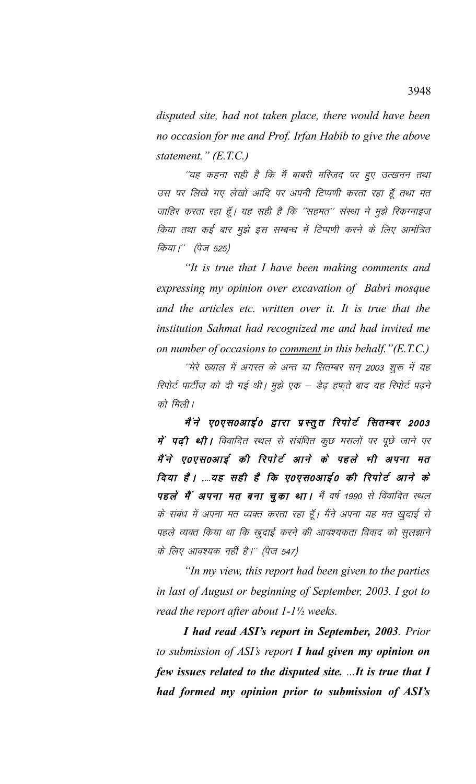disputed site, had not taken place, there would have been no occasion for me and Prof. Irfan Habib to give the above statement."  $(E.T.C.)$ 

''यह कहना सही है कि मैं बाबरी मस्जिद पर हुए उत्खनन तथा उस पर लिखे गए लेखों आदि पर अपनी टिप्पणी करता रहा हूँ तथा मत जाहिर करता रहा हूँ। यह सही है कि ''सहमत'' संस्था ने मुझे रिकग्नाइज किया तथा कई बार मुझे इस सम्बन्ध में टिप्पणी करने के लिए आमंत्रित किया।'' (पेज 525)

"It is true that I have been making comments and expressing my opinion over excavation of Babri mosque and the articles etc. written over it. It is true that the institution Sahmat had recognized me and had invited me on number of occasions to <u>comment</u> in this behalf." $(E.T.C.)$ 

''मेरे ख्याल में अगस्त के अन्त या सितम्बर सन् 2003 शुरू में यह रिपोर्ट पार्टीज़ को दी गई थी। मुझे एक – डेढ़ हफ़ते बाद यह रिपोर्ट पढ़ने को मिली।

मैं ने ए०एस०आई० द्वारा प्रस्तुत रिपोर्ट सितम्बर 2003 में पढ़ी थी। विवादित स्थल से संबंधित कुछ मसलों पर पुछे जाने पर मैं ने ए०एस०आई की रिपोर्ट आने के पहले भी अपना मत दिया है। ....यह सही है कि ए०एस०आई० की रिपोर्ट आने के पहले मैं अपना मत बना चुका था। मैं वर्ष 1990 से विवादित स्थल के संबंध में अपना मत व्यक्त करता रहा हूँ। मैंने अपना यह मत खुदाई से पहले व्यक्त किया था कि खुदाई करने की आवश्यकता विवाद को सुलझाने के लिए आवश्यक नहीं है।'' (पेज 547)

"In my view, this report had been given to the parties" in last of August or beginning of September, 2003. I got to read the report after about  $1-1\frac{1}{2}$  weeks.

I had read ASI's report in September, 2003. Prior to submission of ASI's report I had given my opinion on few issues related to the disputed site. ...It is true that I had formed my opinion prior to submission of ASI's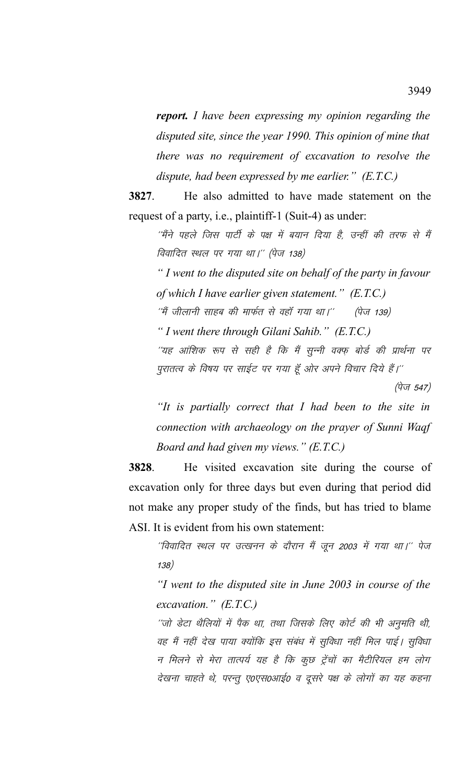*report. I have been expressing my opinion regarding the disputed site, since the year 1990. This opinion of mine that there was no requirement of excavation to resolve the dispute, had been expressed by me earlier." (E.T.C.)*

**3827**. He also admitted to have made statement on the request of a party, i.e., plaintiff-1 (Suit-4) as under:

''मैंने पहले जिस पार्टी के पक्ष में बयान दिया है, उन्हीं की तरफ से मैं विवादित स्थल पर गया था।'' (पेज 138)

*" I went to the disputed site on behalf of the party in favour of which I have earlier given statement." (E.T.C.)*

 $^{\prime\prime}$ मैं जीलानी साहब की मार्फत से वहाँ गया था। $^{\prime\prime}$  (पेज 139)

*" I went there through Gilani Sahib." (E.T.C.)*

''यह आंशिक रूप से सही है कि मैं सून्नी वक्फ़ बोर्ड की प्रार्थना पर पुरातत्व के विषय पर साईट पर गया हूँ ओर अपने विचार दिये हैं।''

(पेज 547)

*"It is partially correct that I had been to the site in connection with archaeology on the prayer of Sunni Waqf Board and had given my views." (E.T.C.)*

**3828**. He visited excavation site during the course of excavation only for three days but even during that period did not make any proper study of the finds, but has tried to blame ASI. It is evident from his own statement:

''विवादित स्थल पर उत्खनन के दौरान मैं जून 2003 में गया था।'' पेज 138½

*"I went to the disputed site in June 2003 in course of the excavation." (E.T.C.)*

''जो डेटा थैलियों में पैक था, तथा जिसके लिए कोर्ट की भी अनुमति थी, वह मैं नहीं देख पाया क्योंकि इस संबंध में सुविधा नहीं मिल पाई। सुविधा न मिलने से मेरा तात्पर्य यह है कि कुछ ट्रेंचों का मैटीरियल हम लोग देखना चाहते थे, परन्तु ए०एस०आई० व दूसरे पक्ष के लोगों का यह कहना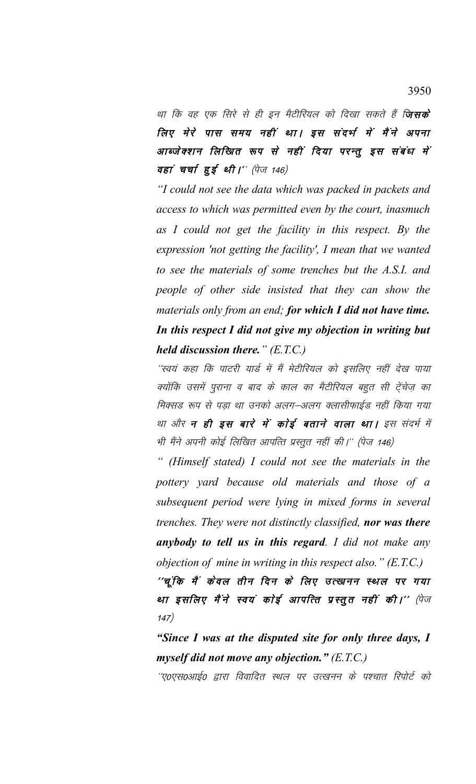था कि वह एक सिरे से ही इन मैटीरियल को दिखा सकते हैं **जिसके** लिए मेरे पास समय नहीं था। इस संदर्भ में मैंने अपना आब्जेक्शन लिखित रूप से नहीं दिया परन्तु इस संबंध में वहां चर्चा हुई थी।'' (पेज 146)

*"I could not see the data which was packed in packets and access to which was permitted even by the court, inasmuch as I could not get the facility in this respect. By the expression 'not getting the facility', I mean that we wanted to see the materials of some trenches but the A.S.I. and people of other side insisted that they can show the materials only from an end; for which I did not have time. In this respect I did not give my objection in writing but held discussion there." (E.T.C.)*

''स्वयं कहा कि पाटरी यार्ड में मैं मेटीरियल को इसलिए नहीं देख पाया क्योंकि उसमें पुराना व बाद के काल का मैटीरियल बहुत सी ट्रेंचेज़ का मिक्सड रूप से पड़ा था उनको अलग–अलग क्लासीफाईड नहीं किया गया था और **न ही इस बारे में कोई बताने वाला था।** इस संदर्भ में भी मैंने अपनी कोई लिखित आपत्ति प्रस्तुत नहीं की।'' (पेज 146)

*" (Himself stated) I could not see the materials in the pottery yard because old materials and those of a subsequent period were lying in mixed forms in several trenches. They were not distinctly classified, nor was there anybody to tell us in this regard. I did not make any objection of mine in writing in this respect also." (E.T.C.)*

''चूंकि मैं केवल तीन दिन के लिए उत्खनन स्थल पर गया था इसलिए मैंने स्वयं कोई आपत्ति प्रस्तुत नहीं की।'' (पेज  $147)$ 

*"Since I was at the disputed site for only three days, I myself did not move any objection." (E.T.C.)*

"ए०एस०आई० द्वारा विवादित स्थल पर उत्खनन के पश्चात रिपोर्ट को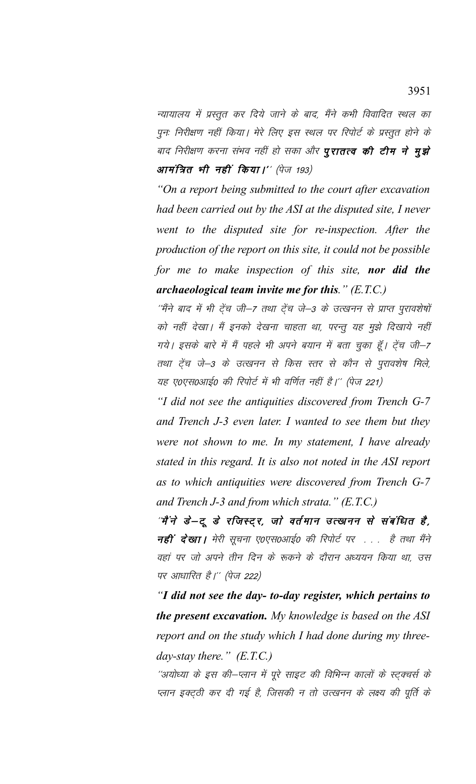न्यायालय में प्रस्तुत कर दिये जाने के बाद, मैंने कभी विवादित स्थल का पुनः निरीक्षण नहीं किया। मेरे लिए इस स्थल पर रिपोर्ट के प्रस्तुत होने के बाद निरीक्षण करना संभव नहीं हो सका और **पुरातत्व की टीम ने मुझे** आमंत्रित भी नहीं किया।'' (पेज 193)

"On a report being submitted to the court after excavation had been carried out by the ASI at the disputed site, I never went to the disputed site for re-inspection. After the production of the report on this site, it could not be possible for me to make inspection of this site, nor did the archaeological team invite me for this."  $(E.T.C.)$ 

''मैंने बाद में भी ट्रेंच जी–7 तथा ट्रेंच जे–3 के उत्खनन से प्राप्त पुरावशेषों को नहीं देखा। मैं इनको देखना चाहता था, परन्तू यह मुझे दिखाये नहीं गये। इसके बारे में मैं पहले भी अपने बयान में बता चुका हूँ। ट्रेंच जी–7 तथा ट्रेंच जे–3 के उत्खनन से किस स्तर से कौन से पुरावशेष मिले, यह ए०एस०आई० की रिपोर्ट में भी वर्णित नहीं है।'' (पेज 221)

"I did not see the antiquities discovered from Trench G-7 and Trench J-3 even later. I wanted to see them but they were not shown to me. In my statement, I have already stated in this regard. It is also not noted in the ASI report as to which antiquities were discovered from Trench G-7 and Trench J-3 and from which strata."  $(E.T.C.)$ 

'मैंने डे-टू डे रजिस्ट्र, जो वर्तमान उत्खनन से संबंधित है, **नहीं देखा।** मेरी सूचना ए0एस0आई0 की रिपोर्ट पर . . . है तथा मैंने वहां पर जो अपने तीन दिन के रूकने के दौरान अध्ययन किया था, उस पर आधारित है।'' (पेज 222)

"I did not see the day- to-day register, which pertains to **the present excavation.** My knowledge is based on the ASI report and on the study which I had done during my threeday-stay there."  $(E.T.C.)$ 

''अयोध्या के इस की–प्लान में पूरे साइट की विभिन्न कालों के स्ट्क्चर्स के प्लान इक्ट्ठी कर दी गई है, जिसकी न तो उत्खनन के लक्ष्य की पूर्ति के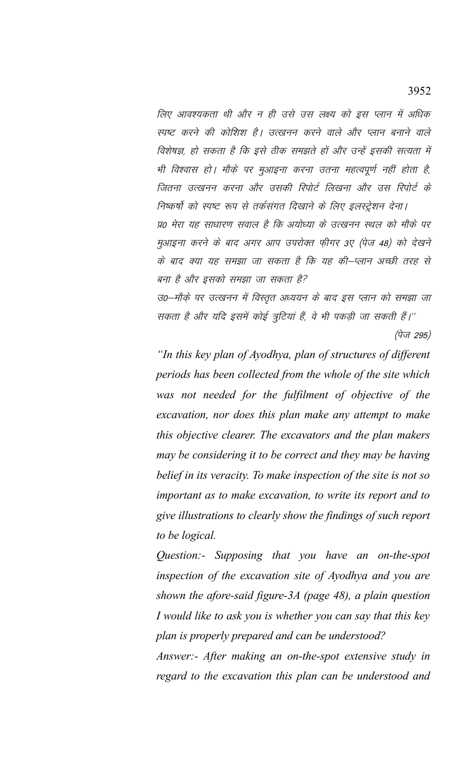लिए आवश्यकता थी और न ही उसे उस लक्ष्य को इस प्लान में अधिक स्पष्ट करने की कोशिश है। उत्खनन करने वाले और प्लान बनाने वाले विशेषज्ञ, हो सकता है कि इसे ठीक समझते हों और उन्हें इसकी सत्यता में भी विश्वास हो। मौक़े पर मुआइ़ना करना उतना महत्वपूर्ण नहीं होता है, जितना उत्खनन करना और उसकी रिपोर्ट लिखना और उस रिपोर्ट के निष्कर्षो को स्पष्ट रूप से तर्कसंगत दिखाने के लिए इलस्ट्रेशन देना। प्र0 मेरा यह साधारण सवाल है कि अयोध्या के उत्खनन स्थल को मौके पर मुआइना करने के बाद अगर आप उपरोक्त फ़ीगर 3ए (पेज 48) को देखने के बाद क्या यह समझा जा सकता है कि यह की–प्लान अच्छी तरह से बना है और इसको समझा जा सकता है? उ0–मौके पर उत्खनन में विस्तृत अध्ययन के बाद इस प्लान को समझा जा

सकता है और यदि इसमें कोई त्रुटियां हैं, वे भी पकड़ी जा सकती हैं।'' (पेज 295)

"In this key plan of Ayodhya, plan of structures of different periods has been collected from the whole of the site which was not needed for the fulfilment of objective of the excavation, nor does this plan make any attempt to make this objective clearer. The excavators and the plan makers may be considering it to be correct and they may be having belief in its veracity. To make inspection of the site is not so important as to make excavation, to write its report and to give illustrations to clearly show the findings of such report to be logical.

Question:- Supposing that you have an on-the-spot inspection of the excavation site of Ayodhya and you are shown the afore-said figure-3A (page  $48$ ), a plain question I would like to ask you is whether you can say that this key plan is properly prepared and can be understood?

Answer:- After making an on-the-spot extensive study in regard to the excavation this plan can be understood and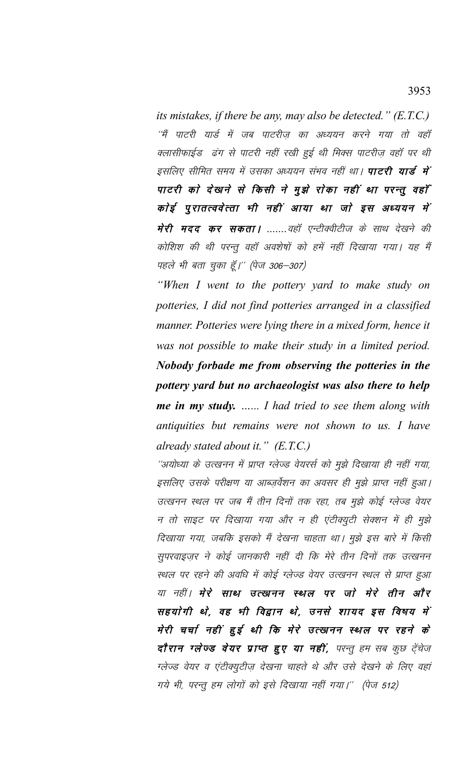its mistakes, if there be any, may also be detected."  $(E.T.C.)$ ''मैं पाटरी यार्ड में जब पाटरीज़ का अध्ययन करने गया तो वहाँ क्लासीफाईड ढंग से पाटरी नहीं रखी हुई थी मिक्स पाटरीज़ वहाँ पर थी इसलिए सीमित समय में उसका अध्ययन संभव नहीं था। **पाटरी यार्ड में** पाटरी को देखने से किसी ने मुझे रोका नहीं था परन्तू वहाँ कोई पुरातत्ववेत्ता भी नहीं आया था जो इस अध्ययन में मेरी मदद कर सकता। .......वहाँ एन्टीक्वीटीज के साथ देखने की कोशिश की थी परन्तू वहाँ अवशेषों को हमें नहीं दिखाया गया। यह मैं पहले भी बता चुका हूँ।'' (पेज 306–307)

"When I went to the pottery yard to make study on potteries, I did not find potteries arranged in a classified manner. Potteries were lying there in a mixed form, hence it was not possible to make their study in a limited period. Nobody forbade me from observing the potteries in the pottery yard but no archaeologist was also there to help me in my study. ...... I had tried to see them along with antiquities but remains were not shown to us. I have already stated about it."  $(E.T.C.)$ 

''अयोध्या के उत्खनन में प्राप्त ग्लेज्ड वेयरर्स को मुझे दिखाया ही नहीं गया, इसलिए उसके परीक्षण या आब्ज़र्वेशन का अवसर ही मुझे प्राप्त नहीं हुआ। उत्खनन स्थल पर जब मैं तीन दिनों तक रहा, तब मुझे कोई ग्लेज्ड वेयर न तो साइट पर दिखाया गया और न ही एंटीक्युटी सेक्शन में ही मुझे दिखाया गया, जबकि इसको मैं देखना चाहता था। मुझे इस बारे में किसी सुपरवाइज़र ने कोई जानकारी नहीं दी कि मेरे तीन दिनों तक उत्खनन स्थल पर रहने की अवधि में कोई ग्लेज्ड वेयर उत्खनन स्थल से प्राप्त हुआ या नहीं। मेरे साथ उत्खनन स्थल पर जो मेरे तीन और सहयोगी थे, वह भी विद्वान थे, उनसे शायद इस विषय में मेरी चर्चा नहीं हुई थी कि मेरे उत्खनन स्थल पर रहने के दौरान ग्लेज्ड वेयर प्राप्त हुए या नहीं, परन्तु हम सब कुछ ट्वेंचेज ग्लेज्ड वेयर व एंटीक्यूटीज़ देखना चाहते थे और उसे देखने के लिए वहां गये भी, परन्तू हम लोगों को इसे दिखाया नहीं गया।'' (पेज 512)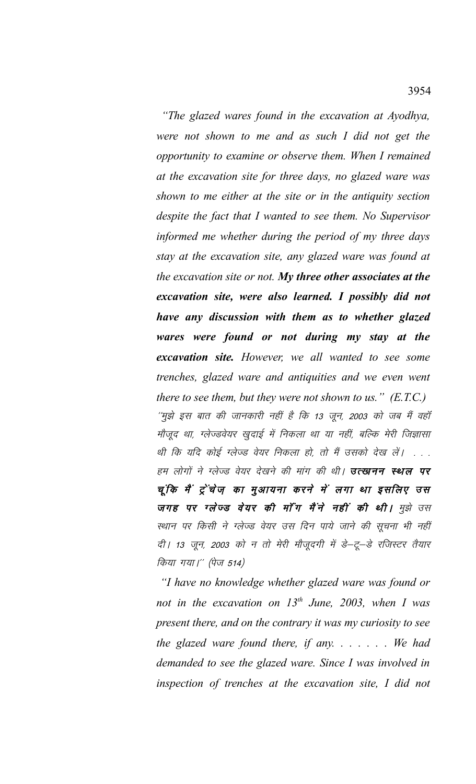*"The glazed wares found in the excavation at Ayodhya, were not shown to me and as such I did not get the opportunity to examine or observe them. When I remained at the excavation site for three days, no glazed ware was shown to me either at the site or in the antiquity section despite the fact that I wanted to see them. No Supervisor informed me whether during the period of my three days stay at the excavation site, any glazed ware was found at the excavation site or not. My three other associates at the excavation site, were also learned. I possibly did not have any discussion with them as to whether glazed wares were found or not during my stay at the excavation site. However, we all wanted to see some trenches, glazed ware and antiquities and we even went there to see them, but they were not shown to us." (E.T.C.)* ''मुझे इस बात की जानकारी नहीं है कि 13 जून, 2003 को जब मैं वहाँ मौजूद था, ग्लेज्डवेयर खुदाई में निकला था या नहीं, बल्कि मेरी जिज्ञासा थी कि यदि कोई ग्लेज्ड वेयर निकला हो, तो मैं उसको देख लें। . . . हम लोगों ने ग्लेज्ड वेयर देखने की मांग की थी। **उत्खनन स्थल पर** चूंकि मैं ट्रेंचेज़ का मुआयना करने में लगा था इसलिए उस **जगह पर ग्लेज्ड वेयर की माँग मैंने नहीं की थी।** मुझे उस स्थान पर किसी ने ग्लेज्ड वेयर उस दिन पाये जाने की सूचना भी नहीं दी। 13 जून, 2003 को न तो मेरी मौजूदगी में डे–टू–डे रजिस्टर तैयार किया गया।'' (पेज 514)

 *"I have no knowledge whether glazed ware was found or not in the excavation on 13th June, 2003, when I was present there, and on the contrary it was my curiosity to see the glazed ware found there, if any. . . . . . . We had demanded to see the glazed ware. Since I was involved in inspection of trenches at the excavation site, I did not*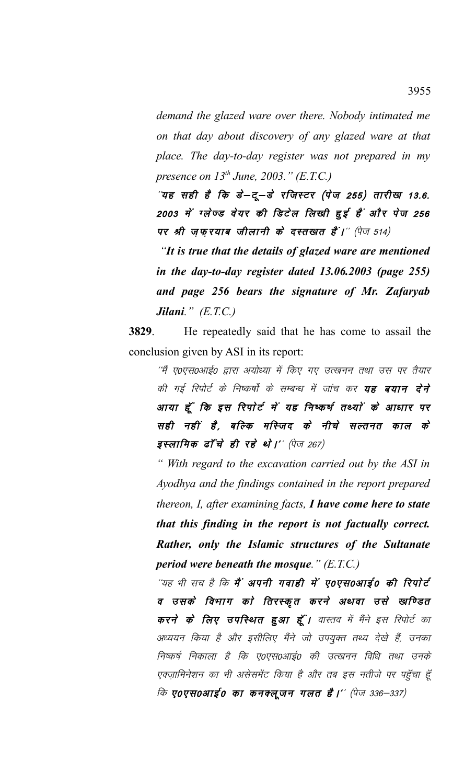*demand the glazed ware over there. Nobody intimated me on that day about discovery of any glazed ware at that place. The day-to-day register was not prepared in my presence on 13th June, 2003." (E.T.C.)*

 $\hat{z}^{\prime}$ यह सही है कि डे–टू–डे रजिस्टर (पेज 255) तारीख 13.6. 2003 में ग्लेज्ड वेयर की डिटेल लिखी हुई हैं और पेज 256 पर श्री ज़फ़रयाब जीलानी के दस्तखात हैं।" (पेज 514)

 *"It is true that the details of glazed ware are mentioned in the day-to-day register dated 13.06.2003 (page 255) and page 256 bears the signature of Mr. Zafaryab Jilani." (E.T.C.)*

**3829**. He repeatedly said that he has come to assail the conclusion given by ASI in its report:

''मैं ए०एस०आई० द्वारा अयोध्या में किए गए उत्खनन तथा उस पर तैयार की गई रिपोर्ट के निष्कर्षो के सम्बन्ध में जांच कर **यह बयान देने** आया हूँ कि इस रिपोर्ट में यह निष्कर्ष तथ्यों के आधार पर सही नहीं हैं, बल्कि मस्जिद के नीचे सल्तनत काल के इस्लामिक ढॉंचे ही रहे थे।'' (पेज 267)

*" With regard to the excavation carried out by the ASI in Ayodhya and the findings contained in the report prepared thereon, I, after examining facts, I have come here to state that this finding in the report is not factually correct. Rather, only the Islamic structures of the Sultanate period were beneath the mosque." (E.T.C.)*

''यह भी सच है कि **मैं' अपनी गवाही में ए0एस0आई0 की रिपोर्ट** व उसके विभाग को तिरस्कृत करने अथवा उसे खण्डित करने के लिए उपस्थित हुआ हूँ। वास्तव में मैंने इस रिपोर्ट का अध्ययन किया है और इसीलिए मैंने जो उपयुक्त तथ्य देखे हैं, उनका निष्कर्ष निकाला है कि ए०एस०आई० की उत्खनन विधि तथा उनके एक्ज़ामिनेशन का भी असेसमेंट किया है और तब इस नतीजे पर पहुँचा हूँ कि **ए०एस०आई० का कनक्लूजन गलत है।'**' (पेज 336–337)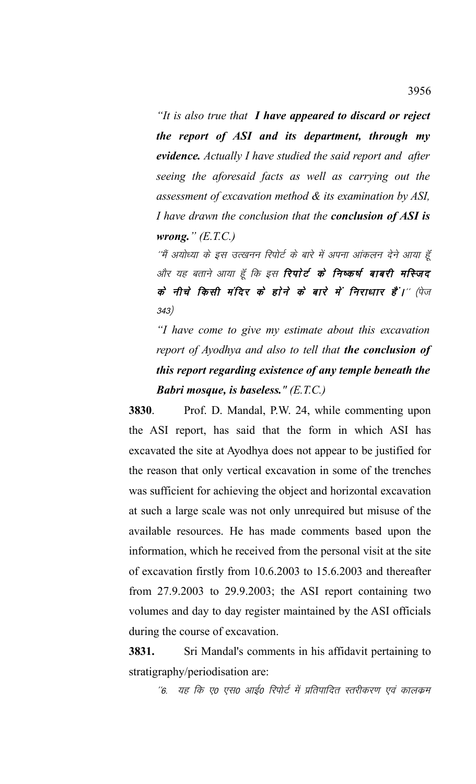"It is also true that  $I$  have appeared to discard or reject the report of ASI and its department, through my evidence. Actually I have studied the said report and after seeing the aforesaid facts as well as carrying out the assessment of excavation method  $\&$  its examination by ASI, I have drawn the conclusion that the **conclusion of ASI** is *wrong.*"  $(E.T.C.)$ 

''मैं अयोध्या के इस उत्खनन रिपोर्ट के बारे में अपना आंकलन देने आया हूँ और यह बताने आया हूँ कि इस **रिपोर्ट के निष्कर्ष बाबरी मस्जिद** के नीचे किसी मंदिर के होने के बारे में निराधार हैं।'' (पेज 343)

"I have come to give my estimate about this excavation report of Ayodhya and also to tell that the conclusion of this report regarding existence of any temple beneath the **Babri mosque, is baseless.**" (E.T.C.)

3830. Prof. D. Mandal, P.W. 24, while commenting upon the ASI report, has said that the form in which ASI has excavated the site at Ayodhya does not appear to be justified for the reason that only vertical excavation in some of the trenches was sufficient for achieving the object and horizontal excavation at such a large scale was not only unrequired but misuse of the available resources. He has made comments based upon the information, which he received from the personal visit at the site of excavation firstly from 10.6.2003 to 15.6.2003 and thereafter from  $27.9.2003$  to  $29.9.2003$ ; the ASI report containing two volumes and day to day register maintained by the ASI officials during the course of excavation.

3831. Sri Mandal's comments in his affidavit pertaining to stratigraphy/periodisation are:

''6. यह कि ए0 एस0 आई0 रिपोर्ट में प्रतिपादित स्तरीकरण एवं कालकम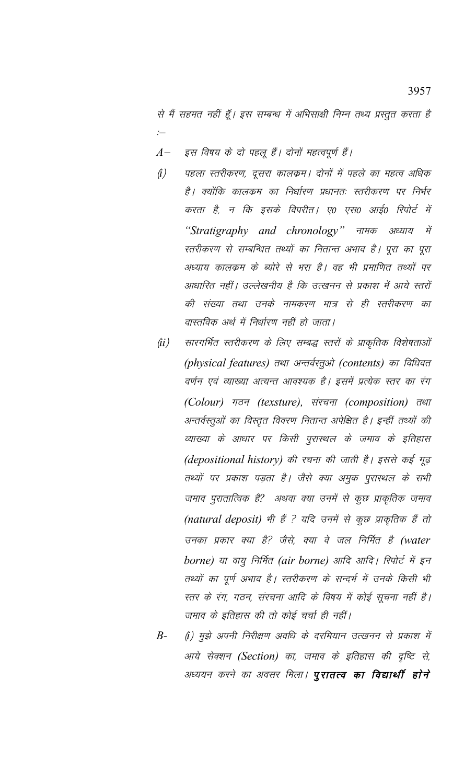से मैं सहमत नहीं हूँ। इस सम्बन्ध में अभिसाक्षी निम्न तथ्य प्रस्तुत करता है  $\dot{=}$ 

- $A-$ इस विषय के दो पहलू हैं। दोनों महत्वपूर्ण हैं।
- पहला स्तरीकरण, दूसरा कालकम। दोनों में पहले का महत्व अधिक  $(i)$ है। क्योंकि कालकम का निर्धारण प्रधानतः स्तरीकरण पर निर्भर करता है, न कि इसके विपरीत। ए0 एस0 आई0 रिपोर्ट में "Stratigraphy and chronology" नामक अध्याय में स्तरीकरण से सम्बन्धित तथ्यों का नितान्त अभाव है। पूरा का पूरा अध्याय कालकम के ब्योरे से भरा है। वह भी प्रमाणित तथ्यों पर आधारित नहीं। उल्लेखनीय है कि उत्खनन से प्रकाश में आये स्तरों की संख्या तथा उनके नामकरण मात्र से ही स्तरीकरण का वास्तविक अर्थ में निर्धारण नहीं हो जाता।
- सारगर्भित स्तरीकरण के लिए सम्बद्ध स्तरों के प्राकृतिक विशेषताओं  $(ii)$ (physical features) तथा अन्तर्वस्तुओ (contents) का विधिवत वर्णन एवं व्याख्या अत्यन्त आवश्यक है। इसमें प्रत्येक स्तर का रंग (Colour) गठन (texsture), संरचना (composition) तथा अन्तर्वस्तुओं का विस्तृत विवरण नितान्त अपेक्षित है। इन्हीं तथ्यों की व्याख्या के आधार पर किसी पुरास्थल के जमाव के इतिहास (depositional history) की रचना की जाती है। इससे कई गूढ़ तथ्यों पर प्रकाश पड़ता है। जैसे क्या अमुक पुरास्थल के सभी जमाव पुरातात्विक है? अथवा क्या उनमें से कुछ प्राकृतिक जमाव (natural deposit) भी हैं ? यदि उनमें से कुछ प्राकृतिक हैं तो उनका प्रकार क्या है? जैसे, क्या वे जल निर्मित है (water borne) या वायू निर्मित (air borne) आदि आदि। रिपोर्ट में इन तथ्यों का पूर्ण अभाव है। स्तरीकरण के सन्दर्भ में उनके किसी भी स्तर के रंग, गठन, संरचना आदि के विषय में कोई सूचना नहीं है। जमाव के इतिहास की तो कोई चर्चा ही नहीं।
- $B-$ (i) मुझे अपनी निरीक्षण अवधि के दरमियान उत्खनन से प्रकाश में आये सेक्शन (Section) का, जमाव के इतिहास की दृष्टि से, अध्ययन करने का अवसर मिला। **पुरातत्व का विद्यार्थी होने**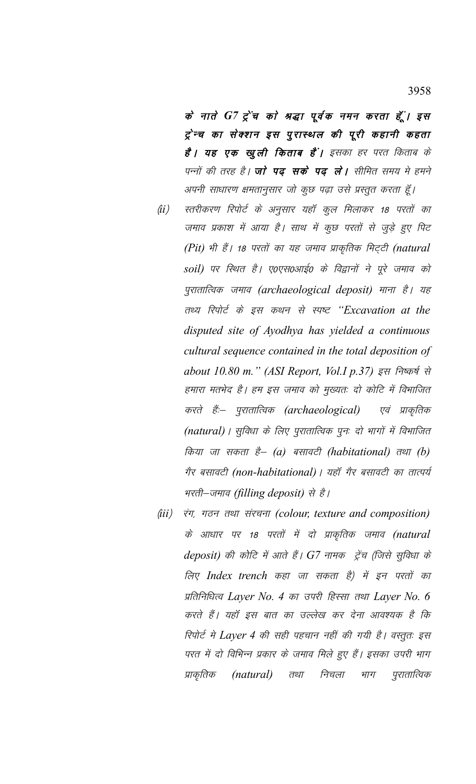के नाते G7 ट्रेंच को श्रद्धा पूर्वक नमन करता हूँ। इस ट्रेंन्च का सेक्शन इस पुरास्थल की पूरी कहानी कहता **है । यह एक खुली किताब हैं ।** इसका हर परत किताब के पन्नों की तरह है। **जो पढ़ सके पढ़ ले।** सीमित समय मे हमने अपनी साधारण क्षमतानुसार जो कुछ पढ़ा उसे प्रस्तुत करता हूँ।

- स्तरीकरण रिपोर्ट के अनुसार यहाँ कूल मिलाकर 18 परतों का  $(ii)$ जमाव प्रकाश में आया है। साथ में कुछ परतों से जुड़े हुए पिट (Pit) भी हैं। 18 परतों का यह जमाव प्राकृतिक मिट्टी (natural soil) पर स्थित है। ए०एस०आई० के विद्वानों ने पूरे जमाव को पुरातात्विक जमाव (archaeological deposit) माना है। यह तथ्य रिपोर्ट के इस कथन से स्पष्ट "Excavation at the disputed site of Ayodhya has yielded a continuous cultural sequence contained in the total deposition of about 10.80 m." (ASI Report, Vol.I p.37) इस निष्कर्ष से हमारा मतभेद है। हम इस जमाव को मुख्यतः दो कोटि में विभाजित करते हैं:– पुरातात्विक (archaeological) | एवं प्राकृतिक (natural) । सुविधा के लिए पुरातात्विक पुनः दो भागों में विभाजित किया जा सकता है– (a) बसावटी (habitational) तथा (b) गैर बसावटी (non-habitational)। यहाँ गैर बसावटी का तात्पर्य भरती-जमाव (filling deposit) से है।
- रंग, गठन तथा संरचना (colour, texture and composition)  $(iii)$ के आधार पर 18 परतों में दो प्राकृतिक जमाव (natural deposit) की कोटि में आते हैं। G7 नामक ट्रेंच (जिसे सुविधा के लिए Index trench कहा जा सकता है) में इन परतों का प्रतिनिधित्व Layer No. 4 का उपरी हिस्सा तथा Layer No. 6 करते हैं। यहाँ इस बात का उल्लेख कर देना आवश्यक है कि रिपोर्ट में Layer 4 की सही पहचान नहीं की गयी है। वस्तुतः इस परत में दो विभिन्न प्रकार के जमाव मिले हुए हैं। इसका उपरी भाग प्राकृतिक निचला पुरातात्विक (natural) तथा भाग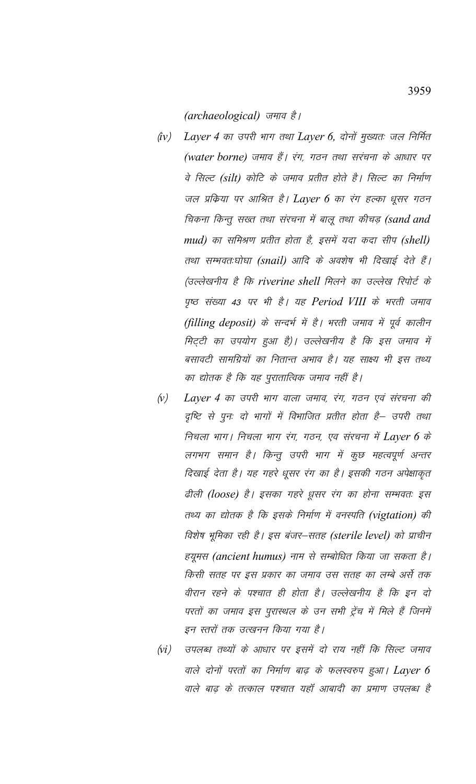(archaeological) जमाव है।

- Laver 4 का उपरी भाग तथा Laver 6, दोनों मुख्यतः जल निर्मित  $(iv)$ (water borne) जमाव हैं। रंग, गठन तथा सरंचना के आधार पर वे सिल्ट (silt) कोटि के जमाव प्रतीत होते है। सिल्ट का निर्माण जल प्रकिया पर आश्रित है। Layer 6 का रंग हल्का धूसर गठन चिकना किन्तू सख्त तथा संरचना में बालू तथा कीचड़ (sand and mud) का समिश्रण प्रतीत होता है, इसमें यदा कदा सीप (shell) तथा सम्भवतःघोघा (snail) आदि के अवशेष भी दिखाई देते हैं। (उल्लेखनीय है कि riverine shell मिलने का उल्लेख रिपोर्ट के पृष्ठ संख्या 43 पर भी है। यह Period VIII के भरती जमाव (filling deposit) के सन्दर्भ में है। भरती जमाव में पूर्व कालीन मिट्टी का उपयोग हुआ है)। उल्लेखनीय है कि इस जमाव में बसावटी सामग्रियों का नितान्त अभाव है। यह साक्ष्य भी इस तथ्य का द्योतक है कि यह पुरातात्विक जमाव नहीं है।
- $(\nu)$ Layer 4 का उपरी भाग वाला जमाव, रंग, गठन एवं संरचना की दृष्टि से पुनः दो भागों में विभाजित प्रतीत होता है– उपरी तथा निचला भाग। निचला भाग रंग, गठन, एव संरचना में Layer 6 के लगभग समान है। किन्तु उपरी भाग में कुछ महत्वपूर्ण अन्तर दिखाई देता है। यह गहरे धूसर रंग का है। इसकी गठन अपेक्षाकृत ढीली (loose) है। इसका गहरे ध्रुसर रंग का होना सम्भवतः इस तथ्य का द्योतक है कि इसके निर्माण में वनस्पति (vigtation) की विशेष भूमिका रही है। इस बंजर-सतह (sterile level) को प्राचीन हयूमस (ancient humus) नाम से सम्बोधित किया जा सकता है। किसी सतह पर इस प्रकार का जमाव उस सतह का लम्बे अर्स तक वीरान रहने के पश्चात ही होता है। उल्लेखनीय है कि इन दो परतों का जमाव इस पुरास्थल के उन सभी ट्रेंच में मिले हैं जिनमें इन स्तरों तक उत्खनन किया गया है।
- उपलब्ध तथ्यों के आधार पर इसमें दो राय नहीं कि सिल्ट जमाव  $(i)$ वाले दोनों परतों का निर्माण बाढ के फलस्वरुप हुआ। Laver 6 वाले बाढ के तत्काल पश्चात यहाँ आबादी का प्रमाण उपलब्ध है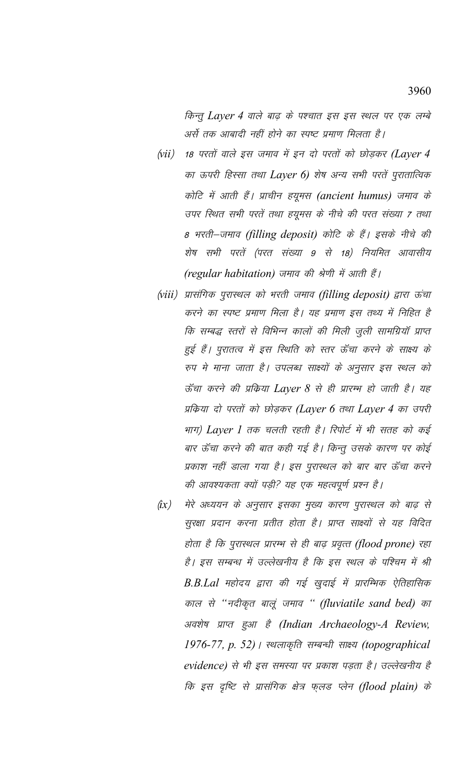किन्तु Layer 4 वाले बाढ़ के पश्चात इस इस स्थल पर एक लम्बे अर्से तक आबादी नहीं होने का स्पष्ट प्रमाण मिलता है।

- (vii) 18 परतों वाले इस जमाव में इन दो परतों को छोड़कर (Layer 4 का ऊपरी हिस्सा तथा Layer 6) शेष अन्य सभी परतें पुरातात्विक कोटि में आती हैं। प्राचीन हयूमस (ancient humus) जमाव के उपर स्थित सभी परतें तथा हयूमस के नीचे की परत संख्या 7 तथा 8 भरती-जमाव (filling deposit) कोटि के हैं। इसके नीचे की शेष सभी परतें (परत संख्या 9 से 18) नियमित आवासीय (regular habitation) जमाव की श्रेणी में आती हैं।
- (viii) प्रासंगिक पुरास्थल को भरती जमाव (filling deposit) द्वारा ऊंचा करने का स्पष्ट प्रमाण मिला है। यह प्रमाण इस तथ्य में निहित है कि सम्बद्ध स्तरों से विभिन्न कालों की मिली जुली सामग्रियॉ प्राप्त हुई हैं। पुरातत्व में इस स्थिति को स्तर ऊँचा करने के साक्ष्य के रुप मे माना जाता है। उपलब्ध साक्ष्यों के अनुसार इस स्थल को ऊँचा करने की प्रकिया Layer 8 से ही प्रारम्भ हो जाती है। यह प्रकिया दो परतों को छोड़कर (Layer 6 तथा Layer 4 का उपरी भाग) Layer 1 तक चलती रहती है। रिपोर्ट में भी सतह को कई बार ऊँचा करने की बात कही गई है। किन्तु उसके कारण पर कोई प्रकाश नहीं डाला गया है। इस पुरास्थल को बार बार ऊँचा करने की आवश्यकता क्यों पड़ी? यह एक महत्वपूर्ण प्रश्न है।
- मेरे अध्ययन के अनुसार इसका मुख्य कारण पुरास्थल को बाढ़ से  $(ix)$ सुरक्षा प्रदान करना प्रतीत होता है। प्राप्त साक्ष्यों से यह विदित होता है कि पुरास्थल प्रारम्भ से ही बाढ़ प्रवृत्त (flood prone) रहा है। इस सम्बन्ध में उल्लेखनीय है कि इस स्थल के पश्चिम में श्री B.B.Lal महोदय द्वारा की गई खुदाई में प्रारम्भिक ऐतिहासिक काल से "नदीकृत बालूं जमाव " (fluviatile sand bed) का अवशेष प्राप्त हुआ है (Indian Archaeology-A Review, 1976-77, p. 52)। स्थलाकृति सम्बन्धी साक्ष्य (topographical evidence) से भी इस समस्या पर प्रकाश पड़ता है। उल्लेखनीय है कि इस दृष्टि से प्रासंगिक क्षेत्र फ्लड प्लेन (flood plain) के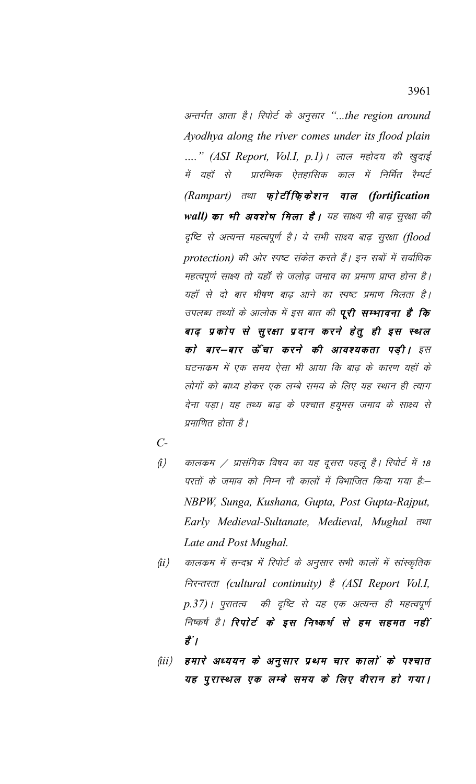अन्तर्गत आता है। रिपोर्ट के अनुसार "...the region around Ayodhya along the river comes under its flood plain ...." (ASI Report, Vol.I, p.1)। लाल महोदय की खुदाई प्रारम्भिक ऐतहासिक काल में निर्मित रैम्पर्ट में यहाँ से (Rampart) तथा फ़ोटींफ़िकेशन वाल (fortification wall) का भी अवशेष मिला है। यह साक्ष्य भी बाढ़ सुरक्षा की दृष्टि से अत्यन्त महत्वपूर्ण है। ये सभी साक्ष्य बाढ़ सुरक्षा (flood protection) की ओर स्पष्ट संकेत करते हैं। इन सबों में सर्वाधिक महत्वपूर्ण साक्ष्य तो यहाँ से जलोढ़ जमाव का प्रमाण प्राप्त होना है। यहाँ से दो बार भीषण बाढ आने का स्पष्ट प्रमाण मिलता है। उपलब्ध तथ्यों के आलोक में इस बात की **पूरी सम्भावना है कि** बाढ़ प्रकोप से सुरक्षा प्रदान करने हेतु ही इस स्थल को बार–बार ऊँचा करने की आवश्यकता पड़ी। इस घटनाक्रम में एक समय ऐसा भी आया कि बाढ के कारण यहाँ के लोगों को बाध्य होकर एक लम्बे समय के लिए यह स्थान ही त्याग देना पड़ा। यह तथ्य बाढ़ के पश्चात हयूमस जमाव के साक्ष्य से प्रमाणित होता है।

- $C$ -
- कालकम / प्रासंगिक विषय का यह दूसरा पहलू है। रिपोर्ट में 18  $(i)$ परतों के जमाव को निम्न नौ कालों में विभाजित किया गया है:--NBPW, Sunga, Kushana, Gupta, Post Gupta-Rajput, Early Medieval-Sultanate, Medieval, Mughal तथा Late and Post Mughal.
- कालकम में सन्दभ्र में रिपोर्ट के अनुसार सभी कालों में सांस्कृतिक  $(ii)$ निरन्तरता (cultural continuity) है (ASI Report Vol.I, p.37)। पुरातत्व की दृष्टि से यह एक अत्यन्त ही महत्वपूर्ण निष्कर्ष है। **रिपोर्ट के इस निष्कर्ष से हम सहमत नहीं** ੜੇ $^{\prime}$  /
- हमारे अध्ययन के अनुसार प्रथम चार कालों के पश्चात  $(iii)$ यह पुरास्थल एक लम्बे समय के लिए वीरान हो गया।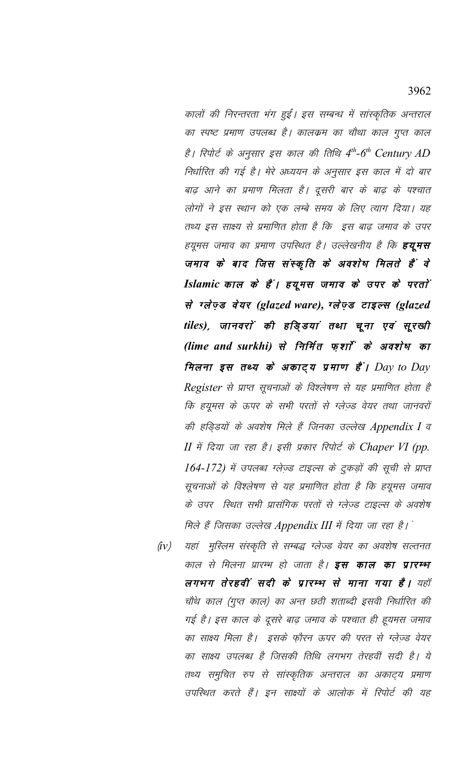कालों की निरन्तरता भंग हुईं। इस सम्बन्ध में सांस्कृतिक अन्तराल का स्पष्ट प्रमाण उपलब्ध है। कालकम का चौथा काल गुप्त काल है। रिपोर्ट के अनुसार इस काल की तिथि 4th-6th Century AD निर्धारित की गई है। मेरे अध्ययन के अनुसार इस काल में दो बार बाढ़ आने का प्रमाण मिलता है। दूसरी बार के बाढ़ के पश्चात लोगों ने इस स्थान को एक लम्बे समय के लिए त्याग दिया। यह तथ्य इस साक्ष्य से प्रमाणित होता है कि इस बाढ़ जमाव के उपर हयूमस जमाव का प्रमाण उपस्थित है। उल्लेखनीय है कि **हयूमस** जमाव के बाद जिस संस्कृति के अवशेष मिलते हैं वे Islamic काल के हैं। हयूमस जमाव के उपर के परताें से ग्लेज़्ड वेयर (glazed ware), ग्लेज़्ड टाइल्स (glazed tiles), जानवरों की हङ्खियां तथा चूना एवं सूरखी (lime and surkhi) से निर्मित फ़र्शा के अवशेष का मिलना इस तथ्य के अकाट्य प्रमाण हैं। Day to Day Register से प्राप्त सूचनाओं के विश्लेषण से यह प्रमाणित होता है कि हयूमस के ऊपर के सभी परतों से ग्लेज्ड वेयर तथा जानवरों की हड़िडयों के अवशेष मिले हैं जिनका उल्लेख Appendix I व II में दिया जा रहा है। इसी प्रकार रिपोर्ट के Chaper VI (pp. 164-172) में उपलब्ध ग्लेज़्ड टाइल्स के टुकड़ों की सूची से प्राप्त सूचनाओं के विश्लेषण से यह प्रमाणित होता है कि हयूमस जमाव के उपर स्थित सभी प्रासंगिक परतों से ग्लेज्ड टाइल्स के अवशेष मिले हैं जिसका उल्लेख Appendix III में दिया जा रहा है।

यहां मुस्लिम संस्कृति से सम्बद्ध ग्लेज़्ड वेयर का अवशेष सल्तनत  $(iv)$ काल से मिलना प्रारम्भ हो जाता है। **इस काल का प्रारम्भ** लगभग तेरहवीं सदी के प्रारम्भ से माना गया है। यहाँ चौथे काल (गुप्त काल) का अन्त छठी शताब्दी इसवी निर्धारित की गई है। इस काल के दूसरे बाढ़ जमाव के पश्चात ही हूयमस जमाव का साक्ष्य मिला है। इसके फ़ौरन ऊपर की परत से ग्ले़ज्ड वेयर का साक्ष्य उपलब्ध है जिसकी तिथि लगभग तेरहवीं सदी है। ये तथ्य समुचित रुप से सांस्कृतिक अन्तराल का अकाट्य प्रमाण उपस्थित करते हैं। इन साक्ष्यों के आलोक में रिपोर्ट की यह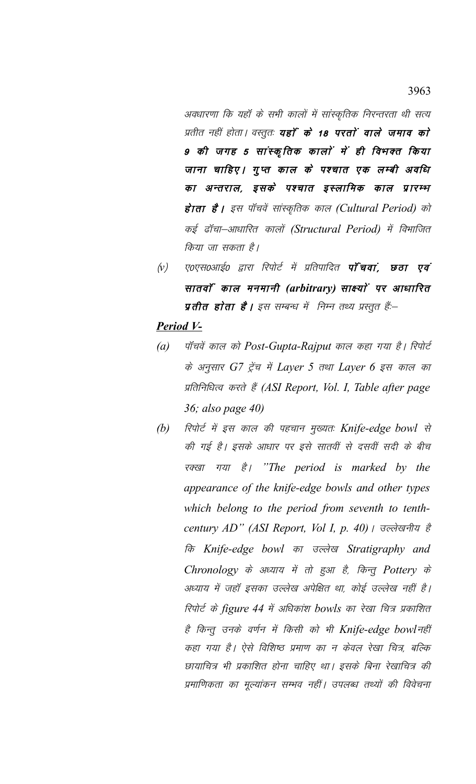अवधारणा कि यहाँ के सभी कालों में सांस्कृतिक निरन्तरता थी सत्य प्रतीत नहीं होता। वस्तुतः **यहाँ के 18 परतों वाले जमाव को** 9 की जगह 5 सांस्कृतिक कालों में ही विभक्त किया जाना चाहिए। गुप्त काल के पश्चात एक लम्बी अवधि का अन्तराल, इसके पश्चात इस्लामिक काल प्रारम्भ हैं। इस पॉचवें सांस्कृतिक काल (Cultural Period) को कई ढॉचा-आधारित कालों (Structural Period) में विभाजित किया जा सकता है।

ए०एस०आई० द्वारा रिपोर्ट में प्रतिपादित **पाँचवां, छठा एवं**  $(\nu)$ सातवाँ काल मनमानी (arbitrary) साक्ष्यों पर आधारित प्रतीत होता है। इस सम्बन्ध में निम्न तथ्य प्रस्तुत हैं:–

## **Period V-**

- पॉचवें काल को Post-Gupta-Rajput काल कहा गया है। रिपोर्ट  $(a)$ के अनुसार G7 ट्रेंच में Layer 5 तथा Layer 6 इस काल का प्रतिनिधित्व करते हैं (ASI Report, Vol. I, Table after page 36; also page 40)
- रिपोर्ट में इस काल की पहचान मुख्यतः Knife-edge bowl से  $(b)$ की गई है। इसके आधार पर इसे सातवीं से दसवीं सदी के बीच रक्खा गया है। "The period is marked by the appearance of the knife-edge bowls and other types which belong to the period from seventh to tenthcentury AD" (ASI Report, Vol I, p. 40)। उल्लेखनीय है कि Knife-edge bowl का उल्लेख Stratigraphy and Chronology के अध्याय में तो हुआ है, किन्तू Pottery के अध्याय में जहाँ इसका उल्लेख अपेक्षित था, कोई उल्लेख नहीं है। रिपोर्ट के figure 44 में अधिकांश bowls का रेखा चित्र प्रकाशित है किन्तू उनके वर्णन में किसी को भी Knife-edge bowlनहीं कहा गया है। ऐसे विशिष्ट प्रमाण का न केवल रेखा चित्र, बल्कि छायाचित्र भी प्रकाशित होना चाहिए था। इसके बिना रेखाचित्र की प्रमाणिकता का मूल्यांकन सम्भव नहीं। उपलब्ध तथ्यों की विवेचना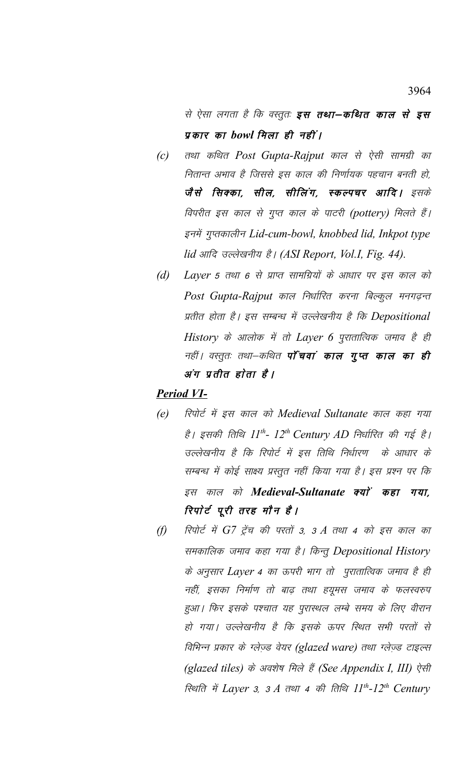से ऐसा लगता है कि वस्तूतः **इस तथा—कथित काल से इस** प्रकार का bowl मिला ही नहीं।

- तथा कथित Post Gupta-Rajput काल से ऐसी सामग्री का  $(c)$ नितान्त अभाव है जिससे इस काल की निर्णायक पहचान बनती हो, जैसे सिक्का, सील, सीलिंग, स्कल्पचर आदि। इसके विपरीत इस काल से गुप्त काल के पाटरी (pottery) मिलते हैं। इनमें गुप्तकालीन Lid-cum-bowl, knobbed lid, Inkpot type lid आदि उल्लेखनीय है। (ASI Report, Vol.I, Fig. 44).
- Layer 5 तथा 6 से प्राप्त सामग्रियों के आधार पर इस काल को  $(d)$ Post Gupta-Rajput काल निर्धारित करना बिल्कुल मनगढ़न्त प्रतीत होता है। इस सम्बन्ध में उल्लेखनीय है कि Depositional History के आलोक में तो Layer 6 पुरातात्विक जमाव है ही नहीं। वस्तुतः तथा–कथित **पाँचवां काल गुप्त काल का ही** अंग प्रतीत होता है।

## **Period VI-**

- $(e)$ रिपोर्ट में इस काल को Medieval Sultanate काल कहा गया है। इसकी तिथि 11th- 12th Century AD निर्धारित की गई है। उल्लेखनीय है कि रिपोर्ट में इस तिथि निर्धारण के आधार के सम्बन्ध में कोई साक्ष्य प्रस्तुत नहीं किया गया है। इस प्रश्न पर कि इस काल को Medieval-Sultanate क्यों कहा गया, रिपोर्ट पूरी तरह मौन है।
- $(f)$ रिपोर्ट में G7 ट्रेंच की परतों 3, 3 A तथा 4 को इस काल का समकालिक जमाव कहा गया है। किन्तु Depositional History के अनुसार Layer 4 का ऊपरी भाग तो पुरातात्विक जमाव है ही नहीं, इसका निर्माण तो बाढ़ तथा हयूमस जमाव के फलस्वरुप हुआ। फिर इसके पश्चात यह पुरास्थल लम्बे समय के लिए वीरान हो गया। उल्लेखनीय है कि इसके ऊपर स्थित सभी परतों से विभिन्न प्रकार के ग्लेज़्ड वेयर (glazed ware) तथा ग्लेज़्ड टाइल्स (glazed tiles) के अवशेष मिले हैं (See Appendix I, III) ऐसी स्थिति में Layer 3, 3 A तथा 4 की तिथि  $11^{th}$ -12<sup>th</sup> Century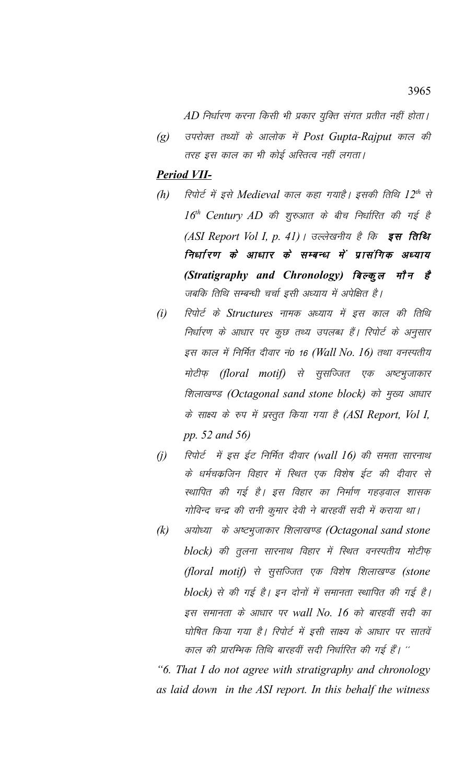AD निर्धारण करना किसी भी प्रकार युक्ति संगत प्रतीत नहीं होता।

उपरोक्त तथ्यों के आलोक में Post Gupta-Raiput काल की  $(g)$ तरह इस काल का भी कोई अस्तित्व नहीं लगता।

## **Period VII-**

- रिपोर्ट में इसे Medieval काल कहा गयाहै। इसकी तिथि 12th से  $(h)$  $16^{th}$  Century AD की शुरुआत के बीच निर्धारित की गई है (ASI Report Vol I, p. 41) । उल्लेखनीय है कि इस तिथि निर्धारण के आधार के सम्बन्ध में प्रासंगिक अध्याय (Stratigraphy and Chronology) बिल्कूल मौन है जबकि तिथि सम्बन्धी चर्चा इसी अध्याय में अपेक्षित है।
- $(i)$ रिपोर्ट के Structures नामक अध्याय में इस काल की तिथि निर्धारण के आधार पर कूछ तथ्य उपलब्ध हैं। रिपोर्ट के अनुसार इस काल में निर्मित दीवार नं0 16 (Wall No. 16) तथा वनस्पतीय मोटीफ़ (floral motif) से सूसज्जित एक अष्टभुजाकार शिलाखण्ड (Octagonal sand stone block) को मुख्य आधार के साक्ष्य के रुप में प्रस्तुत किया गया है (ASI Report, Vol I, pp. 52 and 56)
- रिपोर्ट में इस ईट निर्मित दीवार (wall 16) की समता सारनाथ  $(i)$ के धर्मचक्रजिन विहार में स्थित एक विशेष ईट की दीवार से स्थापित की गई है। इस विहार का निर्माण गहड़वाल शासक गोविन्द चन्द्र की रानी कुमार देवी ने बारहवीं सदी में कराया था।
- अयोध्या के अष्टभुजाकार शिलाखण्ड (Octagonal sand stone  $(k)$ block) की तूलना सारनाथ विहार में स्थित वनस्पतीय मोटीफ़ (floral motif) से सूसज्जित एक विशेष शिलाखण्ड (stone block) से की गई है। इन दोनों में समानता स्थापित की गई है। इस समानता के आधार पर wall No. 16 को बारहवीं सदी का घोषित किया गया है। रिपोर्ट में इसी साक्ष्य के आधार पर सातवें काल की प्रारम्भिक तिथि बारहवीं सदी निर्धारित की गई हैं। ''

"6. That I do not agree with stratigraphy and chronology as laid down in the ASI report. In this behalf the witness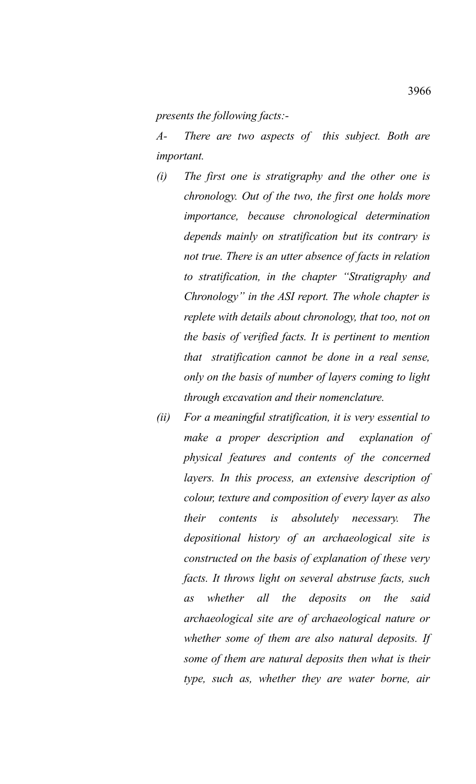## *presents the following facts:-*

*A- There are two aspects of this subject. Both are important.*

- *(i) The first one is stratigraphy and the other one is chronology. Out of the two, the first one holds more importance, because chronological determination depends mainly on stratification but its contrary is not true. There is an utter absence of facts in relation to stratification, in the chapter "Stratigraphy and Chronology" in the ASI report. The whole chapter is replete with details about chronology, that too, not on the basis of verified facts. It is pertinent to mention that stratification cannot be done in a real sense, only on the basis of number of layers coming to light through excavation and their nomenclature.*
- *(ii) For a meaningful stratification, it is very essential to make a proper description and explanation of physical features and contents of the concerned layers. In this process, an extensive description of colour, texture and composition of every layer as also their contents is absolutely necessary. The depositional history of an archaeological site is constructed on the basis of explanation of these very facts. It throws light on several abstruse facts, such as whether all the deposits on the said archaeological site are of archaeological nature or whether some of them are also natural deposits. If some of them are natural deposits then what is their type, such as, whether they are water borne, air*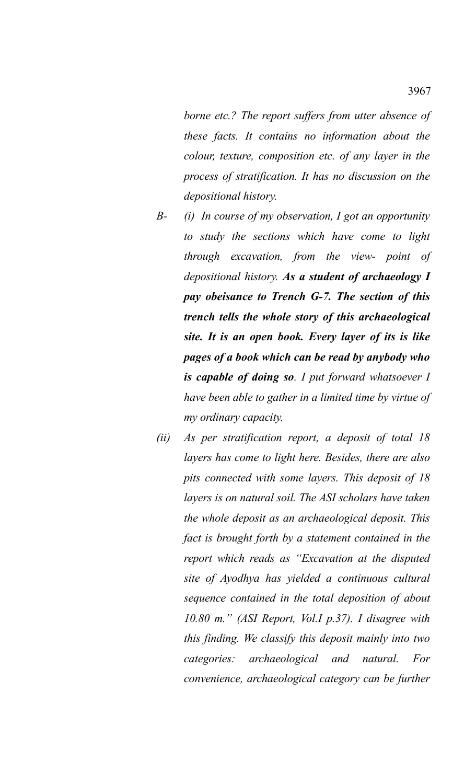*borne etc.? The report suffers from utter absence of these facts. It contains no information about the colour, texture, composition etc. of any layer in the process of stratification. It has no discussion on the depositional history.*

- *B- (i) In course of my observation, I got an opportunity to study the sections which have come to light through excavation, from the view- point of depositional history. As a student of archaeology I pay obeisance to Trench G-7. The section of this trench tells the whole story of this archaeological site. It is an open book. Every layer of its is like pages of a book which can be read by anybody who is capable of doing so. I put forward whatsoever I have been able to gather in a limited time by virtue of my ordinary capacity.*
- *(ii) As per stratification report, a deposit of total 18 layers has come to light here. Besides, there are also pits connected with some layers. This deposit of 18 layers is on natural soil. The ASI scholars have taken the whole deposit as an archaeological deposit. This fact is brought forth by a statement contained in the report which reads as "Excavation at the disputed site of Ayodhya has yielded a continuous cultural sequence contained in the total deposition of about 10.80 m." (ASI Report, Vol.I p.37). I disagree with this finding. We classify this deposit mainly into two categories: archaeological and natural. For convenience, archaeological category can be further*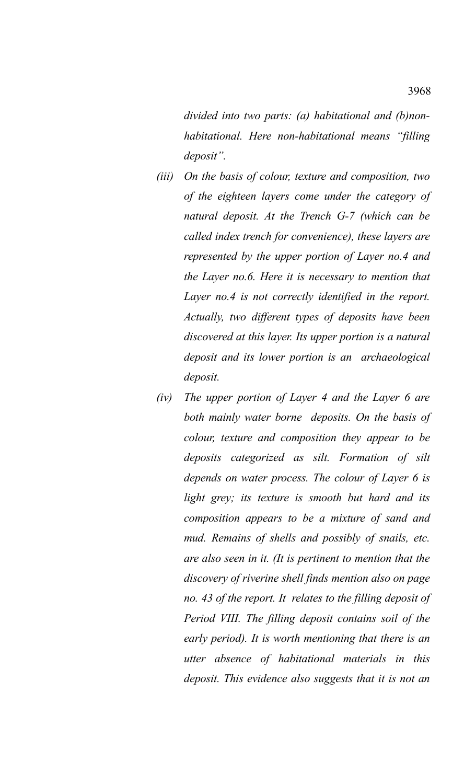*divided into two parts: (a) habitational and (b)nonhabitational. Here non-habitational means "filling deposit".*

- *(iii) On the basis of colour, texture and composition, two of the eighteen layers come under the category of natural deposit. At the Trench G-7 (which can be called index trench for convenience), these layers are represented by the upper portion of Layer no.4 and the Layer no.6. Here it is necessary to mention that Layer no.4 is not correctly identified in the report. Actually, two different types of deposits have been discovered at this layer. Its upper portion is a natural deposit and its lower portion is an archaeological deposit.*
- *(iv) The upper portion of Layer 4 and the Layer 6 are both mainly water borne deposits. On the basis of colour, texture and composition they appear to be deposits categorized as silt. Formation of silt depends on water process. The colour of Layer 6 is light grey; its texture is smooth but hard and its composition appears to be a mixture of sand and mud. Remains of shells and possibly of snails, etc. are also seen in it. (It is pertinent to mention that the discovery of riverine shell finds mention also on page no. 43 of the report. It relates to the filling deposit of Period VIII. The filling deposit contains soil of the early period). It is worth mentioning that there is an utter absence of habitational materials in this deposit. This evidence also suggests that it is not an*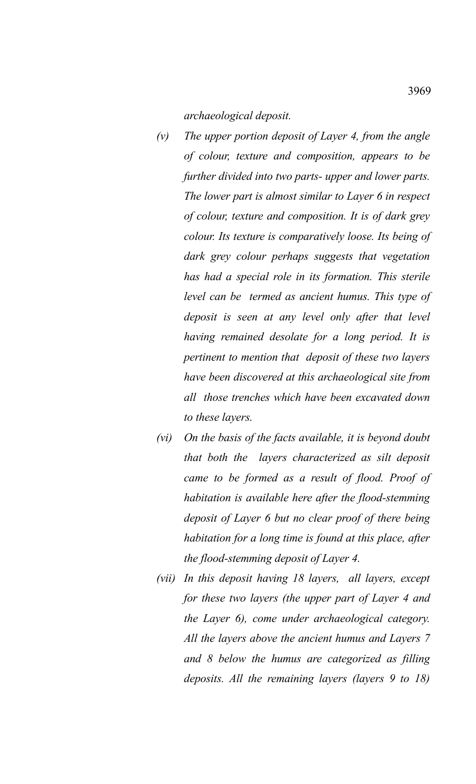*archaeological deposit.*

- *(v) The upper portion deposit of Layer 4, from the angle of colour, texture and composition, appears to be further divided into two parts- upper and lower parts. The lower part is almost similar to Layer 6 in respect of colour, texture and composition. It is of dark grey colour. Its texture is comparatively loose. Its being of dark grey colour perhaps suggests that vegetation has had a special role in its formation. This sterile level can be termed as ancient humus. This type of deposit is seen at any level only after that level having remained desolate for a long period. It is pertinent to mention that deposit of these two layers have been discovered at this archaeological site from all those trenches which have been excavated down to these layers.*
- *(vi) On the basis of the facts available, it is beyond doubt that both the layers characterized as silt deposit came to be formed as a result of flood. Proof of habitation is available here after the flood-stemming deposit of Layer 6 but no clear proof of there being habitation for a long time is found at this place, after the flood-stemming deposit of Layer 4.*
- *(vii) In this deposit having 18 layers, all layers, except for these two layers (the upper part of Layer 4 and the Layer 6), come under archaeological category. All the layers above the ancient humus and Layers 7 and 8 below the humus are categorized as filling deposits. All the remaining layers (layers 9 to 18)*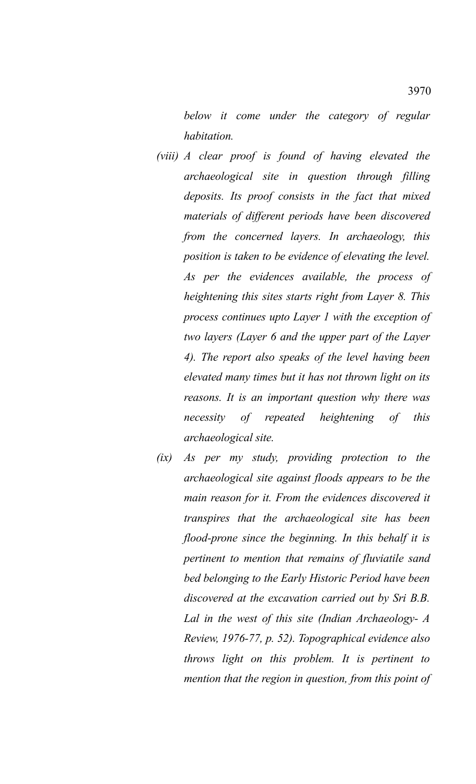*below it come under the category of regular habitation.*

- *(viii) A clear proof is found of having elevated the archaeological site in question through filling deposits. Its proof consists in the fact that mixed materials of different periods have been discovered from the concerned layers. In archaeology, this position is taken to be evidence of elevating the level. As per the evidences available, the process of heightening this sites starts right from Layer 8. This process continues upto Layer 1 with the exception of two layers (Layer 6 and the upper part of the Layer 4). The report also speaks of the level having been elevated many times but it has not thrown light on its reasons. It is an important question why there was necessity of repeated heightening of this archaeological site.*
- *(ix) As per my study, providing protection to the archaeological site against floods appears to be the main reason for it. From the evidences discovered it transpires that the archaeological site has been flood-prone since the beginning. In this behalf it is pertinent to mention that remains of fluviatile sand bed belonging to the Early Historic Period have been discovered at the excavation carried out by Sri B.B. Lal in the west of this site (Indian Archaeology- A Review, 1976-77, p. 52). Topographical evidence also throws light on this problem. It is pertinent to mention that the region in question, from this point of*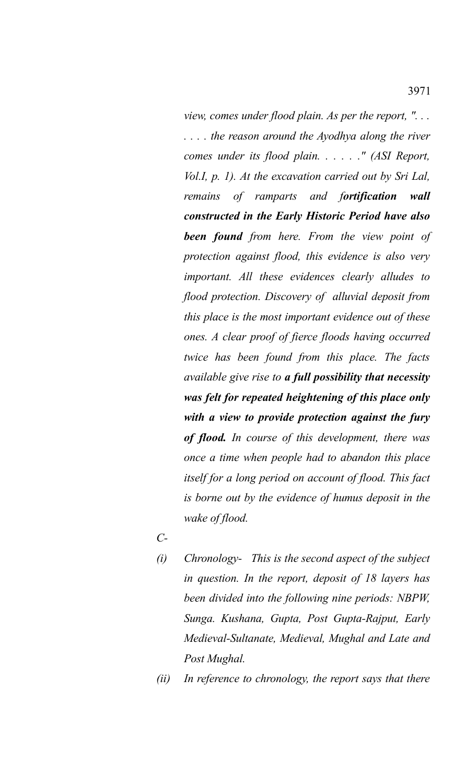*view, comes under flood plain. As per the report, ". . . . . . . the reason around the Ayodhya along the river comes under its flood plain. . . . . ." (ASI Report, Vol.I, p. 1). At the excavation carried out by Sri Lal, remains of ramparts and fortification wall constructed in the Early Historic Period have also been found from here. From the view point of protection against flood, this evidence is also very important. All these evidences clearly alludes to flood protection. Discovery of alluvial deposit from this place is the most important evidence out of these ones. A clear proof of fierce floods having occurred twice has been found from this place. The facts available give rise to a full possibility that necessity was felt for repeated heightening of this place only with a view to provide protection against the fury of flood. In course of this development, there was once a time when people had to abandon this place itself for a long period on account of flood. This fact is borne out by the evidence of humus deposit in the wake of flood.*

- *C-*
- *(i) Chronology- This is the second aspect of the subject in question. In the report, deposit of 18 layers has been divided into the following nine periods: NBPW, Sunga. Kushana, Gupta, Post Gupta-Rajput, Early Medieval-Sultanate, Medieval, Mughal and Late and Post Mughal.*
- *(ii) In reference to chronology, the report says that there*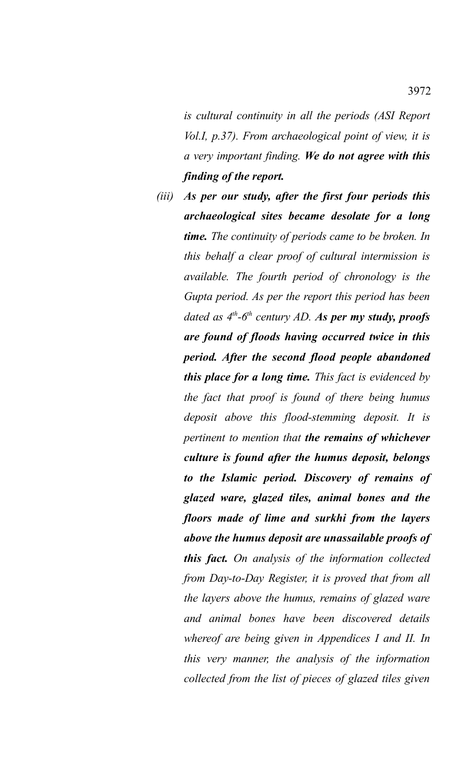*is cultural continuity in all the periods (ASI Report Vol.I, p.37). From archaeological point of view, it is a very important finding. We do not agree with this finding of the report.*

*(iii) As per our study, after the first four periods this archaeological sites became desolate for a long time. The continuity of periods came to be broken. In this behalf a clear proof of cultural intermission is available. The fourth period of chronology is the Gupta period. As per the report this period has been dated as 4th-6th century AD. As per my study, proofs are found of floods having occurred twice in this period. After the second flood people abandoned this place for a long time. This fact is evidenced by the fact that proof is found of there being humus deposit above this flood-stemming deposit. It is pertinent to mention that the remains of whichever culture is found after the humus deposit, belongs to the Islamic period. Discovery of remains of glazed ware, glazed tiles, animal bones and the floors made of lime and surkhi from the layers above the humus deposit are unassailable proofs of this fact. On analysis of the information collected from Day-to-Day Register, it is proved that from all the layers above the humus, remains of glazed ware and animal bones have been discovered details whereof are being given in Appendices I and II. In this very manner, the analysis of the information collected from the list of pieces of glazed tiles given*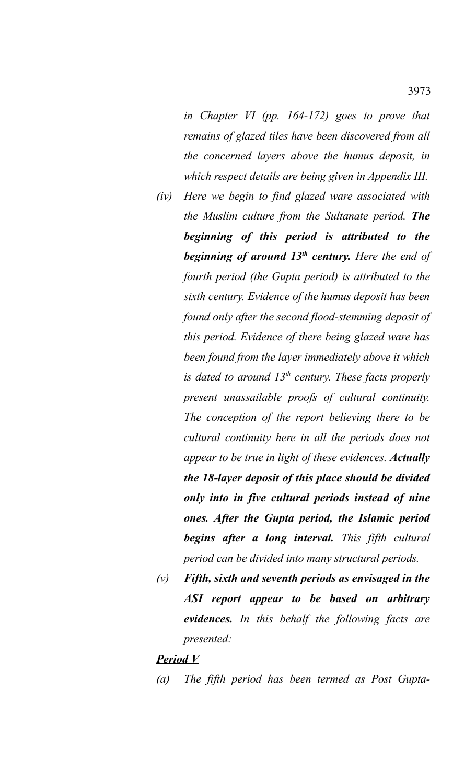*in Chapter VI (pp. 164-172) goes to prove that remains of glazed tiles have been discovered from all the concerned layers above the humus deposit, in which respect details are being given in Appendix III.*

- *(iv) Here we begin to find glazed ware associated with the Muslim culture from the Sultanate period. The beginning of this period is attributed to the beginning of around 13th century. Here the end of fourth period (the Gupta period) is attributed to the sixth century. Evidence of the humus deposit has been found only after the second flood-stemming deposit of this period. Evidence of there being glazed ware has been found from the layer immediately above it which is dated to around 13th century. These facts properly present unassailable proofs of cultural continuity. The conception of the report believing there to be cultural continuity here in all the periods does not appear to be true in light of these evidences. Actually the 18-layer deposit of this place should be divided only into in five cultural periods instead of nine ones. After the Gupta period, the Islamic period begins after a long interval. This fifth cultural period can be divided into many structural periods.*
- *(v) Fifth, sixth and seventh periods as envisaged in the ASI report appear to be based on arbitrary evidences. In this behalf the following facts are presented:*

## *Period V*

*(a) The fifth period has been termed as Post Gupta-*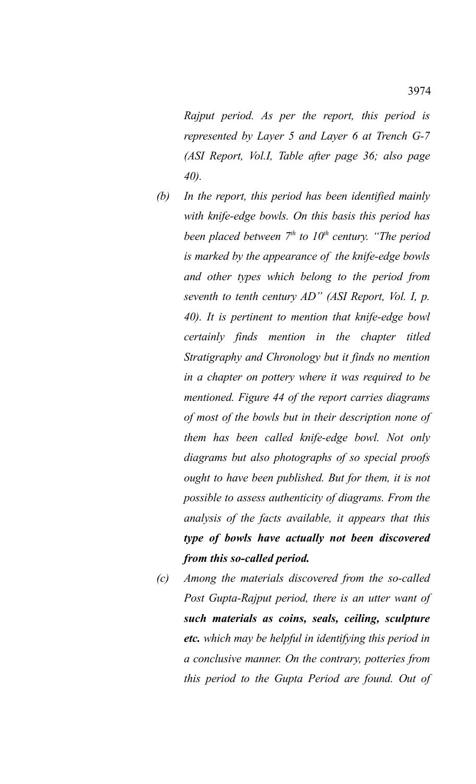*Rajput period. As per the report, this period is represented by Layer 5 and Layer 6 at Trench G-7 (ASI Report, Vol.I, Table after page 36; also page 40).*

- *(b) In the report, this period has been identified mainly with knife-edge bowls. On this basis this period has been placed between 7th to 10th century. "The period is marked by the appearance of the knife-edge bowls and other types which belong to the period from seventh to tenth century AD" (ASI Report, Vol. I, p. 40). It is pertinent to mention that knife-edge bowl certainly finds mention in the chapter titled Stratigraphy and Chronology but it finds no mention in a chapter on pottery where it was required to be mentioned. Figure 44 of the report carries diagrams of most of the bowls but in their description none of them has been called knife-edge bowl. Not only diagrams but also photographs of so special proofs ought to have been published. But for them, it is not possible to assess authenticity of diagrams. From the analysis of the facts available, it appears that this type of bowls have actually not been discovered from this so-called period.*
- *(c) Among the materials discovered from the so-called Post Gupta-Rajput period, there is an utter want of such materials as coins, seals, ceiling, sculpture etc. which may be helpful in identifying this period in a conclusive manner. On the contrary, potteries from this period to the Gupta Period are found. Out of*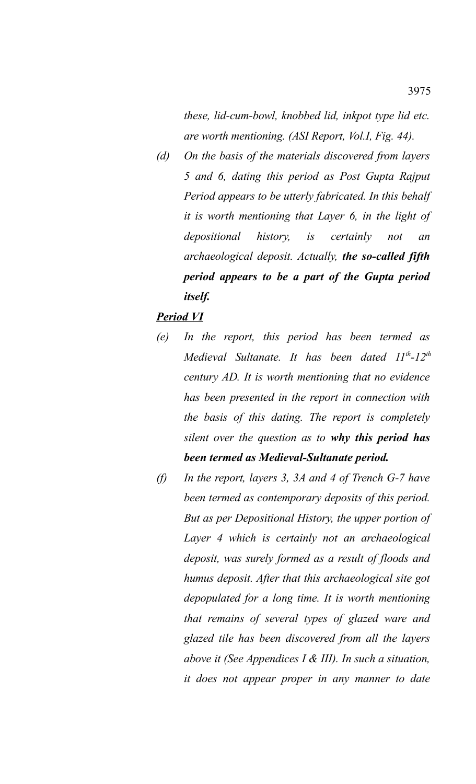*these, lid-cum-bowl, knobbed lid, inkpot type lid etc. are worth mentioning. (ASI Report, Vol.I, Fig. 44).* 

*(d) On the basis of the materials discovered from layers 5 and 6, dating this period as Post Gupta Rajput Period appears to be utterly fabricated. In this behalf it is worth mentioning that Layer 6, in the light of depositional history, is certainly not an archaeological deposit. Actually, the so-called fifth period appears to be a part of the Gupta period itself.*

## *Period VI*

- *(e) In the report, this period has been termed as Medieval Sultanate. It has been dated 11th-12th century AD. It is worth mentioning that no evidence has been presented in the report in connection with the basis of this dating. The report is completely silent over the question as to why this period has been termed as Medieval-Sultanate period.*
- *(f) In the report, layers 3, 3A and 4 of Trench G-7 have been termed as contemporary deposits of this period. But as per Depositional History, the upper portion of Layer 4 which is certainly not an archaeological deposit, was surely formed as a result of floods and humus deposit. After that this archaeological site got depopulated for a long time. It is worth mentioning that remains of several types of glazed ware and glazed tile has been discovered from all the layers above it (See Appendices I & III). In such a situation, it does not appear proper in any manner to date*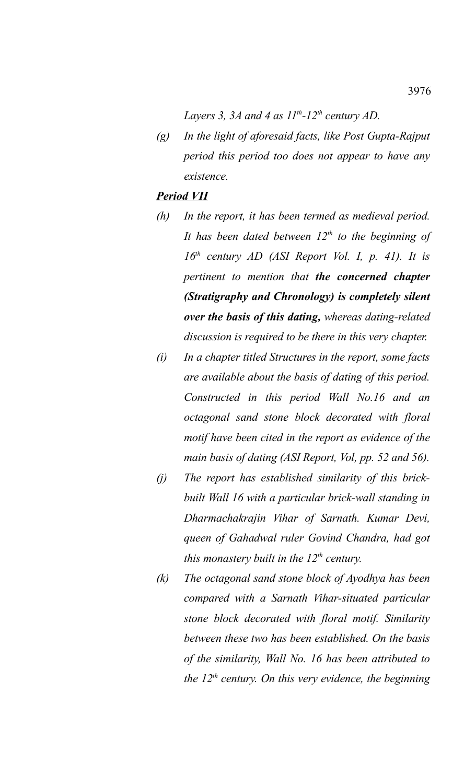*Layers 3, 3A and 4 as*  $11^{th}$ *-12<sup>th</sup> century AD.* 

*(g) In the light of aforesaid facts, like Post Gupta-Rajput period this period too does not appear to have any existence.*

## *Period VII*

- *(h) In the report, it has been termed as medieval period. It has been dated between 12th to the beginning of 16th century AD (ASI Report Vol. I, p. 41). It is pertinent to mention that the concerned chapter (Stratigraphy and Chronology) is completely silent over the basis of this dating, whereas dating-related discussion is required to be there in this very chapter.*
- *(i) In a chapter titled Structures in the report, some facts are available about the basis of dating of this period. Constructed in this period Wall No.16 and an octagonal sand stone block decorated with floral motif have been cited in the report as evidence of the main basis of dating (ASI Report, Vol, pp. 52 and 56).*
- *(j) The report has established similarity of this brickbuilt Wall 16 with a particular brick-wall standing in Dharmachakrajin Vihar of Sarnath. Kumar Devi, queen of Gahadwal ruler Govind Chandra, had got this monastery built in the 12th century.*
- *(k) The octagonal sand stone block of Ayodhya has been compared with a Sarnath Vihar-situated particular stone block decorated with floral motif. Similarity between these two has been established. On the basis of the similarity, Wall No. 16 has been attributed to the 12th century. On this very evidence, the beginning*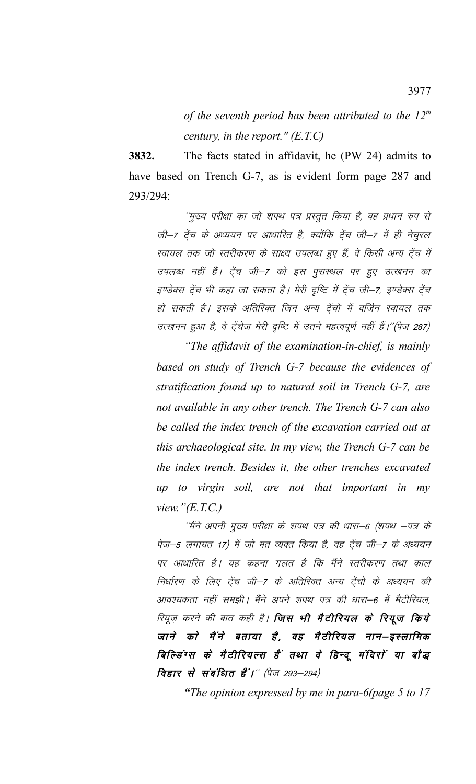*of the seventh period has been attributed to the 12th century, in the report." (E.T.C)*

**3832.** The facts stated in affidavit, he (PW 24) admits to have based on Trench G-7, as is evident form page 287 and 293/294:

''मुख्य परीक्षा का जो शपथ पत्र प्रस्तुत किया है, वह प्रधान रुप से जी–7 ट्रेंच के अध्ययन पर आधारित है, क्योंकि ट्रेंच जी–7 में ही नेचुरल स्वायल तक जो स्तरीकरण के साक्ष्य उपलब्ध हुए हैं, वे किसी अन्य ट्रेंच में उपलब्ध नहीं हैं। ट्रेंच जी–7 को इस पुरास्थल पर हुए उत्खनन का इण्डेक्स टेंच भी कहा जा सकता है। मेरी दृष्टि में टेंच जी–7, इण्डेक्स टेंच हो सकती है। इसके अतिरिक्त जिन अन्य टेंचो में वर्जिन स्वायल तक उत्खनन हुआ है, वे ट्रेंचेज मेरी दृष्टि में उतने महत्वपूर्ण नहीं हैं।''(पेज 287)

*"The affidavit of the examination-in-chief, is mainly based on study of Trench G-7 because the evidences of stratification found up to natural soil in Trench G-7, are not available in any other trench. The Trench G-7 can also be called the index trench of the excavation carried out at this archaeological site. In my view, the Trench G-7 can be the index trench. Besides it, the other trenches excavated up to virgin soil, are not that important in my view."(E.T.C.)*

''मैंने अपनी मुख्य परीक्षा के शपथ पत्र की धारा–6 (शपथ –पत्र के पेज़-5 लगायत 17) में जो मत व्यक्त किया है, वह टेंच जी–7 के अध्ययन पर आधारित है। यह कहना गलत है कि मैंने स्तरीकरण तथा काल निर्धारण के लिए ट्रेंच जी–7 के अतिरिक्त अन्य ट्रेंचो के अध्ययन की आवश्यकता नहीं समझी। मैंने अपने शपथ पत्र की धारा–6 में मैटीरियल, रियूज़ करने की बात कही है। **जिस भी मैटीरियल के रियूज किये** जाने को मैंने बताया है, वह मैटीरियल नान–इस्लामिक बिल्डिंग्स के मैटीरियल्स हैं तथा वे हिन्दू मंदिरों या बौद्ध **विहार से संबंधित हैं।**" (पेज 293–294)

*"The opinion expressed by me in para-6(page 5 to 17*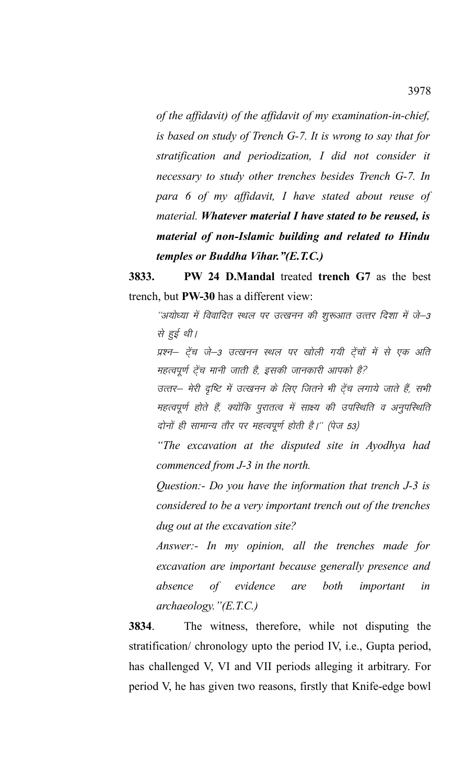*of the affidavit) of the affidavit of my examination-in-chief, is based on study of Trench G-7. It is wrong to say that for stratification and periodization, I did not consider it necessary to study other trenches besides Trench G-7. In para 6 of my affidavit, I have stated about reuse of material. Whatever material I have stated to be reused, is material of non-Islamic building and related to Hindu temples or Buddha Vihar."(E.T.C.)*

**3833. PW 24 D.Mandal** treated **trench G7** as the best trench, but **PW-30** has a different view:

''अयोध्या में विवादित स्थल पर उत्खनन की शुरूआत उत्तर दिशा में जे–3 से हुई थी।

प्रश्न– ट्रेंच जे–3 उत्खनन स्थल पर खोली गयी ट्रेंचों में से एक अति महत्वपूर्ण टेंच मानी जाती है, इसकी जानकारी आपको है?

उत्तर– मेरी दृष्टि में उत्खनन के लिए जितने भी ट्रेंच लगाये जाते हैं, सभी महत्वपूर्ण होते हैं, क्योंकि पुरातत्व में साक्ष्य की उपस्थिति व अनुपस्थिति दोनों ही सामान्य तौर पर महत्वपूर्ण होती है।'' (पेज 53)

*"The excavation at the disputed site in Ayodhya had commenced from J-3 in the north.*

*Question:- Do you have the information that trench J-3 is considered to be a very important trench out of the trenches dug out at the excavation site?*

*Answer:- In my opinion, all the trenches made for excavation are important because generally presence and absence of evidence are both important in archaeology."(E.T.C.)*

**3834**. The witness, therefore, while not disputing the stratification/ chronology upto the period IV, i.e., Gupta period, has challenged V, VI and VII periods alleging it arbitrary. For period V, he has given two reasons, firstly that Knife-edge bowl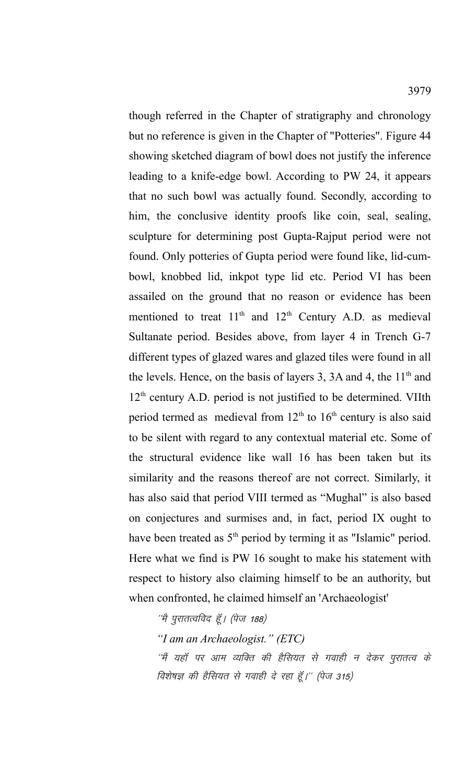though referred in the Chapter of stratigraphy and chronology but no reference is given in the Chapter of "Potteries". Figure 44 showing sketched diagram of bowl does not justify the inference leading to a knife-edge bowl. According to PW 24, it appears that no such bowl was actually found. Secondly, according to him, the conclusive identity proofs like coin, seal, sealing, sculpture for determining post Gupta-Rajput period were not found. Only potteries of Gupta period were found like, lid-cumbowl, knobbed lid, inkpot type lid etc. Period VI has been assailed on the ground that no reason or evidence has been mentioned to treat  $11<sup>th</sup>$  and  $12<sup>th</sup>$  Century A.D. as medieval Sultanate period. Besides above, from layer 4 in Trench G-7 different types of glazed wares and glazed tiles were found in all the levels. Hence, on the basis of layers 3, 3A and 4, the  $11<sup>th</sup>$  and  $12<sup>th</sup>$  century A.D. period is not justified to be determined. VIIth period termed as medieval from  $12<sup>th</sup>$  to  $16<sup>th</sup>$  century is also said to be silent with regard to any contextual material etc. Some of the structural evidence like wall 16 has been taken but its similarity and the reasons thereof are not correct. Similarly, it has also said that period VIII termed as "Mughal" is also based on conjectures and surmises and, in fact, period IX ought to have been treated as 5<sup>th</sup> period by terming it as "Islamic" period. Here what we find is PW 16 sought to make his statement with respect to history also claiming himself to be an authority, but when confronted, he claimed himself an 'Archaeologist'

''मै पुरातत्वविद हूँ। (पेज 188)

*"I am an Archaeologist." (ETC)* ´´मैं यहाँ पर आम व्यक्ति की हैसियत से गवाही न देकर पुरातत्व के विशेषज्ञ की हैसियत से गवाही दे रहा हूँ।'' (पेज 315)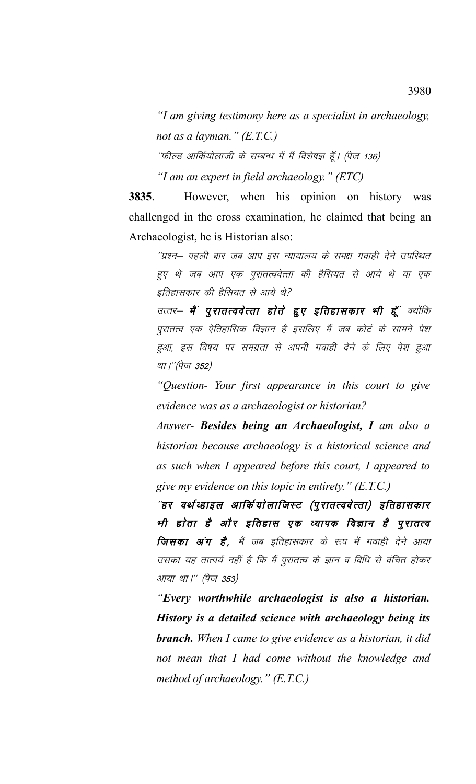*"I am giving testimony here as a specialist in archaeology, not as a layman." (E.T.C.)*  $^{\prime\prime}$ फील्ड आर्कियोलाजी के सम्बन्ध में मैं विशेषज्ञ हूँ। (पेज 136)

*"I am an expert in field archaeology." (ETC)*

**3835**. However, when his opinion on history was challenged in the cross examination, he claimed that being an Archaeologist, he is Historian also:

''प्रश्न— पहली बार जब आप इस न्यायालय के समक्ष गवाही देने उपस्थित हुए थे जब आप एक पुरातत्ववेत्ता की हैसियत से आये थे या एक इतिहासकार की हैसियत से आये थे?

उत्तर– मैं पुरातत्ववेत्ता होते हुए इतिहासकार भी हूँ क्योंकि पुरातत्व एक ऐतिहासिक विज्ञान है इसलिए मैं जब कोर्ट के सामने पेश हुआ, इस विषय पर समग्रता से अपनी गवाही देने के लिए पेश हुआ था।''(पेज 352)

*"Question- Your first appearance in this court to give evidence was as a archaeologist or historian?*

*Answer- Besides being an Archaeologist, I am also a historian because archaeology is a historical science and as such when I appeared before this court, I appeared to give my evidence on this topic in entirety." (E.T.C.)*

"हर वर्थव्हाइल आकि'योलाजिस्ट (पुरातत्ववेत्ता) इतिहासकार भी होता है और इतिहास एक व्यापक विज्ञान है पुरातत्व **जिसका अंग है,** मैं जब इतिहासकार के रूप में गवाही देने आया उसका यह तात्पर्य नहीं है कि मैं पुरातत्व के ज्ञान व विधि से वंचित होकर आया था।'' (पेज 353)

*"Every worthwhile archaeologist is also a historian. History is a detailed science with archaeology being its branch. When I came to give evidence as a historian, it did not mean that I had come without the knowledge and method of archaeology." (E.T.C.)*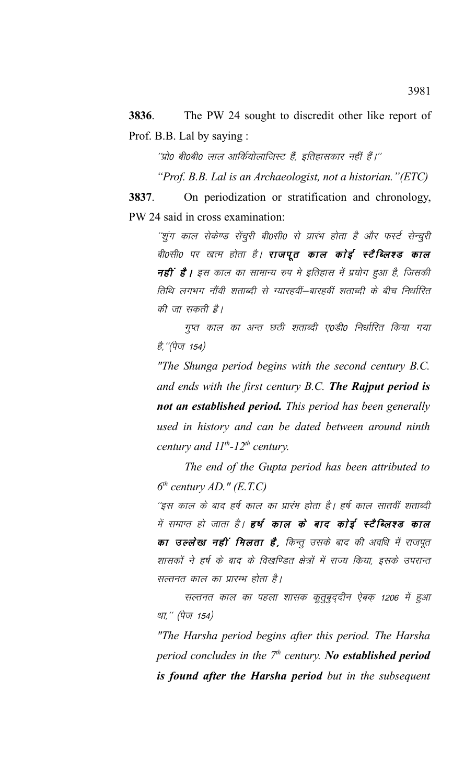3836 The PW 24 sought to discredit other like report of Prof. B.B. Lal by saying :

''प्रो० बी०बी० लाल आर्कियोलाजिस्ट हैं, इतिहासकार नहीं हैं।''

"Prof. B.B. Lal is an Archaeologist, not a historian." (ETC)

3837. On periodization or stratification and chronology, PW 24 said in cross examination:

''शुंग काल सेकेण्ड सेंचुरी बी0सी0 से प्रारंभ होता है और फर्स्ट सेन्चुरी बी0सी0 पर खत्म होता है। **राजपूत काल कोई स्टैब्लिश्ड काल नहीं है |** इस काल का सामान्य रुप मे इतिहास में प्रयोग हुआ है, जिसकी तिथि लगभग नौंवी शताब्दी से ग्यारहवीं–बारहवीं शताब्दी के बीच निर्धारित की जा सकती है।

गुप्त काल का अन्त छठी शताब्दी ए0डी0 निर्धारित किया गया है, "(पेज 154)

"The Shunga period begins with the second century B.C. and ends with the first century B.C. The Rajput period is not an established period. This period has been generally used in history and can be dated between around ninth century and  $II^{th}$ -12<sup>th</sup> century.

The end of the Gupta period has been attributed to  $6<sup>th</sup>$  century AD." (E.T.C)

''इस काल के बाद हर्ष काल का प्रारंभ होता है। हर्ष काल सातवीं शताब्दी में समाप्त हो जाता है। **हर्ष काल के बाद कोई स्टैब्लिश्ड काल** का उल्लेख नहीं मिलता है, किन्तू उसके बाद की अवधि में राजपूत शासकों ने हर्ष के बाद के विखण्डित क्षेत्रों में राज्य किया, इसके उपरान्त सल्तनत काल का प्रारम्भ होता है।

सल्तनत काल का पहला शासक कुतुबुददीन ऐबक 1206 में हुआ था," (पेज 154)

"The Harsha period begins after this period. The Harsha period concludes in the  $7<sup>th</sup>$  century. No established period is found after the Harsha period but in the subsequent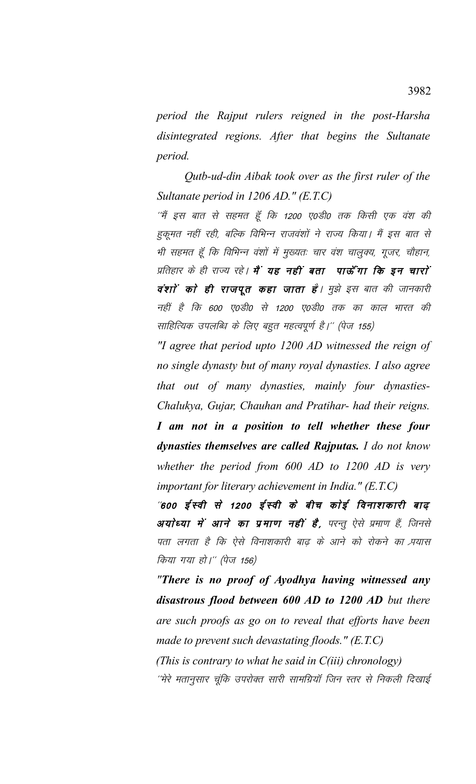*period the Rajput rulers reigned in the post-Harsha disintegrated regions. After that begins the Sultanate period.*

*Qutb-ud-din Aibak took over as the first ruler of the Sultanate period in 1206 AD." (E.T.C)*

''मैं इस बात से सहमत हूँ कि 1200 ए0डी0 तक किसी एक वंश की हुकूमत नहीं रही, बल्कि विभिन्न राजवंशों ने राज्य किया। मैं इस बात से भी सहमत हूँ कि विभिन्न वंशों में मुख्यतः चार वंश चालुक्य, गूजर, चौहान, प्रतिहार के ही राज्य रहे। **मैं यह नहीं बता पाऊँ गा कि इन चारों** वंशा` काे ही राजपूत कहा जाता है। मुझे इस बात की जानकारी नहीं है कि 600 ए0डी0 से 1200 ए0डी0 तक का काल भारत की साहित्यिक उपलब्धि के लिए बहुत महत्वपूर्ण है।" (पेज 155)

*"I agree that period upto 1200 AD witnessed the reign of no single dynasty but of many royal dynasties. I also agree that out of many dynasties, mainly four dynasties-Chalukya, Gujar, Chauhan and Pratihar- had their reigns. I am not in a position to tell whether these four dynasties themselves are called Rajputas. I do not know whether the period from 600 AD to 1200 AD is very important for literary achievement in India." (E.T.C)*

"600 ईस्वी से 1200 ईस्वी के बीच कोई विनाशकारी बाढ़ **अयोध्या में आने का प्रमाण नहीं है,** परन्तु ऐसे प्रमाण हैं, जिनसे पता लगता है कि ऐसे विनाशकारी बाढ के आने को रोकने का प्रयास किया गया हो।'' (पेज 156)

*"There is no proof of Ayodhya having witnessed any disastrous flood between 600 AD to 1200 AD but there are such proofs as go on to reveal that efforts have been made to prevent such devastating floods." (E.T.C) (This is contrary to what he said in C(iii) chronology)* ''मेरे मतानुसार चूंकि उपरोक्त सारी सामग्रियॉ जिन स्तर से निकली दिखाई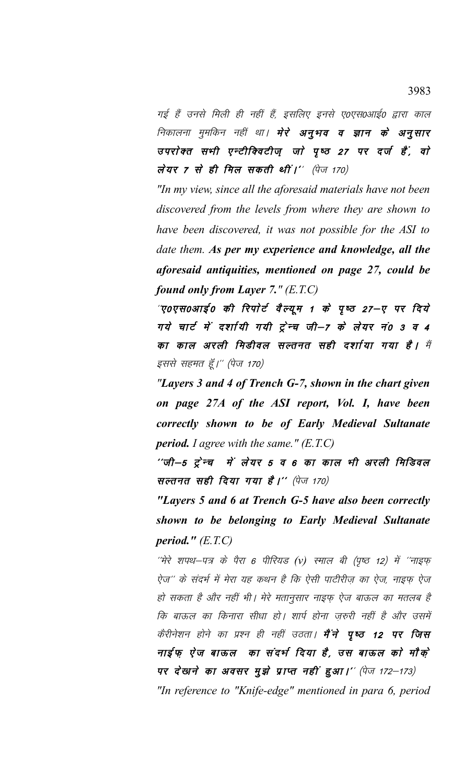गई हैं उनसे मिली ही नहीं हैं, इसलिए इनसे ए०एस०आई० द्वारा काल निकालना मुमकिन नहीं था। **मेरे अनुभव व ज्ञान के अनुसार** उपरोक्त सभी एन्टीक्विटीज़ जो पृष्ठ 27 पर दर्ज हैं, वो लेयर 7 से ही मिल सकती थीं।'' (पेज 170)

"In my view, since all the aforesaid materials have not been discovered from the levels from where they are shown to have been discovered, it was not possible for the ASI to date them. As per my experience and knowledge, all the aforesaid antiquities, mentioned on page 27, could be found only from Layer 7."  $(E.T.C)$ 

"ए०एस०आई० की रिपोर्ट वैल्यूम 1 के पृष्ठ 27–ए पर दिये गये चार्ट में दर्शायी गयी ट्रेन्च जी–7 के लेयर नं0 3 व 4 का काल अरली मिडीवल सल्तनत सही दर्शाया गया है। मैं इससे सहमत हूँ।'' (पेज 170)

"Layers 3 and 4 of Trench G-7, shown in the chart given on page 27A of the ASI report, Vol. I, have been correctly shown to be of Early Medieval Sultanate **period.** I agree with the same."  $(E.T.C)$ 

''जी—5 ट्रेन्च में लेयर 5 व 6 का काल भी अरली मिडिवल सल्तनत सही दिया गया है।'' (पेज 170)

"Layers 5 and 6 at Trench G-5 have also been correctly shown to be belonging to Early Medieval Sultanate *period.*  $"$   $(E.T.C)$ 

''मेरे शपथ–पत्र के पैरा 6 पीरियड (v) स्माल बी (पृष्ठ 12) में ''नाइफ् ऐज्″ के संदर्भ में मेरा यह कथन है कि ऐसी पाटीरीज़ का ऐज, नाइफ़ ऐज हो सकता है और नहीं भी। मेरे मतानुसार नाइफ़ ऐज बाऊल का मतलब है कि बाऊल का किनारा सीधा हो। शार्प होना ज़रुरी नहीं है और उसमें कैरीनेशन होने का प्रश्न ही नहीं उठता। **मैंने पृष्ठ 12 पर जिस** नाईफ ऐज बाऊल का संदर्भ दिया है, उस बाऊल को मौके पर देखाने का अवसर मुझे प्राप्त नहीं हुआ।'' (पेज 172-173) "In reference to "Knife-edge" mentioned in para 6, period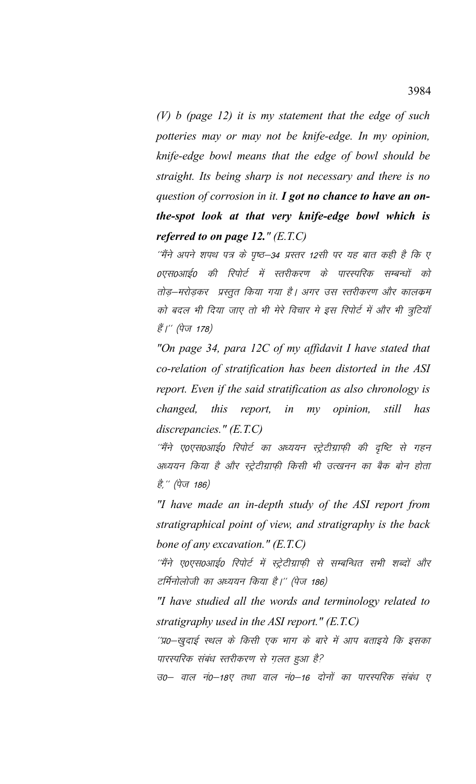*(V) b (page 12) it is my statement that the edge of such potteries may or may not be knife-edge. In my opinion, knife-edge bowl means that the edge of bowl should be straight. Its being sharp is not necessary and there is no question of corrosion in it. I got no chance to have an onthe-spot look at that very knife-edge bowl which is referred to on page 12." (E.T.C)*

''मैंने अपने शपथ पत्र के पृष्ठ–34 प्रस्तर 12सी पर यह बात कही है कि ए 0एस0आई0 की रिपोर्ट में स्तरीकरण के पारस्परिक सम्बन्धों को तोड़–मरोड़कर प्रस्तुत किया गया है। अगर उस स्तरीकरण और कालकम को बदल भी दिया जाए तो भी मेरे विचार मे इस रिपोर्ट में और भी त्रूटियॉ ਨੈਂ<sup>1</sup> (ਧੇ*ज* 178)

*"On page 34, para 12C of my affidavit I have stated that co-relation of stratification has been distorted in the ASI report. Even if the said stratification as also chronology is changed, this report, in my opinion, still has discrepancies." (E.T.C)*

''मैंने ए०एस०आई० रिपोर्ट का अध्ययन स्ट्रेटीग्राफ़ी की दृष्टि से गहन अध्ययन किया है और स्ट्रेटीग्राफ़ी किसी भी उत्खनन का बैक बोन होता है,'' (पेज 186)

*"I have made an in-depth study of the ASI report from stratigraphical point of view, and stratigraphy is the back bone of any excavation." (E.T.C)*

''मैंने ए०एस०आई० रिपोर्ट में स्ट्रेटीग्राफ़ी से सम्बन्धित सभी शब्दों और टर्मिनोलोजी का अध्ययन किया है।'' (पेज 186)

*"I have studied all the words and terminology related to stratigraphy used in the ASI report." (E.T.C)*

''प्र0-खुदाई स्थल के किसी एक भाग के बारे में आप बताइये कि इसका पारस्परिक संबंध स्तरीकरण से गलत हुआ है?

उ०– वाल नं०–18ए तथा वाल नं०–16 दोनों का पारस्परिक संबंध ए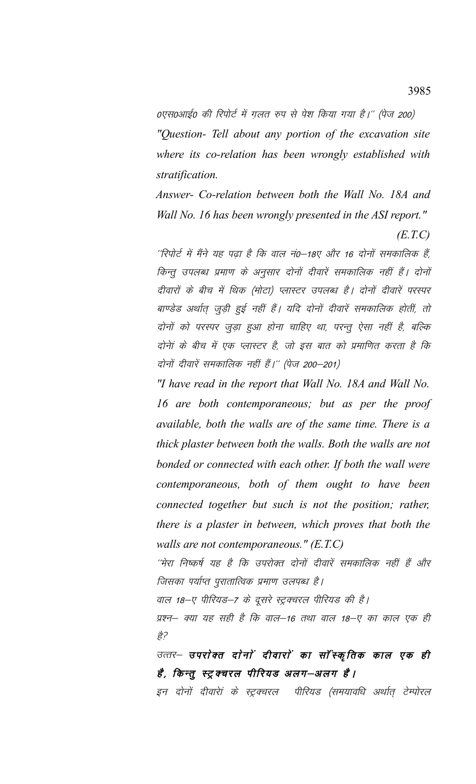0एस0आई0 की रिपोर्ट में गलत रुप से पेश किया गया है।'' (पेज 200) "Question- Tell about any portion of the excavation site where its co-relation has been wrongly established with stratification.

Answer- Co-relation between both the Wall No. 18A and Wall No. 16 has been wrongly presented in the ASI report."

 $(E.T.C)$ 

''रिपोर्ट में मैंने यह पढा है कि वाल नं0—18ए और 16 दोनों समकालिक हैं, किन्तु उपलब्ध प्रमाण के अनुसार दोनों दीवारें समकालिक नहीं हैं। दोनों दीवारों के बीच में थिक (मोटा) प्लास्टर उपलब्ध है। दोनों दीवारें परस्पर बाण्डेड अर्थात् जुड़ी हुई नहीं हैं। यदि दोनों दीवारें समकालिक होतीं, तो दोनों को परस्पर जुड़ा हुआ होना चाहिए था, परन्तु ऐसा नहीं है, बल्कि दोनेां के बीच में एक प्लास्टर है, जो इस बात को प्रमाणित करता है कि दोनों दीवारें समकालिक नहीं हैं।'' (पेज 200–201)

"I have read in the report that Wall No. 18A and Wall No. 16 are both contemporaneous; but as per the proof available, both the walls are of the same time. There is a thick plaster between both the walls. Both the walls are not bonded or connected with each other. If both the wall were contemporaneous, both of them ought to have been connected together but such is not the position; rather, there is a plaster in between, which proves that both the walls are not contemporaneous."  $(E.T.C)$ 

''मेरा निष्कर्ष यह है कि उपरोक्त दोनों दीवारें समकालिक नहीं हैं और जिसका पर्याप्त पुरातात्विक प्रमाण उलपब्ध है।

वाल 18–ए पीरियड–7 के दूसरे स्ट्रक्चरल पीरियड की है।

प्रश्न– क्या यह सही है कि वाल–16 तथा वाल 18–ए का काल एक ही  $\frac{4}{5}$ ?

उत्तर– उपरोक्त दोनों दीवारों का सॉंस्कृतिक काल एक ही है, किन्तु स्ट्रक्चरल पीरियड अलग—अलग है।

इन दोनों दीवारेां के स्ट्रक्चरल पीरियड (समयावधि अर्थात टेम्पोरल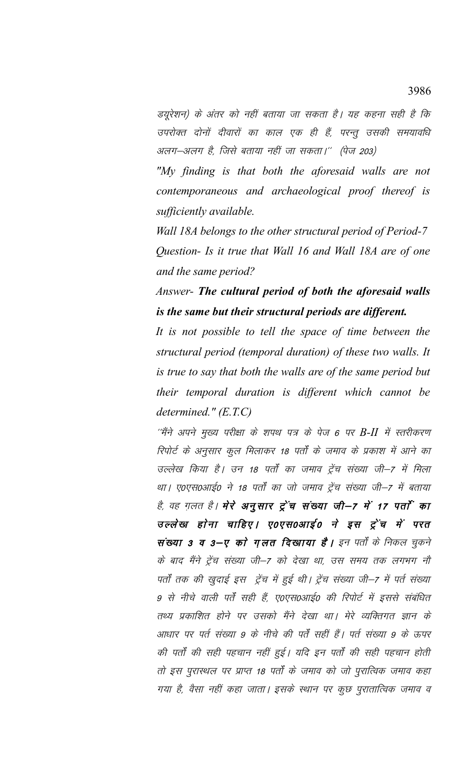डयूरेशन) के अंतर को नहीं बताया जा सकता है। यह कहना सही है कि उपरोक्त दोनों दीवारों का काल एक ही हैं, परन्तु उसकी समयावधि अलग–अलग है, जिसे बताया नहीं जा सकता।'' (पेज 203)

"My finding is that both the aforesaid walls are not contemporaneous and archaeological proof thereof is sufficiently available.

Wall 18A belongs to the other structural period of Period-7 Question- Is it true that Wall 16 and Wall 18A are of one and the same period?

Answer- The cultural period of both the aforesaid walls is the same but their structural periods are different.

It is not possible to tell the space of time between the structural period (temporal duration) of these two walls. It is true to say that both the walls are of the same period but their temporal duration is different which cannot be determined."  $(E.T.C)$ 

''मैंने अपने मुख्य परीक्षा के शपथ पत्र के पेज 6 पर B-II में स्तरीकरण रिपोर्ट के अनुसार कुल मिलाकर 18 पर्तों के जमाव के प्रकाश में आने का उल्लेख किया है। उन 18 पर्तों का जमाव ट्रेंच संख्या जी–7 में मिला था। ए०एस०आई० ने 18 पर्तों का जो जमाव ट्रेंच संख्या जी–7 में बताया है, वह ग़लत है। मेरे अनूसार ट्रेंच संख्या जी—7 में 17 पता का उल्लेख होना चाहिए। ए०एस०आई० ने इस ट्रेंच में परत संख्या 3 व 3-ए को गुलत दिखाया है। इन पर्तों के निकल चुकने के बाद मैंने ट्रेंच संख्या जी–7 को देखा था, उस समय तक लगभग नौ पर्तों तक की खुदाई इस ट्रेंच में हुई थी। ट्रेंच संख्या जी–7 में पर्त संख्या 9 से नीचे वाली पर्तें सही हैं, ए०एस०आई० की रिपोर्ट में इससे संबंधित तथ्य प्रकाशित होने पर उसको मैंने देखा था। मेरे व्यक्तिगत ज्ञान के आधार पर पर्त संख्या 9 के नीचे की पर्तें सहीं हैं। पर्त संख्या 9 के ऊपर की पर्तों की सही पहचान नहीं हुई। यदि इन पर्तों की सही पहचान होती तो इस पुरास्थल पर प्राप्त 18 पर्तों के जमाव को जो पुरात्विक जमाव कहा गया है, वैसा नहीं कहा जाता। इसके स्थान पर कुछ पुरातात्विक जमाव व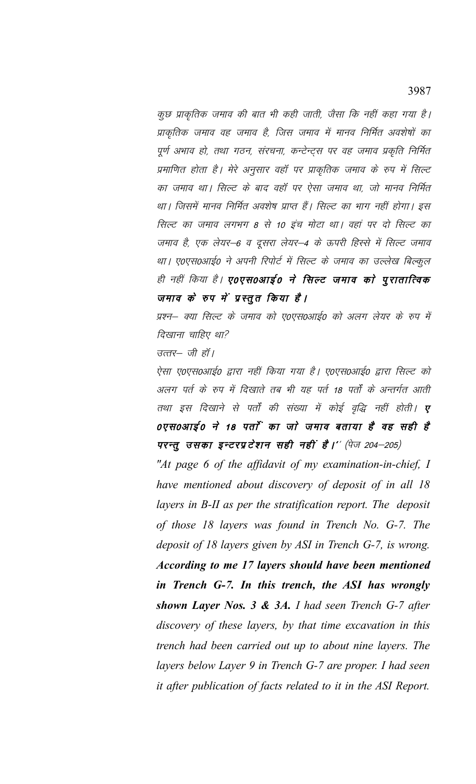कुछ प्राकृतिक जमाव की बात भी कही जाती, जैसा कि नहीं कहा गया है। प्राकृतिक जमाव वह जमाव है, जिस जमाव में मानव निर्मित अवशेषों का पूर्ण अभाव हो, तथा गठन, संरचना, कन्टेन्ट्स पर वह जमाव प्रकृति निर्मित प्रमाणित होता है। मेरे अनुसार वहाँ पर प्राकृतिक जमाव के रुप में सिल्ट का जमाव था। सिल्ट के बाद वहाँ पर ऐसा जमाव था, जो मानव निर्मित था। जिसमें मानव निर्मित अवशेष प्राप्त हैं। सिल्ट का भाग नहीं होगा। इस सिल्ट का जमाव लगभग 8 से 10 इंच मोटा था। वहां पर दो सिल्ट का जमाव है, एक लेयर–6 व दूसरा लेयर–4 के ऊपरी हिस्से में सिल्ट जमाव था। ए०एस०आई० ने अपनी रिपोर्ट में सिल्ट के जमाव का उल्लेख बिल्कुल ही नहीं किया है। ए0एस0आई0 ने सिल्ट जमाव को पुरातात्विक जमाव के रुप में प्रस्तुत किया है।

प्रश्न– क्या सिल्ट के जमाव को ए0एस0आई0 को अलग लेयर के रुप में दिखाना चाहिए था?

उत्तर– जी हॉ।

ऐसा ए०एस०आई० द्वारा नहीं किया गया है। ए०एस०आई० द्वारा सिल्ट को अलग पर्त के रुप में दिखाते तब भी यह पर्त 18 पर्तों के अन्तर्गत आती तथा इस दिखाने से पर्तों की संख्या में कोई वृद्धि नहीं होती। ए 0एस0आई0 ने 18 पर्ता का जो जमाव बताया है वह सही है परन्तु उसका इन्टरप्रटेशन सही नहीं हैं।'' (पेज 204—205)

"At page 6 of the affidavit of my examination-in-chief, I have mentioned about discovery of deposit of in all 18 layers in B-II as per the stratification report. The deposit of those 18 layers was found in Trench No. G-7. The deposit of 18 layers given by ASI in Trench G-7, is wrong. According to me 17 layers should have been mentioned in Trench G-7. In this trench, the ASI has wrongly shown Layer Nos. 3 & 3A. I had seen Trench  $G$ -7 after discovery of these layers, by that time excavation in this trench had been carried out up to about nine layers. The layers below Layer 9 in Trench G-7 are proper. I had seen it after publication of facts related to it in the ASI Report.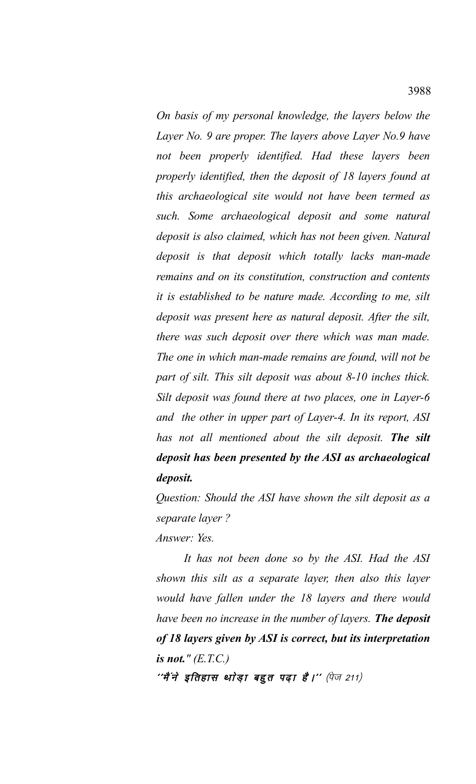*On basis of my personal knowledge, the layers below the Layer No. 9 are proper. The layers above Layer No.9 have not been properly identified. Had these layers been properly identified, then the deposit of 18 layers found at this archaeological site would not have been termed as such. Some archaeological deposit and some natural deposit is also claimed, which has not been given. Natural deposit is that deposit which totally lacks man-made remains and on its constitution, construction and contents it is established to be nature made. According to me, silt deposit was present here as natural deposit. After the silt, there was such deposit over there which was man made. The one in which man-made remains are found, will not be part of silt. This silt deposit was about 8-10 inches thick. Silt deposit was found there at two places, one in Layer-6 and the other in upper part of Layer-4. In its report, ASI has not all mentioned about the silt deposit. The silt deposit has been presented by the ASI as archaeological deposit.*

*Question: Should the ASI have shown the silt deposit as a separate layer ?*

*Answer: Yes.*

*It has not been done so by the ASI. Had the ASI shown this silt as a separate layer, then also this layer would have fallen under the 18 layers and there would have been no increase in the number of layers. The deposit of 18 layers given by ASI is correct, but its interpretation is not." (E.T.C.)*

 $\hat{a}^{\prime}$ में ने इतिहास थाेड़ा बहुत पढ़ा है। $\hat{a}^{\prime}$  (पेज 211)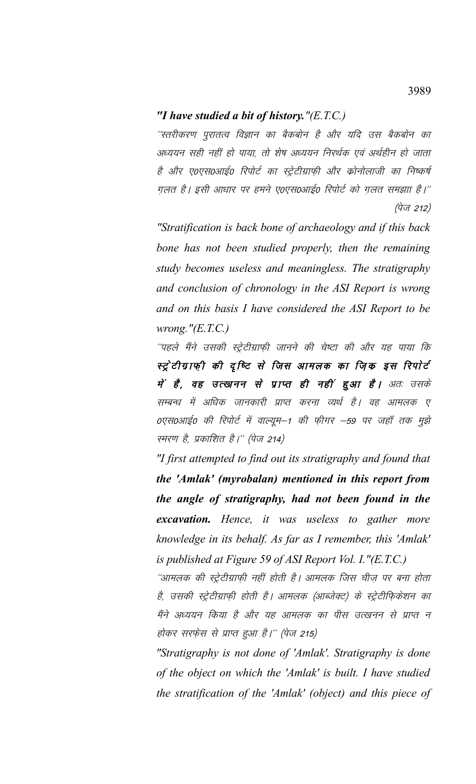## "I have studied a bit of history." $(E.T.C.)$

''स्तरीकरण पुरातत्व विज्ञान का बैकबोन है और यदि उस बैकबोन का अध्ययन सही नहीं हो पाया, तो शेष अध्ययन निरर्थक एवं अर्थहीन हो जाता है और ए०एस०आई० रिपोर्ट का स्ट्रेटीग्राफ़ी और कोनोलाजी का निष्कर्ष गुलत है। इसी आधार पर हमने ए०एस०आई० रिपोर्ट को गुलत समझाा है।'' (पेज 212)

"Stratification is back bone of archaeology and if this back bone has not been studied properly, then the remaining study becomes useless and meaningless. The stratigraphy and conclusion of chronology in the ASI Report is wrong and on this basis I have considered the ASI Report to be *wrong.*  $'(E.T.C.)$ 

''पहले मैंने उसकी स्ट्रेटीग्राफ़ी जानने की चेष्टा की और यह पाया कि स्ट्रेटीग्राफ़ी की दृष्टि से जिस आमलक का ज़िक इस रिपोर्ट में हैं, वह उत्खानन से प्राप्त ही नहीं हुआ है। अतः उसके सम्बन्ध में अधिक जानकारी प्राप्त करना व्यर्थ है। वह आमलक ए 0एस0आई0 की रिपोर्ट में वाल्यूम–1 की फ़ीगर –59 पर जहाँ तक मुझे स्मरण है, प्रकाशित है।'' (पेज 214)

"I first attempted to find out its stratigraphy and found that the 'Amlak' (myrobalan) mentioned in this report from the angle of stratigraphy, had not been found in the excavation. Hence, it was useless to gather more knowledge in its behalf. As far as I remember, this 'Amlak' is published at Figure 59 of ASI Report Vol. I." $(E.T.C.)$ 

''आमलक की स्ट्रेटीग्राफ़ी नहीं होती है। आमलक जिस चीज़ पर बना होता है, उसकी स्ट्रेटीग्राफ़ी होती है। आमलक (आब्जेक्ट) के स्ट्रेटीफ़िकेशन का मैंने अध्ययन किया है और यह आमलक का पीस उत्खनन से प्राप्त न होकर सरफ़ेस से प्राप्त हुआ है।'' (पेज 215)

"Stratigraphy is not done of 'Amlak'. Stratigraphy is done of the object on which the 'Amlak' is built. I have studied the stratification of the 'Amlak' (object) and this piece of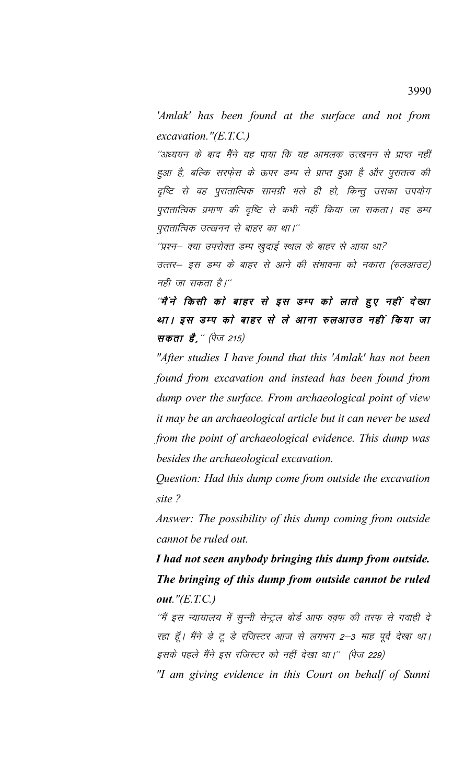*'Amlak' has been found at the surface and not from excavation."(E.T.C.)*

''अध्ययन के बाद मैंने यह पाया कि यह आमलक उत्खनन से प्राप्त नहीं हुआ है, बल्कि सरफ़ेस के ऊपर डम्प से प्राप्त हुआ है और पुरातत्व की दृष्टि से वह पुरातात्विक सामग्री भले ही हो, किन्तु उसका उपयोग पुरातात्विक प्रमाण की दृष्टि से कभी नहीं किया जा सकता। वह डम्प पुरातात्विक उत्खनन से बाहर का था।''

''प्रश्न– क्या उपरोक्त डम्प खुदाई स्थल के बाहर से आया था? उत्तर– इस डम्प के बाहर से आने की संभावना को नकारा (रुलआउट) नही जा सकता है।''

"मैं ने किसी को बाहर से इस डम्प को लाते हुए नहीं देखा था। इस डम्प को बाहर से ले आना रुलआउठ नहीं किया जा **सकता है,** " (पेज 215)

*"After studies I have found that this 'Amlak' has not been found from excavation and instead has been found from dump over the surface. From archaeological point of view it may be an archaeological article but it can never be used from the point of archaeological evidence. This dump was besides the archaeological excavation.*

*Question: Had this dump come from outside the excavation site ?*

*Answer: The possibility of this dump coming from outside cannot be ruled out.*

*I had not seen anybody bringing this dump from outside. The bringing of this dump from outside cannot be ruled out."(E.T.C.)*

''मैं इस न्यायालय में सून्नी सेन्ट्रल बोर्ड आफ वक्फ की तरफ़ से गवाही दे रहा हूँ। मैंने डे टू डे रजिस्टर आज से लगभग 2–3 माह पूर्व देखा था। इसके पहले मैंने इस रजिस्टर को नहीं देखा था।'' (पेज 229)

*"I am giving evidence in this Court on behalf of Sunni*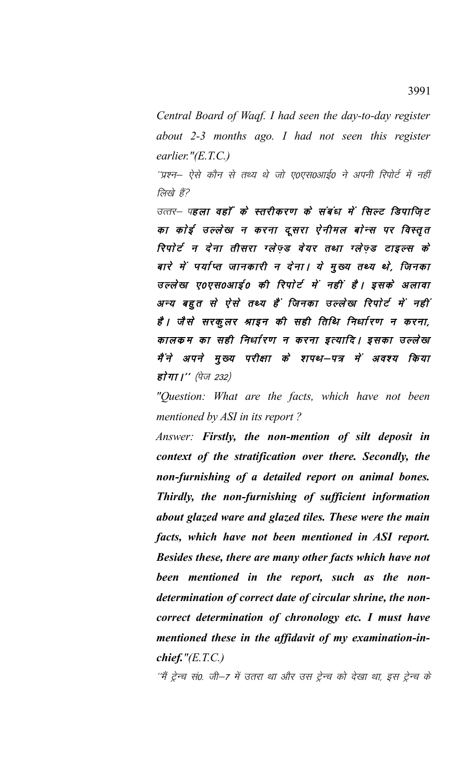Central Board of Waqf. I had seen the day-to-day register about 2-3 months ago. I had not seen this register earlier." $(E.T.C.)$ 

''प्रश्न– ऐसे कौन से तथ्य थे जो ए०एस०आई० ने अपनी रिपोर्ट में नहीं लिखे हैं?

उत्तर– पहला वहाँ के स्तरीकरण के संबंध में सिल्ट डिपाजिट का कोई उल्लेख न करना दूसरा ऐनीमल बोन्स पर विस्तृत रिपोर्ट न देना तीसरा ग्लेज़्ड वेयर तथा ग्लेज़्ड टाइल्स के बारे में पर्याप्त जानकारी न देना। ये मुख्य तथ्य थे, जिनका उल्लेख ए०एस०आई० की रिपोर्ट में नहीं है। इसके अलावा अन्य बहुत से ऐसे तथ्य हैं जिनका उल्लेख रिपोर्ट में नहीं हैं। जैसे सरकुलर श्राइन की सही तिथि निर्धारण न करना, कालकम का सही निर्धारण न करना इत्यादि। इसका उल्लेख मैं ने अपने मुख्य परीक्षा के शपथ–पत्र में अवश्य किया **हो गा।''** (पेज 232)

"Question: What are the facts, which have not been mentioned by ASI in its report?

Answer: Firstly, the non-mention of silt deposit in context of the stratification over there. Secondly, the non-furnishing of a detailed report on animal bones. Thirdly, the non-furnishing of sufficient information about glazed ware and glazed tiles. These were the main facts, which have not been mentioned in ASI report. Besides these, there are many other facts which have not been mentioned in the report, such as the nondetermination of correct date of circular shrine, the noncorrect determination of chronology etc. I must have mentioned these in the affidavit of my examination-in $chief.''(E.T.C.)$ 

''मैं ट्रेन्च सं0. जी–7 में उतरा था और उस ट्रेन्च को देखा था, इस ट्रेन्च के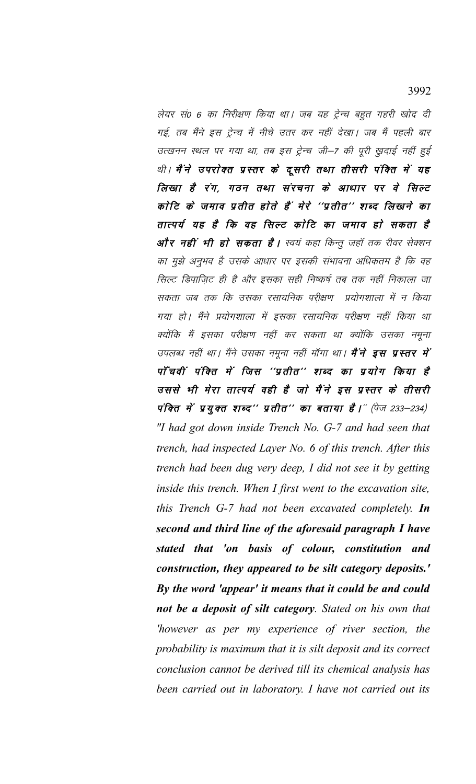लेयर सं0 6 का निरीक्षण किया था। जब यह ट्रेन्च बहुत गहरी खोद दी गई, तब मैंने इस ट्रेन्च में नीचे उतर कर नहीं देखा। जब मैं पहली बार उत्खनन स्थल पर गया था, तब इस ट्रेन्च जी-7 की पूरी खुदाई नहीं हुई थी। मैंने उपरोक्त प्रस्तर के दूसरी तथा तीसरी पंक्ति में यह लिखा है रंग, गठन तथा संरचना के आधार पर वे सिल्ट कोटि के जमाव प्रतीत होते हैं मेरे ''प्रतीत'' शब्द लिखने का तात्पर्य यह है कि वह सिल्ट कोटि का जमाव हो सकता है **और नहीं भी हो सकता है।** स्वयं कहा किन्तू जहाँ तक रीवर सेक्शन का मुझे अनुभव है उसके आधार पर इसकी संभावना अधिकतम है कि वह सिल्ट डिपाज़िट ही है और इसका सही निष्कर्ष तब तक नहीं निकाला जा सकता जब तक कि उसका रसायनिक परीक्षण प्रयोगशाला में न किया गया हो । मैंने प्रयोगशाला में इसका रसायनिक परीक्षण नहीं किया था क्योंकि मैं इसका परीक्षण नहीं कर सकता था क्योंकि उसका नमूना उपलब्ध नहीं था। मैंने उसका नमूना नहीं मॉगा था। **मैंने इस प्रस्तर में** पाँचवीं पंक्ति में जिस ''प्रतीत'' शब्द का प्रयोग किया है उससे भी मेरा तात्पर्य वही है जो मैंने इस प्रस्तर के तीसरी पंक्ति में प्रयुक्त शब्द'' प्रतीत'' का बताया है।'' (पेज 233–234) "I had got down inside Trench No. G-7 and had seen that trench, had inspected Layer No. 6 of this trench. After this trench had been dug very deep, I did not see it by getting inside this trench. When I first went to the excavation site, this Trench G-7 had not been excavated completely. In second and third line of the aforesaid paragraph I have stated that 'on basis of colour, constitution and construction, they appeared to be silt category deposits.' By the word 'appear' it means that it could be and could not be a deposit of silt category. Stated on his own that 'however as per my experience of river section, the probability is maximum that it is silt deposit and its correct conclusion cannot be derived till its chemical analysis has been carried out in laboratory. I have not carried out its

3992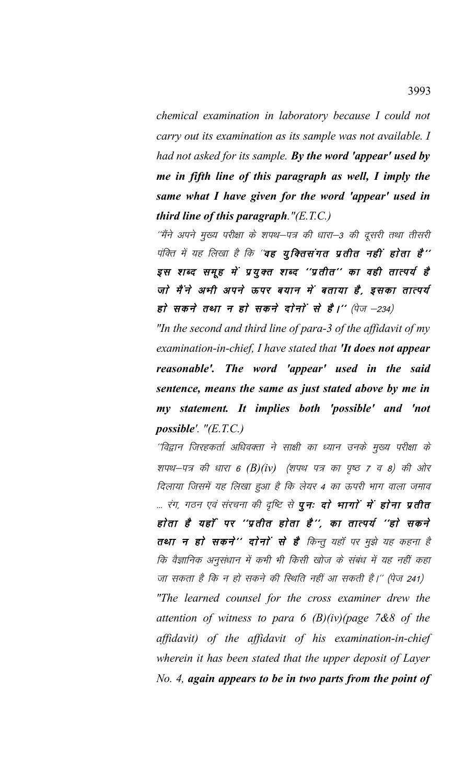*chemical examination in laboratory because I could not carry out its examination as its sample was not available. I had not asked for its sample. By the word 'appear' used by me in fifth line of this paragraph as well, I imply the same what I have given for the word 'appear' used in third line of this paragraph."(E.T.C.)*

''मैंने अपने मुख्य परीक्षा के शपथ–पत्र की धारा–3 की दूसरी तथा तीसरी पंक्ति में यह लिखा है कि 'वह युक्तिसंगत प्रतीत नहीं होता है'' इस शब्द समूह में प्रयुक्त शब्द ''प्रतीत'' का वही तात्पर्य है जो मैंने अभी अपने ऊपर बयान में बताया है, इसका तात्पर्य हो सकने तथा न हो सकने दोनों से है।'' (पेज –234)

*"In the second and third line of para-3 of the affidavit of my examination-in-chief, I have stated that 'It does not appear reasonable'. The word 'appear' used in the said sentence, means the same as just stated above by me in my statement. It implies both 'possible' and 'not possible'. "(E.T.C.)*

''विद्वान जिरहकर्ता अधिवक्ता ने साक्षी का ध्यान उनके मुख्य परीक्षा के शपथ–पत्र की धारा 6 (B)(iv) (शपथ पत्र का पृष्ठ 7 व 8) की ओर दिलाया जिसमें यह लिखा हुआ है कि लेयर 4 का ऊपरी भाग वाला जमाव ... रंग, गठन एवं संरचना की दृष्टि से **पुनः दो भागों में होना प्रतीत** होता है यहाँ पर ''प्रतीत होता है'', का तात्पर्य ''हो सकने तथा न हो सकने'' दोनों से हैं किन्तु यहाँ पर मुझे यह कहना है कि वैज्ञानिक अनुसंधान में कभी भी किसी खोज के संबंध में यह नहीं कहा जा सकता है कि न हो सकने की स्थिति नहीं आ सकती है।'' (पेज 241) *"The learned counsel for the cross examiner drew the attention of witness to para 6 (B)(iv)(page 7&8 of the affidavit) of the affidavit of his examination-in-chief wherein it has been stated that the upper deposit of Layer No. 4, again appears to be in two parts from the point of*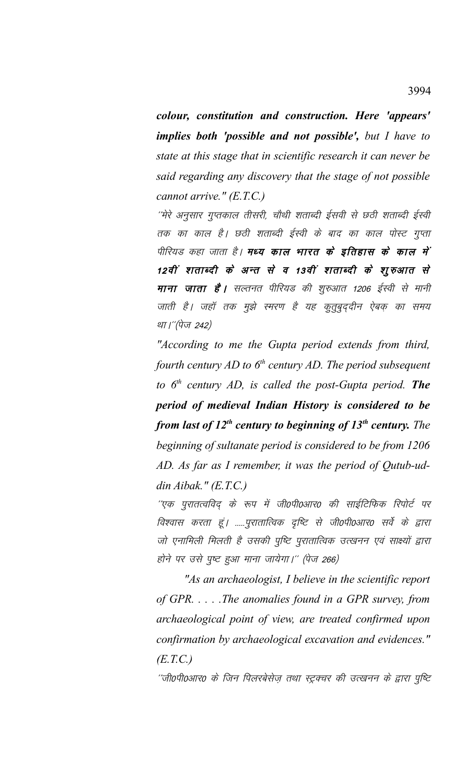colour, constitution and construction. Here 'appears' **implies both 'possible and not possible',** but I have to state at this stage that in scientific research it can never be said regarding any discovery that the stage of not possible cannot arrive."  $(E.T.C.)$ 

''मेरे अनुसार गुप्तकाल तीसरी, चौथी शताब्दी ईसवी से छठी शताब्दी ईस्वी तक का काल है। छठी शताब्दी ईस्वी के बाद का काल पोस्ट गुप्ता पीरियड कहा जाता है। **मध्य काल भारत के इतिहास के काल में** 12वीं शताब्दी के अन्त से व 13वीं शताब्दी के शुरुआत से माना जाता है। सल्तनत पीरियड की शुरुआत 1206 ईस्वी से मानी जाती है। जहाँ तक मुझे स्मरण है यह कुतुबुद्दीन ऐबक़ का समय था।''(पेज 242)

"According to me the Gupta period extends from third, fourth century AD to  $6<sup>th</sup>$  century AD. The period subsequent to  $6<sup>th</sup>$  century AD, is called the post-Gupta period. The period of medieval Indian History is considered to be from last of  $12^{th}$  century to beginning of  $13^{th}$  century. The beginning of sultanate period is considered to be from 1206 AD. As far as I remember, it was the period of Qutub-ud $din Aibak." (E.T.C.)$ 

''एक पुरातत्वविद के रूप में जी0पी0आर0 की साईटिफिक रिपोर्ट पर विश्वास करता हूं। .....पुरातात्विक दृष्टि से जी०पी०आर० सर्वे के द्वारा जो एनामिली मिलती है उसकी पुष्टि पुरातात्विक उत्खनन एवं साक्ष्यों द्वारा होने पर उसे पुष्ट हुआ माना जायेगा।" (पेज 266)

"As an archaeologist, I believe in the scientific report of GPR. . . . . The anomalies found in a GPR survey, from archaeological point of view, are treated confirmed upon confirmation by archaeological excavation and evidences."  $(E.T.C.)$ 

''जी0पी0आर0 के जिन पिलरबेसेज़ तथा स्ट्रक्चर की उत्खनन के द्वारा पुष्टि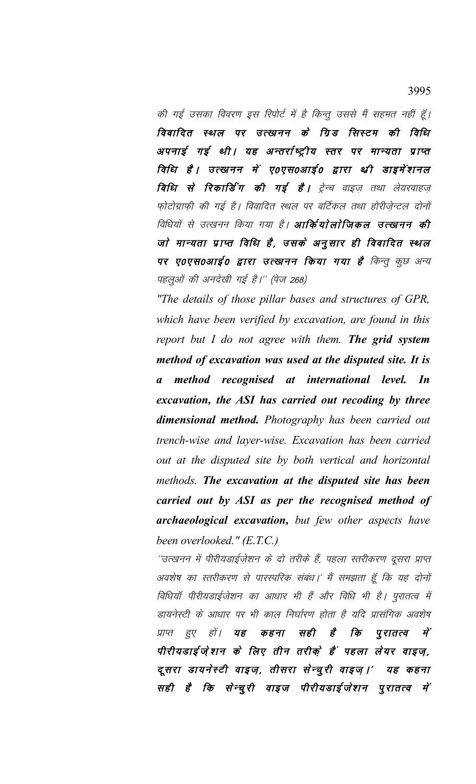की गई उसका विवरण इस रिपोर्ट में है किन्तु उससे मैं सहमत नहीं हूँ। विवादित स्थल पर उत्खनन के ग्रिड सिस्टम की विधि अपनाई गई थी। यह अन्तर्राष्ट्रीय स्तर पर मान्यता प्राप्त विधि है। उत्खनन में ए०एस०आई० द्वारा थी डाइमेंशनल **विधि से रिकार्डिंग की गई है।** ट्रेन्च वाइज़ तथा लेयरवाहज़ फोटोग्राफी की गई है। विवादित स्थल पर वर्टिकल तथा होरीजेन्टल दोनों विधियों से उत्खनन किया गया है। **आर्कियोलोजिकल उत्खानन की** जो मान्यता प्राप्त विधि है, उसके अनूसार ही विवादित स्थल पर ए0एस0आई0 द्वारा उत्खनन किया गया है किन्तु कुछ अन्य पहलुओं की अनदेखी गई है।" (पेज 268)

"The details of those pillar bases and structures of GPR, which have been verified by excavation, are found in this report but I do not agree with them. The grid system method of excavation was used at the disputed site. It is  $\boldsymbol{a}$ method recognised at international level. In excavation, the ASI has carried out recoding by three dimensional method. Photography has been carried out trench-wise and layer-wise. Excavation has been carried out at the disputed site by both vertical and horizontal methods. The excavation at the disputed site has been carried out by ASI as per the recognised method of archaeological excavation, but few other aspects have been overlooked."  $(E.T.C.)$ 

''उत्खनन में पीरीयडाईज़ेशन के दो तरीके हैं, पहला स्तरीकरण दूसरा प्राप्त अवशेष का स्तरीकरण से पारस्परिक संबंध।' मैं समझता हूँ कि यह दोनों विधियाँ पीरीयडाईजेशन का आधार भी हैं और विधि भी है। पुरातत्व में डायनेस्टी के आधार पर भी काल निर्घारण होता है यदि प्रासंगिक अवशेष पुरातत्व प्राप्त हुए हों। **यह** कहना सही हैं कि  $\vec{H}$ पीरीयडाईज़ेशन के लिए तीन तरीक़े हैं पहला लेयर वाइज़, दूसरा डायनेस्टी वाइज्, तीसरा सेन्चूरी वाइज्।' यह कहना सही है कि सेन्चुरी वाइज पीरीयडाईजेंशन पुरातत्व में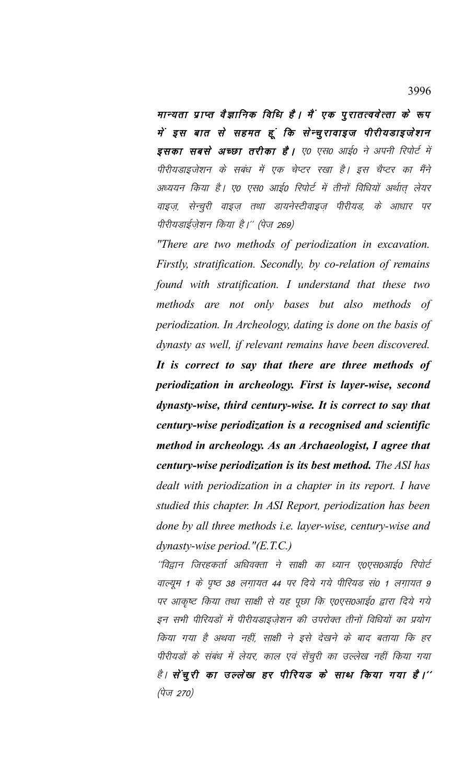मान्यता प्राप्त वैज्ञानिक विधि है। मैं एक पुरातत्ववेत्ता के रूप में इस बात से सहमत हूं कि सेन्चुरावाइज पीरीयडाइजेशन इसका सबसे अच्छा तरीका है। ए० एस० आई० ने अपनी रिपोर्ट में पीरीयडाइजेशन के सबंध में एक चेप्टर रखा है। इस चैप्टर का मैंने अध्ययन किया है। ए० एस० आई० रिपोर्ट में तीनों विधियों अर्थात् लेयर वाइज, सेन्चुरी वाइज़ तथा डायनेस्टीवाइज़ पीरीयड, के आधार पर पीरीयडाईज़ेशन किया है।'' (पेज 269)

*"There are two methods of periodization in excavation. Firstly, stratification. Secondly, by co-relation of remains found with stratification. I understand that these two methods are not only bases but also methods of periodization. In Archeology, dating is done on the basis of dynasty as well, if relevant remains have been discovered. It is correct to say that there are three methods of periodization in archeology. First is layer-wise, second dynasty-wise, third century-wise. It is correct to say that century-wise periodization is a recognised and scientific method in archeology. As an Archaeologist, I agree that century-wise periodization is its best method. The ASI has dealt with periodization in a chapter in its report. I have studied this chapter. In ASI Report, periodization has been done by all three methods i.e. layer-wise, century-wise and dynasty-wise period."(E.T.C.)*

´विद्वान जिरहकर्ता अधिवक्ता ने साक्षी का ध्यान ए०एस०आई० रिपोर्ट वाल्यूम 1 के पृष्ठ 38 लगायत 44 पर दिये गये पीरियड सं0 1 लगायत 9 पर आकृष्ट किया तथा साक्षी से यह पूछा कि ए0एस0आई0 द्वारा दिये गये इन सभी पीरियडों में पीरीयडाइज़ेशन की उपरोक्त तीनों विधियों का प्रयोग किया गया है अथवा नहीं, साक्षी ने इसे देखने के बाद बताया कि हर पीरीयडों के संबंध में लेयर, काल एवं सेंचुरी का उल्लेख नहीं किया गया है। सेंचुरी का उल्लेख हर पीरियड के साथ किया गया है।'' (पेज 270)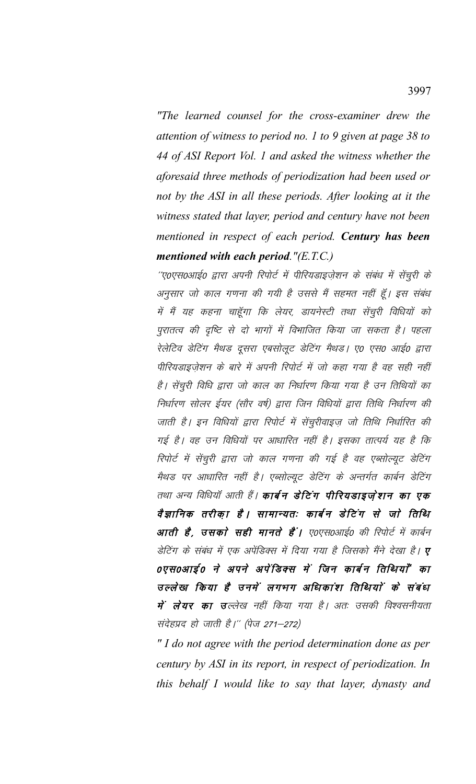"The learned counsel for the cross-examiner drew the attention of witness to period no. 1 to 9 given at page 38 to 44 of ASI Report Vol. 1 and asked the witness whether the aforesaid three methods of periodization had been used or not by the ASI in all these periods. After looking at it the witness stated that layer, period and century have not been mentioned in respect of each period. Century has been mentioned with each period." $(E.T.C.)$ 

''ए०एस०आई० द्वारा अपनी रिपोर्ट में पीरियडाइज़ेशन के संबंध में सेंचुरी के अनुसार जो काल गणना की गयी है उससे मैं सहमत नहीं हूँ। इस संबंध में मैं यह कहना चाहूँगा कि लेयर, डायनेस्टी तथा सेंचुरी विधियों को पुरातत्व की दृष्टि से दो भागों में विभाजित किया जा सकता है। पहला रेलेटिव डेटिंग मैथड दूसरा एबसोलूट डेटिंग मैथड। ए० एस० आई० द्वारा पीरियडाइज़ेशन के बारे में अपनी रिपोर्ट में जो कहा गया है वह सही नहीं है। सेंचुरी विधि द्वारा जो काल का निर्धारण किया गया है उन तिथियों का निर्धारण सोलर ईयर (सौर वर्ष) द्वारा जिन विधियों द्वारा तिथि निर्धारण की जाती है। इन विधियों द्वारा रिपोर्ट में सेंचुरीवाइज़ जो तिथि निर्धारित की गई है। वह उन विधियों पर आधारित नहीं है। इसका तात्पर्य यह है कि रिपोर्ट में सेंचुरी द्वारा जो काल गणना की गई है वह एब्सोल्यूट डेटिंग मैथड पर आधारित नहीं है। एब्सोल्यूट डेटिंग के अन्तर्गत कार्बन डेटिंग तथा अन्य विधियॉ आती हैं। **कार्बन डेटिंग पीरियडाइजेशन का एक** वैज्ञानिक तरीका है। सामान्यतः कार्बन डेटिंग से जो तिथि आती है, उसको सही मानते हैं। ए०एस०आई० की रिपोर्ट में कार्बन डेटिंग के संबंध में एक अपेंडिक्स में दिया गया है जिसको मैंने देखा है। **ए** 0एस0आई0 ने अपने अपेंडिक्स में जिन कार्बन तिथियाँ का उल्लेख किया है उनमें लगभग अधिकांश तिथियों के संबंध **में लेयर का उ**ल्लेख नहीं किया गया है। अतः उसकी विश्वसनीयता संदेहप्रद हो जाती है।" (पेज 271–272)

 $"I$  do not agree with the period determination done as per century by ASI in its report, in respect of periodization. In this behalf I would like to say that layer, dynasty and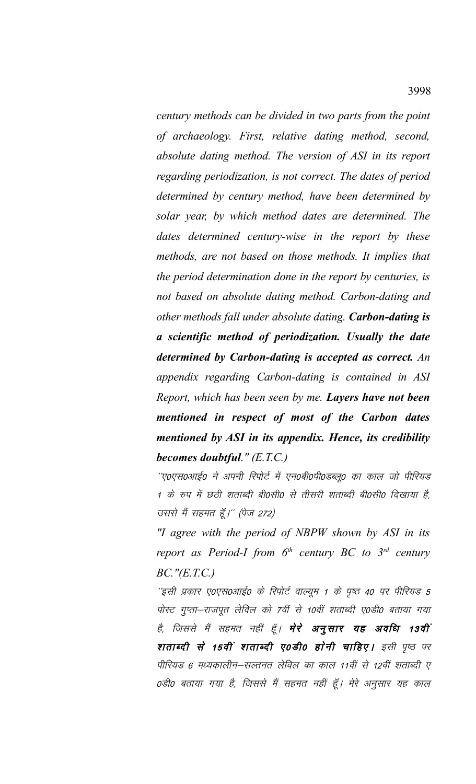century methods can be divided in two parts from the point of archaeology. First, relative dating method, second, absolute dating method. The version of ASI in its report regarding periodization, is not correct. The dates of period determined by century method, have been determined by solar year, by which method dates are determined. The dates determined century-wise in the report by these methods, are not based on those methods. It implies that the period determination done in the report by centuries, is not based on absolute dating method. Carbon-dating and other methods fall under absolute dating. Carbon-dating is a scientific method of periodization. Usually the date determined by Carbon-dating is accepted as correct. An appendix regarding Carbon-dating is contained in ASI Report, which has been seen by me. Layers have not been mentioned in respect of most of the Carbon dates mentioned by ASI in its appendix. Hence, its credibility becomes doubtful."  $(E.T.C.)$ 

''ए०एस०आई० ने अपनी रिपोर्ट में एन०बी०पी०डब्लू० का काल जो पीरियड 1 के रुप में छठी शताब्दी बी0सी0 से तीसरी शताब्दी बी0सी0 दिखाया है, उससे मैं सहमत हूँ।'' (पेज 272)

"I agree with the period of NBPW shown by ASI in its report as Period-I from  $6<sup>th</sup>$  century BC to  $3<sup>rd</sup>$  century  $BC.$ " $(E.T.C.)$ 

'इसी प्रकार ए०एस०आई० के रिपोर्ट वाल्यूम 1 के पृष्ठ 40 पर पीरियड 5 पोस्ट गुप्ता-राजपूत लेविल को 7वीं से 10वीं शताब्दी ए0डी0 बताया गया *है, जिससे मैं सहमत नहीं हूँ। मेरे अनुसार यह अवधि 13वीं* शताब्दी से 15वीं शताब्दी ए0डी0 होनी चाहिए। इसी पुष्ठ पर पीरियड 6 मध्यकालीन–सल्तनत लेविल का काल 11वीं से 12वीं शताब्दी ए 0डी0 बताया गया है, जिससे मैं सहमत नहीं हूँ। मेरे अनुसार यह काल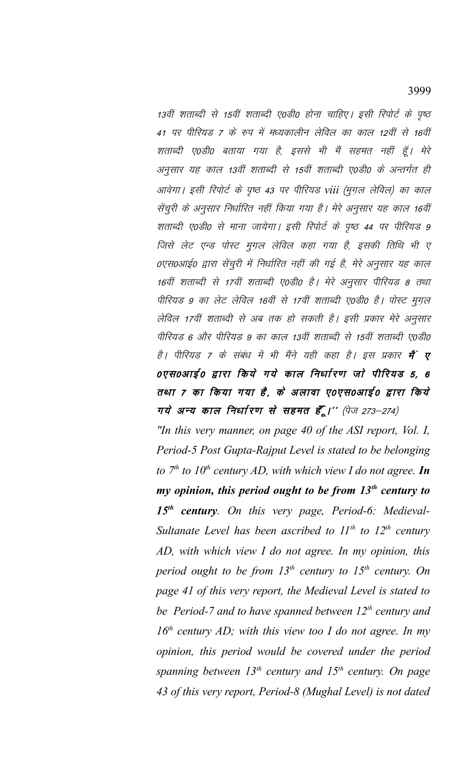13वीं शताब्दी से 15वीं शताब्दी ए0डी0 होना चाहिए। इसी रिपोर्ट के पृष्ठ 41 पर पीरियड 7 के रुप में मध्यकालीन लेविल का काल 12वीं से 16वीं शताब्दी ए0डी0 बताया गया है, इससे भी मैं सहमत नहीं हूँ। मेरे अनुसार यह काल 13वीं शताब्दी से 15वीं शताब्दी ए0डी0 के अन्तर्गत ही आवेगा। इसी रिपोर्ट के पृष्ठ 43 पर पीरियड viii (मुगल लेविल) का काल सेंचुरी के अनुसार निर्धारित नहीं किया गया है। मेरे अनुसार यह काल 16वीं शताब्दी ए0डी0 से माना जायेगा। इसी रिपोर्ट के पृष्ठ 44 पर पीरियड 9 जिसे लेट एन्ड पोस्ट मुगल लेविल कहा गया है, इसकी तिथि भी ए ०एस०आई० द्वारा सेंचुरी में निर्धारित नहीं की गई है, मेरे अनुसार यह काल 16वीं शताब्दी से 17वीं शताब्दी ए0डी0 है। मेरे अनुसार पीरियड 8 तथा पीरियड ९ का लेट लेविल 16वीं से 17वीं शताब्दी ए0डी0 है। पोस्ट मुग़ल लेविल 17वीं शताब्दी से अब तक हो सकती है। इसी प्रकार मेरे अनुसार पीरियड ६ और पीरियड ९ का काल 13वीं शताब्दी से 15वीं शताब्दी ए0डी0 है। पीरियड 7 के संबंध में भी मैंने यही कहा है। इस प्रकार **मैं ए** 0एस0आई0 द्वारा किये गये काल निर्धारण जो पीरियड 5, 6 तथा 7 का किया गया है, के अलावा ए0एस0आई0 द्वारा किये गये अन्य काल निर्धारण से सहमत हूँ, |" (पेज 273–274)

"In this very manner, on page 40 of the ASI report, Vol. I, Period-5 Post Gupta-Rajput Level is stated to be belonging to  $7<sup>th</sup>$  to  $10<sup>th</sup>$  century AD, with which view I do not agree. In my opinion, this period ought to be from  $13<sup>th</sup>$  century to 15<sup>th</sup> century. On this very page, Period-6: Medieval-Sultanate Level has been ascribed to  $11^{th}$  to  $12^{th}$  century AD, with which view I do not agree. In my opinion, this period ought to be from  $13^{th}$  century to  $15^{th}$  century. On page 41 of this very report, the Medieval Level is stated to be Period-7 and to have spanned between  $12^{th}$  century and  $16<sup>th</sup>$  century AD; with this view too I do not agree. In my opinion, this period would be covered under the period spanning between  $13^{th}$  century and  $15^{th}$  century. On page 43 of this very report, Period-8 (Mughal Level) is not dated